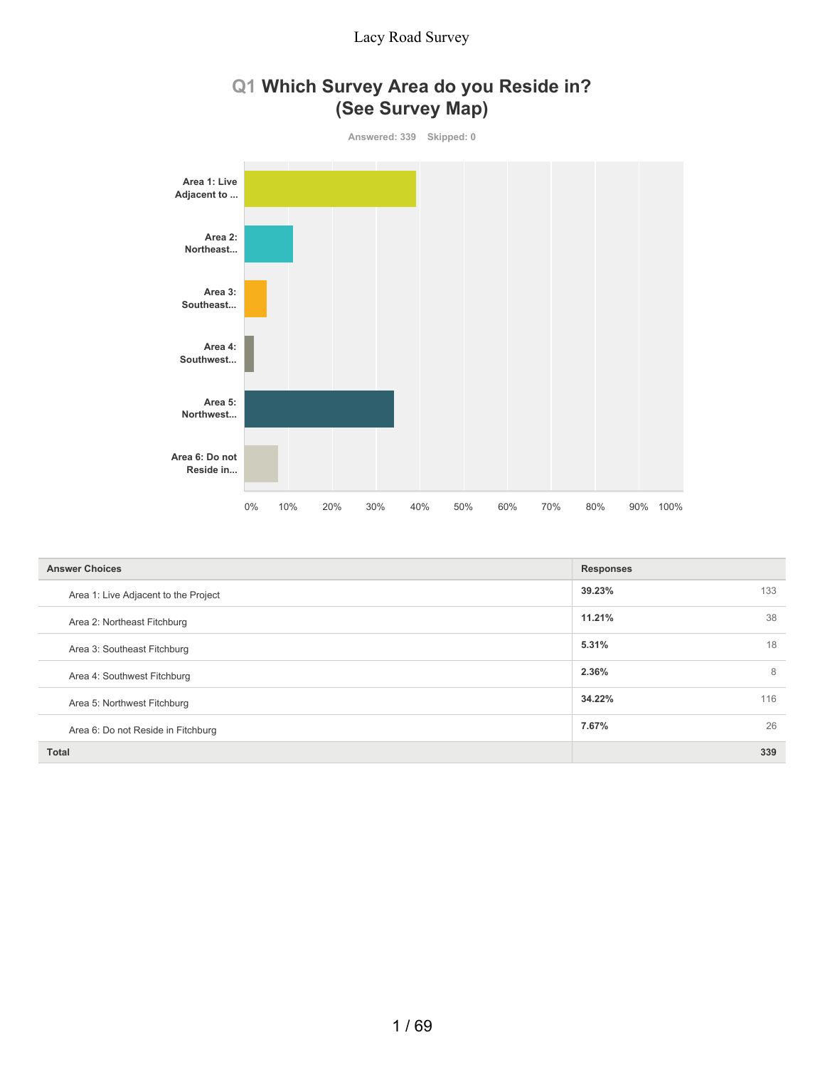# **Q1 Which Survey Area do you Reside in? (See Survey Map)**



| <b>Answer Choices</b>                | <b>Responses</b> |     |
|--------------------------------------|------------------|-----|
| Area 1: Live Adjacent to the Project | 39.23%           | 133 |
| Area 2: Northeast Fitchburg          | 11.21%           | 38  |
| Area 3: Southeast Fitchburg          | 5.31%            | 18  |
| Area 4: Southwest Fitchburg          | 2.36%            | 8   |
| Area 5: Northwest Fitchburg          | 34.22%           | 116 |
| Area 6: Do not Reside in Fitchburg   | 7.67%            | 26  |
| <b>Total</b>                         |                  | 339 |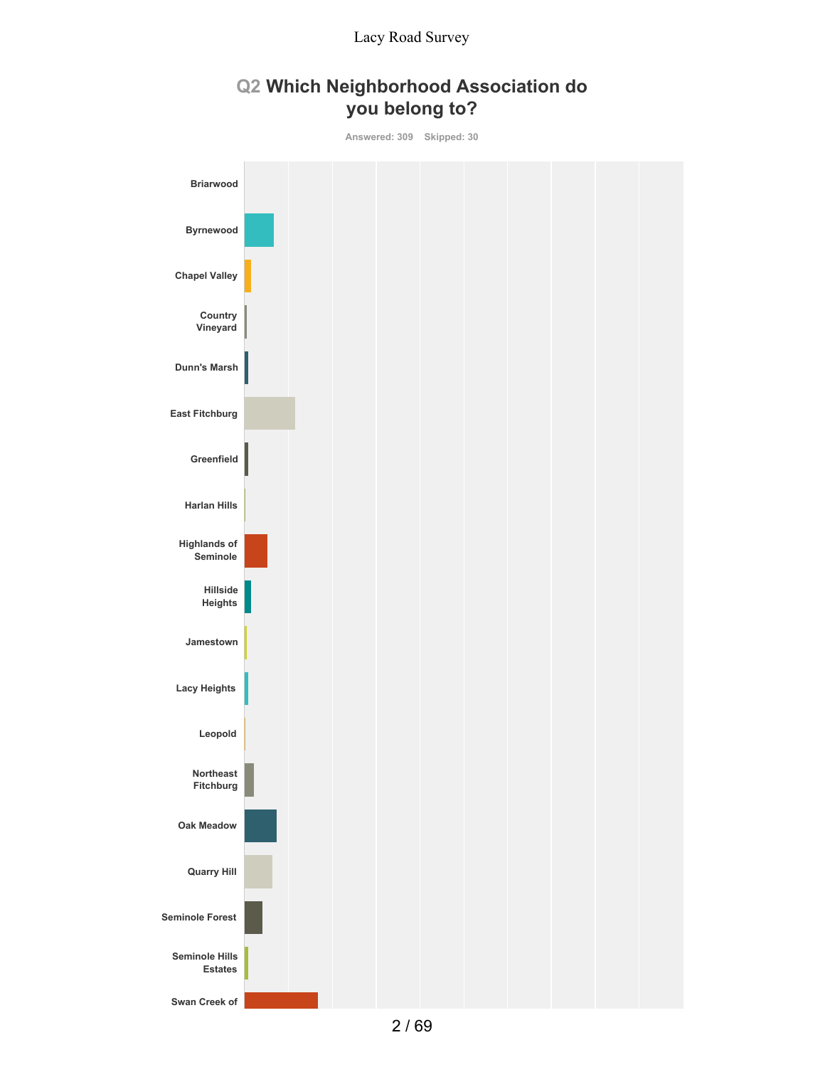# **Q2 Which Neighborhood Association do you belong to?**

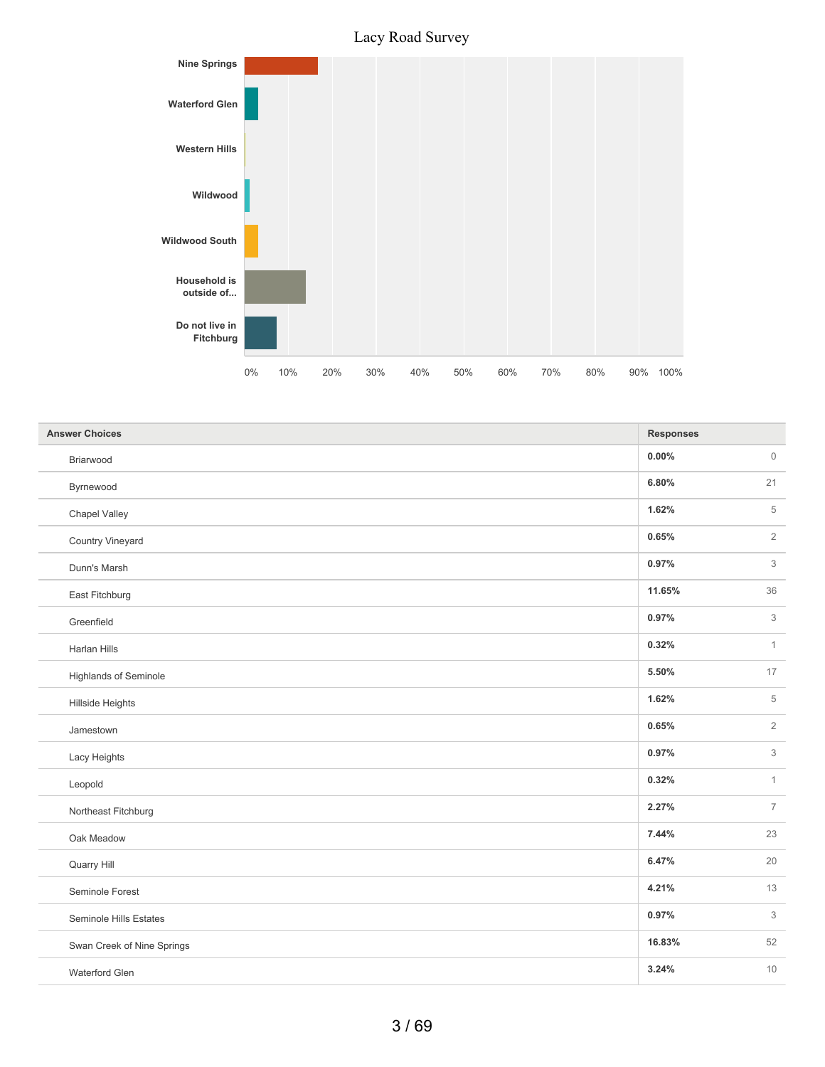

| <b>Answer Choices</b>      | <b>Responses</b>        |  |
|----------------------------|-------------------------|--|
| Briarwood                  | $0.00\%$<br>$\mathbf 0$ |  |
| Byrnewood                  | 6.80%<br>21             |  |
| Chapel Valley              | 5<br>1.62%              |  |
| Country Vineyard           | 0.65%<br>$\overline{2}$ |  |
| Dunn's Marsh               | 0.97%<br>3              |  |
| East Fitchburg             | 11.65%<br>36            |  |
| Greenfield                 | 0.97%<br>3              |  |
| Harlan Hills               | 0.32%<br>$\mathbf{1}$   |  |
| Highlands of Seminole      | 5.50%<br>17             |  |
| <b>Hillside Heights</b>    | 1.62%<br>5              |  |
| Jamestown                  | 0.65%<br>$\overline{2}$ |  |
| Lacy Heights               | 0.97%<br>3              |  |
| Leopold                    | 0.32%<br>$\mathbf{1}$   |  |
| Northeast Fitchburg        | 2.27%<br>$\overline{7}$ |  |
| Oak Meadow                 | 7.44%<br>23             |  |
| Quarry Hill                | 6.47%<br>20             |  |
| Seminole Forest            | 4.21%<br>13             |  |
| Seminole Hills Estates     | 0.97%<br>3              |  |
| Swan Creek of Nine Springs | 16.83%<br>52            |  |
| Waterford Glen             | 3.24%<br>10             |  |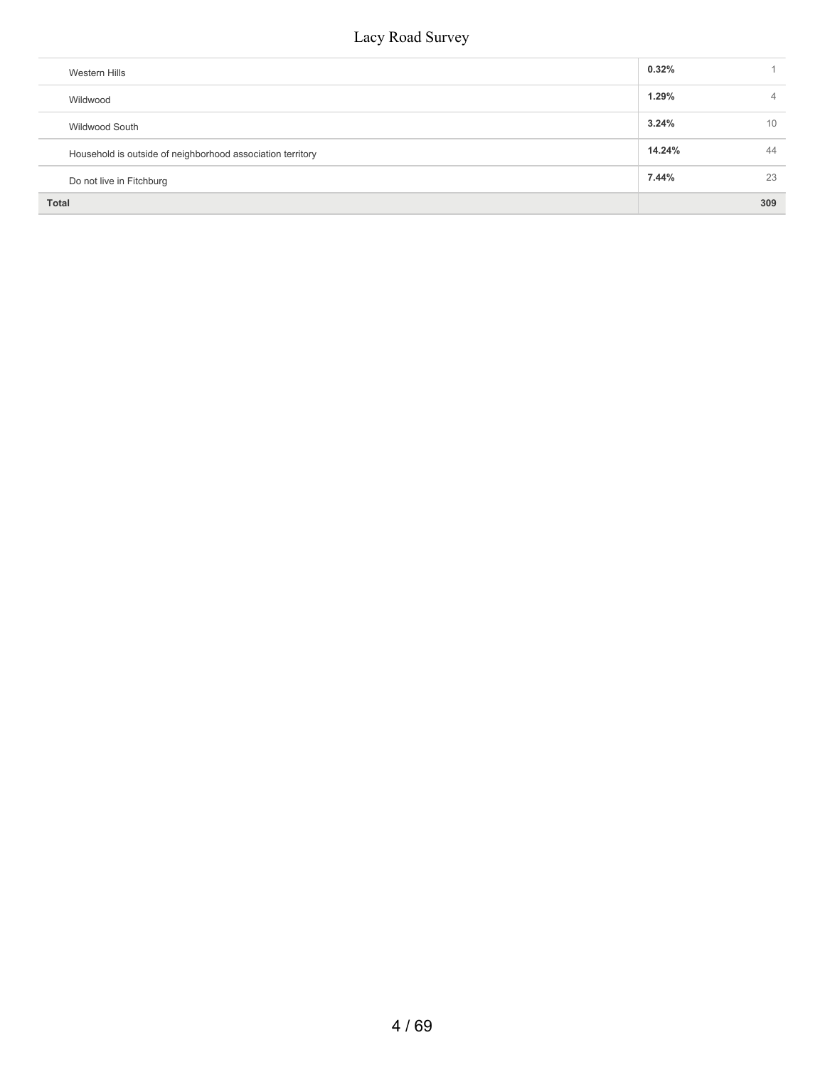| Western Hills                                              | 0.32%  |     |
|------------------------------------------------------------|--------|-----|
| Wildwood                                                   | 1.29%  |     |
| Wildwood South                                             | 3.24%  | 10  |
| Household is outside of neighborhood association territory | 14.24% | 44  |
| Do not live in Fitchburg                                   | 7.44%  | 23  |
| <b>Total</b>                                               |        | 309 |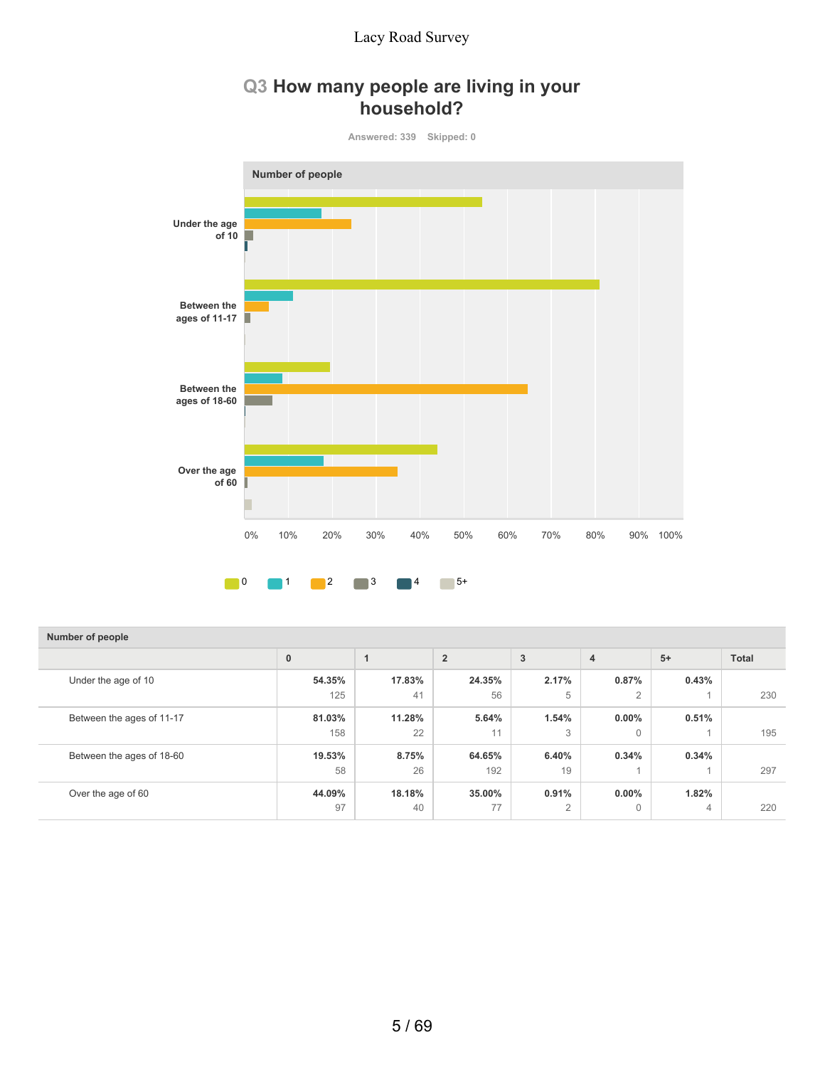## **Q3 How many people are living in your household?**



#### **Number of people**

|                           | $\bf{0}$ |        | $\overline{2}$ | 3              | $\overline{4}$ | $5+$           | <b>Total</b> |
|---------------------------|----------|--------|----------------|----------------|----------------|----------------|--------------|
| Under the age of 10       | 54.35%   | 17.83% | 24.35%         | 2.17%          | 0.87%          | 0.43%          |              |
|                           | 125      | 41     | 56             | 5              | $\overline{2}$ |                | 230          |
| Between the ages of 11-17 | 81.03%   | 11.28% | 5.64%          | 1.54%          | $0.00\%$       | 0.51%          |              |
|                           | 158      | 22     | 11             | 3              | $\mathbf{0}$   |                | 195          |
| Between the ages of 18-60 | 19.53%   | 8.75%  | 64.65%         | 6.40%          | 0.34%          | 0.34%          |              |
|                           | 58       | 26     | 192            | 19             |                |                | 297          |
| Over the age of 60        | 44.09%   | 18.18% | 35,00%         | 0.91%          | $0.00\%$       | 1.82%          |              |
|                           | 97       | 40     | 77             | $\overline{2}$ | $\mathbf{0}$   | $\overline{4}$ | 220          |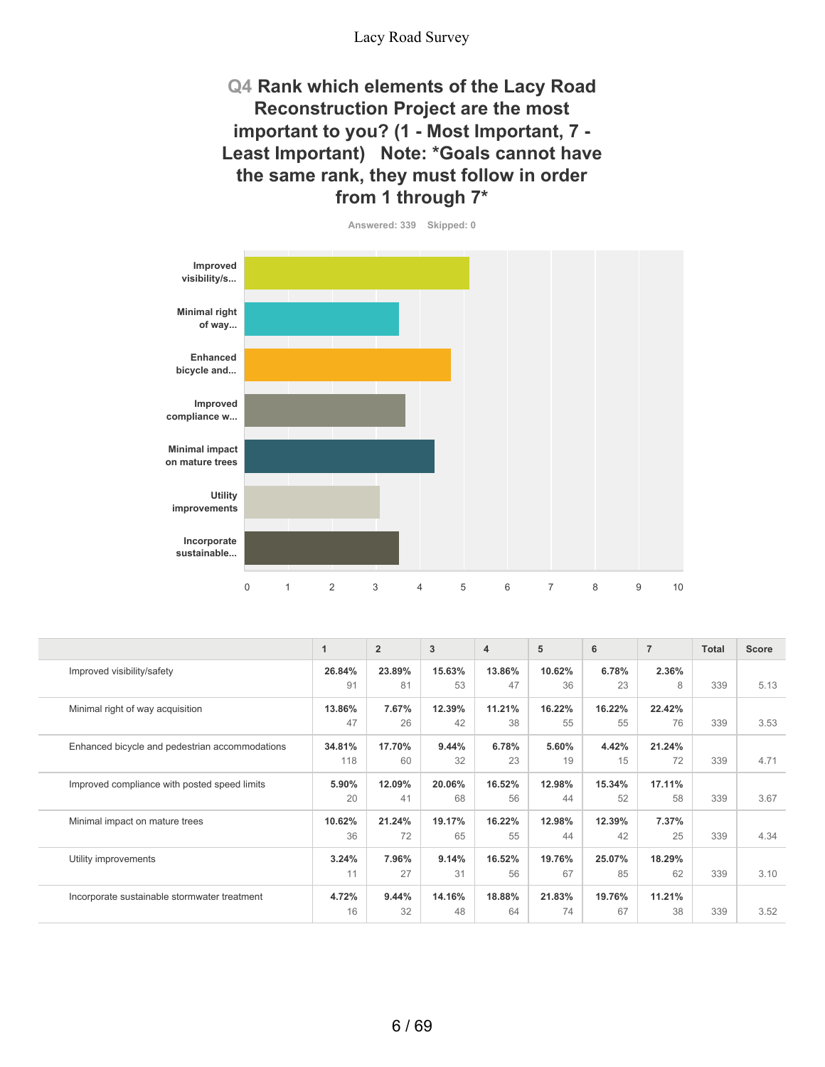### **Q4 Rank which elements of the Lacy Road Reconstruction Project are the most important to you? (1 - Most Important, 7 - Least Important) Note: \*Goals cannot have the same rank, they must follow in order from 1 through 7\***

**Improved visibility/s... Minimal right of way... Enhanced bicycle and... Improved compliance w... Minimal impact on mature trees Utility improvements Incorporate sustainable...** 0 1 2 3 4 5 6 7 8 9 10

|                                                | $\mathbf{1}$ | $\overline{2}$ | 3      | 4      | 5      | 6      | $\overline{7}$ | <b>Total</b> | Score |
|------------------------------------------------|--------------|----------------|--------|--------|--------|--------|----------------|--------------|-------|
| Improved visibility/safety                     | 26.84%       | 23.89%         | 15.63% | 13.86% | 10.62% | 6.78%  | 2.36%          |              |       |
|                                                | 91           | 81             | 53     | 47     | 36     | 23     | 8              | 339          | 5.13  |
| Minimal right of way acquisition               | 13.86%       | 7.67%          | 12.39% | 11.21% | 16.22% | 16.22% | 22.42%         |              |       |
|                                                | 47           | 26             | 42     | 38     | 55     | 55     | 76             | 339          | 3.53  |
| Enhanced bicycle and pedestrian accommodations | 34.81%       | 17.70%         | 9.44%  | 6.78%  | 5.60%  | 4.42%  | 21.24%         |              |       |
|                                                | 118          | 60             | 32     | 23     | 19     | 15     | 72             | 339          | 4.71  |
| Improved compliance with posted speed limits   | 5.90%        | 12.09%         | 20.06% | 16.52% | 12.98% | 15.34% | 17.11%         |              |       |
|                                                | 20           | 41             | 68     | 56     | 44     | 52     | 58             | 339          | 3.67  |
| Minimal impact on mature trees                 | 10.62%       | 21.24%         | 19.17% | 16.22% | 12.98% | 12.39% | 7.37%          |              |       |
|                                                | 36           | 72             | 65     | 55     | 44     | 42     | 25             | 339          | 4.34  |
| Utility improvements                           | 3.24%        | 7.96%          | 9.14%  | 16.52% | 19.76% | 25.07% | 18.29%         |              |       |
|                                                | 11           | 27             | 31     | 56     | 67     | 85     | 62             | 339          | 3.10  |
| Incorporate sustainable stormwater treatment   | 4.72%        | 9.44%          | 14.16% | 18.88% | 21.83% | 19.76% | 11.21%         |              |       |
|                                                | 16           | 32             | 48     | 64     | 74     | 67     | 38             | 339          | 3.52  |

**Answered: 339 Skipped: 0**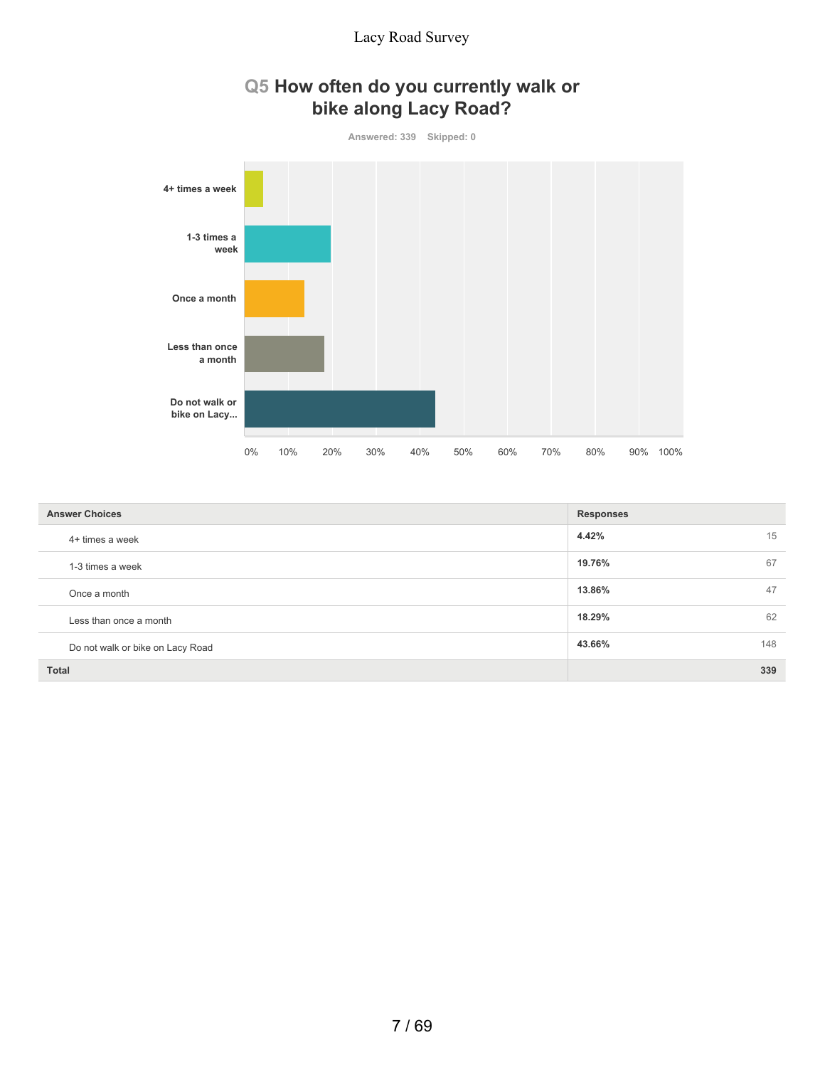

# **Q5 How often do you currently walk or bike along Lacy Road?**

| <b>Answer Choices</b>            | <b>Responses</b> |
|----------------------------------|------------------|
| 4+ times a week                  | 4.42%<br>15      |
| 1-3 times a week                 | 67<br>19.76%     |
| Once a month                     | 47<br>13.86%     |
| Less than once a month           | 62<br>18.29%     |
| Do not walk or bike on Lacy Road | 148<br>43.66%    |
| <b>Total</b>                     | 339              |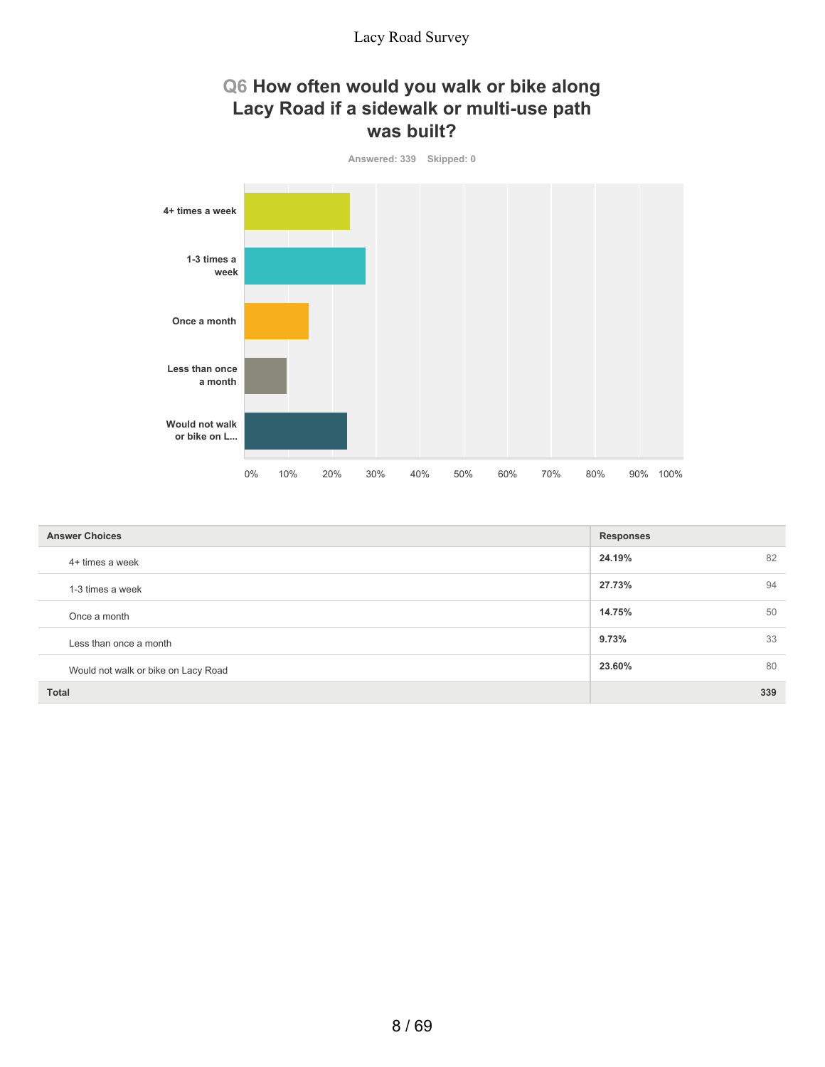## **Q6 How often would you walk or bike along Lacy Road if a sidewalk or multi-use path was built?**



| <b>Answer Choices</b>               | <b>Responses</b> |     |
|-------------------------------------|------------------|-----|
| 4+ times a week                     | 24.19%           | 82  |
| 1-3 times a week                    | 27.73%           | 94  |
| Once a month                        | 14.75%           | 50  |
| Less than once a month              | 9.73%            | 33  |
| Would not walk or bike on Lacy Road | 23.60%           | 80  |
| <b>Total</b>                        |                  | 339 |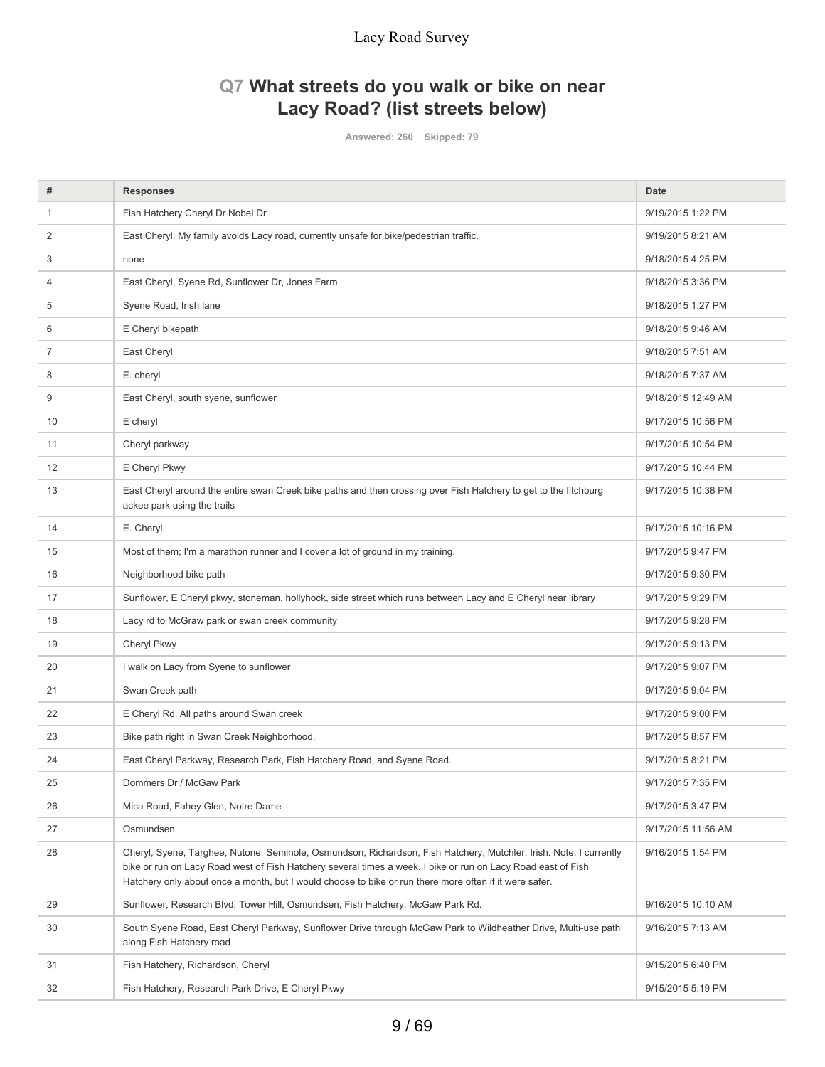# **Q7 What streets do you walk or bike on near Lacy Road? (list streets below)**

**Answered: 260 Skipped: 79**

| #            | <b>Responses</b>                                                                                                                                                                                                                                                                                                                             | <b>Date</b>        |
|--------------|----------------------------------------------------------------------------------------------------------------------------------------------------------------------------------------------------------------------------------------------------------------------------------------------------------------------------------------------|--------------------|
| $\mathbf{1}$ | Fish Hatchery Cheryl Dr Nobel Dr                                                                                                                                                                                                                                                                                                             | 9/19/2015 1:22 PM  |
| 2            | East Cheryl. My family avoids Lacy road, currently unsafe for bike/pedestrian traffic.                                                                                                                                                                                                                                                       | 9/19/2015 8:21 AM  |
| 3            | none                                                                                                                                                                                                                                                                                                                                         | 9/18/2015 4:25 PM  |
| 4            | East Cheryl, Syene Rd, Sunflower Dr, Jones Farm                                                                                                                                                                                                                                                                                              | 9/18/2015 3:36 PM  |
| 5            | Syene Road, Irish lane                                                                                                                                                                                                                                                                                                                       | 9/18/2015 1:27 PM  |
| 6            | E Cheryl bikepath                                                                                                                                                                                                                                                                                                                            | 9/18/2015 9:46 AM  |
| 7            | East Cheryl                                                                                                                                                                                                                                                                                                                                  | 9/18/2015 7:51 AM  |
| 8            | E. cheryl                                                                                                                                                                                                                                                                                                                                    | 9/18/2015 7:37 AM  |
| 9            | East Cheryl, south syene, sunflower                                                                                                                                                                                                                                                                                                          | 9/18/2015 12:49 AM |
| 10           | E cheryl                                                                                                                                                                                                                                                                                                                                     | 9/17/2015 10:56 PM |
| 11           | Cheryl parkway                                                                                                                                                                                                                                                                                                                               | 9/17/2015 10:54 PM |
| 12           | E Cheryl Pkwy                                                                                                                                                                                                                                                                                                                                | 9/17/2015 10:44 PM |
| 13           | East Cheryl around the entire swan Creek bike paths and then crossing over Fish Hatchery to get to the fitchburg<br>ackee park using the trails                                                                                                                                                                                              | 9/17/2015 10:38 PM |
| 14           | E. Cheryl                                                                                                                                                                                                                                                                                                                                    | 9/17/2015 10:16 PM |
| 15           | Most of them; I'm a marathon runner and I cover a lot of ground in my training.                                                                                                                                                                                                                                                              | 9/17/2015 9:47 PM  |
| 16           | Neighborhood bike path                                                                                                                                                                                                                                                                                                                       | 9/17/2015 9:30 PM  |
| 17           | Sunflower, E Cheryl pkwy, stoneman, hollyhock, side street which runs between Lacy and E Cheryl near library                                                                                                                                                                                                                                 | 9/17/2015 9:29 PM  |
| 18           | Lacy rd to McGraw park or swan creek community                                                                                                                                                                                                                                                                                               | 9/17/2015 9:28 PM  |
| 19           | Cheryl Pkwy                                                                                                                                                                                                                                                                                                                                  | 9/17/2015 9:13 PM  |
| 20           | I walk on Lacy from Syene to sunflower                                                                                                                                                                                                                                                                                                       | 9/17/2015 9:07 PM  |
| 21           | Swan Creek path                                                                                                                                                                                                                                                                                                                              | 9/17/2015 9:04 PM  |
| 22           | E Cheryl Rd. All paths around Swan creek                                                                                                                                                                                                                                                                                                     | 9/17/2015 9:00 PM  |
| 23           | Bike path right in Swan Creek Neighborhood.                                                                                                                                                                                                                                                                                                  | 9/17/2015 8:57 PM  |
| 24           | East Cheryl Parkway, Research Park, Fish Hatchery Road, and Syene Road.                                                                                                                                                                                                                                                                      | 9/17/2015 8:21 PM  |
| 25           | Dommers Dr / McGaw Park                                                                                                                                                                                                                                                                                                                      | 9/17/2015 7:35 PM  |
| 26           | Mica Road, Fahey Glen, Notre Dame                                                                                                                                                                                                                                                                                                            | 9/17/2015 3:47 PM  |
| 27           | Osmundsen                                                                                                                                                                                                                                                                                                                                    | 9/17/2015 11:56 AM |
| 28           | Cheryl, Syene, Targhee, Nutone, Seminole, Osmundson, Richardson, Fish Hatchery, Mutchler, Irish. Note: I currently<br>bike or run on Lacy Road west of Fish Hatchery several times a week. I bike or run on Lacy Road east of Fish<br>Hatchery only about once a month, but I would choose to bike or run there more often if it were safer. | 9/16/2015 1:54 PM  |
| 29           | Sunflower, Research Blvd, Tower Hill, Osmundsen, Fish Hatchery, McGaw Park Rd.                                                                                                                                                                                                                                                               | 9/16/2015 10:10 AM |
| 30           | South Syene Road, East Cheryl Parkway, Sunflower Drive through McGaw Park to Wildheather Drive, Multi-use path<br>along Fish Hatchery road                                                                                                                                                                                                   | 9/16/2015 7:13 AM  |
| 31           | Fish Hatchery, Richardson, Cheryl                                                                                                                                                                                                                                                                                                            | 9/15/2015 6:40 PM  |
| 32           | Fish Hatchery, Research Park Drive, E Cheryl Pkwy                                                                                                                                                                                                                                                                                            | 9/15/2015 5:19 PM  |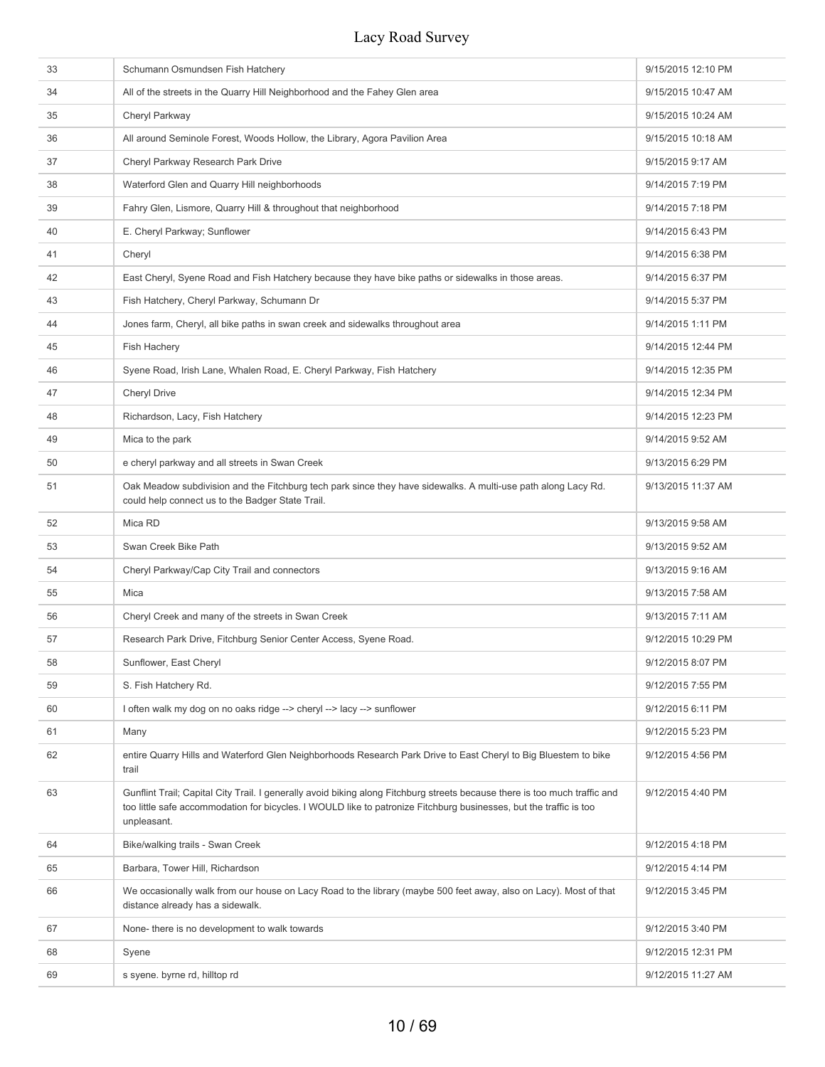| 33 | Schumann Osmundsen Fish Hatchery                                                                                                                                                                                                                                | 9/15/2015 12:10 PM |
|----|-----------------------------------------------------------------------------------------------------------------------------------------------------------------------------------------------------------------------------------------------------------------|--------------------|
| 34 | All of the streets in the Quarry Hill Neighborhood and the Fahey Glen area                                                                                                                                                                                      | 9/15/2015 10:47 AM |
| 35 | Cheryl Parkway                                                                                                                                                                                                                                                  | 9/15/2015 10:24 AM |
| 36 | All around Seminole Forest, Woods Hollow, the Library, Agora Pavilion Area                                                                                                                                                                                      | 9/15/2015 10:18 AM |
| 37 | Cheryl Parkway Research Park Drive                                                                                                                                                                                                                              | 9/15/2015 9:17 AM  |
| 38 | Waterford Glen and Quarry Hill neighborhoods                                                                                                                                                                                                                    | 9/14/2015 7:19 PM  |
| 39 | Fahry Glen, Lismore, Quarry Hill & throughout that neighborhood                                                                                                                                                                                                 | 9/14/2015 7:18 PM  |
| 40 | E. Cheryl Parkway; Sunflower                                                                                                                                                                                                                                    | 9/14/2015 6:43 PM  |
| 41 | Cheryl                                                                                                                                                                                                                                                          | 9/14/2015 6:38 PM  |
| 42 | East Cheryl, Syene Road and Fish Hatchery because they have bike paths or sidewalks in those areas.                                                                                                                                                             | 9/14/2015 6:37 PM  |
| 43 | Fish Hatchery, Cheryl Parkway, Schumann Dr                                                                                                                                                                                                                      | 9/14/2015 5:37 PM  |
| 44 | Jones farm, Cheryl, all bike paths in swan creek and sidewalks throughout area                                                                                                                                                                                  | 9/14/2015 1:11 PM  |
| 45 | Fish Hachery                                                                                                                                                                                                                                                    | 9/14/2015 12:44 PM |
| 46 | Syene Road, Irish Lane, Whalen Road, E. Cheryl Parkway, Fish Hatchery                                                                                                                                                                                           | 9/14/2015 12:35 PM |
| 47 | <b>Cheryl Drive</b>                                                                                                                                                                                                                                             | 9/14/2015 12:34 PM |
| 48 | Richardson, Lacy, Fish Hatchery                                                                                                                                                                                                                                 | 9/14/2015 12:23 PM |
| 49 | Mica to the park                                                                                                                                                                                                                                                | 9/14/2015 9:52 AM  |
| 50 | e cheryl parkway and all streets in Swan Creek                                                                                                                                                                                                                  | 9/13/2015 6:29 PM  |
| 51 | Oak Meadow subdivision and the Fitchburg tech park since they have sidewalks. A multi-use path along Lacy Rd.<br>could help connect us to the Badger State Trail.                                                                                               | 9/13/2015 11:37 AM |
| 52 | Mica RD                                                                                                                                                                                                                                                         | 9/13/2015 9:58 AM  |
| 53 | Swan Creek Bike Path                                                                                                                                                                                                                                            | 9/13/2015 9:52 AM  |
| 54 | Cheryl Parkway/Cap City Trail and connectors                                                                                                                                                                                                                    | 9/13/2015 9:16 AM  |
| 55 | Mica                                                                                                                                                                                                                                                            | 9/13/2015 7:58 AM  |
| 56 | Cheryl Creek and many of the streets in Swan Creek                                                                                                                                                                                                              | 9/13/2015 7:11 AM  |
| 57 | Research Park Drive, Fitchburg Senior Center Access, Syene Road.                                                                                                                                                                                                | 9/12/2015 10:29 PM |
| 58 | Sunflower, East Cheryl                                                                                                                                                                                                                                          | 9/12/2015 8:07 PM  |
| 59 | S. Fish Hatchery Rd.                                                                                                                                                                                                                                            | 9/12/2015 7:55 PM  |
| 60 | I often walk my dog on no oaks ridge --> cheryl --> lacy --> sunflower                                                                                                                                                                                          | 9/12/2015 6:11 PM  |
| 61 | Many                                                                                                                                                                                                                                                            | 9/12/2015 5:23 PM  |
| 62 | entire Quarry Hills and Waterford Glen Neighborhoods Research Park Drive to East Cheryl to Big Bluestem to bike<br>trail                                                                                                                                        | 9/12/2015 4:56 PM  |
| 63 | Gunflint Trail; Capital City Trail. I generally avoid biking along Fitchburg streets because there is too much traffic and<br>too little safe accommodation for bicycles. I WOULD like to patronize Fitchburg businesses, but the traffic is too<br>unpleasant. | 9/12/2015 4:40 PM  |
| 64 | Bike/walking trails - Swan Creek                                                                                                                                                                                                                                | 9/12/2015 4:18 PM  |
| 65 | Barbara, Tower Hill, Richardson                                                                                                                                                                                                                                 | 9/12/2015 4:14 PM  |
| 66 | We occasionally walk from our house on Lacy Road to the library (maybe 500 feet away, also on Lacy). Most of that<br>distance already has a sidewalk.                                                                                                           | 9/12/2015 3:45 PM  |
| 67 | None- there is no development to walk towards                                                                                                                                                                                                                   | 9/12/2015 3:40 PM  |
| 68 | Syene                                                                                                                                                                                                                                                           | 9/12/2015 12:31 PM |
| 69 | s syene. byrne rd, hilltop rd                                                                                                                                                                                                                                   | 9/12/2015 11:27 AM |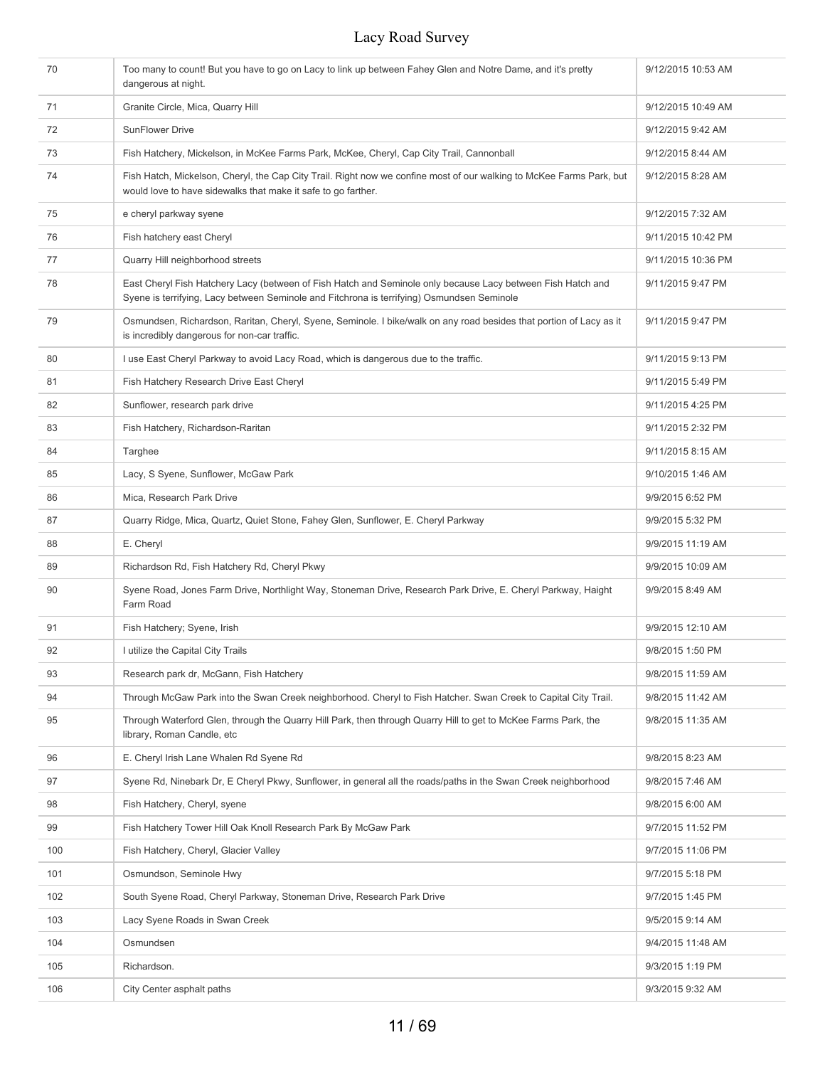| 70  | Too many to count! But you have to go on Lacy to link up between Fahey Glen and Notre Dame, and it's pretty<br>dangerous at night.                                                                        | 9/12/2015 10:53 AM |
|-----|-----------------------------------------------------------------------------------------------------------------------------------------------------------------------------------------------------------|--------------------|
| 71  | Granite Circle, Mica, Quarry Hill                                                                                                                                                                         | 9/12/2015 10:49 AM |
| 72  | <b>SunFlower Drive</b>                                                                                                                                                                                    | 9/12/2015 9:42 AM  |
| 73  | Fish Hatchery, Mickelson, in McKee Farms Park, McKee, Cheryl, Cap City Trail, Cannonball                                                                                                                  | 9/12/2015 8:44 AM  |
| 74  | Fish Hatch, Mickelson, Cheryl, the Cap City Trail. Right now we confine most of our walking to McKee Farms Park, but<br>would love to have sidewalks that make it safe to go farther.                     | 9/12/2015 8:28 AM  |
| 75  | e cheryl parkway syene                                                                                                                                                                                    | 9/12/2015 7:32 AM  |
| 76  | Fish hatchery east Cheryl                                                                                                                                                                                 | 9/11/2015 10:42 PM |
| 77  | Quarry Hill neighborhood streets                                                                                                                                                                          | 9/11/2015 10:36 PM |
| 78  | East Cheryl Fish Hatchery Lacy (between of Fish Hatch and Seminole only because Lacy between Fish Hatch and<br>Syene is terrifying, Lacy between Seminole and Fitchrona is terrifying) Osmundsen Seminole | 9/11/2015 9:47 PM  |
| 79  | Osmundsen, Richardson, Raritan, Cheryl, Syene, Seminole. I bike/walk on any road besides that portion of Lacy as it<br>is incredibly dangerous for non-car traffic.                                       | 9/11/2015 9:47 PM  |
| 80  | I use East Cheryl Parkway to avoid Lacy Road, which is dangerous due to the traffic.                                                                                                                      | 9/11/2015 9:13 PM  |
| 81  | Fish Hatchery Research Drive East Cheryl                                                                                                                                                                  | 9/11/2015 5:49 PM  |
| 82  | Sunflower, research park drive                                                                                                                                                                            | 9/11/2015 4:25 PM  |
| 83  | Fish Hatchery, Richardson-Raritan                                                                                                                                                                         | 9/11/2015 2:32 PM  |
| 84  | Targhee                                                                                                                                                                                                   | 9/11/2015 8:15 AM  |
| 85  | Lacy, S Syene, Sunflower, McGaw Park                                                                                                                                                                      | 9/10/2015 1:46 AM  |
| 86  | Mica, Research Park Drive                                                                                                                                                                                 | 9/9/2015 6:52 PM   |
| 87  | Quarry Ridge, Mica, Quartz, Quiet Stone, Fahey Glen, Sunflower, E. Cheryl Parkway                                                                                                                         | 9/9/2015 5:32 PM   |
| 88  | E. Cheryl                                                                                                                                                                                                 | 9/9/2015 11:19 AM  |
| 89  | Richardson Rd, Fish Hatchery Rd, Cheryl Pkwy                                                                                                                                                              | 9/9/2015 10:09 AM  |
| 90  | Syene Road, Jones Farm Drive, Northlight Way, Stoneman Drive, Research Park Drive, E. Cheryl Parkway, Haight<br>Farm Road                                                                                 | 9/9/2015 8:49 AM   |
| 91  | Fish Hatchery; Syene, Irish                                                                                                                                                                               | 9/9/2015 12:10 AM  |
| 92  | I utilize the Capital City Trails                                                                                                                                                                         | 9/8/2015 1:50 PM   |
| 93  | Research park dr, McGann, Fish Hatchery                                                                                                                                                                   | 9/8/2015 11:59 AM  |
| 94  | Through McGaw Park into the Swan Creek neighborhood. Cheryl to Fish Hatcher. Swan Creek to Capital City Trail.                                                                                            | 9/8/2015 11:42 AM  |
| 95  | Through Waterford Glen, through the Quarry Hill Park, then through Quarry Hill to get to McKee Farms Park, the<br>library, Roman Candle, etc                                                              | 9/8/2015 11:35 AM  |
| 96  | E. Cheryl Irish Lane Whalen Rd Syene Rd                                                                                                                                                                   | 9/8/2015 8:23 AM   |
| 97  | Syene Rd, Ninebark Dr, E Cheryl Pkwy, Sunflower, in general all the roads/paths in the Swan Creek neighborhood                                                                                            | 9/8/2015 7:46 AM   |
| 98  | Fish Hatchery, Cheryl, syene                                                                                                                                                                              | 9/8/2015 6:00 AM   |
| 99  | Fish Hatchery Tower Hill Oak Knoll Research Park By McGaw Park                                                                                                                                            | 9/7/2015 11:52 PM  |
| 100 | Fish Hatchery, Cheryl, Glacier Valley                                                                                                                                                                     | 9/7/2015 11:06 PM  |
| 101 | Osmundson, Seminole Hwy                                                                                                                                                                                   | 9/7/2015 5:18 PM   |
| 102 | South Syene Road, Cheryl Parkway, Stoneman Drive, Research Park Drive                                                                                                                                     | 9/7/2015 1:45 PM   |
| 103 | Lacy Syene Roads in Swan Creek                                                                                                                                                                            | 9/5/2015 9:14 AM   |
| 104 | Osmundsen                                                                                                                                                                                                 | 9/4/2015 11:48 AM  |
| 105 | Richardson.                                                                                                                                                                                               | 9/3/2015 1:19 PM   |
| 106 | City Center asphalt paths                                                                                                                                                                                 | 9/3/2015 9:32 AM   |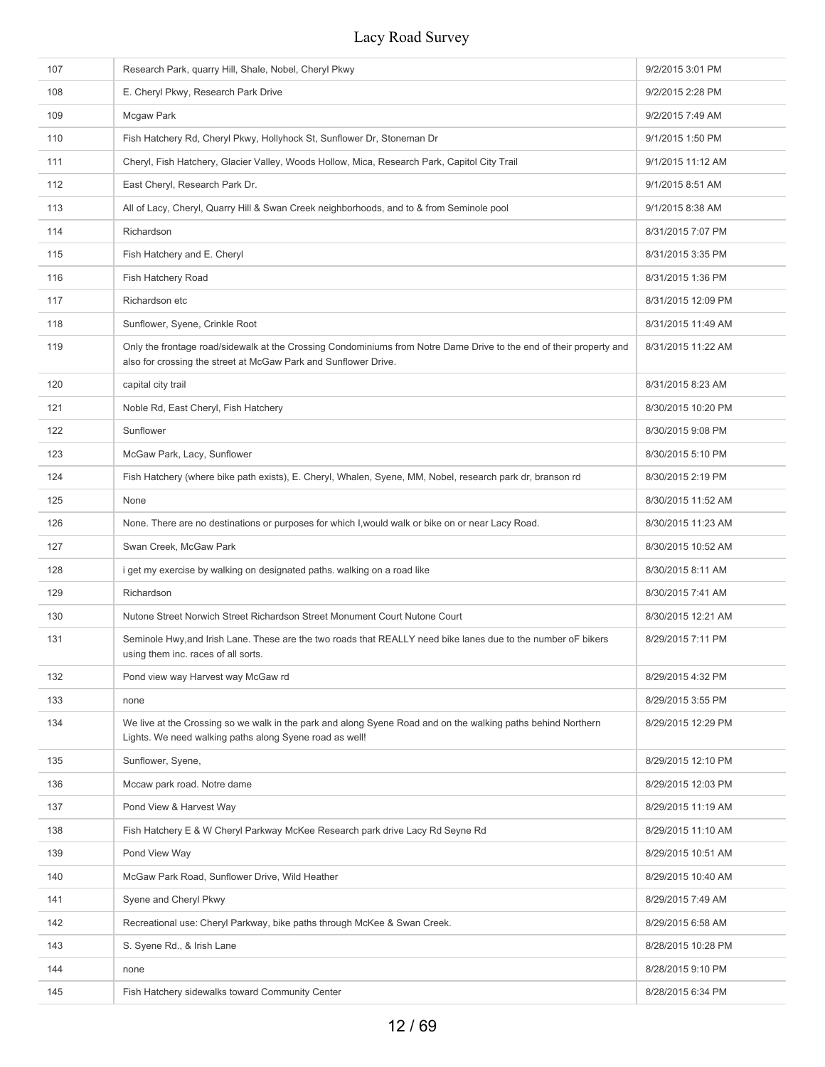| 107 | Research Park, quarry Hill, Shale, Nobel, Cheryl Pkwy                                                                                                                                  | 9/2/2015 3:01 PM   |
|-----|----------------------------------------------------------------------------------------------------------------------------------------------------------------------------------------|--------------------|
| 108 | E. Cheryl Pkwy, Research Park Drive                                                                                                                                                    | 9/2/2015 2:28 PM   |
| 109 | Mcgaw Park                                                                                                                                                                             | 9/2/2015 7:49 AM   |
| 110 | Fish Hatchery Rd, Cheryl Pkwy, Hollyhock St, Sunflower Dr, Stoneman Dr                                                                                                                 | 9/1/2015 1:50 PM   |
| 111 | Cheryl, Fish Hatchery, Glacier Valley, Woods Hollow, Mica, Research Park, Capitol City Trail                                                                                           | 9/1/2015 11:12 AM  |
| 112 | East Cheryl, Research Park Dr.                                                                                                                                                         | 9/1/2015 8:51 AM   |
| 113 | All of Lacy, Cheryl, Quarry Hill & Swan Creek neighborhoods, and to & from Seminole pool                                                                                               | 9/1/2015 8:38 AM   |
| 114 | Richardson                                                                                                                                                                             | 8/31/2015 7:07 PM  |
| 115 | Fish Hatchery and E. Cheryl                                                                                                                                                            | 8/31/2015 3:35 PM  |
| 116 | Fish Hatchery Road                                                                                                                                                                     | 8/31/2015 1:36 PM  |
| 117 | Richardson etc                                                                                                                                                                         | 8/31/2015 12:09 PM |
| 118 | Sunflower, Syene, Crinkle Root                                                                                                                                                         | 8/31/2015 11:49 AM |
| 119 | Only the frontage road/sidewalk at the Crossing Condominiums from Notre Dame Drive to the end of their property and<br>also for crossing the street at McGaw Park and Sunflower Drive. | 8/31/2015 11:22 AM |
| 120 | capital city trail                                                                                                                                                                     | 8/31/2015 8:23 AM  |
| 121 | Noble Rd, East Cheryl, Fish Hatchery                                                                                                                                                   | 8/30/2015 10:20 PM |
| 122 | Sunflower                                                                                                                                                                              | 8/30/2015 9:08 PM  |
| 123 | McGaw Park, Lacy, Sunflower                                                                                                                                                            | 8/30/2015 5:10 PM  |
| 124 | Fish Hatchery (where bike path exists), E. Cheryl, Whalen, Syene, MM, Nobel, research park dr, branson rd                                                                              | 8/30/2015 2:19 PM  |
| 125 | None                                                                                                                                                                                   | 8/30/2015 11:52 AM |
| 126 | None. There are no destinations or purposes for which I, would walk or bike on or near Lacy Road.                                                                                      | 8/30/2015 11:23 AM |
| 127 | Swan Creek, McGaw Park                                                                                                                                                                 | 8/30/2015 10:52 AM |
| 128 | i get my exercise by walking on designated paths. walking on a road like                                                                                                               | 8/30/2015 8:11 AM  |
| 129 | Richardson                                                                                                                                                                             | 8/30/2015 7:41 AM  |
| 130 | Nutone Street Norwich Street Richardson Street Monument Court Nutone Court                                                                                                             | 8/30/2015 12:21 AM |
| 131 | Seminole Hwy, and Irish Lane. These are the two roads that REALLY need bike lanes due to the number oF bikers<br>using them inc. races of all sorts.                                   | 8/29/2015 7:11 PM  |
| 132 | Pond view way Harvest way McGaw rd                                                                                                                                                     | 8/29/2015 4:32 PM  |
| 133 | none                                                                                                                                                                                   | 8/29/2015 3:55 PM  |
| 134 | We live at the Crossing so we walk in the park and along Syene Road and on the walking paths behind Northern<br>Lights. We need walking paths along Syene road as well!                | 8/29/2015 12:29 PM |
| 135 | Sunflower, Syene,                                                                                                                                                                      | 8/29/2015 12:10 PM |
| 136 | Mccaw park road. Notre dame                                                                                                                                                            | 8/29/2015 12:03 PM |
| 137 | Pond View & Harvest Way                                                                                                                                                                | 8/29/2015 11:19 AM |
| 138 | Fish Hatchery E & W Cheryl Parkway McKee Research park drive Lacy Rd Seyne Rd                                                                                                          | 8/29/2015 11:10 AM |
| 139 | Pond View Way                                                                                                                                                                          | 8/29/2015 10:51 AM |
| 140 | McGaw Park Road, Sunflower Drive, Wild Heather                                                                                                                                         | 8/29/2015 10:40 AM |
| 141 | Syene and Cheryl Pkwy                                                                                                                                                                  | 8/29/2015 7:49 AM  |
| 142 | Recreational use: Cheryl Parkway, bike paths through McKee & Swan Creek.                                                                                                               | 8/29/2015 6:58 AM  |
| 143 | S. Syene Rd., & Irish Lane                                                                                                                                                             | 8/28/2015 10:28 PM |
| 144 | none                                                                                                                                                                                   | 8/28/2015 9:10 PM  |
| 145 | Fish Hatchery sidewalks toward Community Center                                                                                                                                        | 8/28/2015 6:34 PM  |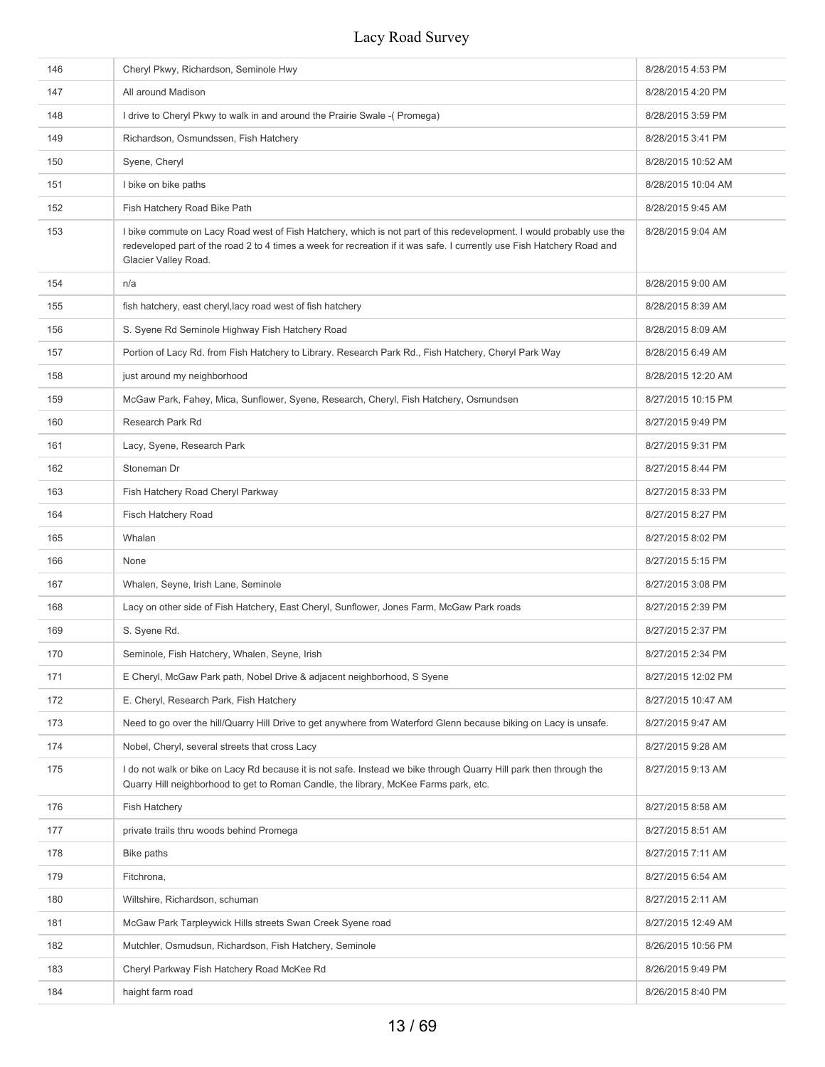| 146 | Cheryl Pkwy, Richardson, Seminole Hwy                                                                                                                                                                                                                                  | 8/28/2015 4:53 PM  |
|-----|------------------------------------------------------------------------------------------------------------------------------------------------------------------------------------------------------------------------------------------------------------------------|--------------------|
| 147 | All around Madison                                                                                                                                                                                                                                                     | 8/28/2015 4:20 PM  |
| 148 | I drive to Cheryl Pkwy to walk in and around the Prairie Swale -(Promega)                                                                                                                                                                                              | 8/28/2015 3:59 PM  |
| 149 | Richardson, Osmundssen, Fish Hatchery                                                                                                                                                                                                                                  | 8/28/2015 3:41 PM  |
| 150 | Syene, Cheryl                                                                                                                                                                                                                                                          | 8/28/2015 10:52 AM |
| 151 | I bike on bike paths                                                                                                                                                                                                                                                   | 8/28/2015 10:04 AM |
| 152 | Fish Hatchery Road Bike Path                                                                                                                                                                                                                                           | 8/28/2015 9:45 AM  |
| 153 | I bike commute on Lacy Road west of Fish Hatchery, which is not part of this redevelopment. I would probably use the<br>redeveloped part of the road 2 to 4 times a week for recreation if it was safe. I currently use Fish Hatchery Road and<br>Glacier Valley Road. | 8/28/2015 9:04 AM  |
| 154 | n/a                                                                                                                                                                                                                                                                    | 8/28/2015 9:00 AM  |
| 155 | fish hatchery, east cheryl, lacy road west of fish hatchery                                                                                                                                                                                                            | 8/28/2015 8:39 AM  |
| 156 | S. Syene Rd Seminole Highway Fish Hatchery Road                                                                                                                                                                                                                        | 8/28/2015 8:09 AM  |
| 157 | Portion of Lacy Rd. from Fish Hatchery to Library. Research Park Rd., Fish Hatchery, Cheryl Park Way                                                                                                                                                                   | 8/28/2015 6:49 AM  |
| 158 | just around my neighborhood                                                                                                                                                                                                                                            | 8/28/2015 12:20 AM |
| 159 | McGaw Park, Fahey, Mica, Sunflower, Syene, Research, Cheryl, Fish Hatchery, Osmundsen                                                                                                                                                                                  | 8/27/2015 10:15 PM |
| 160 | Research Park Rd                                                                                                                                                                                                                                                       | 8/27/2015 9:49 PM  |
| 161 | Lacy, Syene, Research Park                                                                                                                                                                                                                                             | 8/27/2015 9:31 PM  |
| 162 | Stoneman Dr                                                                                                                                                                                                                                                            | 8/27/2015 8:44 PM  |
| 163 | Fish Hatchery Road Cheryl Parkway                                                                                                                                                                                                                                      | 8/27/2015 8:33 PM  |
| 164 | <b>Fisch Hatchery Road</b>                                                                                                                                                                                                                                             | 8/27/2015 8:27 PM  |
| 165 | Whalan                                                                                                                                                                                                                                                                 | 8/27/2015 8:02 PM  |
| 166 | None                                                                                                                                                                                                                                                                   | 8/27/2015 5:15 PM  |
| 167 | Whalen, Seyne, Irish Lane, Seminole                                                                                                                                                                                                                                    | 8/27/2015 3:08 PM  |
| 168 | Lacy on other side of Fish Hatchery, East Cheryl, Sunflower, Jones Farm, McGaw Park roads                                                                                                                                                                              | 8/27/2015 2:39 PM  |
| 169 | S. Syene Rd.                                                                                                                                                                                                                                                           | 8/27/2015 2:37 PM  |
| 170 | Seminole, Fish Hatchery, Whalen, Seyne, Irish                                                                                                                                                                                                                          | 8/27/2015 2:34 PM  |
| 171 | E Cheryl, McGaw Park path, Nobel Drive & adjacent neighborhood, S Syene                                                                                                                                                                                                | 8/27/2015 12:02 PM |
| 172 | E. Cheryl, Research Park, Fish Hatchery                                                                                                                                                                                                                                | 8/27/2015 10:47 AM |
| 173 | Need to go over the hill/Quarry Hill Drive to get anywhere from Waterford Glenn because biking on Lacy is unsafe.                                                                                                                                                      | 8/27/2015 9:47 AM  |
| 174 | Nobel, Cheryl, several streets that cross Lacy                                                                                                                                                                                                                         | 8/27/2015 9:28 AM  |
| 175 | I do not walk or bike on Lacy Rd because it is not safe. Instead we bike through Quarry Hill park then through the<br>Quarry Hill neighborhood to get to Roman Candle, the library, McKee Farms park, etc.                                                             | 8/27/2015 9:13 AM  |
| 176 | <b>Fish Hatchery</b>                                                                                                                                                                                                                                                   | 8/27/2015 8:58 AM  |
| 177 | private trails thru woods behind Promega                                                                                                                                                                                                                               | 8/27/2015 8:51 AM  |
| 178 | Bike paths                                                                                                                                                                                                                                                             | 8/27/2015 7:11 AM  |
| 179 | Fitchrona,                                                                                                                                                                                                                                                             | 8/27/2015 6:54 AM  |
| 180 | Wiltshire, Richardson, schuman                                                                                                                                                                                                                                         | 8/27/2015 2:11 AM  |
| 181 | McGaw Park Tarpleywick Hills streets Swan Creek Syene road                                                                                                                                                                                                             | 8/27/2015 12:49 AM |
| 182 | Mutchler, Osmudsun, Richardson, Fish Hatchery, Seminole                                                                                                                                                                                                                | 8/26/2015 10:56 PM |
| 183 | Cheryl Parkway Fish Hatchery Road McKee Rd                                                                                                                                                                                                                             | 8/26/2015 9:49 PM  |
| 184 | haight farm road                                                                                                                                                                                                                                                       | 8/26/2015 8:40 PM  |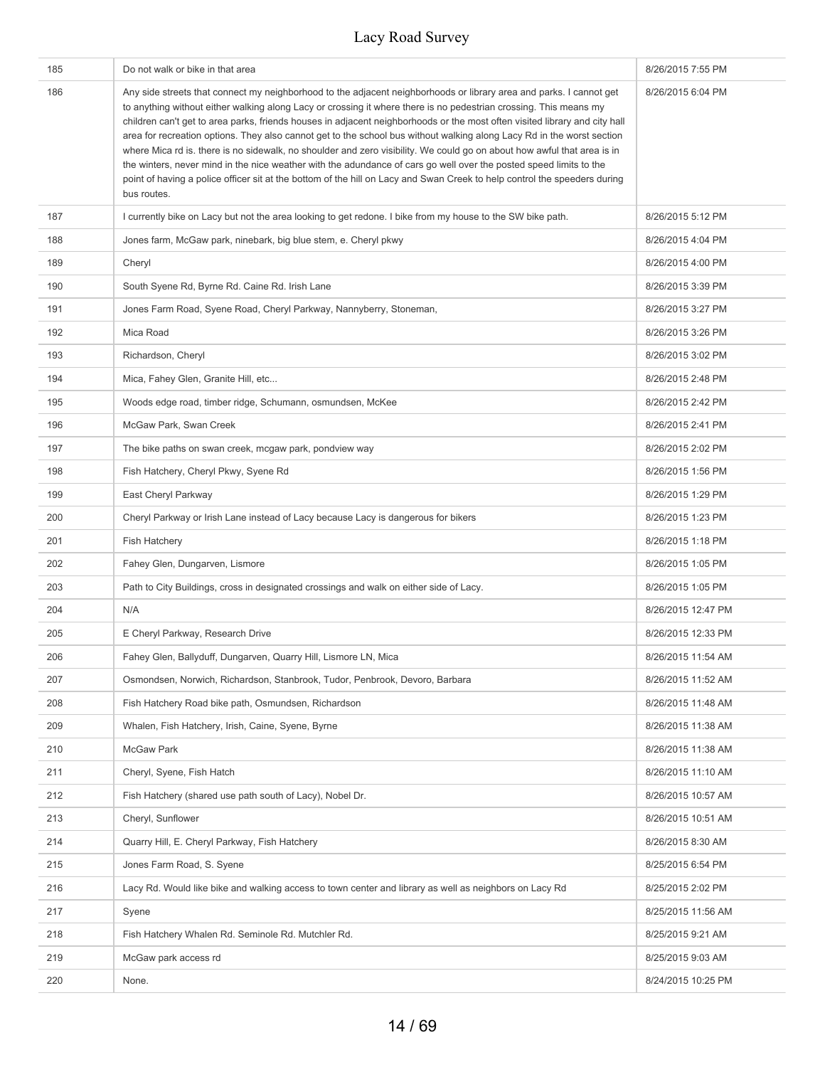| 185 | Do not walk or bike in that area                                                                                                                                                                                                                                                                                                                                                                                                                                                                                                                                                                                                                                                                                                                                                                                                                                                              | 8/26/2015 7:55 PM  |
|-----|-----------------------------------------------------------------------------------------------------------------------------------------------------------------------------------------------------------------------------------------------------------------------------------------------------------------------------------------------------------------------------------------------------------------------------------------------------------------------------------------------------------------------------------------------------------------------------------------------------------------------------------------------------------------------------------------------------------------------------------------------------------------------------------------------------------------------------------------------------------------------------------------------|--------------------|
| 186 | Any side streets that connect my neighborhood to the adjacent neighborhoods or library area and parks. I cannot get<br>to anything without either walking along Lacy or crossing it where there is no pedestrian crossing. This means my<br>children can't get to area parks, friends houses in adjacent neighborhoods or the most often visited library and city hall<br>area for recreation options. They also cannot get to the school bus without walking along Lacy Rd in the worst section<br>where Mica rd is. there is no sidewalk, no shoulder and zero visibility. We could go on about how awful that area is in<br>the winters, never mind in the nice weather with the adundance of cars go well over the posted speed limits to the<br>point of having a police officer sit at the bottom of the hill on Lacy and Swan Creek to help control the speeders during<br>bus routes. | 8/26/2015 6:04 PM  |
| 187 | I currently bike on Lacy but not the area looking to get redone. I bike from my house to the SW bike path.                                                                                                                                                                                                                                                                                                                                                                                                                                                                                                                                                                                                                                                                                                                                                                                    | 8/26/2015 5:12 PM  |
| 188 | Jones farm, McGaw park, ninebark, big blue stem, e. Cheryl pkwy                                                                                                                                                                                                                                                                                                                                                                                                                                                                                                                                                                                                                                                                                                                                                                                                                               | 8/26/2015 4:04 PM  |
| 189 | Cheryl                                                                                                                                                                                                                                                                                                                                                                                                                                                                                                                                                                                                                                                                                                                                                                                                                                                                                        | 8/26/2015 4:00 PM  |
| 190 | South Syene Rd, Byrne Rd. Caine Rd. Irish Lane                                                                                                                                                                                                                                                                                                                                                                                                                                                                                                                                                                                                                                                                                                                                                                                                                                                | 8/26/2015 3:39 PM  |
| 191 | Jones Farm Road, Syene Road, Cheryl Parkway, Nannyberry, Stoneman,                                                                                                                                                                                                                                                                                                                                                                                                                                                                                                                                                                                                                                                                                                                                                                                                                            | 8/26/2015 3:27 PM  |
| 192 | Mica Road                                                                                                                                                                                                                                                                                                                                                                                                                                                                                                                                                                                                                                                                                                                                                                                                                                                                                     | 8/26/2015 3:26 PM  |
| 193 | Richardson, Cheryl                                                                                                                                                                                                                                                                                                                                                                                                                                                                                                                                                                                                                                                                                                                                                                                                                                                                            | 8/26/2015 3:02 PM  |
| 194 | Mica, Fahey Glen, Granite Hill, etc                                                                                                                                                                                                                                                                                                                                                                                                                                                                                                                                                                                                                                                                                                                                                                                                                                                           | 8/26/2015 2:48 PM  |
| 195 | Woods edge road, timber ridge, Schumann, osmundsen, McKee                                                                                                                                                                                                                                                                                                                                                                                                                                                                                                                                                                                                                                                                                                                                                                                                                                     | 8/26/2015 2:42 PM  |
| 196 | McGaw Park, Swan Creek                                                                                                                                                                                                                                                                                                                                                                                                                                                                                                                                                                                                                                                                                                                                                                                                                                                                        | 8/26/2015 2:41 PM  |
| 197 | The bike paths on swan creek, mcgaw park, pondview way                                                                                                                                                                                                                                                                                                                                                                                                                                                                                                                                                                                                                                                                                                                                                                                                                                        | 8/26/2015 2:02 PM  |
| 198 | Fish Hatchery, Cheryl Pkwy, Syene Rd                                                                                                                                                                                                                                                                                                                                                                                                                                                                                                                                                                                                                                                                                                                                                                                                                                                          | 8/26/2015 1:56 PM  |
| 199 | East Cheryl Parkway                                                                                                                                                                                                                                                                                                                                                                                                                                                                                                                                                                                                                                                                                                                                                                                                                                                                           | 8/26/2015 1:29 PM  |
| 200 | Cheryl Parkway or Irish Lane instead of Lacy because Lacy is dangerous for bikers                                                                                                                                                                                                                                                                                                                                                                                                                                                                                                                                                                                                                                                                                                                                                                                                             | 8/26/2015 1:23 PM  |
| 201 | <b>Fish Hatchery</b>                                                                                                                                                                                                                                                                                                                                                                                                                                                                                                                                                                                                                                                                                                                                                                                                                                                                          | 8/26/2015 1:18 PM  |
| 202 | Fahey Glen, Dungarven, Lismore                                                                                                                                                                                                                                                                                                                                                                                                                                                                                                                                                                                                                                                                                                                                                                                                                                                                | 8/26/2015 1:05 PM  |
| 203 | Path to City Buildings, cross in designated crossings and walk on either side of Lacy.                                                                                                                                                                                                                                                                                                                                                                                                                                                                                                                                                                                                                                                                                                                                                                                                        | 8/26/2015 1:05 PM  |
| 204 | N/A                                                                                                                                                                                                                                                                                                                                                                                                                                                                                                                                                                                                                                                                                                                                                                                                                                                                                           | 8/26/2015 12:47 PM |
| 205 | E Cheryl Parkway, Research Drive                                                                                                                                                                                                                                                                                                                                                                                                                                                                                                                                                                                                                                                                                                                                                                                                                                                              | 8/26/2015 12:33 PM |
| 206 | Fahey Glen, Ballyduff, Dungarven, Quarry Hill, Lismore LN, Mica                                                                                                                                                                                                                                                                                                                                                                                                                                                                                                                                                                                                                                                                                                                                                                                                                               | 8/26/2015 11:54 AM |
| 207 | Osmondsen, Norwich, Richardson, Stanbrook, Tudor, Penbrook, Devoro, Barbara                                                                                                                                                                                                                                                                                                                                                                                                                                                                                                                                                                                                                                                                                                                                                                                                                   | 8/26/2015 11:52 AM |
| 208 | Fish Hatchery Road bike path, Osmundsen, Richardson                                                                                                                                                                                                                                                                                                                                                                                                                                                                                                                                                                                                                                                                                                                                                                                                                                           | 8/26/2015 11:48 AM |
| 209 | Whalen, Fish Hatchery, Irish, Caine, Syene, Byrne                                                                                                                                                                                                                                                                                                                                                                                                                                                                                                                                                                                                                                                                                                                                                                                                                                             | 8/26/2015 11:38 AM |
| 210 | McGaw Park                                                                                                                                                                                                                                                                                                                                                                                                                                                                                                                                                                                                                                                                                                                                                                                                                                                                                    | 8/26/2015 11:38 AM |
| 211 | Cheryl, Syene, Fish Hatch                                                                                                                                                                                                                                                                                                                                                                                                                                                                                                                                                                                                                                                                                                                                                                                                                                                                     | 8/26/2015 11:10 AM |
| 212 | Fish Hatchery (shared use path south of Lacy), Nobel Dr.                                                                                                                                                                                                                                                                                                                                                                                                                                                                                                                                                                                                                                                                                                                                                                                                                                      | 8/26/2015 10:57 AM |
| 213 | Cheryl, Sunflower                                                                                                                                                                                                                                                                                                                                                                                                                                                                                                                                                                                                                                                                                                                                                                                                                                                                             | 8/26/2015 10:51 AM |
| 214 | Quarry Hill, E. Cheryl Parkway, Fish Hatchery                                                                                                                                                                                                                                                                                                                                                                                                                                                                                                                                                                                                                                                                                                                                                                                                                                                 | 8/26/2015 8:30 AM  |
| 215 | Jones Farm Road, S. Syene                                                                                                                                                                                                                                                                                                                                                                                                                                                                                                                                                                                                                                                                                                                                                                                                                                                                     | 8/25/2015 6:54 PM  |
| 216 | Lacy Rd. Would like bike and walking access to town center and library as well as neighbors on Lacy Rd                                                                                                                                                                                                                                                                                                                                                                                                                                                                                                                                                                                                                                                                                                                                                                                        | 8/25/2015 2:02 PM  |
| 217 | Syene                                                                                                                                                                                                                                                                                                                                                                                                                                                                                                                                                                                                                                                                                                                                                                                                                                                                                         | 8/25/2015 11:56 AM |
| 218 | Fish Hatchery Whalen Rd. Seminole Rd. Mutchler Rd.                                                                                                                                                                                                                                                                                                                                                                                                                                                                                                                                                                                                                                                                                                                                                                                                                                            | 8/25/2015 9:21 AM  |
| 219 | McGaw park access rd                                                                                                                                                                                                                                                                                                                                                                                                                                                                                                                                                                                                                                                                                                                                                                                                                                                                          | 8/25/2015 9:03 AM  |
| 220 | None.                                                                                                                                                                                                                                                                                                                                                                                                                                                                                                                                                                                                                                                                                                                                                                                                                                                                                         | 8/24/2015 10:25 PM |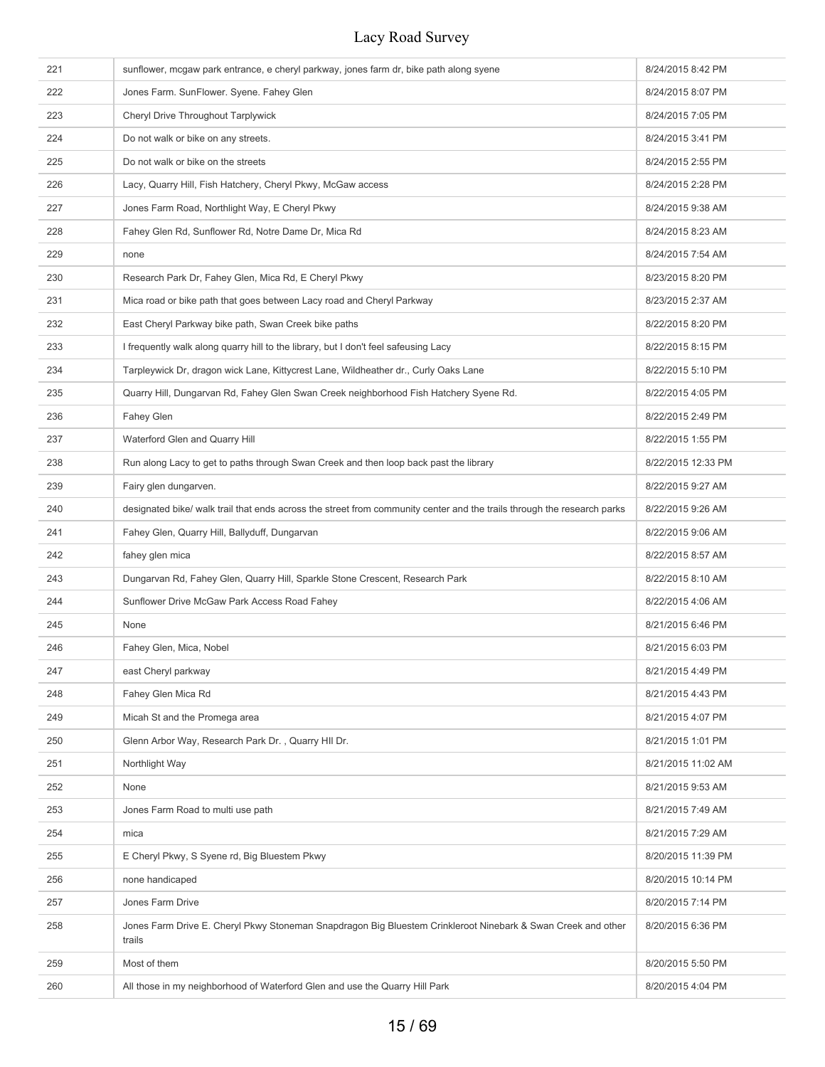| 221 | sunflower, mcgaw park entrance, e cheryl parkway, jones farm dr, bike path along syene                                  | 8/24/2015 8:42 PM  |
|-----|-------------------------------------------------------------------------------------------------------------------------|--------------------|
| 222 | Jones Farm. SunFlower. Syene. Fahey Glen                                                                                | 8/24/2015 8:07 PM  |
| 223 | Cheryl Drive Throughout Tarplywick                                                                                      | 8/24/2015 7:05 PM  |
| 224 | Do not walk or bike on any streets.                                                                                     | 8/24/2015 3:41 PM  |
| 225 | Do not walk or bike on the streets                                                                                      | 8/24/2015 2:55 PM  |
| 226 | Lacy, Quarry Hill, Fish Hatchery, Cheryl Pkwy, McGaw access                                                             | 8/24/2015 2:28 PM  |
| 227 | Jones Farm Road, Northlight Way, E Cheryl Pkwy                                                                          | 8/24/2015 9:38 AM  |
| 228 | Fahey Glen Rd, Sunflower Rd, Notre Dame Dr, Mica Rd                                                                     | 8/24/2015 8:23 AM  |
| 229 | none                                                                                                                    | 8/24/2015 7:54 AM  |
| 230 | Research Park Dr, Fahey Glen, Mica Rd, E Cheryl Pkwy                                                                    | 8/23/2015 8:20 PM  |
| 231 | Mica road or bike path that goes between Lacy road and Cheryl Parkway                                                   | 8/23/2015 2:37 AM  |
| 232 | East Cheryl Parkway bike path, Swan Creek bike paths                                                                    | 8/22/2015 8:20 PM  |
| 233 | I frequently walk along quarry hill to the library, but I don't feel safeusing Lacy                                     | 8/22/2015 8:15 PM  |
| 234 | Tarpleywick Dr, dragon wick Lane, Kittycrest Lane, Wildheather dr., Curly Oaks Lane                                     | 8/22/2015 5:10 PM  |
| 235 | Quarry Hill, Dungarvan Rd, Fahey Glen Swan Creek neighborhood Fish Hatchery Syene Rd.                                   | 8/22/2015 4:05 PM  |
| 236 | Fahey Glen                                                                                                              | 8/22/2015 2:49 PM  |
| 237 | Waterford Glen and Quarry Hill                                                                                          | 8/22/2015 1:55 PM  |
| 238 | Run along Lacy to get to paths through Swan Creek and then loop back past the library                                   | 8/22/2015 12:33 PM |
| 239 | Fairy glen dungarven.                                                                                                   | 8/22/2015 9:27 AM  |
| 240 | designated bike/ walk trail that ends across the street from community center and the trails through the research parks | 8/22/2015 9:26 AM  |
| 241 | Fahey Glen, Quarry Hill, Ballyduff, Dungarvan                                                                           | 8/22/2015 9:06 AM  |
| 242 | fahey glen mica                                                                                                         | 8/22/2015 8:57 AM  |
| 243 | Dungarvan Rd, Fahey Glen, Quarry Hill, Sparkle Stone Crescent, Research Park                                            | 8/22/2015 8:10 AM  |
| 244 | Sunflower Drive McGaw Park Access Road Fahey                                                                            | 8/22/2015 4:06 AM  |
| 245 | None                                                                                                                    | 8/21/2015 6:46 PM  |
| 246 | Fahey Glen, Mica, Nobel                                                                                                 | 8/21/2015 6:03 PM  |
| 247 | east Cheryl parkway                                                                                                     | 8/21/2015 4:49 PM  |
| 248 | Fahey Glen Mica Rd                                                                                                      | 8/21/2015 4:43 PM  |
| 249 | Micah St and the Promega area                                                                                           | 8/21/2015 4:07 PM  |
| 250 | Glenn Arbor Way, Research Park Dr., Quarry HII Dr.                                                                      | 8/21/2015 1:01 PM  |
| 251 | Northlight Way                                                                                                          | 8/21/2015 11:02 AM |
| 252 | None                                                                                                                    | 8/21/2015 9:53 AM  |
| 253 | Jones Farm Road to multi use path                                                                                       | 8/21/2015 7:49 AM  |
| 254 | mica                                                                                                                    | 8/21/2015 7:29 AM  |
| 255 | E Cheryl Pkwy, S Syene rd, Big Bluestem Pkwy                                                                            | 8/20/2015 11:39 PM |
| 256 | none handicaped                                                                                                         | 8/20/2015 10:14 PM |
| 257 | Jones Farm Drive                                                                                                        | 8/20/2015 7:14 PM  |
| 258 | Jones Farm Drive E. Cheryl Pkwy Stoneman Snapdragon Big Bluestem Crinkleroot Ninebark & Swan Creek and other<br>trails  | 8/20/2015 6:36 PM  |
| 259 | Most of them                                                                                                            | 8/20/2015 5:50 PM  |
| 260 | All those in my neighborhood of Waterford Glen and use the Quarry Hill Park                                             | 8/20/2015 4:04 PM  |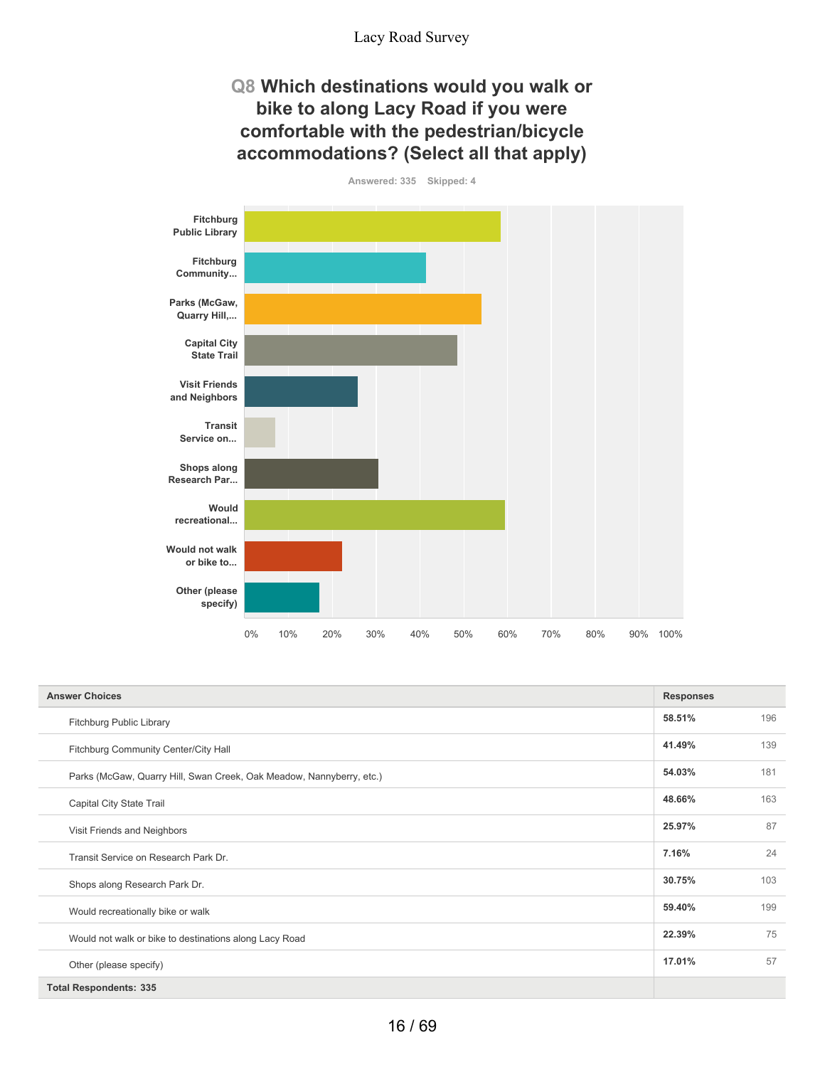## **Q8 Which destinations would you walk or bike to along Lacy Road if you were comfortable with the pedestrian/bicycle accommodations? (Select all that apply)**





| <b>Answer Choices</b>                                                |        | <b>Responses</b> |  |
|----------------------------------------------------------------------|--------|------------------|--|
| Fitchburg Public Library                                             | 58.51% | 196              |  |
| Fitchburg Community Center/City Hall                                 | 41.49% | 139              |  |
| Parks (McGaw, Quarry Hill, Swan Creek, Oak Meadow, Nannyberry, etc.) | 54.03% | 181              |  |
| Capital City State Trail                                             | 48.66% | 163              |  |
| Visit Friends and Neighbors                                          | 25.97% | 87               |  |
| Transit Service on Research Park Dr.                                 | 7.16%  | 24               |  |
| Shops along Research Park Dr.                                        | 30.75% | 103              |  |
| Would recreationally bike or walk                                    | 59.40% | 199              |  |
| Would not walk or bike to destinations along Lacy Road               | 22.39% | 75               |  |
| Other (please specify)                                               | 17.01% | 57               |  |
| <b>Total Respondents: 335</b>                                        |        |                  |  |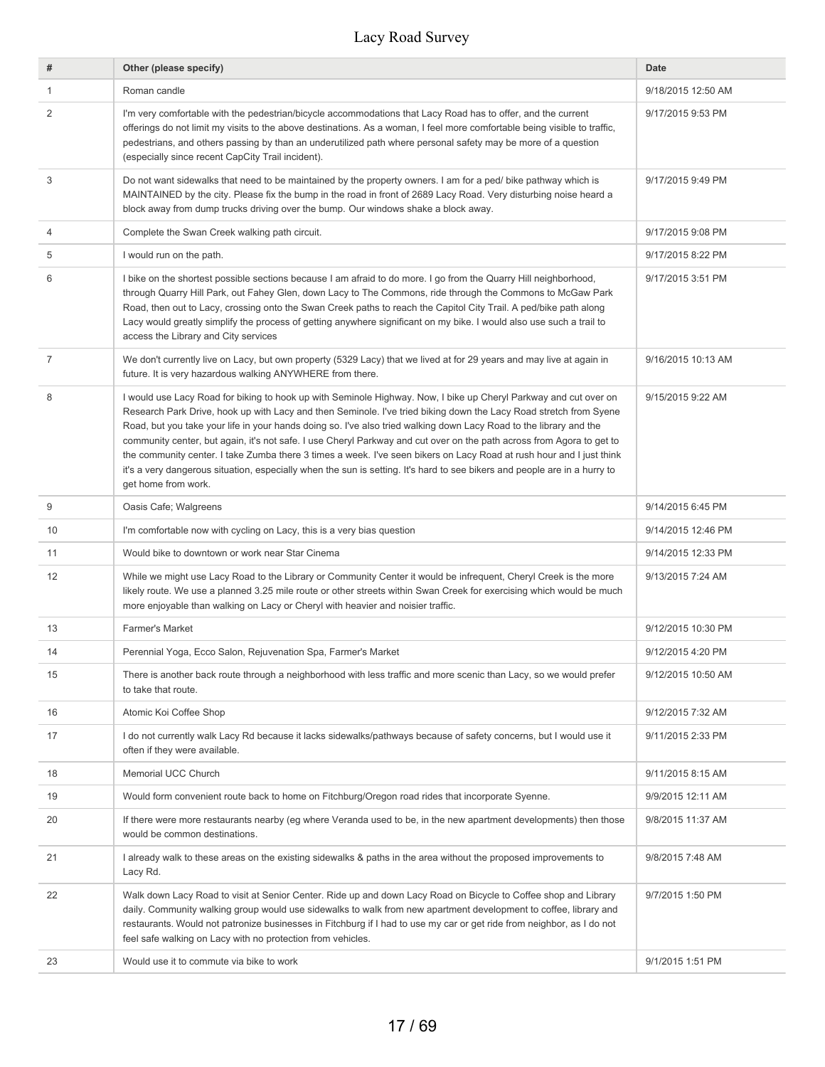| #  | Other (please specify)                                                                                                                                                                                                                                                                                                                                                                                                                                                                                                                                                                                                                                                                                                                                           | <b>Date</b>        |
|----|------------------------------------------------------------------------------------------------------------------------------------------------------------------------------------------------------------------------------------------------------------------------------------------------------------------------------------------------------------------------------------------------------------------------------------------------------------------------------------------------------------------------------------------------------------------------------------------------------------------------------------------------------------------------------------------------------------------------------------------------------------------|--------------------|
| 1  | Roman candle                                                                                                                                                                                                                                                                                                                                                                                                                                                                                                                                                                                                                                                                                                                                                     | 9/18/2015 12:50 AM |
| 2  | I'm very comfortable with the pedestrian/bicycle accommodations that Lacy Road has to offer, and the current<br>offerings do not limit my visits to the above destinations. As a woman, I feel more comfortable being visible to traffic,<br>pedestrians, and others passing by than an underutilized path where personal safety may be more of a question<br>(especially since recent CapCity Trail incident).                                                                                                                                                                                                                                                                                                                                                  | 9/17/2015 9:53 PM  |
| 3  | Do not want sidewalks that need to be maintained by the property owners. I am for a ped/ bike pathway which is<br>MAINTAINED by the city. Please fix the bump in the road in front of 2689 Lacy Road. Very disturbing noise heard a<br>block away from dump trucks driving over the bump. Our windows shake a block away.                                                                                                                                                                                                                                                                                                                                                                                                                                        | 9/17/2015 9:49 PM  |
| 4  | Complete the Swan Creek walking path circuit.                                                                                                                                                                                                                                                                                                                                                                                                                                                                                                                                                                                                                                                                                                                    | 9/17/2015 9:08 PM  |
| 5  | I would run on the path.                                                                                                                                                                                                                                                                                                                                                                                                                                                                                                                                                                                                                                                                                                                                         | 9/17/2015 8:22 PM  |
| 6  | I bike on the shortest possible sections because I am afraid to do more. I go from the Quarry Hill neighborhood,<br>through Quarry Hill Park, out Fahey Glen, down Lacy to The Commons, ride through the Commons to McGaw Park<br>Road, then out to Lacy, crossing onto the Swan Creek paths to reach the Capitol City Trail. A ped/bike path along<br>Lacy would greatly simplify the process of getting anywhere significant on my bike. I would also use such a trail to<br>access the Library and City services                                                                                                                                                                                                                                              | 9/17/2015 3:51 PM  |
| 7  | We don't currently live on Lacy, but own property (5329 Lacy) that we lived at for 29 years and may live at again in<br>future. It is very hazardous walking ANYWHERE from there.                                                                                                                                                                                                                                                                                                                                                                                                                                                                                                                                                                                | 9/16/2015 10:13 AM |
| 8  | I would use Lacy Road for biking to hook up with Seminole Highway. Now, I bike up Cheryl Parkway and cut over on<br>Research Park Drive, hook up with Lacy and then Seminole. I've tried biking down the Lacy Road stretch from Syene<br>Road, but you take your life in your hands doing so. I've also tried walking down Lacy Road to the library and the<br>community center, but again, it's not safe. I use Cheryl Parkway and cut over on the path across from Agora to get to<br>the community center. I take Zumba there 3 times a week. I've seen bikers on Lacy Road at rush hour and I just think<br>it's a very dangerous situation, especially when the sun is setting. It's hard to see bikers and people are in a hurry to<br>get home from work. | 9/15/2015 9:22 AM  |
| 9  | Oasis Cafe; Walgreens                                                                                                                                                                                                                                                                                                                                                                                                                                                                                                                                                                                                                                                                                                                                            | 9/14/2015 6:45 PM  |
| 10 | I'm comfortable now with cycling on Lacy, this is a very bias question                                                                                                                                                                                                                                                                                                                                                                                                                                                                                                                                                                                                                                                                                           | 9/14/2015 12:46 PM |
| 11 | Would bike to downtown or work near Star Cinema                                                                                                                                                                                                                                                                                                                                                                                                                                                                                                                                                                                                                                                                                                                  | 9/14/2015 12:33 PM |
| 12 | While we might use Lacy Road to the Library or Community Center it would be infrequent, Cheryl Creek is the more<br>likely route. We use a planned 3.25 mile route or other streets within Swan Creek for exercising which would be much<br>more enjoyable than walking on Lacy or Cheryl with heavier and noisier traffic.                                                                                                                                                                                                                                                                                                                                                                                                                                      | 9/13/2015 7:24 AM  |
| 13 | <b>Farmer's Market</b>                                                                                                                                                                                                                                                                                                                                                                                                                                                                                                                                                                                                                                                                                                                                           | 9/12/2015 10:30 PM |
| 14 | Perennial Yoga, Ecco Salon, Rejuvenation Spa, Farmer's Market                                                                                                                                                                                                                                                                                                                                                                                                                                                                                                                                                                                                                                                                                                    | 9/12/2015 4:20 PM  |
| 15 | There is another back route through a neighborhood with less traffic and more scenic than Lacy, so we would prefer<br>to take that route.                                                                                                                                                                                                                                                                                                                                                                                                                                                                                                                                                                                                                        | 9/12/2015 10:50 AM |
| 16 | Atomic Koi Coffee Shop                                                                                                                                                                                                                                                                                                                                                                                                                                                                                                                                                                                                                                                                                                                                           | 9/12/2015 7:32 AM  |
| 17 | I do not currently walk Lacy Rd because it lacks sidewalks/pathways because of safety concerns, but I would use it<br>often if they were available.                                                                                                                                                                                                                                                                                                                                                                                                                                                                                                                                                                                                              | 9/11/2015 2:33 PM  |
| 18 | Memorial UCC Church                                                                                                                                                                                                                                                                                                                                                                                                                                                                                                                                                                                                                                                                                                                                              | 9/11/2015 8:15 AM  |
| 19 | Would form convenient route back to home on Fitchburg/Oregon road rides that incorporate Syenne.                                                                                                                                                                                                                                                                                                                                                                                                                                                                                                                                                                                                                                                                 | 9/9/2015 12:11 AM  |
| 20 | If there were more restaurants nearby (eg where Veranda used to be, in the new apartment developments) then those<br>would be common destinations.                                                                                                                                                                                                                                                                                                                                                                                                                                                                                                                                                                                                               | 9/8/2015 11:37 AM  |
| 21 | I already walk to these areas on the existing sidewalks & paths in the area without the proposed improvements to<br>Lacy Rd.                                                                                                                                                                                                                                                                                                                                                                                                                                                                                                                                                                                                                                     | 9/8/2015 7:48 AM   |
| 22 | Walk down Lacy Road to visit at Senior Center. Ride up and down Lacy Road on Bicycle to Coffee shop and Library<br>daily. Community walking group would use sidewalks to walk from new apartment development to coffee, library and<br>restaurants. Would not patronize businesses in Fitchburg if I had to use my car or get ride from neighbor, as I do not<br>feel safe walking on Lacy with no protection from vehicles.                                                                                                                                                                                                                                                                                                                                     | 9/7/2015 1:50 PM   |
| 23 | Would use it to commute via bike to work                                                                                                                                                                                                                                                                                                                                                                                                                                                                                                                                                                                                                                                                                                                         | 9/1/2015 1:51 PM   |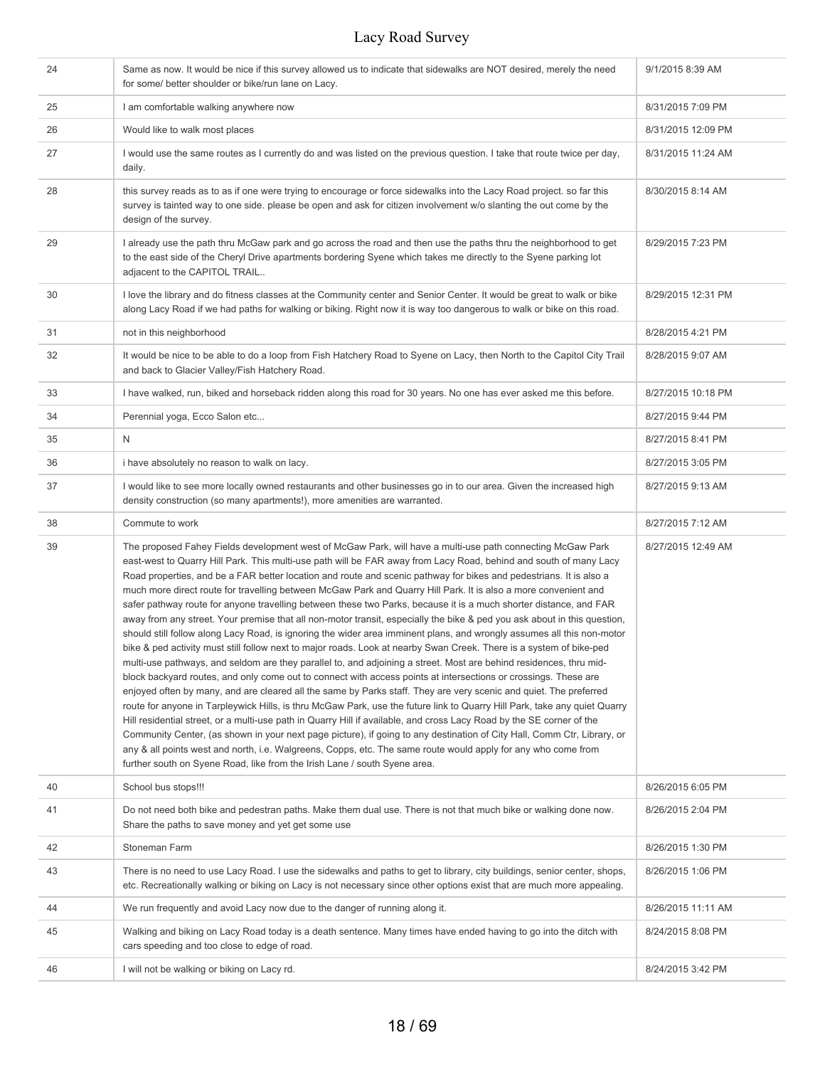| 24 | Same as now. It would be nice if this survey allowed us to indicate that sidewalks are NOT desired, merely the need<br>for some/ better shoulder or bike/run lane on Lacy.                                                                                                                                                                                                                                                                                                                                                                                                                                                                                                                                                                                                                                                                                                                                                                                                                                                                                                                                                                                                                                                                                                                                                                                                                                                                                                                                                                                                                                                                                                                                                                                                                                                                                                                                              | 9/1/2015 8:39 AM   |
|----|-------------------------------------------------------------------------------------------------------------------------------------------------------------------------------------------------------------------------------------------------------------------------------------------------------------------------------------------------------------------------------------------------------------------------------------------------------------------------------------------------------------------------------------------------------------------------------------------------------------------------------------------------------------------------------------------------------------------------------------------------------------------------------------------------------------------------------------------------------------------------------------------------------------------------------------------------------------------------------------------------------------------------------------------------------------------------------------------------------------------------------------------------------------------------------------------------------------------------------------------------------------------------------------------------------------------------------------------------------------------------------------------------------------------------------------------------------------------------------------------------------------------------------------------------------------------------------------------------------------------------------------------------------------------------------------------------------------------------------------------------------------------------------------------------------------------------------------------------------------------------------------------------------------------------|--------------------|
| 25 | I am comfortable walking anywhere now                                                                                                                                                                                                                                                                                                                                                                                                                                                                                                                                                                                                                                                                                                                                                                                                                                                                                                                                                                                                                                                                                                                                                                                                                                                                                                                                                                                                                                                                                                                                                                                                                                                                                                                                                                                                                                                                                   | 8/31/2015 7:09 PM  |
| 26 | Would like to walk most places                                                                                                                                                                                                                                                                                                                                                                                                                                                                                                                                                                                                                                                                                                                                                                                                                                                                                                                                                                                                                                                                                                                                                                                                                                                                                                                                                                                                                                                                                                                                                                                                                                                                                                                                                                                                                                                                                          | 8/31/2015 12:09 PM |
| 27 | I would use the same routes as I currently do and was listed on the previous question. I take that route twice per day,<br>daily.                                                                                                                                                                                                                                                                                                                                                                                                                                                                                                                                                                                                                                                                                                                                                                                                                                                                                                                                                                                                                                                                                                                                                                                                                                                                                                                                                                                                                                                                                                                                                                                                                                                                                                                                                                                       | 8/31/2015 11:24 AM |
| 28 | this survey reads as to as if one were trying to encourage or force sidewalks into the Lacy Road project. so far this<br>survey is tainted way to one side. please be open and ask for citizen involvement w/o slanting the out come by the<br>design of the survey.                                                                                                                                                                                                                                                                                                                                                                                                                                                                                                                                                                                                                                                                                                                                                                                                                                                                                                                                                                                                                                                                                                                                                                                                                                                                                                                                                                                                                                                                                                                                                                                                                                                    | 8/30/2015 8:14 AM  |
| 29 | I already use the path thru McGaw park and go across the road and then use the paths thru the neighborhood to get<br>to the east side of the Cheryl Drive apartments bordering Syene which takes me directly to the Syene parking lot<br>adjacent to the CAPITOL TRAIL                                                                                                                                                                                                                                                                                                                                                                                                                                                                                                                                                                                                                                                                                                                                                                                                                                                                                                                                                                                                                                                                                                                                                                                                                                                                                                                                                                                                                                                                                                                                                                                                                                                  | 8/29/2015 7:23 PM  |
| 30 | I love the library and do fitness classes at the Community center and Senior Center. It would be great to walk or bike<br>along Lacy Road if we had paths for walking or biking. Right now it is way too dangerous to walk or bike on this road.                                                                                                                                                                                                                                                                                                                                                                                                                                                                                                                                                                                                                                                                                                                                                                                                                                                                                                                                                                                                                                                                                                                                                                                                                                                                                                                                                                                                                                                                                                                                                                                                                                                                        | 8/29/2015 12:31 PM |
| 31 | not in this neighborhood                                                                                                                                                                                                                                                                                                                                                                                                                                                                                                                                                                                                                                                                                                                                                                                                                                                                                                                                                                                                                                                                                                                                                                                                                                                                                                                                                                                                                                                                                                                                                                                                                                                                                                                                                                                                                                                                                                | 8/28/2015 4:21 PM  |
| 32 | It would be nice to be able to do a loop from Fish Hatchery Road to Syene on Lacy, then North to the Capitol City Trail<br>and back to Glacier Valley/Fish Hatchery Road.                                                                                                                                                                                                                                                                                                                                                                                                                                                                                                                                                                                                                                                                                                                                                                                                                                                                                                                                                                                                                                                                                                                                                                                                                                                                                                                                                                                                                                                                                                                                                                                                                                                                                                                                               | 8/28/2015 9:07 AM  |
| 33 | I have walked, run, biked and horseback ridden along this road for 30 years. No one has ever asked me this before.                                                                                                                                                                                                                                                                                                                                                                                                                                                                                                                                                                                                                                                                                                                                                                                                                                                                                                                                                                                                                                                                                                                                                                                                                                                                                                                                                                                                                                                                                                                                                                                                                                                                                                                                                                                                      | 8/27/2015 10:18 PM |
| 34 | Perennial yoga, Ecco Salon etc                                                                                                                                                                                                                                                                                                                                                                                                                                                                                                                                                                                                                                                                                                                                                                                                                                                                                                                                                                                                                                                                                                                                                                                                                                                                                                                                                                                                                                                                                                                                                                                                                                                                                                                                                                                                                                                                                          | 8/27/2015 9:44 PM  |
| 35 | N                                                                                                                                                                                                                                                                                                                                                                                                                                                                                                                                                                                                                                                                                                                                                                                                                                                                                                                                                                                                                                                                                                                                                                                                                                                                                                                                                                                                                                                                                                                                                                                                                                                                                                                                                                                                                                                                                                                       | 8/27/2015 8:41 PM  |
| 36 | i have absolutely no reason to walk on lacy.                                                                                                                                                                                                                                                                                                                                                                                                                                                                                                                                                                                                                                                                                                                                                                                                                                                                                                                                                                                                                                                                                                                                                                                                                                                                                                                                                                                                                                                                                                                                                                                                                                                                                                                                                                                                                                                                            | 8/27/2015 3:05 PM  |
| 37 | I would like to see more locally owned restaurants and other businesses go in to our area. Given the increased high<br>density construction (so many apartments!), more amenities are warranted.                                                                                                                                                                                                                                                                                                                                                                                                                                                                                                                                                                                                                                                                                                                                                                                                                                                                                                                                                                                                                                                                                                                                                                                                                                                                                                                                                                                                                                                                                                                                                                                                                                                                                                                        | 8/27/2015 9:13 AM  |
| 38 | Commute to work                                                                                                                                                                                                                                                                                                                                                                                                                                                                                                                                                                                                                                                                                                                                                                                                                                                                                                                                                                                                                                                                                                                                                                                                                                                                                                                                                                                                                                                                                                                                                                                                                                                                                                                                                                                                                                                                                                         | 8/27/2015 7:12 AM  |
| 39 | The proposed Fahey Fields development west of McGaw Park, will have a multi-use path connecting McGaw Park<br>east-west to Quarry Hill Park. This multi-use path will be FAR away from Lacy Road, behind and south of many Lacy<br>Road properties, and be a FAR better location and route and scenic pathway for bikes and pedestrians. It is also a<br>much more direct route for travelling between McGaw Park and Quarry Hill Park. It is also a more convenient and<br>safer pathway route for anyone travelling between these two Parks, because it is a much shorter distance, and FAR<br>away from any street. Your premise that all non-motor transit, especially the bike & ped you ask about in this question,<br>should still follow along Lacy Road, is ignoring the wider area imminent plans, and wrongly assumes all this non-motor<br>bike & ped activity must still follow next to major roads. Look at nearby Swan Creek. There is a system of bike-ped<br>multi-use pathways, and seldom are they parallel to, and adjoining a street. Most are behind residences, thru mid-<br>block backyard routes, and only come out to connect with access points at intersections or crossings. These are<br>enjoyed often by many, and are cleared all the same by Parks staff. They are very scenic and quiet. The preferred<br>route for anyone in Tarpleywick Hills, is thru McGaw Park, use the future link to Quarry Hill Park, take any quiet Quarry<br>Hill residential street, or a multi-use path in Quarry Hill if available, and cross Lacy Road by the SE corner of the<br>Community Center, (as shown in your next page picture), if going to any destination of City Hall, Comm Ctr, Library, or<br>any & all points west and north, i.e. Walgreens, Copps, etc. The same route would apply for any who come from<br>further south on Syene Road, like from the Irish Lane / south Syene area. | 8/27/2015 12:49 AM |
| 40 | School bus stops!!!                                                                                                                                                                                                                                                                                                                                                                                                                                                                                                                                                                                                                                                                                                                                                                                                                                                                                                                                                                                                                                                                                                                                                                                                                                                                                                                                                                                                                                                                                                                                                                                                                                                                                                                                                                                                                                                                                                     | 8/26/2015 6:05 PM  |
| 41 | Do not need both bike and pedestran paths. Make them dual use. There is not that much bike or walking done now.<br>Share the paths to save money and yet get some use                                                                                                                                                                                                                                                                                                                                                                                                                                                                                                                                                                                                                                                                                                                                                                                                                                                                                                                                                                                                                                                                                                                                                                                                                                                                                                                                                                                                                                                                                                                                                                                                                                                                                                                                                   | 8/26/2015 2:04 PM  |
| 42 | Stoneman Farm                                                                                                                                                                                                                                                                                                                                                                                                                                                                                                                                                                                                                                                                                                                                                                                                                                                                                                                                                                                                                                                                                                                                                                                                                                                                                                                                                                                                                                                                                                                                                                                                                                                                                                                                                                                                                                                                                                           | 8/26/2015 1:30 PM  |
| 43 | There is no need to use Lacy Road. I use the sidewalks and paths to get to library, city buildings, senior center, shops,<br>etc. Recreationally walking or biking on Lacy is not necessary since other options exist that are much more appealing.                                                                                                                                                                                                                                                                                                                                                                                                                                                                                                                                                                                                                                                                                                                                                                                                                                                                                                                                                                                                                                                                                                                                                                                                                                                                                                                                                                                                                                                                                                                                                                                                                                                                     | 8/26/2015 1:06 PM  |
| 44 | We run frequently and avoid Lacy now due to the danger of running along it.                                                                                                                                                                                                                                                                                                                                                                                                                                                                                                                                                                                                                                                                                                                                                                                                                                                                                                                                                                                                                                                                                                                                                                                                                                                                                                                                                                                                                                                                                                                                                                                                                                                                                                                                                                                                                                             | 8/26/2015 11:11 AM |
| 45 | Walking and biking on Lacy Road today is a death sentence. Many times have ended having to go into the ditch with<br>cars speeding and too close to edge of road.                                                                                                                                                                                                                                                                                                                                                                                                                                                                                                                                                                                                                                                                                                                                                                                                                                                                                                                                                                                                                                                                                                                                                                                                                                                                                                                                                                                                                                                                                                                                                                                                                                                                                                                                                       | 8/24/2015 8:08 PM  |
| 46 | I will not be walking or biking on Lacy rd.                                                                                                                                                                                                                                                                                                                                                                                                                                                                                                                                                                                                                                                                                                                                                                                                                                                                                                                                                                                                                                                                                                                                                                                                                                                                                                                                                                                                                                                                                                                                                                                                                                                                                                                                                                                                                                                                             | 8/24/2015 3:42 PM  |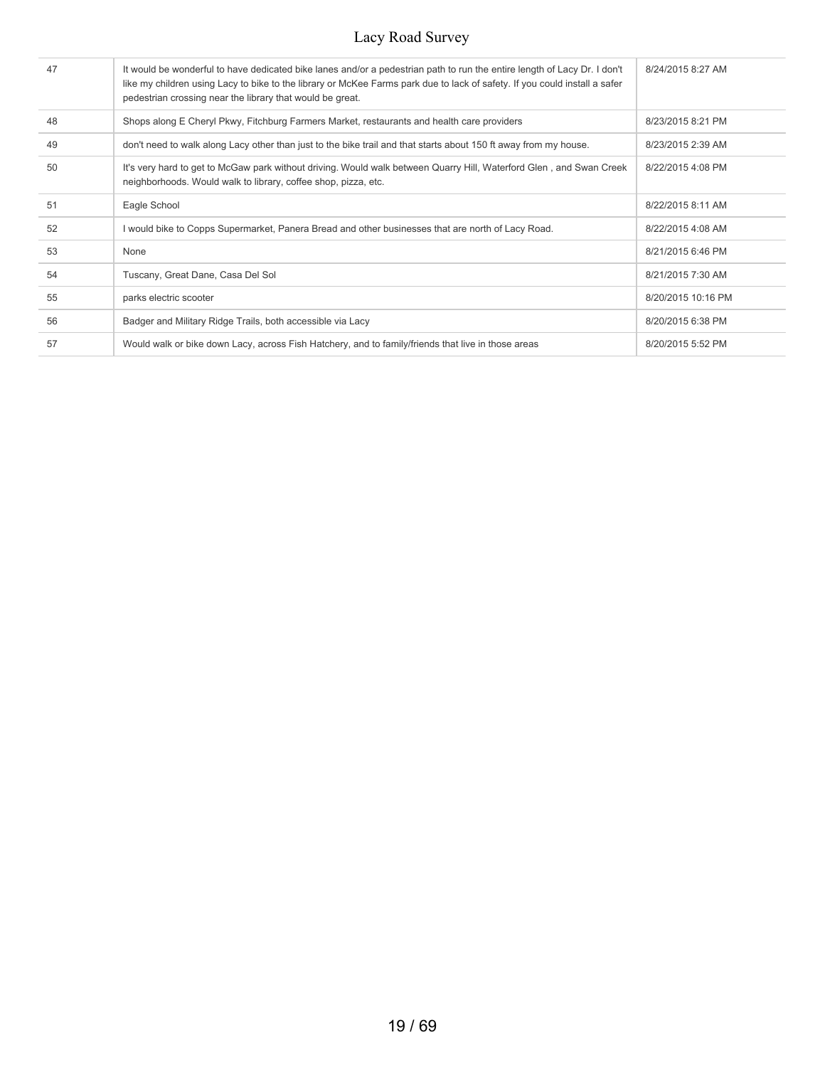| 47 | It would be wonderful to have dedicated bike lanes and/or a pedestrian path to run the entire length of Lacy Dr. I don't<br>like my children using Lacy to bike to the library or McKee Farms park due to lack of safety. If you could install a safer<br>pedestrian crossing near the library that would be great. | 8/24/2015 8:27 AM  |
|----|---------------------------------------------------------------------------------------------------------------------------------------------------------------------------------------------------------------------------------------------------------------------------------------------------------------------|--------------------|
| 48 | Shops along E Cheryl Pkwy, Fitchburg Farmers Market, restaurants and health care providers                                                                                                                                                                                                                          | 8/23/2015 8:21 PM  |
| 49 | don't need to walk along Lacy other than just to the bike trail and that starts about 150 ft away from my house.                                                                                                                                                                                                    | 8/23/2015 2:39 AM  |
| 50 | It's very hard to get to McGaw park without driving. Would walk between Quarry Hill, Waterford Glen, and Swan Creek<br>neighborhoods. Would walk to library, coffee shop, pizza, etc.                                                                                                                               | 8/22/2015 4:08 PM  |
| 51 | Eagle School                                                                                                                                                                                                                                                                                                        | 8/22/2015 8:11 AM  |
| 52 | I would bike to Copps Supermarket, Panera Bread and other businesses that are north of Lacy Road.                                                                                                                                                                                                                   | 8/22/2015 4:08 AM  |
| 53 | None                                                                                                                                                                                                                                                                                                                | 8/21/2015 6:46 PM  |
| 54 | Tuscany, Great Dane, Casa Del Sol                                                                                                                                                                                                                                                                                   | 8/21/2015 7:30 AM  |
| 55 | parks electric scooter                                                                                                                                                                                                                                                                                              | 8/20/2015 10:16 PM |
| 56 | Badger and Military Ridge Trails, both accessible via Lacy                                                                                                                                                                                                                                                          | 8/20/2015 6:38 PM  |
| 57 | Would walk or bike down Lacy, across Fish Hatchery, and to family/friends that live in those areas                                                                                                                                                                                                                  | 8/20/2015 5:52 PM  |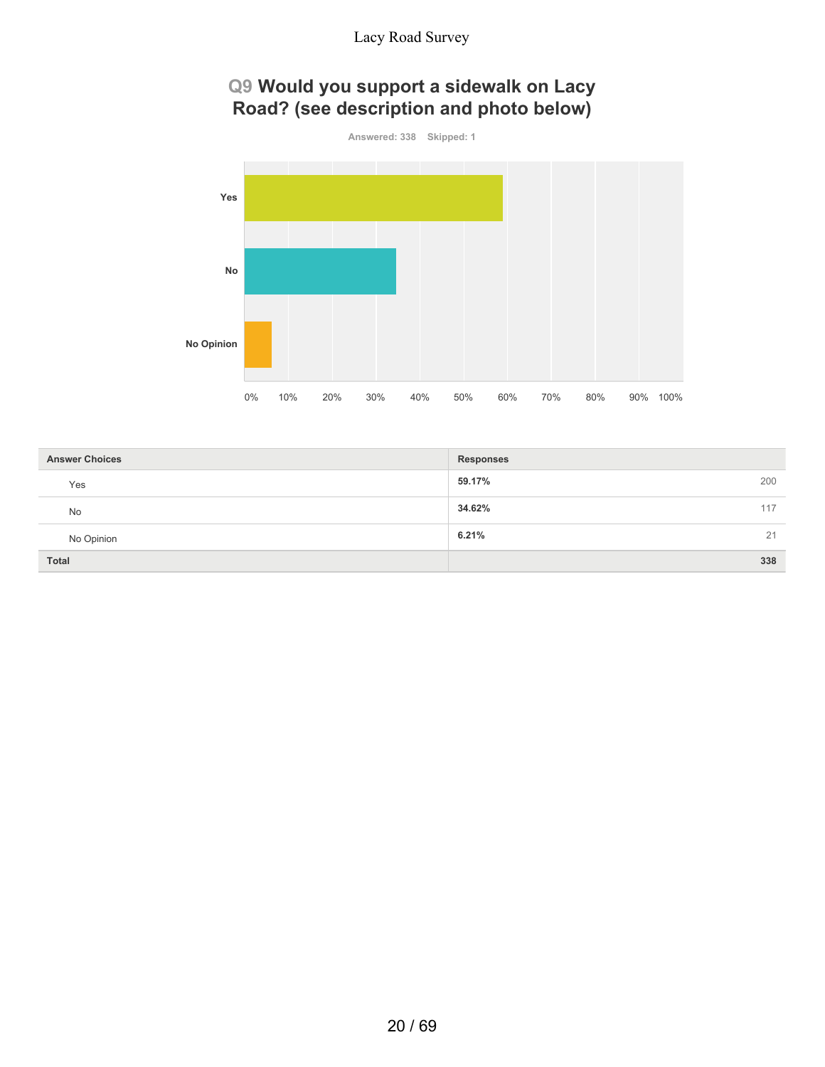# **Q9 Would you support a sidewalk on Lacy Road? (see description and photo below)**



**Yes**



| <b>Answer Choices</b> | <b>Responses</b> |
|-----------------------|------------------|
| Yes                   | 59.17%<br>200    |
| No                    | 34.62%<br>117    |
| No Opinion            | 6.21%<br>21      |
| <b>Total</b>          | 338              |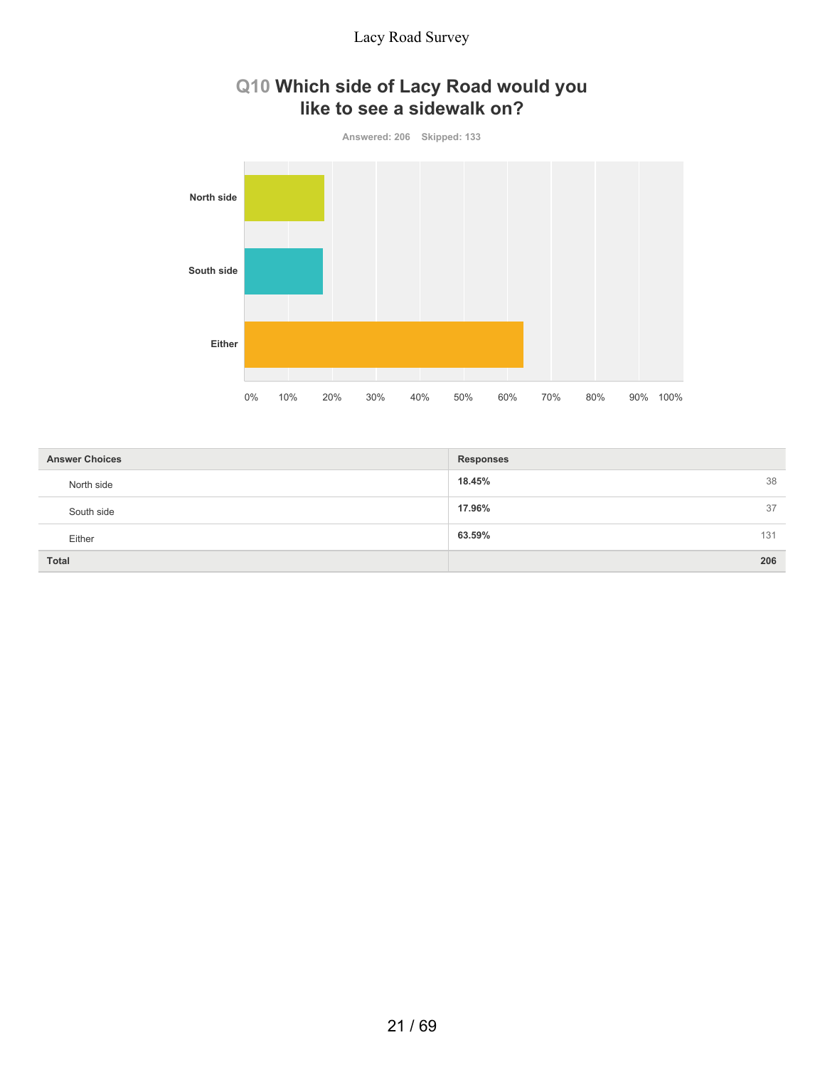## **Q10 Which side of Lacy Road would you like to see a sidewalk on?**



| <b>Answer Choices</b> | <b>Responses</b> |
|-----------------------|------------------|
| North side            | 18.45%<br>38     |
| South side            | 17.96%<br>37     |
| Either                | 63.59%<br>131    |
| <b>Total</b>          | 206              |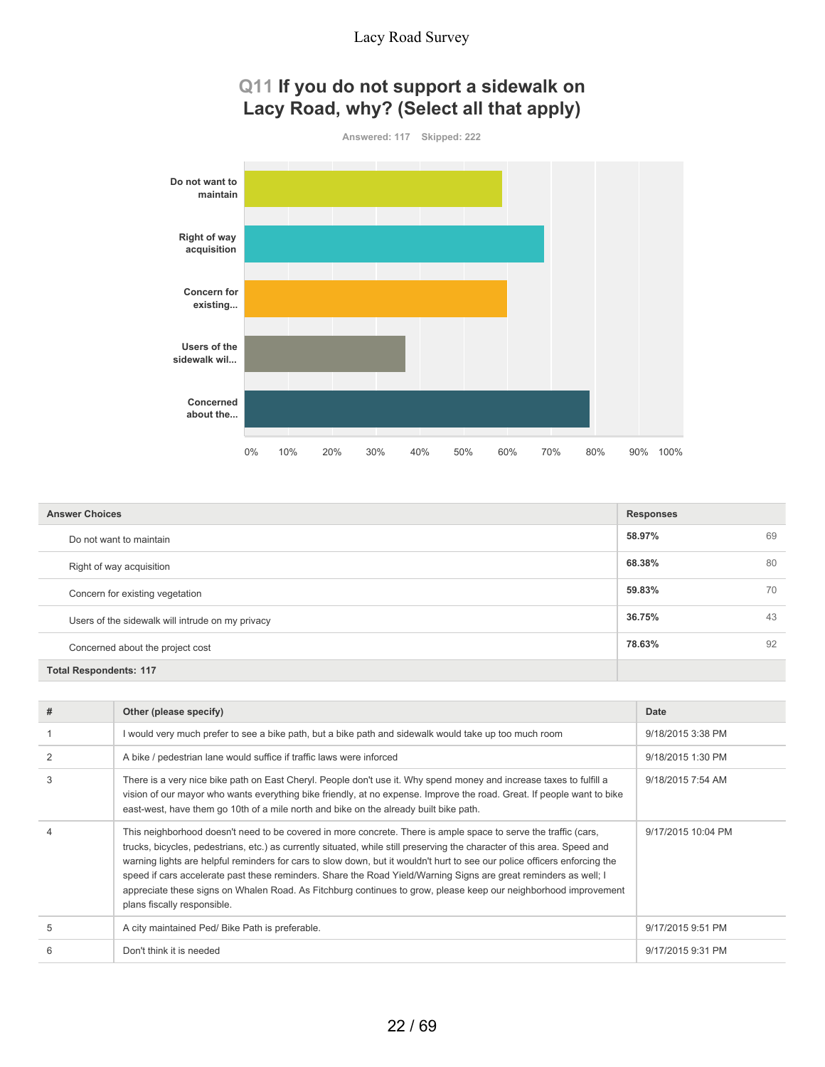# **Q11 If you do not support a sidewalk on Lacy Road, why? (Select all that apply)**



| <b>Answer Choices</b>                            | <b>Responses</b> |    |
|--------------------------------------------------|------------------|----|
| Do not want to maintain                          | 58.97%           | 69 |
| Right of way acquisition                         | 68.38%           | 80 |
| Concern for existing vegetation                  | 59.83%           | 70 |
| Users of the sidewalk will intrude on my privacy | 36.75%           | 43 |
| Concerned about the project cost                 | 78.63%           | 92 |
| <b>Total Respondents: 117</b>                    |                  |    |

| # | Other (please specify)                                                                                                                                                                                                                                                                                                                                                                                                                                                                                                                                                                                                                         | Date               |
|---|------------------------------------------------------------------------------------------------------------------------------------------------------------------------------------------------------------------------------------------------------------------------------------------------------------------------------------------------------------------------------------------------------------------------------------------------------------------------------------------------------------------------------------------------------------------------------------------------------------------------------------------------|--------------------|
|   | I would very much prefer to see a bike path, but a bike path and sidewalk would take up too much room                                                                                                                                                                                                                                                                                                                                                                                                                                                                                                                                          | 9/18/2015 3:38 PM  |
| 2 | A bike / pedestrian lane would suffice if traffic laws were inforced                                                                                                                                                                                                                                                                                                                                                                                                                                                                                                                                                                           | 9/18/2015 1:30 PM  |
| 3 | There is a very nice bike path on East Cheryl. People don't use it. Why spend money and increase taxes to fulfill a<br>vision of our mayor who wants everything bike friendly, at no expense. Improve the road. Great. If people want to bike<br>east-west, have them go 10th of a mile north and bike on the already built bike path.                                                                                                                                                                                                                                                                                                         | 9/18/2015 7:54 AM  |
|   | This neighborhood doesn't need to be covered in more concrete. There is ample space to serve the traffic (cars,<br>trucks, bicycles, pedestrians, etc.) as currently situated, while still preserving the character of this area. Speed and<br>warning lights are helpful reminders for cars to slow down, but it wouldn't hurt to see our police officers enforcing the<br>speed if cars accelerate past these reminders. Share the Road Yield/Warning Signs are great reminders as well; I<br>appreciate these signs on Whalen Road. As Fitchburg continues to grow, please keep our neighborhood improvement<br>plans fiscally responsible. | 9/17/2015 10:04 PM |
| 5 | A city maintained Ped/ Bike Path is preferable.                                                                                                                                                                                                                                                                                                                                                                                                                                                                                                                                                                                                | 9/17/2015 9:51 PM  |
| 6 | Don't think it is needed                                                                                                                                                                                                                                                                                                                                                                                                                                                                                                                                                                                                                       | 9/17/2015 9:31 PM  |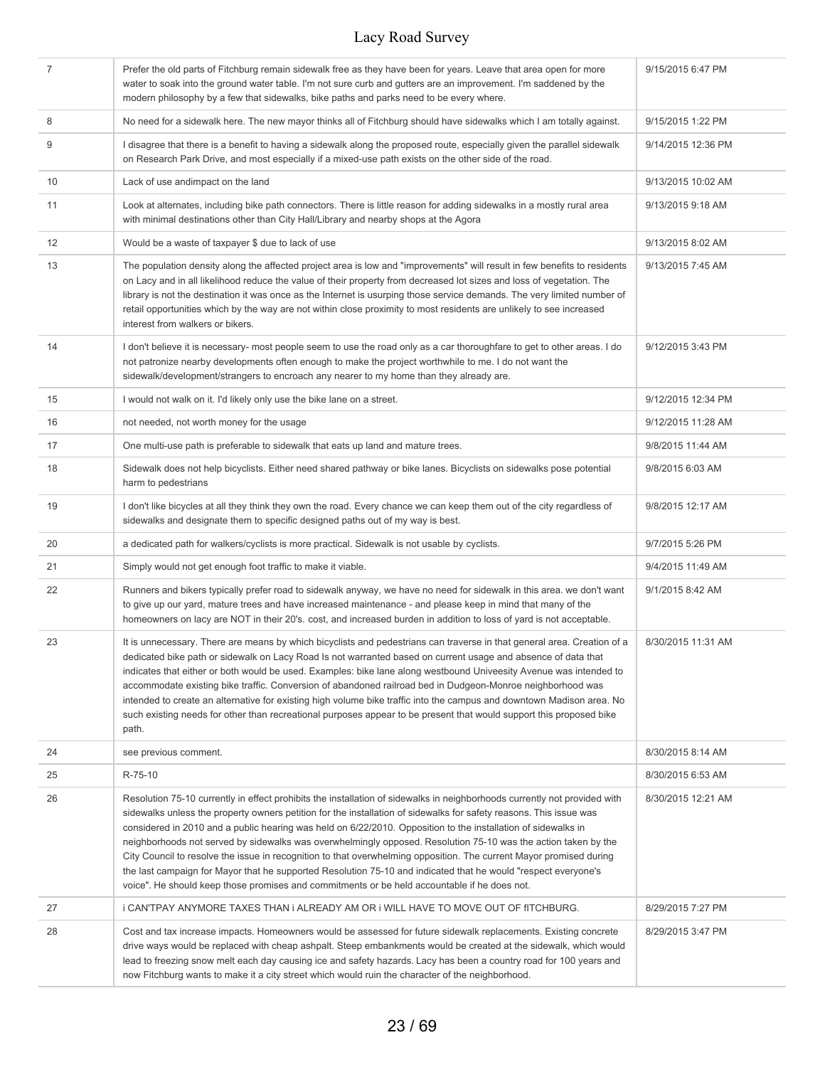| 7  | Prefer the old parts of Fitchburg remain sidewalk free as they have been for years. Leave that area open for more<br>water to soak into the ground water table. I'm not sure curb and gutters are an improvement. I'm saddened by the<br>modern philosophy by a few that sidewalks, bike paths and parks need to be every where.                                                                                                                                                                                                                                                                                                                                                                                                                                                                                            | 9/15/2015 6:47 PM  |
|----|-----------------------------------------------------------------------------------------------------------------------------------------------------------------------------------------------------------------------------------------------------------------------------------------------------------------------------------------------------------------------------------------------------------------------------------------------------------------------------------------------------------------------------------------------------------------------------------------------------------------------------------------------------------------------------------------------------------------------------------------------------------------------------------------------------------------------------|--------------------|
| 8  | No need for a sidewalk here. The new mayor thinks all of Fitchburg should have sidewalks which I am totally against.                                                                                                                                                                                                                                                                                                                                                                                                                                                                                                                                                                                                                                                                                                        | 9/15/2015 1:22 PM  |
| 9  | I disagree that there is a benefit to having a sidewalk along the proposed route, especially given the parallel sidewalk<br>on Research Park Drive, and most especially if a mixed-use path exists on the other side of the road.                                                                                                                                                                                                                                                                                                                                                                                                                                                                                                                                                                                           | 9/14/2015 12:36 PM |
| 10 | Lack of use andimpact on the land                                                                                                                                                                                                                                                                                                                                                                                                                                                                                                                                                                                                                                                                                                                                                                                           | 9/13/2015 10:02 AM |
| 11 | Look at alternates, including bike path connectors. There is little reason for adding sidewalks in a mostly rural area<br>with minimal destinations other than City Hall/Library and nearby shops at the Agora                                                                                                                                                                                                                                                                                                                                                                                                                                                                                                                                                                                                              | 9/13/2015 9:18 AM  |
| 12 | Would be a waste of taxpayer \$ due to lack of use                                                                                                                                                                                                                                                                                                                                                                                                                                                                                                                                                                                                                                                                                                                                                                          | 9/13/2015 8:02 AM  |
| 13 | The population density along the affected project area is low and "improvements" will result in few benefits to residents<br>on Lacy and in all likelihood reduce the value of their property from decreased lot sizes and loss of vegetation. The<br>library is not the destination it was once as the Internet is usurping those service demands. The very limited number of<br>retail opportunities which by the way are not within close proximity to most residents are unlikely to see increased<br>interest from walkers or bikers.                                                                                                                                                                                                                                                                                  | 9/13/2015 7:45 AM  |
| 14 | I don't believe it is necessary- most people seem to use the road only as a car thoroughfare to get to other areas. I do<br>not patronize nearby developments often enough to make the project worthwhile to me. I do not want the<br>sidewalk/development/strangers to encroach any nearer to my home than they already are.                                                                                                                                                                                                                                                                                                                                                                                                                                                                                               | 9/12/2015 3:43 PM  |
| 15 | I would not walk on it. I'd likely only use the bike lane on a street.                                                                                                                                                                                                                                                                                                                                                                                                                                                                                                                                                                                                                                                                                                                                                      | 9/12/2015 12:34 PM |
| 16 | not needed, not worth money for the usage                                                                                                                                                                                                                                                                                                                                                                                                                                                                                                                                                                                                                                                                                                                                                                                   | 9/12/2015 11:28 AM |
| 17 | One multi-use path is preferable to sidewalk that eats up land and mature trees.                                                                                                                                                                                                                                                                                                                                                                                                                                                                                                                                                                                                                                                                                                                                            | 9/8/2015 11:44 AM  |
| 18 | Sidewalk does not help bicyclists. Either need shared pathway or bike lanes. Bicyclists on sidewalks pose potential<br>harm to pedestrians                                                                                                                                                                                                                                                                                                                                                                                                                                                                                                                                                                                                                                                                                  | 9/8/2015 6:03 AM   |
| 19 | I don't like bicycles at all they think they own the road. Every chance we can keep them out of the city regardless of<br>sidewalks and designate them to specific designed paths out of my way is best.                                                                                                                                                                                                                                                                                                                                                                                                                                                                                                                                                                                                                    | 9/8/2015 12:17 AM  |
| 20 | a dedicated path for walkers/cyclists is more practical. Sidewalk is not usable by cyclists.                                                                                                                                                                                                                                                                                                                                                                                                                                                                                                                                                                                                                                                                                                                                | 9/7/2015 5:26 PM   |
| 21 | Simply would not get enough foot traffic to make it viable.                                                                                                                                                                                                                                                                                                                                                                                                                                                                                                                                                                                                                                                                                                                                                                 | 9/4/2015 11:49 AM  |
| 22 | Runners and bikers typically prefer road to sidewalk anyway, we have no need for sidewalk in this area. we don't want<br>to give up our yard, mature trees and have increased maintenance - and please keep in mind that many of the<br>homeowners on lacy are NOT in their 20's. cost, and increased burden in addition to loss of yard is not acceptable.                                                                                                                                                                                                                                                                                                                                                                                                                                                                 | 9/1/2015 8:42 AM   |
| 23 | It is unnecessary. There are means by which bicyclists and pedestrians can traverse in that general area. Creation of a<br>dedicated bike path or sidewalk on Lacy Road Is not warranted based on current usage and absence of data that<br>indicates that either or both would be used. Examples: bike lane along westbound Univeesity Avenue was intended to<br>accommodate existing bike traffic. Conversion of abandoned railroad bed in Dudgeon-Monroe neighborhood was<br>intended to create an alternative for existing high volume bike traffic into the campus and downtown Madison area. No<br>such existing needs for other than recreational purposes appear to be present that would support this proposed bike<br>path.                                                                                       | 8/30/2015 11:31 AM |
| 24 | see previous comment.                                                                                                                                                                                                                                                                                                                                                                                                                                                                                                                                                                                                                                                                                                                                                                                                       | 8/30/2015 8:14 AM  |
| 25 | R-75-10                                                                                                                                                                                                                                                                                                                                                                                                                                                                                                                                                                                                                                                                                                                                                                                                                     | 8/30/2015 6:53 AM  |
| 26 | Resolution 75-10 currently in effect prohibits the installation of sidewalks in neighborhoods currently not provided with<br>sidewalks unless the property owners petition for the installation of sidewalks for safety reasons. This issue was<br>considered in 2010 and a public hearing was held on 6/22/2010. Opposition to the installation of sidewalks in<br>neighborhoods not served by sidewalks was overwhelmingly opposed. Resolution 75-10 was the action taken by the<br>City Council to resolve the issue in recognition to that overwhelming opposition. The current Mayor promised during<br>the last campaign for Mayor that he supported Resolution 75-10 and indicated that he would "respect everyone's<br>voice". He should keep those promises and commitments or be held accountable if he does not. | 8/30/2015 12:21 AM |
| 27 | i CAN'TPAY ANYMORE TAXES THAN i ALREADY AM OR i WILL HAVE TO MOVE OUT OF fITCHBURG.                                                                                                                                                                                                                                                                                                                                                                                                                                                                                                                                                                                                                                                                                                                                         | 8/29/2015 7:27 PM  |
| 28 | Cost and tax increase impacts. Homeowners would be assessed for future sidewalk replacements. Existing concrete<br>drive ways would be replaced with cheap ashpalt. Steep embankments would be created at the sidewalk, which would<br>lead to freezing snow melt each day causing ice and safety hazards. Lacy has been a country road for 100 years and<br>now Fitchburg wants to make it a city street which would ruin the character of the neighborhood.                                                                                                                                                                                                                                                                                                                                                               | 8/29/2015 3:47 PM  |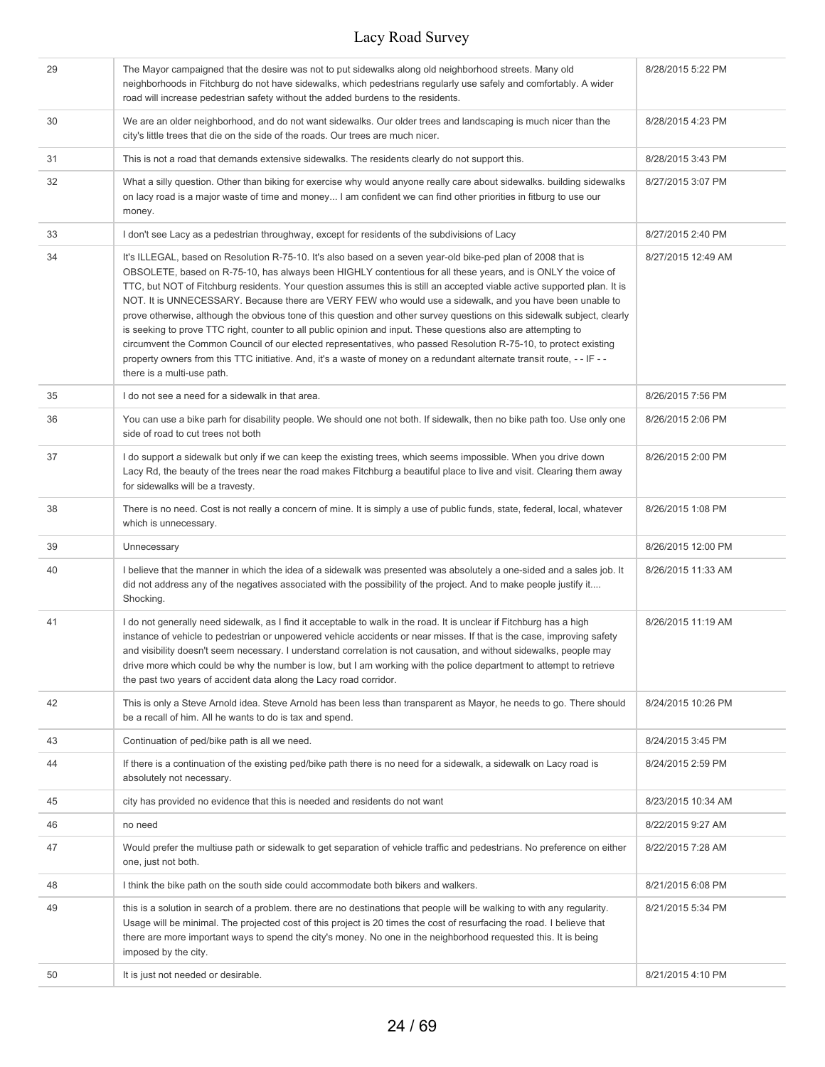| 29 | The Mayor campaigned that the desire was not to put sidewalks along old neighborhood streets. Many old<br>neighborhoods in Fitchburg do not have sidewalks, which pedestrians regularly use safely and comfortably. A wider<br>road will increase pedestrian safety without the added burdens to the residents.                                                                                                                                                                                                                                                                                                                                                                                                                                                                                                                                                                                                                                                                                 | 8/28/2015 5:22 PM  |
|----|-------------------------------------------------------------------------------------------------------------------------------------------------------------------------------------------------------------------------------------------------------------------------------------------------------------------------------------------------------------------------------------------------------------------------------------------------------------------------------------------------------------------------------------------------------------------------------------------------------------------------------------------------------------------------------------------------------------------------------------------------------------------------------------------------------------------------------------------------------------------------------------------------------------------------------------------------------------------------------------------------|--------------------|
| 30 | We are an older neighborhood, and do not want sidewalks. Our older trees and landscaping is much nicer than the<br>city's little trees that die on the side of the roads. Our trees are much nicer.                                                                                                                                                                                                                                                                                                                                                                                                                                                                                                                                                                                                                                                                                                                                                                                             | 8/28/2015 4:23 PM  |
| 31 | This is not a road that demands extensive sidewalks. The residents clearly do not support this.                                                                                                                                                                                                                                                                                                                                                                                                                                                                                                                                                                                                                                                                                                                                                                                                                                                                                                 | 8/28/2015 3:43 PM  |
| 32 | What a silly question. Other than biking for exercise why would anyone really care about sidewalks. building sidewalks<br>on lacy road is a major waste of time and money I am confident we can find other priorities in fitburg to use our<br>money.                                                                                                                                                                                                                                                                                                                                                                                                                                                                                                                                                                                                                                                                                                                                           | 8/27/2015 3:07 PM  |
| 33 | I don't see Lacy as a pedestrian throughway, except for residents of the subdivisions of Lacy                                                                                                                                                                                                                                                                                                                                                                                                                                                                                                                                                                                                                                                                                                                                                                                                                                                                                                   | 8/27/2015 2:40 PM  |
| 34 | It's ILLEGAL, based on Resolution R-75-10. It's also based on a seven year-old bike-ped plan of 2008 that is<br>OBSOLETE, based on R-75-10, has always been HIGHLY contentious for all these years, and is ONLY the voice of<br>TTC, but NOT of Fitchburg residents. Your question assumes this is still an accepted viable active supported plan. It is<br>NOT. It is UNNECESSARY. Because there are VERY FEW who would use a sidewalk, and you have been unable to<br>prove otherwise, although the obvious tone of this question and other survey questions on this sidewalk subject, clearly<br>is seeking to prove TTC right, counter to all public opinion and input. These questions also are attempting to<br>circumvent the Common Council of our elected representatives, who passed Resolution R-75-10, to protect existing<br>property owners from this TTC initiative. And, it's a waste of money on a redundant alternate transit route, - - IF - -<br>there is a multi-use path. | 8/27/2015 12:49 AM |
| 35 | I do not see a need for a sidewalk in that area.                                                                                                                                                                                                                                                                                                                                                                                                                                                                                                                                                                                                                                                                                                                                                                                                                                                                                                                                                | 8/26/2015 7:56 PM  |
| 36 | You can use a bike parh for disability people. We should one not both. If sidewalk, then no bike path too. Use only one<br>side of road to cut trees not both                                                                                                                                                                                                                                                                                                                                                                                                                                                                                                                                                                                                                                                                                                                                                                                                                                   | 8/26/2015 2:06 PM  |
| 37 | I do support a sidewalk but only if we can keep the existing trees, which seems impossible. When you drive down<br>Lacy Rd, the beauty of the trees near the road makes Fitchburg a beautiful place to live and visit. Clearing them away<br>for sidewalks will be a travesty.                                                                                                                                                                                                                                                                                                                                                                                                                                                                                                                                                                                                                                                                                                                  | 8/26/2015 2:00 PM  |
| 38 | There is no need. Cost is not really a concern of mine. It is simply a use of public funds, state, federal, local, whatever<br>which is unnecessary.                                                                                                                                                                                                                                                                                                                                                                                                                                                                                                                                                                                                                                                                                                                                                                                                                                            | 8/26/2015 1:08 PM  |
| 39 | Unnecessary                                                                                                                                                                                                                                                                                                                                                                                                                                                                                                                                                                                                                                                                                                                                                                                                                                                                                                                                                                                     | 8/26/2015 12:00 PM |
| 40 | I believe that the manner in which the idea of a sidewalk was presented was absolutely a one-sided and a sales job. It<br>did not address any of the negatives associated with the possibility of the project. And to make people justify it<br>Shocking.                                                                                                                                                                                                                                                                                                                                                                                                                                                                                                                                                                                                                                                                                                                                       | 8/26/2015 11:33 AM |
| 41 | I do not generally need sidewalk, as I find it acceptable to walk in the road. It is unclear if Fitchburg has a high<br>instance of vehicle to pedestrian or unpowered vehicle accidents or near misses. If that is the case, improving safety<br>and visibility doesn't seem necessary. I understand correlation is not causation, and without sidewalks, people may<br>drive more which could be why the number is low, but I am working with the police department to attempt to retrieve<br>the past two years of accident data along the Lacy road corridor.                                                                                                                                                                                                                                                                                                                                                                                                                               | 8/26/2015 11:19 AM |
| 42 | This is only a Steve Arnold idea. Steve Arnold has been less than transparent as Mayor, he needs to go. There should<br>be a recall of him. All he wants to do is tax and spend.                                                                                                                                                                                                                                                                                                                                                                                                                                                                                                                                                                                                                                                                                                                                                                                                                | 8/24/2015 10:26 PM |
| 43 | Continuation of ped/bike path is all we need.                                                                                                                                                                                                                                                                                                                                                                                                                                                                                                                                                                                                                                                                                                                                                                                                                                                                                                                                                   | 8/24/2015 3:45 PM  |
| 44 | If there is a continuation of the existing ped/bike path there is no need for a sidewalk, a sidewalk on Lacy road is<br>absolutely not necessary.                                                                                                                                                                                                                                                                                                                                                                                                                                                                                                                                                                                                                                                                                                                                                                                                                                               | 8/24/2015 2:59 PM  |
| 45 | city has provided no evidence that this is needed and residents do not want                                                                                                                                                                                                                                                                                                                                                                                                                                                                                                                                                                                                                                                                                                                                                                                                                                                                                                                     | 8/23/2015 10:34 AM |
| 46 | no need                                                                                                                                                                                                                                                                                                                                                                                                                                                                                                                                                                                                                                                                                                                                                                                                                                                                                                                                                                                         | 8/22/2015 9:27 AM  |
| 47 | Would prefer the multiuse path or sidewalk to get separation of vehicle traffic and pedestrians. No preference on either<br>one, just not both.                                                                                                                                                                                                                                                                                                                                                                                                                                                                                                                                                                                                                                                                                                                                                                                                                                                 | 8/22/2015 7:28 AM  |
| 48 | I think the bike path on the south side could accommodate both bikers and walkers.                                                                                                                                                                                                                                                                                                                                                                                                                                                                                                                                                                                                                                                                                                                                                                                                                                                                                                              | 8/21/2015 6:08 PM  |
| 49 | this is a solution in search of a problem. there are no destinations that people will be walking to with any regularity.<br>Usage will be minimal. The projected cost of this project is 20 times the cost of resurfacing the road. I believe that<br>there are more important ways to spend the city's money. No one in the neighborhood requested this. It is being<br>imposed by the city.                                                                                                                                                                                                                                                                                                                                                                                                                                                                                                                                                                                                   | 8/21/2015 5:34 PM  |
| 50 | It is just not needed or desirable.                                                                                                                                                                                                                                                                                                                                                                                                                                                                                                                                                                                                                                                                                                                                                                                                                                                                                                                                                             | 8/21/2015 4:10 PM  |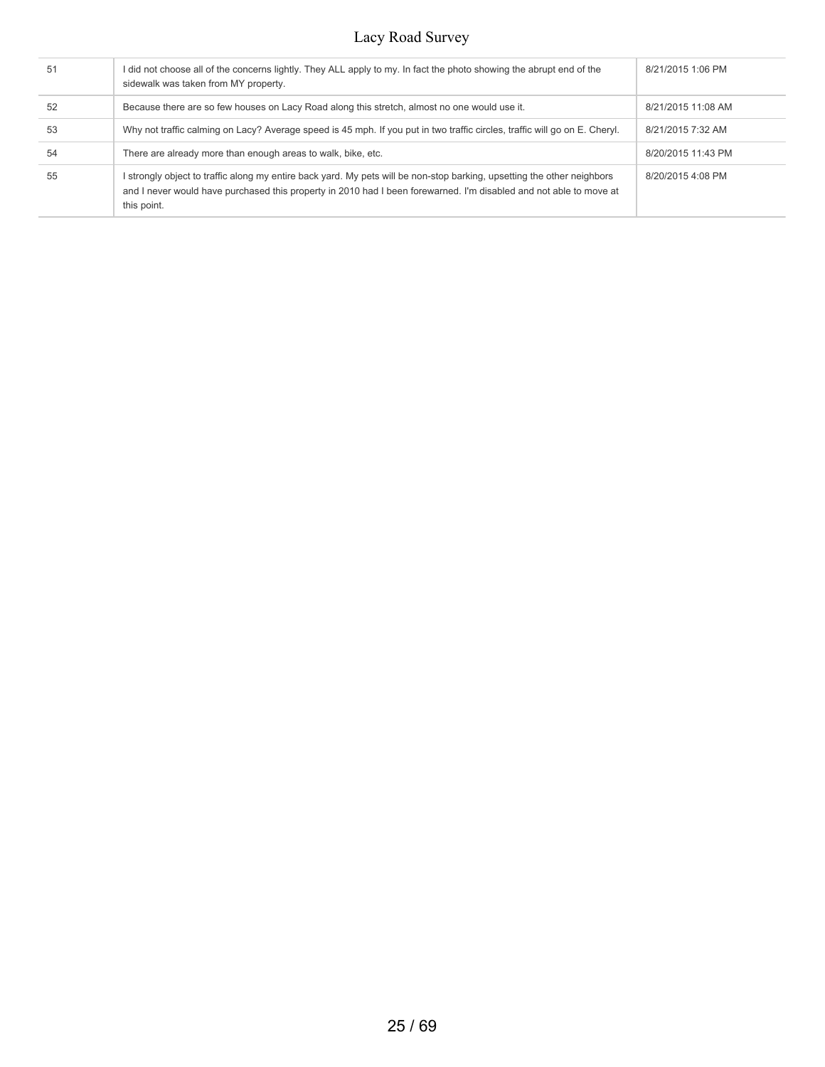| 51 | did not choose all of the concerns lightly. They ALL apply to my. In fact the photo showing the abrupt end of the<br>sidewalk was taken from MY property.                                                                                                  | 8/21/2015 1:06 PM  |
|----|------------------------------------------------------------------------------------------------------------------------------------------------------------------------------------------------------------------------------------------------------------|--------------------|
| 52 | Because there are so few houses on Lacy Road along this stretch, almost no one would use it.                                                                                                                                                               | 8/21/2015 11:08 AM |
| 53 | Why not traffic calming on Lacy? Average speed is 45 mph. If you put in two traffic circles, traffic will go on E. Cheryl.                                                                                                                                 | 8/21/2015 7:32 AM  |
| 54 | There are already more than enough areas to walk, bike, etc.                                                                                                                                                                                               | 8/20/2015 11:43 PM |
| 55 | strongly object to traffic along my entire back yard. My pets will be non-stop barking, upsetting the other neighbors<br>and I never would have purchased this property in 2010 had I been forewarned. I'm disabled and not able to move at<br>this point. | 8/20/2015 4:08 PM  |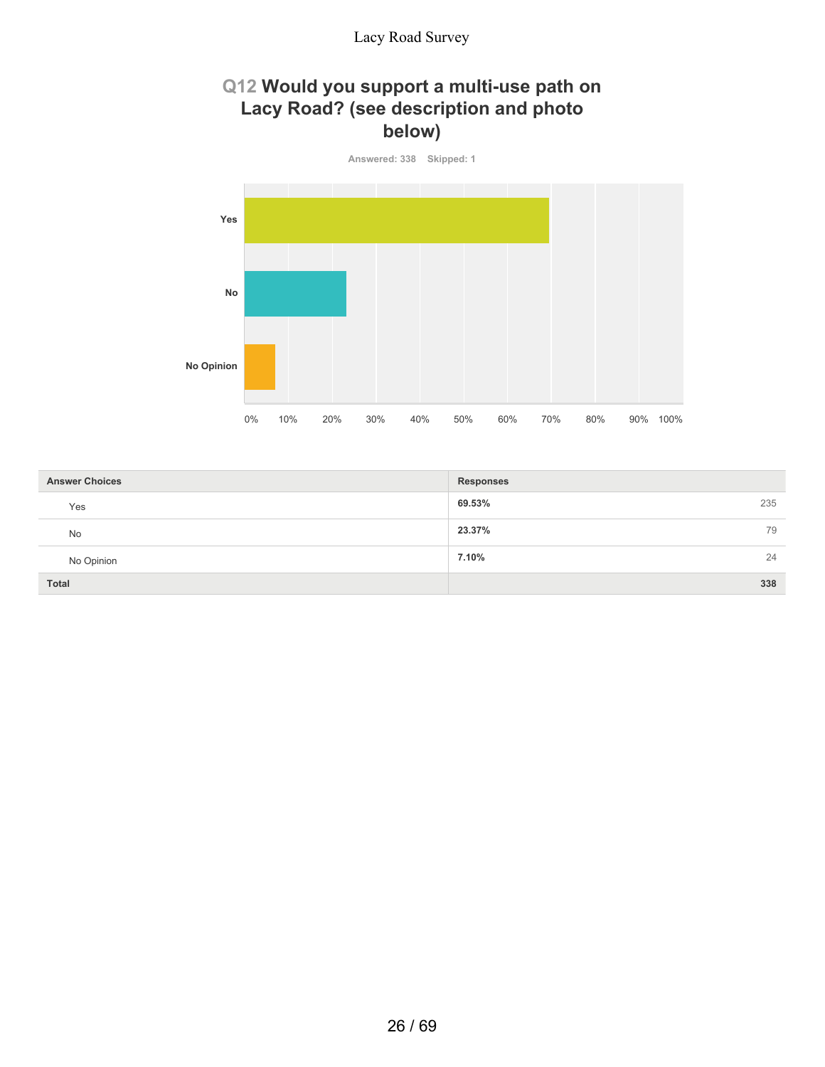## **Q12 Would you support a multi-use path on Lacy Road? (see description and photo below)**



| <b>Answer Choices</b> | <b>Responses</b> |
|-----------------------|------------------|
| Yes                   | 69.53%<br>235    |
| No                    | 23.37%<br>79     |
| No Opinion            | 7.10%<br>24      |
| Total                 | 338              |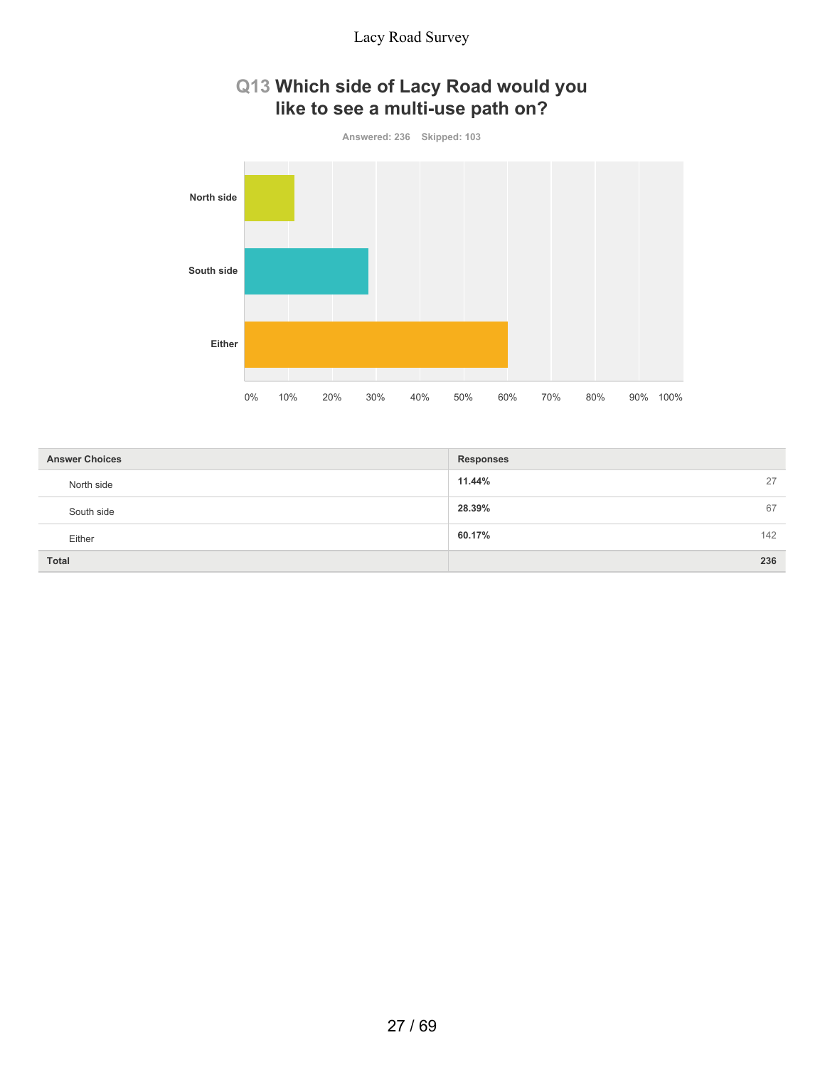# **Q13 Which side of Lacy Road would you like to see a multi-use path on?**



| <b>Answer Choices</b> | <b>Responses</b> |
|-----------------------|------------------|
| North side            | 27<br>11.44%     |
| South side            | 28.39%<br>67     |
| Either                | 60.17%<br>142    |
| <b>Total</b>          | 236              |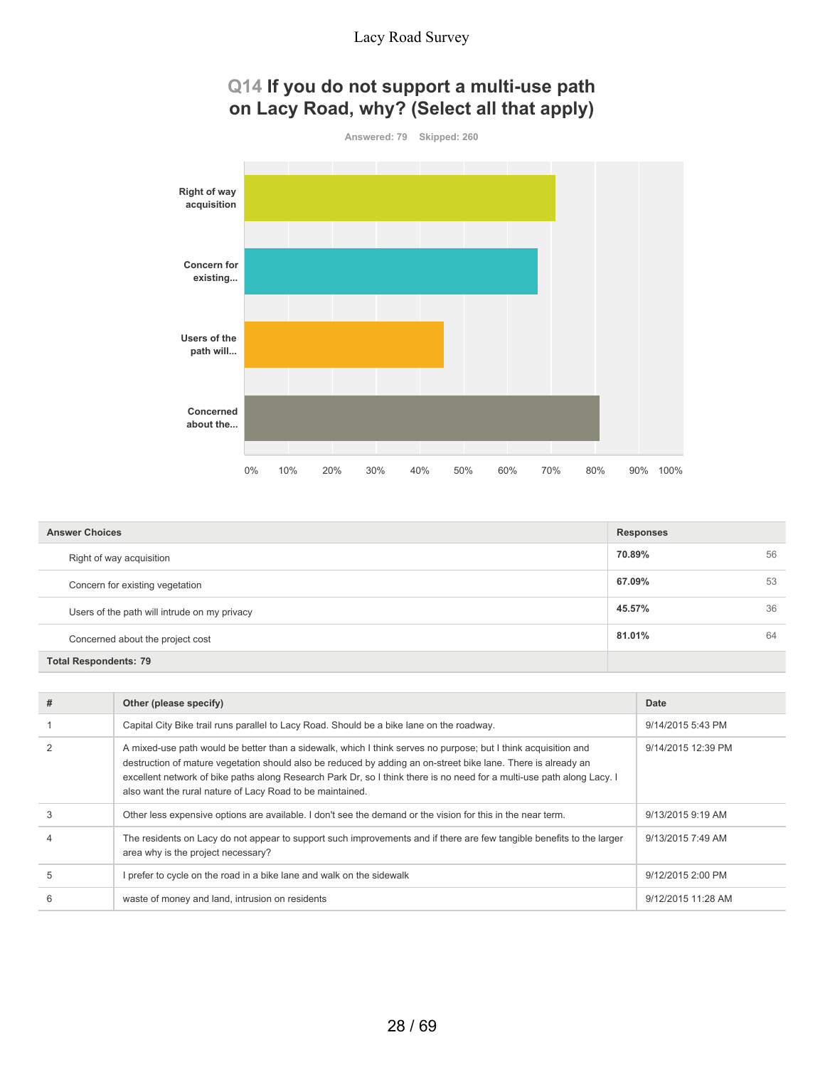# **Q14 If you do not support a multi-use path on Lacy Road, why? (Select all that apply)**



| <b>Answer Choices</b>                        | <b>Responses</b> |    |
|----------------------------------------------|------------------|----|
| Right of way acquisition                     | 70.89%           | 56 |
| Concern for existing vegetation              | 67.09%           | 53 |
| Users of the path will intrude on my privacy | 45.57%           | 36 |
| Concerned about the project cost             | 81.01%           | 64 |
| <b>Total Respondents: 79</b>                 |                  |    |

| # | Other (please specify)                                                                                                                                                                                                                                                                                                                                                                                                 | Date               |
|---|------------------------------------------------------------------------------------------------------------------------------------------------------------------------------------------------------------------------------------------------------------------------------------------------------------------------------------------------------------------------------------------------------------------------|--------------------|
|   | Capital City Bike trail runs parallel to Lacy Road. Should be a bike lane on the roadway.                                                                                                                                                                                                                                                                                                                              | 9/14/2015 5:43 PM  |
|   | A mixed-use path would be better than a sidewalk, which I think serves no purpose; but I think acquisition and<br>destruction of mature vegetation should also be reduced by adding an on-street bike lane. There is already an<br>excellent network of bike paths along Research Park Dr, so I think there is no need for a multi-use path along Lacy. I<br>also want the rural nature of Lacy Road to be maintained. | 9/14/2015 12:39 PM |
| 3 | Other less expensive options are available. I don't see the demand or the vision for this in the near term.                                                                                                                                                                                                                                                                                                            | 9/13/2015 9:19 AM  |
| 4 | The residents on Lacy do not appear to support such improvements and if there are few tangible benefits to the larger<br>area why is the project necessary?                                                                                                                                                                                                                                                            | 9/13/2015 7:49 AM  |
| 5 | I prefer to cycle on the road in a bike lane and walk on the sidewalk                                                                                                                                                                                                                                                                                                                                                  | 9/12/2015 2:00 PM  |
| b | waste of money and land, intrusion on residents                                                                                                                                                                                                                                                                                                                                                                        | 9/12/2015 11:28 AM |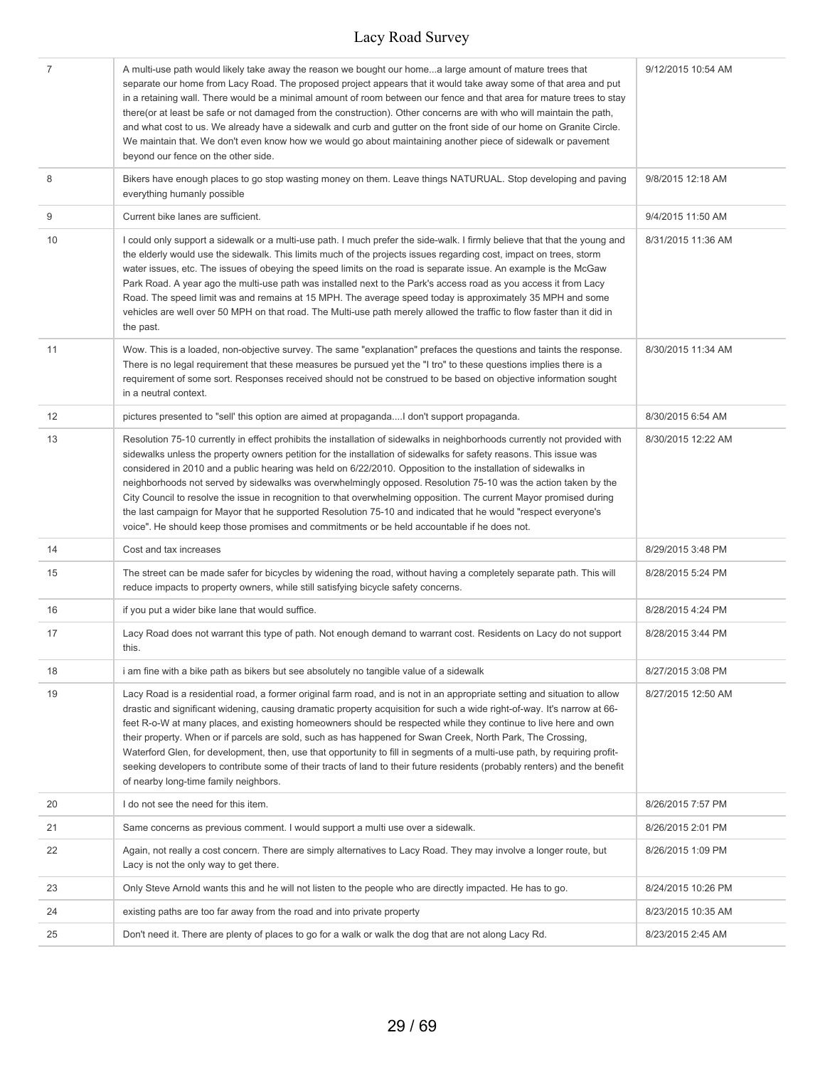| $\overline{7}$ | A multi-use path would likely take away the reason we bought our homea large amount of mature trees that<br>separate our home from Lacy Road. The proposed project appears that it would take away some of that area and put<br>in a retaining wall. There would be a minimal amount of room between our fence and that area for mature trees to stay<br>there (or at least be safe or not damaged from the construction). Other concerns are with who will maintain the path,<br>and what cost to us. We already have a sidewalk and curb and gutter on the front side of our home on Granite Circle.<br>We maintain that. We don't even know how we would go about maintaining another piece of sidewalk or pavement<br>beyond our fence on the other side.                                                               | 9/12/2015 10:54 AM |
|----------------|-----------------------------------------------------------------------------------------------------------------------------------------------------------------------------------------------------------------------------------------------------------------------------------------------------------------------------------------------------------------------------------------------------------------------------------------------------------------------------------------------------------------------------------------------------------------------------------------------------------------------------------------------------------------------------------------------------------------------------------------------------------------------------------------------------------------------------|--------------------|
| 8              | Bikers have enough places to go stop wasting money on them. Leave things NATURUAL. Stop developing and paving<br>everything humanly possible                                                                                                                                                                                                                                                                                                                                                                                                                                                                                                                                                                                                                                                                                | 9/8/2015 12:18 AM  |
| 9              | Current bike lanes are sufficient.                                                                                                                                                                                                                                                                                                                                                                                                                                                                                                                                                                                                                                                                                                                                                                                          | 9/4/2015 11:50 AM  |
| 10             | I could only support a sidewalk or a multi-use path. I much prefer the side-walk. I firmly believe that that the young and<br>the elderly would use the sidewalk. This limits much of the projects issues regarding cost, impact on trees, storm<br>water issues, etc. The issues of obeying the speed limits on the road is separate issue. An example is the McGaw<br>Park Road. A year ago the multi-use path was installed next to the Park's access road as you access it from Lacy<br>Road. The speed limit was and remains at 15 MPH. The average speed today is approximately 35 MPH and some<br>vehicles are well over 50 MPH on that road. The Multi-use path merely allowed the traffic to flow faster than it did in<br>the past.                                                                               | 8/31/2015 11:36 AM |
| 11             | Wow. This is a loaded, non-objective survey. The same "explanation" prefaces the questions and taints the response.<br>There is no legal requirement that these measures be pursued yet the "I tro" to these questions implies there is a<br>requirement of some sort. Responses received should not be construed to be based on objective information sought<br>in a neutral context.                                                                                                                                                                                                                                                                                                                                                                                                                                      | 8/30/2015 11:34 AM |
| 12             | pictures presented to "sell' this option are aimed at propagandaI don't support propaganda.                                                                                                                                                                                                                                                                                                                                                                                                                                                                                                                                                                                                                                                                                                                                 | 8/30/2015 6:54 AM  |
| 13             | Resolution 75-10 currently in effect prohibits the installation of sidewalks in neighborhoods currently not provided with<br>sidewalks unless the property owners petition for the installation of sidewalks for safety reasons. This issue was<br>considered in 2010 and a public hearing was held on 6/22/2010. Opposition to the installation of sidewalks in<br>neighborhoods not served by sidewalks was overwhelmingly opposed. Resolution 75-10 was the action taken by the<br>City Council to resolve the issue in recognition to that overwhelming opposition. The current Mayor promised during<br>the last campaign for Mayor that he supported Resolution 75-10 and indicated that he would "respect everyone's<br>voice". He should keep those promises and commitments or be held accountable if he does not. | 8/30/2015 12:22 AM |
| 14             | Cost and tax increases                                                                                                                                                                                                                                                                                                                                                                                                                                                                                                                                                                                                                                                                                                                                                                                                      | 8/29/2015 3:48 PM  |
| 15             | The street can be made safer for bicycles by widening the road, without having a completely separate path. This will<br>reduce impacts to property owners, while still satisfying bicycle safety concerns.                                                                                                                                                                                                                                                                                                                                                                                                                                                                                                                                                                                                                  | 8/28/2015 5:24 PM  |
| 16             | if you put a wider bike lane that would suffice.                                                                                                                                                                                                                                                                                                                                                                                                                                                                                                                                                                                                                                                                                                                                                                            | 8/28/2015 4:24 PM  |
| 17             | Lacy Road does not warrant this type of path. Not enough demand to warrant cost. Residents on Lacy do not support<br>this.                                                                                                                                                                                                                                                                                                                                                                                                                                                                                                                                                                                                                                                                                                  | 8/28/2015 3:44 PM  |
| 18             | i am fine with a bike path as bikers but see absolutely no tangible value of a sidewalk                                                                                                                                                                                                                                                                                                                                                                                                                                                                                                                                                                                                                                                                                                                                     | 8/27/2015 3:08 PM  |
| 19             | Lacy Road is a residential road, a former original farm road, and is not in an appropriate setting and situation to allow<br>drastic and significant widening, causing dramatic property acquisition for such a wide right-of-way. It's narrow at 66-<br>feet R-o-W at many places, and existing homeowners should be respected while they continue to live here and own<br>their property. When or if parcels are sold, such as has happened for Swan Creek, North Park, The Crossing,<br>Waterford Glen, for development, then, use that opportunity to fill in segments of a multi-use path, by requiring profit-<br>seeking developers to contribute some of their tracts of land to their future residents (probably renters) and the benefit<br>of nearby long-time family neighbors.                                 | 8/27/2015 12:50 AM |
| 20             | I do not see the need for this item.                                                                                                                                                                                                                                                                                                                                                                                                                                                                                                                                                                                                                                                                                                                                                                                        | 8/26/2015 7:57 PM  |
| 21             | Same concerns as previous comment. I would support a multi use over a sidewalk.                                                                                                                                                                                                                                                                                                                                                                                                                                                                                                                                                                                                                                                                                                                                             | 8/26/2015 2:01 PM  |
| 22             | Again, not really a cost concern. There are simply alternatives to Lacy Road. They may involve a longer route, but<br>Lacy is not the only way to get there.                                                                                                                                                                                                                                                                                                                                                                                                                                                                                                                                                                                                                                                                | 8/26/2015 1:09 PM  |
| 23             | Only Steve Arnold wants this and he will not listen to the people who are directly impacted. He has to go.                                                                                                                                                                                                                                                                                                                                                                                                                                                                                                                                                                                                                                                                                                                  | 8/24/2015 10:26 PM |
| 24             | existing paths are too far away from the road and into private property                                                                                                                                                                                                                                                                                                                                                                                                                                                                                                                                                                                                                                                                                                                                                     | 8/23/2015 10:35 AM |
| 25             | Don't need it. There are plenty of places to go for a walk or walk the dog that are not along Lacy Rd.                                                                                                                                                                                                                                                                                                                                                                                                                                                                                                                                                                                                                                                                                                                      | 8/23/2015 2:45 AM  |
|                |                                                                                                                                                                                                                                                                                                                                                                                                                                                                                                                                                                                                                                                                                                                                                                                                                             |                    |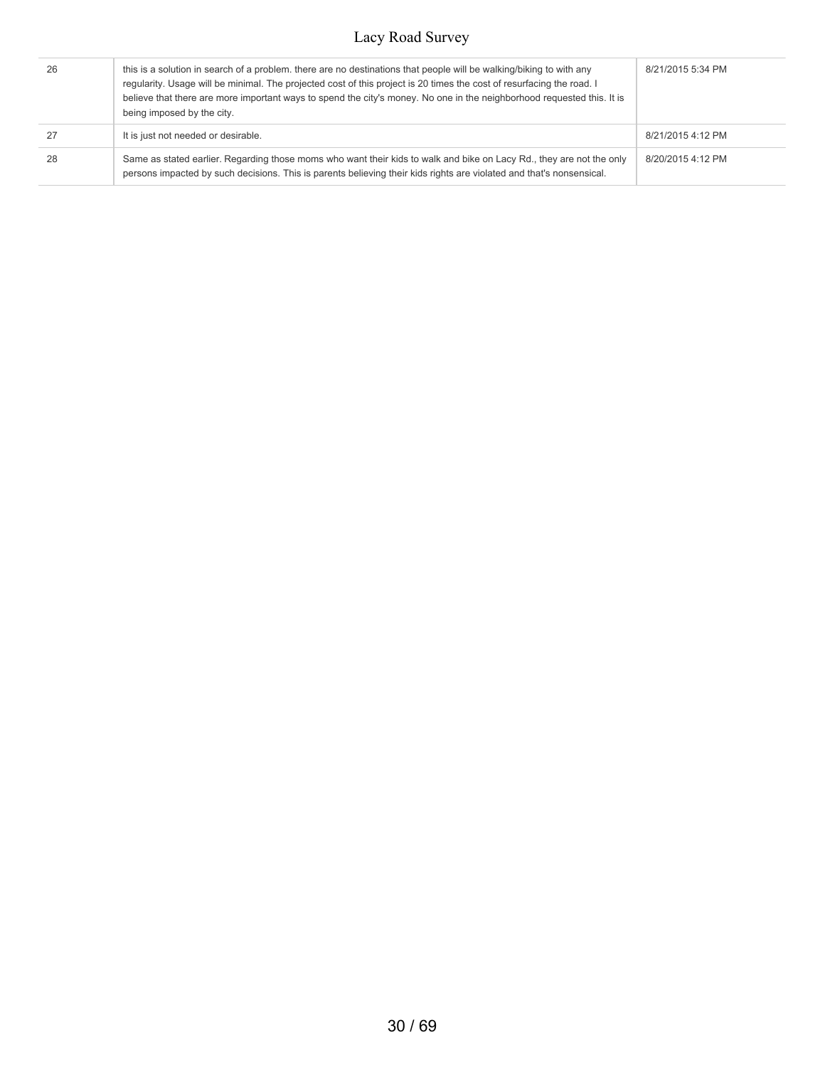| 26 | this is a solution in search of a problem, there are no destinations that people will be walking/biking to with any<br>reqularity. Usage will be minimal. The projected cost of this project is 20 times the cost of resurfacing the road. I<br>believe that there are more important ways to spend the city's money. No one in the neighborhood requested this. It is<br>being imposed by the city. | 8/21/2015 5:34 PM |
|----|------------------------------------------------------------------------------------------------------------------------------------------------------------------------------------------------------------------------------------------------------------------------------------------------------------------------------------------------------------------------------------------------------|-------------------|
| 27 | It is just not needed or desirable.                                                                                                                                                                                                                                                                                                                                                                  | 8/21/2015 4:12 PM |
| 28 | Same as stated earlier. Regarding those moms who want their kids to walk and bike on Lacy Rd., they are not the only<br>persons impacted by such decisions. This is parents believing their kids rights are violated and that's nonsensical.                                                                                                                                                         | 8/20/2015 4:12 PM |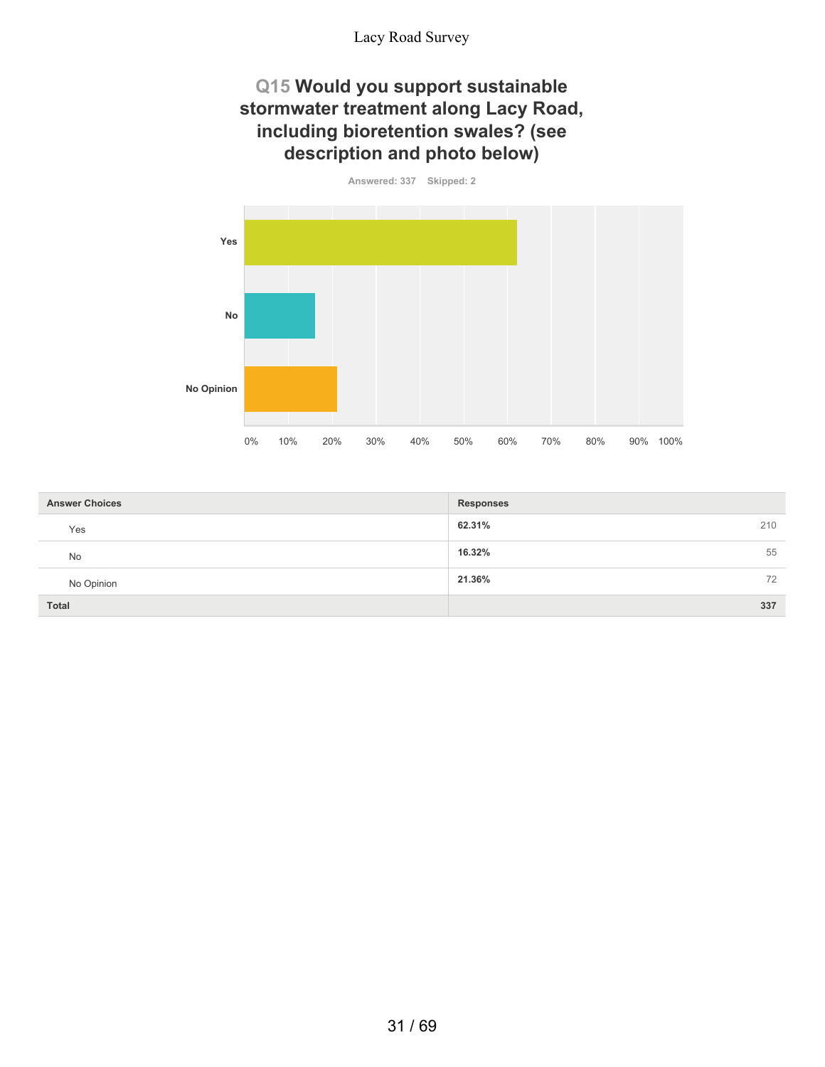# **Q15 Would you support sustainable stormwater treatment along Lacy Road, including bioretention swales? (see description and photo below)**

**Answered: 337 Skipped: 2 Yes No No Opinion** 0% 10% 20% 30% 40% 50% 60% 70% 80% 90% 100%

| <b>Answer Choices</b> | <b>Responses</b> |
|-----------------------|------------------|
| Yes                   | 62.31%<br>210    |
| No                    | 16.32%<br>55     |
| No Opinion            | 21.36%<br>72     |
| <b>Total</b>          | 337              |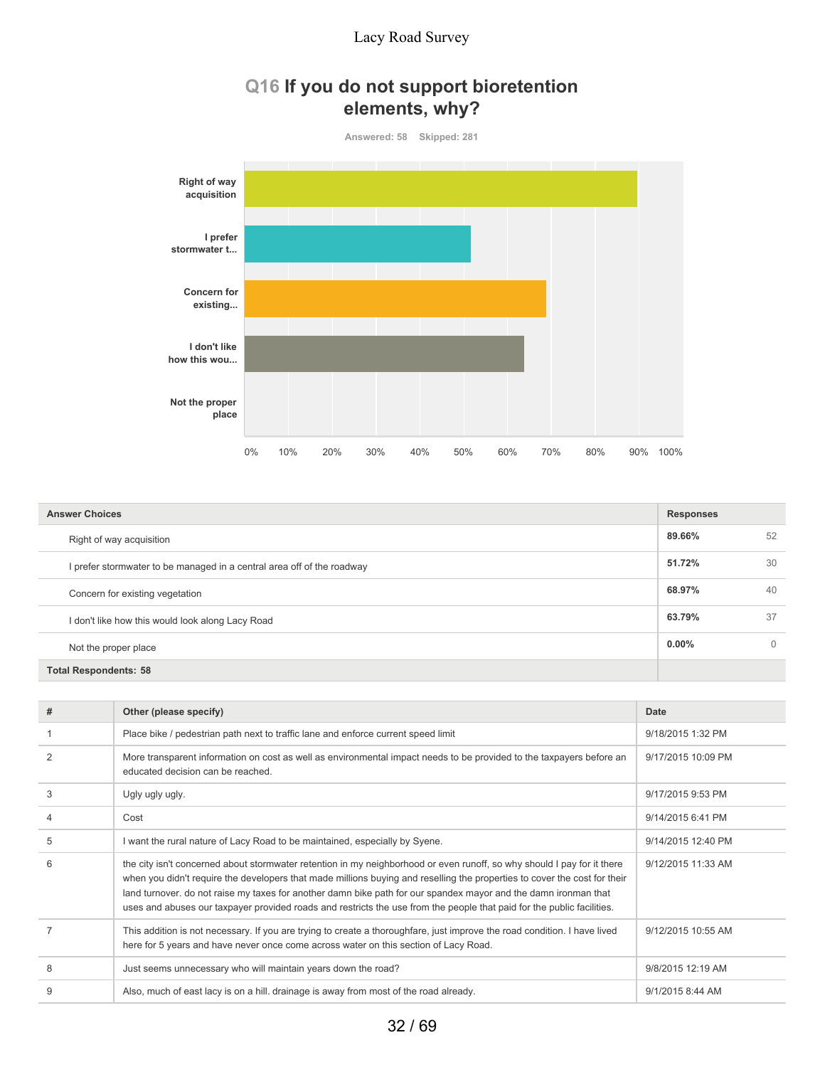# **Q16 If you do not support bioretention elements, why?**



| <b>Answer Choices</b>                                                  |        | <b>Responses</b> |  |
|------------------------------------------------------------------------|--------|------------------|--|
| Right of way acquisition                                               | 89.66% | 52               |  |
| I prefer stormwater to be managed in a central area off of the roadway | 51.72% | 30               |  |
| Concern for existing vegetation                                        | 68.97% | 40               |  |
| 63.79%<br>I don't like how this would look along Lacy Road             |        | 37               |  |
| Not the proper place                                                   |        | $\Omega$         |  |
| <b>Total Respondents: 58</b>                                           |        |                  |  |

| # | Other (please specify)                                                                                                                                                                                                                                                                                                                                                                                                                                                                            | Date               |
|---|---------------------------------------------------------------------------------------------------------------------------------------------------------------------------------------------------------------------------------------------------------------------------------------------------------------------------------------------------------------------------------------------------------------------------------------------------------------------------------------------------|--------------------|
|   | Place bike / pedestrian path next to traffic lane and enforce current speed limit                                                                                                                                                                                                                                                                                                                                                                                                                 | 9/18/2015 1:32 PM  |
| 2 | More transparent information on cost as well as environmental impact needs to be provided to the taxpayers before an<br>educated decision can be reached.                                                                                                                                                                                                                                                                                                                                         | 9/17/2015 10:09 PM |
| 3 | Ugly ugly ugly.                                                                                                                                                                                                                                                                                                                                                                                                                                                                                   | 9/17/2015 9:53 PM  |
|   | Cost                                                                                                                                                                                                                                                                                                                                                                                                                                                                                              | 9/14/2015 6:41 PM  |
| 5 | I want the rural nature of Lacy Road to be maintained, especially by Syene.                                                                                                                                                                                                                                                                                                                                                                                                                       | 9/14/2015 12:40 PM |
| 6 | the city isn't concerned about stormwater retention in my neighborhood or even runoff, so why should I pay for it there<br>when you didn't require the developers that made millions buying and reselling the properties to cover the cost for their<br>land turnover, do not raise my taxes for another damn bike path for our spandex mayor and the damn ironman that<br>uses and abuses our taxpayer provided roads and restricts the use from the people that paid for the public facilities. | 9/12/2015 11:33 AM |
|   | This addition is not necessary. If you are trying to create a thoroughfare, just improve the road condition. I have lived<br>here for 5 years and have never once come across water on this section of Lacy Road.                                                                                                                                                                                                                                                                                 | 9/12/2015 10:55 AM |
| 8 | Just seems unnecessary who will maintain years down the road?                                                                                                                                                                                                                                                                                                                                                                                                                                     | 9/8/2015 12:19 AM  |
| 9 | Also, much of east lacy is on a hill. drainage is away from most of the road already.                                                                                                                                                                                                                                                                                                                                                                                                             | 9/1/2015 8:44 AM   |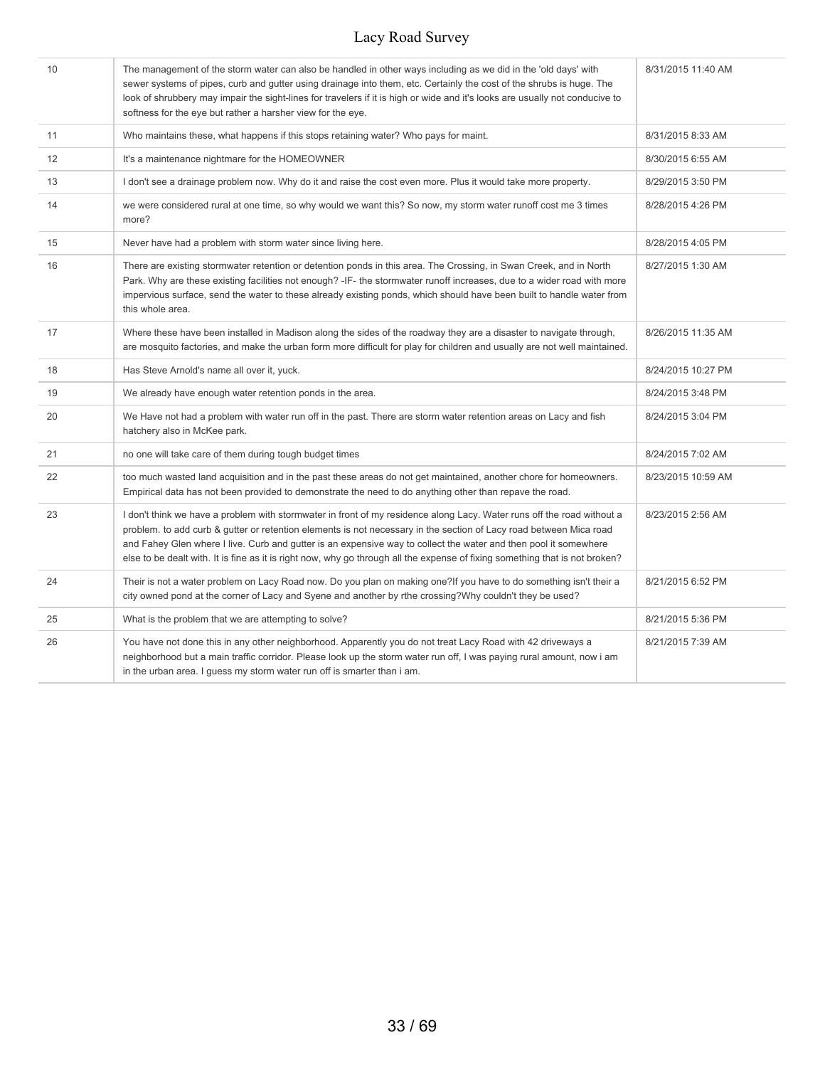| 10                | The management of the storm water can also be handled in other ways including as we did in the 'old days' with<br>sewer systems of pipes, curb and gutter using drainage into them, etc. Certainly the cost of the shrubs is huge. The<br>look of shrubbery may impair the sight-lines for travelers if it is high or wide and it's looks are usually not conducive to<br>softness for the eye but rather a harsher view for the eye.                                                            | 8/31/2015 11:40 AM |
|-------------------|--------------------------------------------------------------------------------------------------------------------------------------------------------------------------------------------------------------------------------------------------------------------------------------------------------------------------------------------------------------------------------------------------------------------------------------------------------------------------------------------------|--------------------|
| 11                | Who maintains these, what happens if this stops retaining water? Who pays for maint.                                                                                                                                                                                                                                                                                                                                                                                                             | 8/31/2015 8:33 AM  |
| $12 \overline{ }$ | It's a maintenance nightmare for the HOMEOWNER                                                                                                                                                                                                                                                                                                                                                                                                                                                   | 8/30/2015 6:55 AM  |
| 13                | I don't see a drainage problem now. Why do it and raise the cost even more. Plus it would take more property.                                                                                                                                                                                                                                                                                                                                                                                    | 8/29/2015 3:50 PM  |
| 14                | we were considered rural at one time, so why would we want this? So now, my storm water runoff cost me 3 times<br>more?                                                                                                                                                                                                                                                                                                                                                                          | 8/28/2015 4:26 PM  |
| 15                | Never have had a problem with storm water since living here.                                                                                                                                                                                                                                                                                                                                                                                                                                     | 8/28/2015 4:05 PM  |
| 16                | There are existing stormwater retention or detention ponds in this area. The Crossing, in Swan Creek, and in North<br>Park. Why are these existing facilities not enough? -IF- the stormwater runoff increases, due to a wider road with more<br>impervious surface, send the water to these already existing ponds, which should have been built to handle water from<br>this whole area.                                                                                                       | 8/27/2015 1:30 AM  |
| 17                | Where these have been installed in Madison along the sides of the roadway they are a disaster to navigate through,<br>are mosquito factories, and make the urban form more difficult for play for children and usually are not well maintained.                                                                                                                                                                                                                                                  | 8/26/2015 11:35 AM |
| 18                | Has Steve Arnold's name all over it, yuck.                                                                                                                                                                                                                                                                                                                                                                                                                                                       | 8/24/2015 10:27 PM |
| 19                | We already have enough water retention ponds in the area.                                                                                                                                                                                                                                                                                                                                                                                                                                        | 8/24/2015 3:48 PM  |
| 20                | We Have not had a problem with water run off in the past. There are storm water retention areas on Lacy and fish<br>hatchery also in McKee park.                                                                                                                                                                                                                                                                                                                                                 | 8/24/2015 3:04 PM  |
| 21                | no one will take care of them during tough budget times                                                                                                                                                                                                                                                                                                                                                                                                                                          | 8/24/2015 7:02 AM  |
| 22                | too much wasted land acquisition and in the past these areas do not get maintained, another chore for homeowners.<br>Empirical data has not been provided to demonstrate the need to do anything other than repave the road.                                                                                                                                                                                                                                                                     | 8/23/2015 10:59 AM |
| 23                | I don't think we have a problem with stormwater in front of my residence along Lacy. Water runs off the road without a<br>problem. to add curb & gutter or retention elements is not necessary in the section of Lacy road between Mica road<br>and Fahey Glen where I live. Curb and gutter is an expensive way to collect the water and then pool it somewhere<br>else to be dealt with. It is fine as it is right now, why go through all the expense of fixing something that is not broken? | 8/23/2015 2:56 AM  |
| 24                | Their is not a water problem on Lacy Road now. Do you plan on making one?If you have to do something isn't their a<br>city owned pond at the corner of Lacy and Syene and another by rthe crossing? Why couldn't they be used?                                                                                                                                                                                                                                                                   | 8/21/2015 6:52 PM  |
| 25                | What is the problem that we are attempting to solve?                                                                                                                                                                                                                                                                                                                                                                                                                                             | 8/21/2015 5:36 PM  |
| 26                | You have not done this in any other neighborhood. Apparently you do not treat Lacy Road with 42 driveways a<br>neighborhood but a main traffic corridor. Please look up the storm water run off, I was paying rural amount, now i am<br>in the urban area. I guess my storm water run off is smarter than i am.                                                                                                                                                                                  | 8/21/2015 7:39 AM  |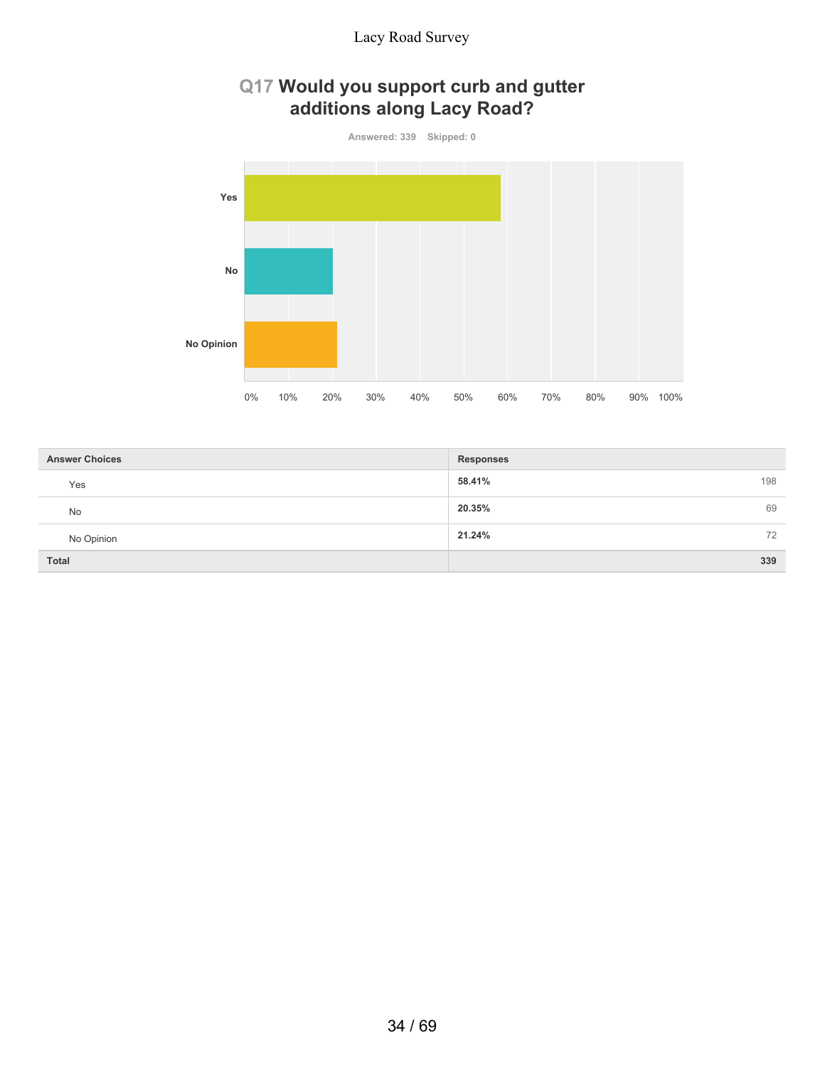# **Q17 Would you support curb and gutter additions along Lacy Road?**



| <b>Answer Choices</b> | <b>Responses</b> |
|-----------------------|------------------|
| Yes                   | 58.41%<br>198    |
| <b>No</b>             | 20.35%<br>69     |
| No Opinion            | 21.24%<br>72     |
| <b>Total</b>          | 339              |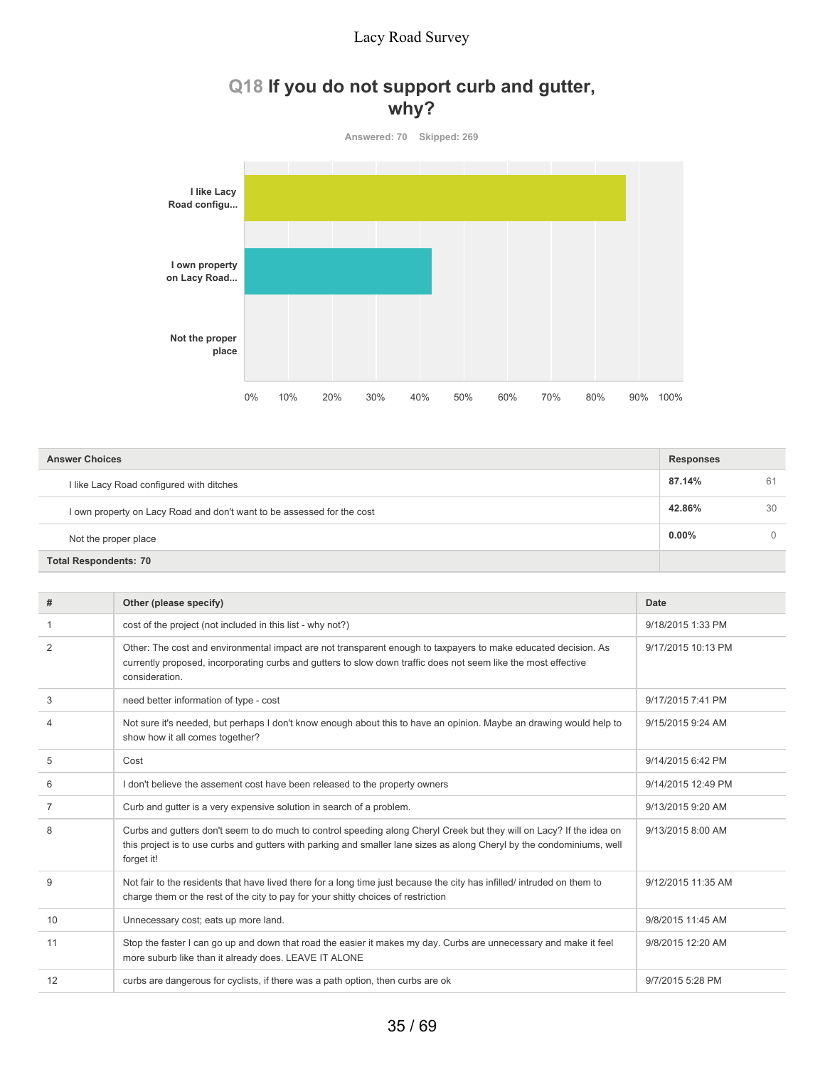# **Q18 If you do not support curb and gutter, why?**



| <b>Answer Choices</b>                                                  | <b>Responses</b> |    |
|------------------------------------------------------------------------|------------------|----|
| I like Lacy Road configured with ditches                               | 87.14%           | 61 |
| I own property on Lacy Road and don't want to be assessed for the cost | 42.86%           | 30 |
| Not the proper place                                                   | $0.00\%$         |    |
| <b>Total Respondents: 70</b>                                           |                  |    |

| #  | Other (please specify)                                                                                                                                                                                                                                       | <b>Date</b>        |
|----|--------------------------------------------------------------------------------------------------------------------------------------------------------------------------------------------------------------------------------------------------------------|--------------------|
| 1  | cost of the project (not included in this list - why not?)                                                                                                                                                                                                   | 9/18/2015 1:33 PM  |
| 2  | Other: The cost and environmental impact are not transparent enough to taxpayers to make educated decision. As<br>currently proposed, incorporating curbs and gutters to slow down traffic does not seem like the most effective<br>consideration.           | 9/17/2015 10:13 PM |
| 3  | need better information of type - cost                                                                                                                                                                                                                       | 9/17/2015 7:41 PM  |
| 4  | Not sure it's needed, but perhaps I don't know enough about this to have an opinion. Maybe an drawing would help to<br>show how it all comes together?                                                                                                       | 9/15/2015 9:24 AM  |
| 5  | Cost                                                                                                                                                                                                                                                         | 9/14/2015 6:42 PM  |
| 6  | I don't believe the assement cost have been released to the property owners                                                                                                                                                                                  | 9/14/2015 12:49 PM |
| 7  | Curb and gutter is a very expensive solution in search of a problem.                                                                                                                                                                                         | 9/13/2015 9:20 AM  |
| 8  | Curbs and gutters don't seem to do much to control speeding along Cheryl Creek but they will on Lacy? If the idea on<br>this project is to use curbs and gutters with parking and smaller lane sizes as along Cheryl by the condominiums, well<br>forget it! | 9/13/2015 8:00 AM  |
| 9  | Not fair to the residents that have lived there for a long time just because the city has infilled/intruded on them to<br>charge them or the rest of the city to pay for your shitty choices of restriction                                                  | 9/12/2015 11:35 AM |
| 10 | Unnecessary cost; eats up more land.                                                                                                                                                                                                                         | 9/8/2015 11:45 AM  |
| 11 | Stop the faster I can go up and down that road the easier it makes my day. Curbs are unnecessary and make it feel<br>more suburb like than it already does. LEAVE IT ALONE                                                                                   | 9/8/2015 12:20 AM  |
| 12 | curbs are dangerous for cyclists, if there was a path option, then curbs are ok                                                                                                                                                                              | 9/7/2015 5:28 PM   |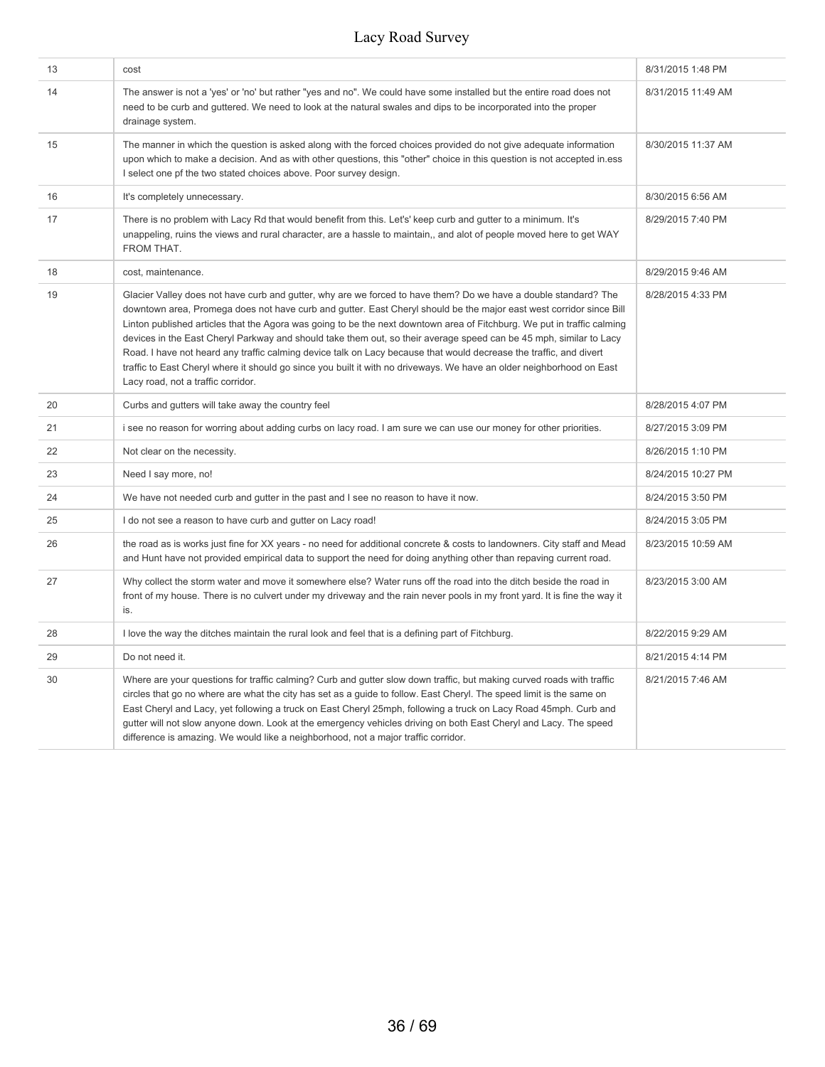| 13 | cost                                                                                                                                                                                                                                                                                                                                                                                                                                                                                                                                                                                                                                                                                                                                                                         | 8/31/2015 1:48 PM  |
|----|------------------------------------------------------------------------------------------------------------------------------------------------------------------------------------------------------------------------------------------------------------------------------------------------------------------------------------------------------------------------------------------------------------------------------------------------------------------------------------------------------------------------------------------------------------------------------------------------------------------------------------------------------------------------------------------------------------------------------------------------------------------------------|--------------------|
| 14 | The answer is not a 'yes' or 'no' but rather "yes and no". We could have some installed but the entire road does not<br>need to be curb and guttered. We need to look at the natural swales and dips to be incorporated into the proper<br>drainage system.                                                                                                                                                                                                                                                                                                                                                                                                                                                                                                                  | 8/31/2015 11:49 AM |
| 15 | The manner in which the question is asked along with the forced choices provided do not give adequate information<br>upon which to make a decision. And as with other questions, this "other" choice in this question is not accepted in ess<br>I select one pf the two stated choices above. Poor survey design.                                                                                                                                                                                                                                                                                                                                                                                                                                                            | 8/30/2015 11:37 AM |
| 16 | It's completely unnecessary.                                                                                                                                                                                                                                                                                                                                                                                                                                                                                                                                                                                                                                                                                                                                                 | 8/30/2015 6:56 AM  |
| 17 | There is no problem with Lacy Rd that would benefit from this. Let's' keep curb and gutter to a minimum. It's<br>unappeling, ruins the views and rural character, are a hassle to maintain,, and alot of people moved here to get WAY<br>FROM THAT.                                                                                                                                                                                                                                                                                                                                                                                                                                                                                                                          | 8/29/2015 7:40 PM  |
| 18 | cost, maintenance.                                                                                                                                                                                                                                                                                                                                                                                                                                                                                                                                                                                                                                                                                                                                                           | 8/29/2015 9:46 AM  |
| 19 | Glacier Valley does not have curb and gutter, why are we forced to have them? Do we have a double standard? The<br>downtown area, Promega does not have curb and gutter. East Cheryl should be the major east west corridor since Bill<br>Linton published articles that the Agora was going to be the next downtown area of Fitchburg. We put in traffic calming<br>devices in the East Cheryl Parkway and should take them out, so their average speed can be 45 mph, similar to Lacy<br>Road. I have not heard any traffic calming device talk on Lacy because that would decrease the traffic, and divert<br>traffic to East Cheryl where it should go since you built it with no driveways. We have an older neighborhood on East<br>Lacy road, not a traffic corridor. | 8/28/2015 4:33 PM  |
| 20 | Curbs and gutters will take away the country feel                                                                                                                                                                                                                                                                                                                                                                                                                                                                                                                                                                                                                                                                                                                            | 8/28/2015 4:07 PM  |
| 21 | i see no reason for worring about adding curbs on lacy road. I am sure we can use our money for other priorities.                                                                                                                                                                                                                                                                                                                                                                                                                                                                                                                                                                                                                                                            | 8/27/2015 3:09 PM  |
| 22 | Not clear on the necessity.                                                                                                                                                                                                                                                                                                                                                                                                                                                                                                                                                                                                                                                                                                                                                  | 8/26/2015 1:10 PM  |
| 23 | Need I say more, no!                                                                                                                                                                                                                                                                                                                                                                                                                                                                                                                                                                                                                                                                                                                                                         | 8/24/2015 10:27 PM |
| 24 | We have not needed curb and gutter in the past and I see no reason to have it now.                                                                                                                                                                                                                                                                                                                                                                                                                                                                                                                                                                                                                                                                                           | 8/24/2015 3:50 PM  |
| 25 | I do not see a reason to have curb and gutter on Lacy road!                                                                                                                                                                                                                                                                                                                                                                                                                                                                                                                                                                                                                                                                                                                  | 8/24/2015 3:05 PM  |
| 26 | the road as is works just fine for XX years - no need for additional concrete & costs to landowners. City staff and Mead<br>and Hunt have not provided empirical data to support the need for doing anything other than repaving current road.                                                                                                                                                                                                                                                                                                                                                                                                                                                                                                                               | 8/23/2015 10:59 AM |
| 27 | Why collect the storm water and move it somewhere else? Water runs off the road into the ditch beside the road in<br>front of my house. There is no culvert under my driveway and the rain never pools in my front yard. It is fine the way it<br>is.                                                                                                                                                                                                                                                                                                                                                                                                                                                                                                                        | 8/23/2015 3:00 AM  |
| 28 | I love the way the ditches maintain the rural look and feel that is a defining part of Fitchburg.                                                                                                                                                                                                                                                                                                                                                                                                                                                                                                                                                                                                                                                                            | 8/22/2015 9:29 AM  |
| 29 | Do not need it.                                                                                                                                                                                                                                                                                                                                                                                                                                                                                                                                                                                                                                                                                                                                                              | 8/21/2015 4:14 PM  |
| 30 | Where are your questions for traffic calming? Curb and gutter slow down traffic, but making curved roads with traffic<br>circles that go no where are what the city has set as a guide to follow. East Cheryl. The speed limit is the same on<br>East Cheryl and Lacy, yet following a truck on East Cheryl 25mph, following a truck on Lacy Road 45mph. Curb and<br>gutter will not slow anyone down. Look at the emergency vehicles driving on both East Cheryl and Lacy. The speed<br>difference is amazing. We would like a neighborhood, not a major traffic corridor.                                                                                                                                                                                                  | 8/21/2015 7:46 AM  |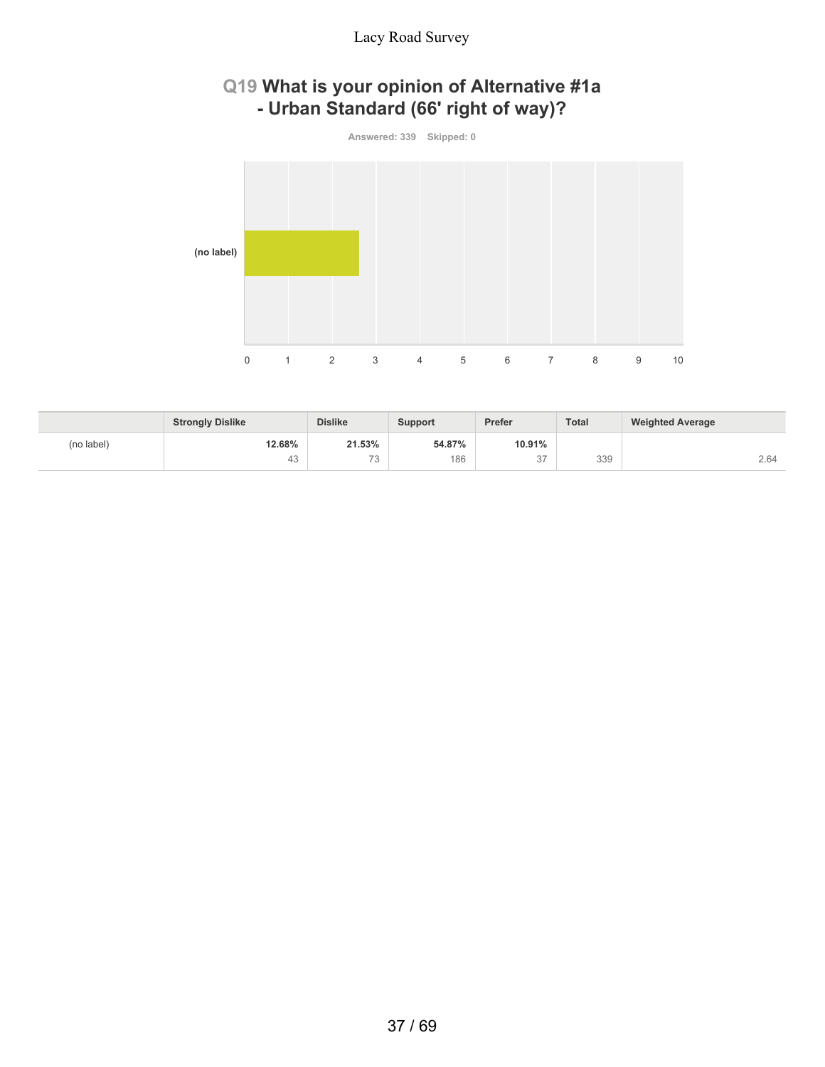# **Q19 What is your opinion of Alternative #1a - Urban Standard (66' right of way)?**

**Answered: 339 Skipped: 0 (no label)** 0 1 2 3 4 5 6 7 8 9 10

|            | <b>Strongly Dislike</b> | <b>Dislike</b>                | <b>Support</b> | Prefer                         | <b>Total</b> | <b>Weighted Average</b> |
|------------|-------------------------|-------------------------------|----------------|--------------------------------|--------------|-------------------------|
| (no label) | 12.68%                  | 21.53%                        | 54.87%         | 10.91%                         |              |                         |
|            | 43                      | $\overline{\phantom{a}}$<br>ు | 186            | $\sim$ $\rightarrow$<br>$\cup$ | 339          | 2.64                    |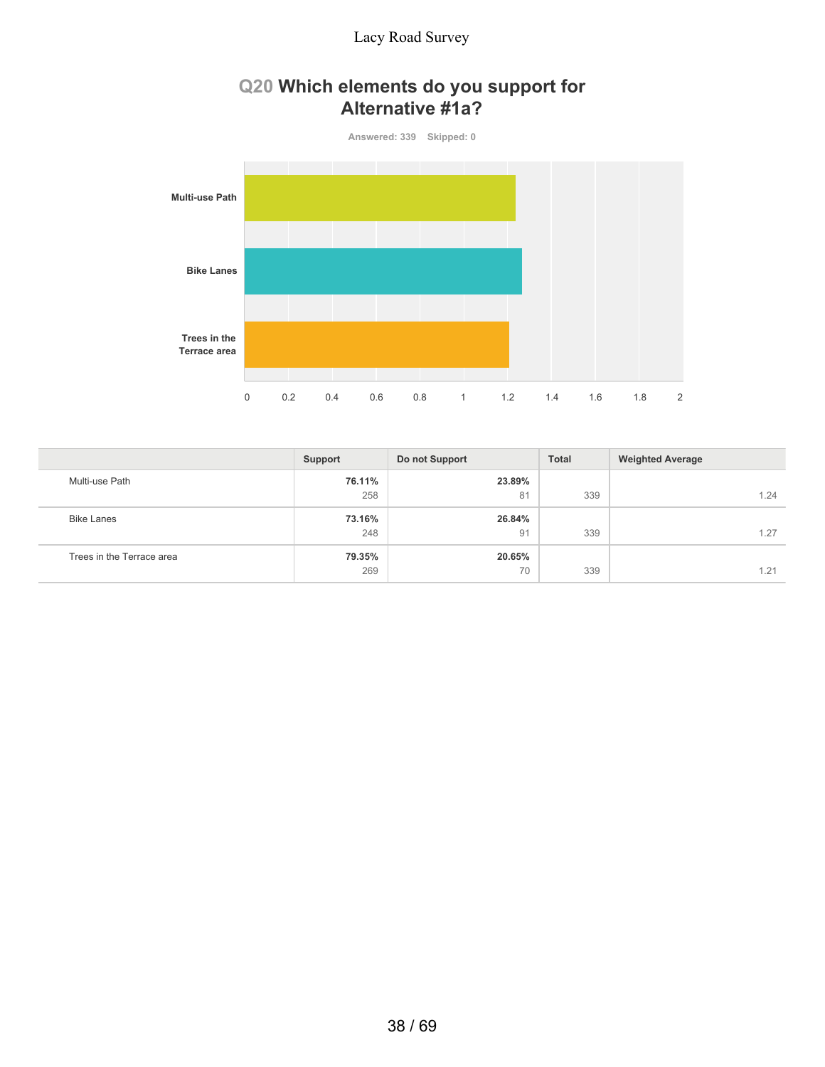

# **Q20 Which elements do you support for Alternative #1a?**

|                           | Support | Do not Support | <b>Total</b> | <b>Weighted Average</b> |
|---------------------------|---------|----------------|--------------|-------------------------|
| Multi-use Path            | 76.11%  | 23.89%         |              |                         |
|                           | 258     | 81             | 339          | 1.24                    |
| <b>Bike Lanes</b>         | 73.16%  | 26.84%         |              |                         |
|                           | 248     | 91             | 339          | 1.27                    |
| Trees in the Terrace area | 79.35%  | 20.65%         |              |                         |
|                           | 269     | 70             | 339          | 1.21                    |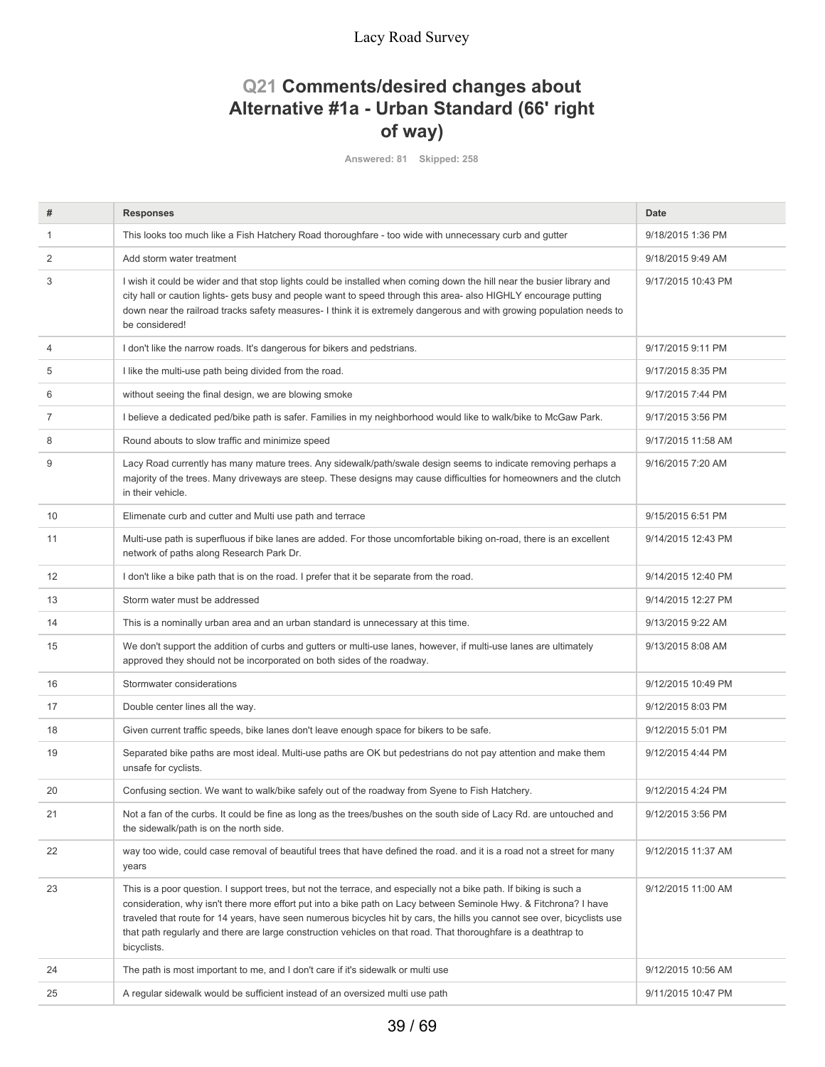# **Q21 Comments/desired changes about Alternative #1a - Urban Standard (66' right of way)**

**Answered: 81 Skipped: 258**

| 9/18/2015 1:36 PM  |
|--------------------|
| 9/18/2015 9:49 AM  |
| 9/17/2015 10:43 PM |
| 9/17/2015 9:11 PM  |
| 9/17/2015 8:35 PM  |
| 9/17/2015 7:44 PM  |
| 9/17/2015 3:56 PM  |
| 9/17/2015 11:58 AM |
| 9/16/2015 7:20 AM  |
| 9/15/2015 6:51 PM  |
| 9/14/2015 12:43 PM |
| 9/14/2015 12:40 PM |
| 9/14/2015 12:27 PM |
| 9/13/2015 9:22 AM  |
| 9/13/2015 8:08 AM  |
| 9/12/2015 10:49 PM |
| 9/12/2015 8:03 PM  |
| 9/12/2015 5:01 PM  |
| 9/12/2015 4:44 PM  |
| 9/12/2015 4:24 PM  |
| 9/12/2015 3:56 PM  |
| 9/12/2015 11:37 AM |
| 9/12/2015 11:00 AM |
| 9/12/2015 10:56 AM |
| 9/11/2015 10:47 PM |
|                    |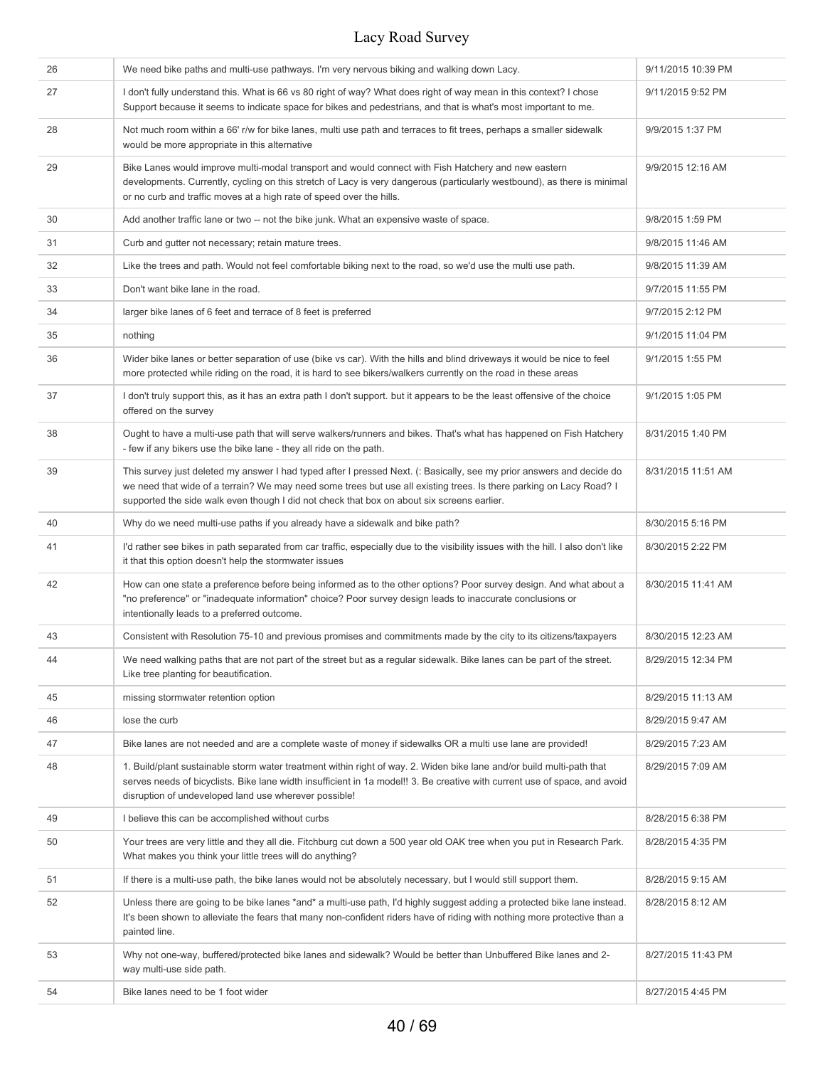| 26 | We need bike paths and multi-use pathways. I'm very nervous biking and walking down Lacy.                                                                                                                                                                                                                                                  | 9/11/2015 10:39 PM |
|----|--------------------------------------------------------------------------------------------------------------------------------------------------------------------------------------------------------------------------------------------------------------------------------------------------------------------------------------------|--------------------|
| 27 | I don't fully understand this. What is 66 vs 80 right of way? What does right of way mean in this context? I chose<br>Support because it seems to indicate space for bikes and pedestrians, and that is what's most important to me.                                                                                                       | 9/11/2015 9:52 PM  |
| 28 | Not much room within a 66' r/w for bike lanes, multi use path and terraces to fit trees, perhaps a smaller sidewalk<br>would be more appropriate in this alternative                                                                                                                                                                       | 9/9/2015 1:37 PM   |
| 29 | Bike Lanes would improve multi-modal transport and would connect with Fish Hatchery and new eastern<br>developments. Currently, cycling on this stretch of Lacy is very dangerous (particularly westbound), as there is minimal<br>or no curb and traffic moves at a high rate of speed over the hills.                                    | 9/9/2015 12:16 AM  |
| 30 | Add another traffic lane or two -- not the bike junk. What an expensive waste of space.                                                                                                                                                                                                                                                    | 9/8/2015 1:59 PM   |
| 31 | Curb and gutter not necessary; retain mature trees.                                                                                                                                                                                                                                                                                        | 9/8/2015 11:46 AM  |
| 32 | Like the trees and path. Would not feel comfortable biking next to the road, so we'd use the multi use path.                                                                                                                                                                                                                               | 9/8/2015 11:39 AM  |
| 33 | Don't want bike lane in the road.                                                                                                                                                                                                                                                                                                          | 9/7/2015 11:55 PM  |
| 34 | larger bike lanes of 6 feet and terrace of 8 feet is preferred                                                                                                                                                                                                                                                                             | 9/7/2015 2:12 PM   |
| 35 | nothing                                                                                                                                                                                                                                                                                                                                    | 9/1/2015 11:04 PM  |
| 36 | Wider bike lanes or better separation of use (bike vs car). With the hills and blind driveways it would be nice to feel<br>more protected while riding on the road, it is hard to see bikers/walkers currently on the road in these areas                                                                                                  | 9/1/2015 1:55 PM   |
| 37 | I don't truly support this, as it has an extra path I don't support. but it appears to be the least offensive of the choice<br>offered on the survey                                                                                                                                                                                       | 9/1/2015 1:05 PM   |
| 38 | Ought to have a multi-use path that will serve walkers/runners and bikes. That's what has happened on Fish Hatchery<br>- few if any bikers use the bike lane - they all ride on the path.                                                                                                                                                  | 8/31/2015 1:40 PM  |
| 39 | This survey just deleted my answer I had typed after I pressed Next. (: Basically, see my prior answers and decide do<br>we need that wide of a terrain? We may need some trees but use all existing trees. Is there parking on Lacy Road? I<br>supported the side walk even though I did not check that box on about six screens earlier. | 8/31/2015 11:51 AM |
| 40 | Why do we need multi-use paths if you already have a sidewalk and bike path?                                                                                                                                                                                                                                                               | 8/30/2015 5:16 PM  |
| 41 | I'd rather see bikes in path separated from car traffic, especially due to the visibility issues with the hill. I also don't like<br>it that this option doesn't help the stormwater issues                                                                                                                                                | 8/30/2015 2:22 PM  |
| 42 | How can one state a preference before being informed as to the other options? Poor survey design. And what about a<br>"no preference" or "inadequate information" choice? Poor survey design leads to inaccurate conclusions or<br>intentionally leads to a preferred outcome.                                                             | 8/30/2015 11:41 AM |
| 43 | Consistent with Resolution 75-10 and previous promises and commitments made by the city to its citizens/taxpayers                                                                                                                                                                                                                          | 8/30/2015 12:23 AM |
| 44 | We need walking paths that are not part of the street but as a regular sidewalk. Bike lanes can be part of the street.<br>Like tree planting for beautification.                                                                                                                                                                           | 8/29/2015 12:34 PM |
| 45 | missing stormwater retention option                                                                                                                                                                                                                                                                                                        | 8/29/2015 11:13 AM |
| 46 | lose the curb                                                                                                                                                                                                                                                                                                                              | 8/29/2015 9:47 AM  |
| 47 | Bike lanes are not needed and are a complete waste of money if sidewalks OR a multi use lane are provided!                                                                                                                                                                                                                                 | 8/29/2015 7:23 AM  |
| 48 | 1. Build/plant sustainable storm water treatment within right of way. 2. Widen bike lane and/or build multi-path that<br>serves needs of bicyclists. Bike lane width insufficient in 1a model!! 3. Be creative with current use of space, and avoid<br>disruption of undeveloped land use wherever possible!                               | 8/29/2015 7:09 AM  |
| 49 | I believe this can be accomplished without curbs                                                                                                                                                                                                                                                                                           | 8/28/2015 6:38 PM  |
| 50 | Your trees are very little and they all die. Fitchburg cut down a 500 year old OAK tree when you put in Research Park.<br>What makes you think your little trees will do anything?                                                                                                                                                         | 8/28/2015 4:35 PM  |
| 51 | If there is a multi-use path, the bike lanes would not be absolutely necessary, but I would still support them.                                                                                                                                                                                                                            | 8/28/2015 9:15 AM  |
| 52 | Unless there are going to be bike lanes *and* a multi-use path, I'd highly suggest adding a protected bike lane instead.<br>It's been shown to alleviate the fears that many non-confident riders have of riding with nothing more protective than a<br>painted line.                                                                      | 8/28/2015 8:12 AM  |
| 53 | Why not one-way, buffered/protected bike lanes and sidewalk? Would be better than Unbuffered Bike lanes and 2-<br>way multi-use side path.                                                                                                                                                                                                 | 8/27/2015 11:43 PM |
| 54 | Bike lanes need to be 1 foot wider                                                                                                                                                                                                                                                                                                         | 8/27/2015 4:45 PM  |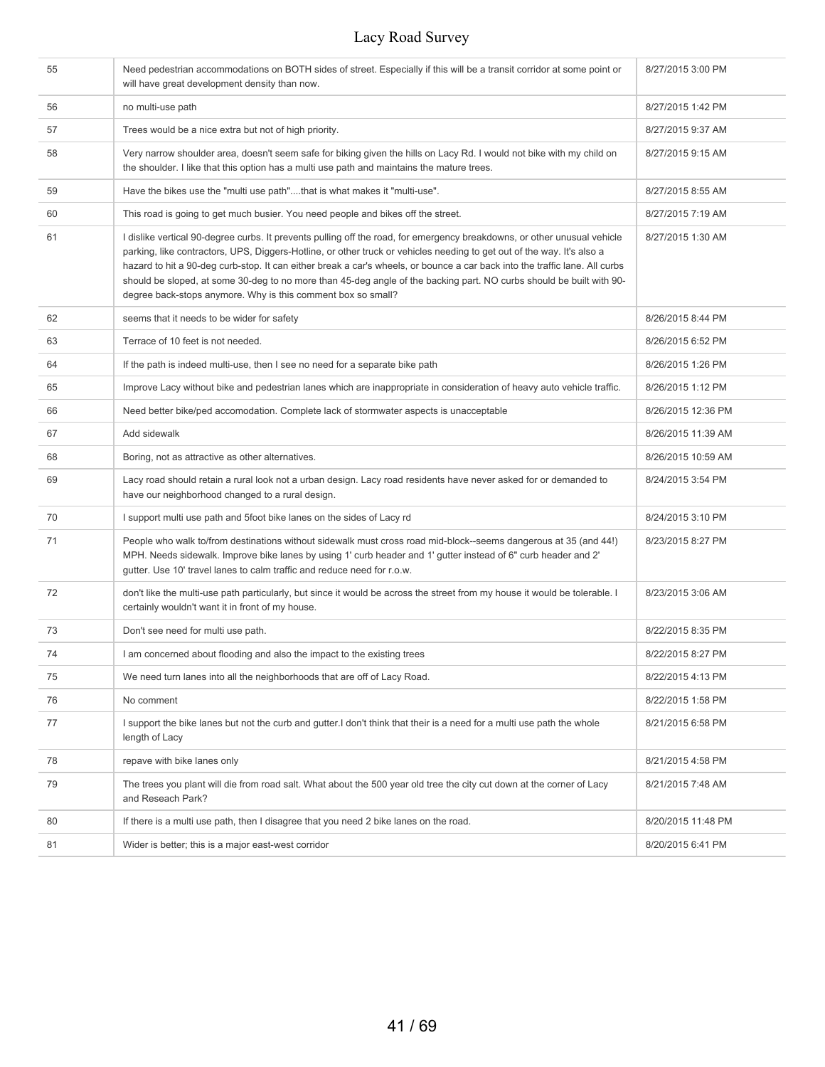| 55 | Need pedestrian accommodations on BOTH sides of street. Especially if this will be a transit corridor at some point or<br>will have great development density than now.                                                                                                                                                                                                                                                                                                                                                                                                   | 8/27/2015 3:00 PM  |
|----|---------------------------------------------------------------------------------------------------------------------------------------------------------------------------------------------------------------------------------------------------------------------------------------------------------------------------------------------------------------------------------------------------------------------------------------------------------------------------------------------------------------------------------------------------------------------------|--------------------|
| 56 | no multi-use path                                                                                                                                                                                                                                                                                                                                                                                                                                                                                                                                                         | 8/27/2015 1:42 PM  |
| 57 | Trees would be a nice extra but not of high priority.                                                                                                                                                                                                                                                                                                                                                                                                                                                                                                                     | 8/27/2015 9:37 AM  |
| 58 | Very narrow shoulder area, doesn't seem safe for biking given the hills on Lacy Rd. I would not bike with my child on<br>the shoulder. I like that this option has a multi use path and maintains the mature trees.                                                                                                                                                                                                                                                                                                                                                       | 8/27/2015 9:15 AM  |
| 59 | Have the bikes use the "multi use path"that is what makes it "multi-use".                                                                                                                                                                                                                                                                                                                                                                                                                                                                                                 | 8/27/2015 8:55 AM  |
| 60 | This road is going to get much busier. You need people and bikes off the street.                                                                                                                                                                                                                                                                                                                                                                                                                                                                                          | 8/27/2015 7:19 AM  |
| 61 | I dislike vertical 90-degree curbs. It prevents pulling off the road, for emergency breakdowns, or other unusual vehicle<br>parking, like contractors, UPS, Diggers-Hotline, or other truck or vehicles needing to get out of the way. It's also a<br>hazard to hit a 90-deg curb-stop. It can either break a car's wheels, or bounce a car back into the traffic lane. All curbs<br>should be sloped, at some 30-deg to no more than 45-deg angle of the backing part. NO curbs should be built with 90-<br>degree back-stops anymore. Why is this comment box so small? | 8/27/2015 1:30 AM  |
| 62 | seems that it needs to be wider for safety                                                                                                                                                                                                                                                                                                                                                                                                                                                                                                                                | 8/26/2015 8:44 PM  |
| 63 | Terrace of 10 feet is not needed.                                                                                                                                                                                                                                                                                                                                                                                                                                                                                                                                         | 8/26/2015 6:52 PM  |
| 64 | If the path is indeed multi-use, then I see no need for a separate bike path                                                                                                                                                                                                                                                                                                                                                                                                                                                                                              | 8/26/2015 1:26 PM  |
| 65 | Improve Lacy without bike and pedestrian lanes which are inappropriate in consideration of heavy auto vehicle traffic.                                                                                                                                                                                                                                                                                                                                                                                                                                                    | 8/26/2015 1:12 PM  |
| 66 | Need better bike/ped accomodation. Complete lack of stormwater aspects is unacceptable                                                                                                                                                                                                                                                                                                                                                                                                                                                                                    | 8/26/2015 12:36 PM |
| 67 | Add sidewalk                                                                                                                                                                                                                                                                                                                                                                                                                                                                                                                                                              | 8/26/2015 11:39 AM |
| 68 | Boring, not as attractive as other alternatives.                                                                                                                                                                                                                                                                                                                                                                                                                                                                                                                          | 8/26/2015 10:59 AM |
| 69 | Lacy road should retain a rural look not a urban design. Lacy road residents have never asked for or demanded to<br>have our neighborhood changed to a rural design.                                                                                                                                                                                                                                                                                                                                                                                                      | 8/24/2015 3:54 PM  |
| 70 | I support multi use path and 5 foot bike lanes on the sides of Lacy rd                                                                                                                                                                                                                                                                                                                                                                                                                                                                                                    | 8/24/2015 3:10 PM  |
| 71 | People who walk to/from destinations without sidewalk must cross road mid-block--seems dangerous at 35 (and 44!)<br>MPH. Needs sidewalk. Improve bike lanes by using 1' curb header and 1' gutter instead of 6" curb header and 2'<br>gutter. Use 10' travel lanes to calm traffic and reduce need for r.o.w.                                                                                                                                                                                                                                                             | 8/23/2015 8:27 PM  |
| 72 | don't like the multi-use path particularly, but since it would be across the street from my house it would be tolerable. I<br>certainly wouldn't want it in front of my house.                                                                                                                                                                                                                                                                                                                                                                                            | 8/23/2015 3:06 AM  |
| 73 | Don't see need for multi use path.                                                                                                                                                                                                                                                                                                                                                                                                                                                                                                                                        | 8/22/2015 8:35 PM  |
| 74 | I am concerned about flooding and also the impact to the existing trees                                                                                                                                                                                                                                                                                                                                                                                                                                                                                                   | 8/22/2015 8:27 PM  |
| 75 | We need turn lanes into all the neighborhoods that are off of Lacy Road.                                                                                                                                                                                                                                                                                                                                                                                                                                                                                                  | 8/22/2015 4:13 PM  |
| 76 | No comment                                                                                                                                                                                                                                                                                                                                                                                                                                                                                                                                                                | 8/22/2015 1:58 PM  |
| 77 | I support the bike lanes but not the curb and gutter. I don't think that their is a need for a multi use path the whole<br>length of Lacy                                                                                                                                                                                                                                                                                                                                                                                                                                 | 8/21/2015 6:58 PM  |
| 78 | repave with bike lanes only                                                                                                                                                                                                                                                                                                                                                                                                                                                                                                                                               | 8/21/2015 4:58 PM  |
| 79 | The trees you plant will die from road salt. What about the 500 year old tree the city cut down at the corner of Lacy<br>and Reseach Park?                                                                                                                                                                                                                                                                                                                                                                                                                                | 8/21/2015 7:48 AM  |
| 80 | If there is a multi use path, then I disagree that you need 2 bike lanes on the road.                                                                                                                                                                                                                                                                                                                                                                                                                                                                                     | 8/20/2015 11:48 PM |
| 81 | Wider is better; this is a major east-west corridor                                                                                                                                                                                                                                                                                                                                                                                                                                                                                                                       | 8/20/2015 6:41 PM  |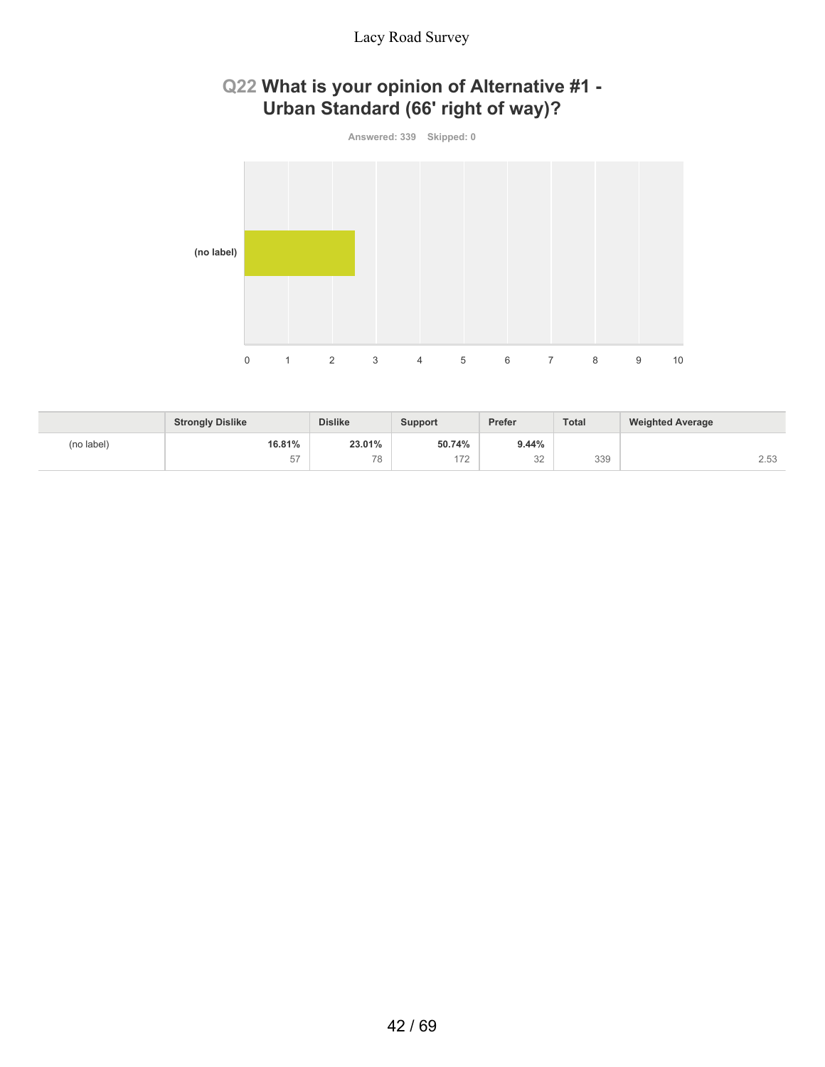# **Q22 What is your opinion of Alternative #1 - Urban Standard (66' right of way)?**



|            | <b>Strongly Dislike</b> | <b>Dislike</b> | <b>Support</b> | Prefer | Total | <b>Weighted Average</b> |
|------------|-------------------------|----------------|----------------|--------|-------|-------------------------|
| (no label) | 16.81%                  | 23.01%         | 50.74%         | 9.44%  |       |                         |
|            | $- -$<br>5/             | 78             | 172            | 32     | 339   | 2.53                    |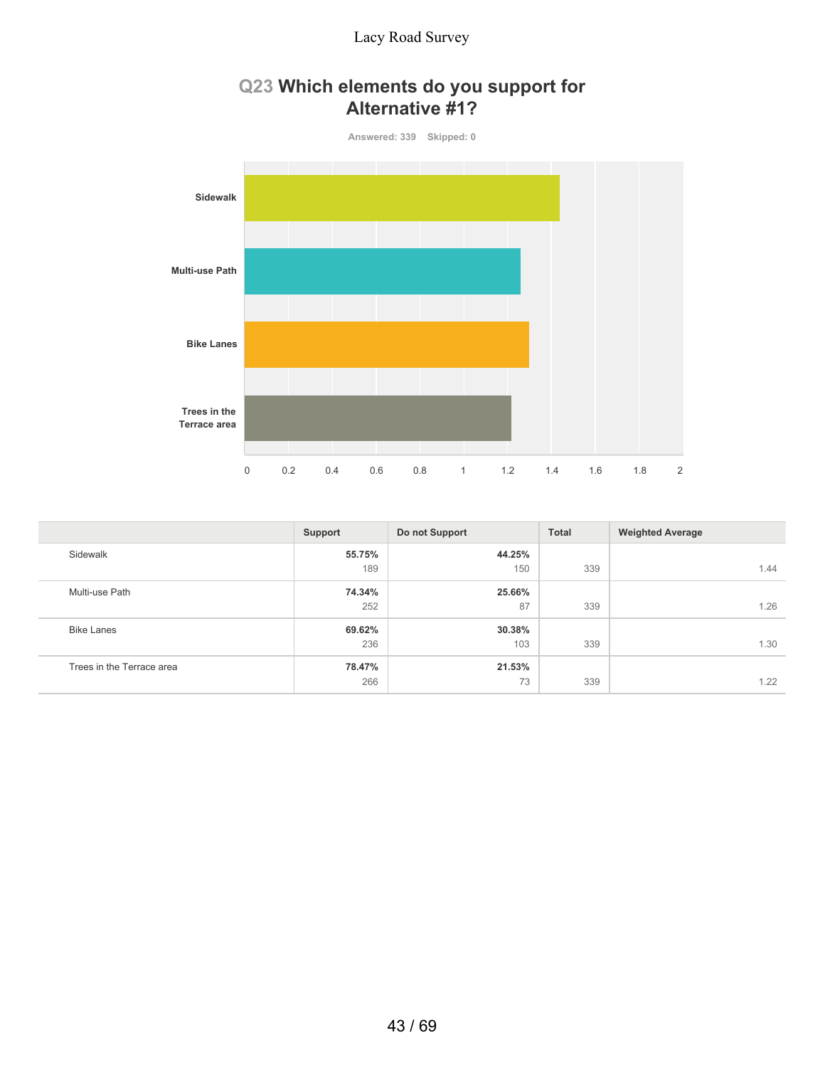

# **Q23 Which elements do you support for Alternative #1?**

|                           | Support | Do not Support | <b>Total</b> | <b>Weighted Average</b> |
|---------------------------|---------|----------------|--------------|-------------------------|
| Sidewalk                  | 55.75%  | 44.25%         |              |                         |
|                           | 189     | 150            | 339          | 1.44                    |
| Multi-use Path            | 74.34%  | 25.66%         |              |                         |
|                           | 252     | 87             | 339          | 1.26                    |
| <b>Bike Lanes</b>         | 69.62%  | $30.38\%$      |              |                         |
|                           | 236     | 103            | 339          | 1.30                    |
| Trees in the Terrace area | 78.47%  | 21.53%         |              |                         |
|                           | 266     | 73             | 339          | 1.22                    |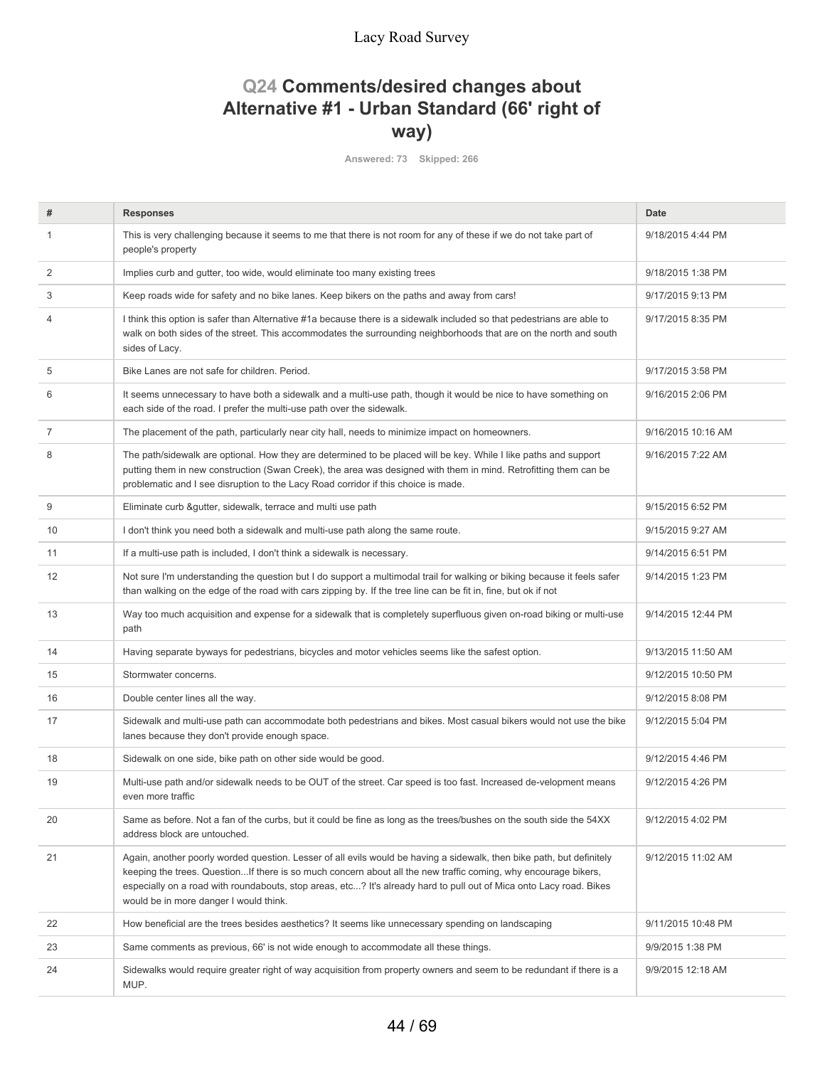# **Q24 Comments/desired changes about Alternative #1 - Urban Standard (66' right of way)**

**Answered: 73 Skipped: 266**

| #              | <b>Responses</b>                                                                                                                                                                                                                                                                                                                                                                                         | <b>Date</b>        |
|----------------|----------------------------------------------------------------------------------------------------------------------------------------------------------------------------------------------------------------------------------------------------------------------------------------------------------------------------------------------------------------------------------------------------------|--------------------|
| 1              | This is very challenging because it seems to me that there is not room for any of these if we do not take part of<br>people's property                                                                                                                                                                                                                                                                   | 9/18/2015 4:44 PM  |
| 2              | Implies curb and gutter, too wide, would eliminate too many existing trees                                                                                                                                                                                                                                                                                                                               | 9/18/2015 1:38 PM  |
| 3              | Keep roads wide for safety and no bike lanes. Keep bikers on the paths and away from cars!                                                                                                                                                                                                                                                                                                               | 9/17/2015 9:13 PM  |
| $\overline{4}$ | I think this option is safer than Alternative #1a because there is a sidewalk included so that pedestrians are able to<br>walk on both sides of the street. This accommodates the surrounding neighborhoods that are on the north and south<br>sides of Lacy.                                                                                                                                            | 9/17/2015 8:35 PM  |
| 5              | Bike Lanes are not safe for children. Period.                                                                                                                                                                                                                                                                                                                                                            | 9/17/2015 3:58 PM  |
| 6              | It seems unnecessary to have both a sidewalk and a multi-use path, though it would be nice to have something on<br>each side of the road. I prefer the multi-use path over the sidewalk.                                                                                                                                                                                                                 | 9/16/2015 2:06 PM  |
| 7              | The placement of the path, particularly near city hall, needs to minimize impact on homeowners.                                                                                                                                                                                                                                                                                                          | 9/16/2015 10:16 AM |
| 8              | The path/sidewalk are optional. How they are determined to be placed will be key. While I like paths and support<br>putting them in new construction (Swan Creek), the area was designed with them in mind. Retrofitting them can be<br>problematic and I see disruption to the Lacy Road corridor if this choice is made.                                                                               | 9/16/2015 7:22 AM  |
| 9              | Eliminate curb &gutter, sidewalk, terrace and multi use path                                                                                                                                                                                                                                                                                                                                             | 9/15/2015 6:52 PM  |
| 10             | I don't think you need both a sidewalk and multi-use path along the same route.                                                                                                                                                                                                                                                                                                                          | 9/15/2015 9:27 AM  |
| 11             | If a multi-use path is included, I don't think a sidewalk is necessary.                                                                                                                                                                                                                                                                                                                                  | 9/14/2015 6:51 PM  |
| 12             | Not sure I'm understanding the question but I do support a multimodal trail for walking or biking because it feels safer<br>than walking on the edge of the road with cars zipping by. If the tree line can be fit in, fine, but ok if not                                                                                                                                                               | 9/14/2015 1:23 PM  |
| 13             | Way too much acquisition and expense for a sidewalk that is completely superfluous given on-road biking or multi-use<br>path                                                                                                                                                                                                                                                                             | 9/14/2015 12:44 PM |
| 14             | Having separate byways for pedestrians, bicycles and motor vehicles seems like the safest option.                                                                                                                                                                                                                                                                                                        | 9/13/2015 11:50 AM |
| 15             | Stormwater concerns.                                                                                                                                                                                                                                                                                                                                                                                     | 9/12/2015 10:50 PM |
| 16             | Double center lines all the way.                                                                                                                                                                                                                                                                                                                                                                         | 9/12/2015 8:08 PM  |
| 17             | Sidewalk and multi-use path can accommodate both pedestrians and bikes. Most casual bikers would not use the bike<br>lanes because they don't provide enough space.                                                                                                                                                                                                                                      | 9/12/2015 5:04 PM  |
| 18             | Sidewalk on one side, bike path on other side would be good.                                                                                                                                                                                                                                                                                                                                             | 9/12/2015 4:46 PM  |
| 19             | Multi-use path and/or sidewalk needs to be OUT of the street. Car speed is too fast. Increased de-velopment means<br>even more traffic                                                                                                                                                                                                                                                                   | 9/12/2015 4:26 PM  |
| 20             | Same as before. Not a fan of the curbs, but it could be fine as long as the trees/bushes on the south side the 54XX<br>address block are untouched.                                                                                                                                                                                                                                                      | 9/12/2015 4:02 PM  |
| 21             | Again, another poorly worded question. Lesser of all evils would be having a sidewalk, then bike path, but definitely<br>keeping the trees. QuestionIf there is so much concern about all the new traffic coming, why encourage bikers,<br>especially on a road with roundabouts, stop areas, etc? It's already hard to pull out of Mica onto Lacy road. Bikes<br>would be in more danger I would think. | 9/12/2015 11:02 AM |
| 22             | How beneficial are the trees besides aesthetics? It seems like unnecessary spending on landscaping                                                                                                                                                                                                                                                                                                       | 9/11/2015 10:48 PM |
| 23             | Same comments as previous, 66' is not wide enough to accommodate all these things.                                                                                                                                                                                                                                                                                                                       | 9/9/2015 1:38 PM   |
| 24             | Sidewalks would require greater right of way acquisition from property owners and seem to be redundant if there is a<br>MUP.                                                                                                                                                                                                                                                                             | 9/9/2015 12:18 AM  |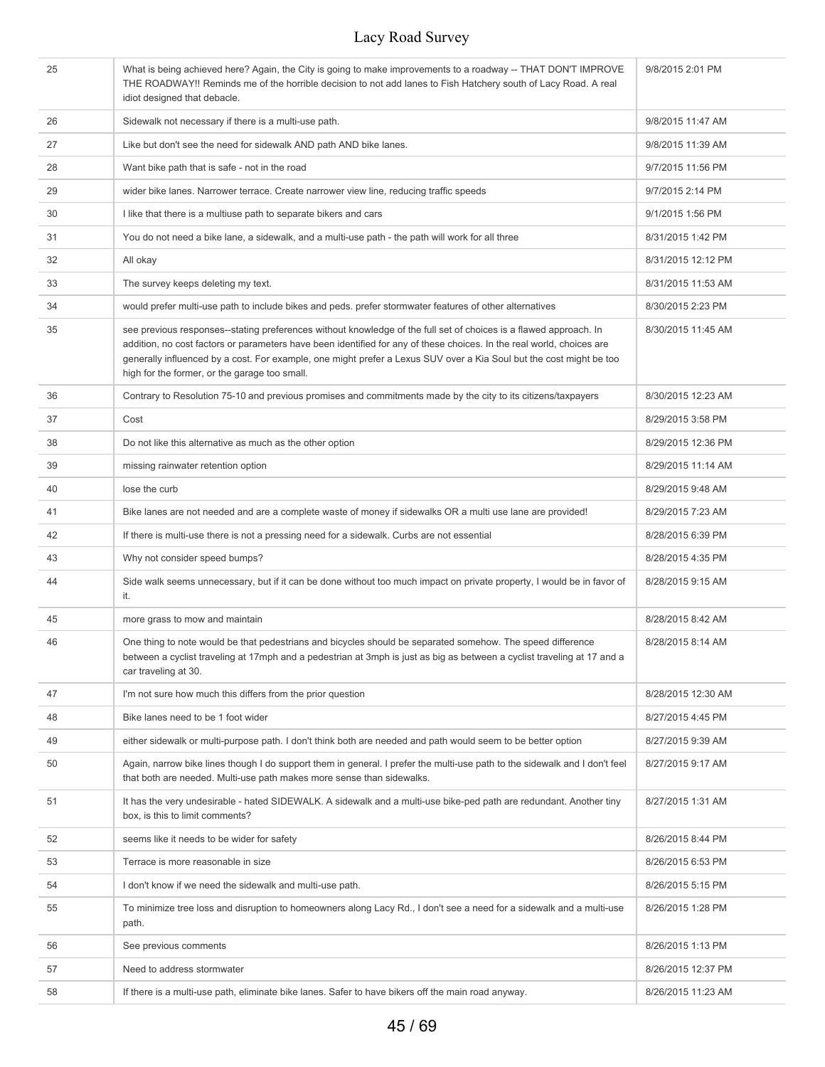| 25 | What is being achieved here? Again, the City is going to make improvements to a roadway -- THAT DON'T IMPROVE<br>THE ROADWAY!! Reminds me of the horrible decision to not add lanes to Fish Hatchery south of Lacy Road. A real<br>idiot designed that debacle.                                                                                                                                                    | 9/8/2015 2:01 PM   |
|----|--------------------------------------------------------------------------------------------------------------------------------------------------------------------------------------------------------------------------------------------------------------------------------------------------------------------------------------------------------------------------------------------------------------------|--------------------|
| 26 | Sidewalk not necessary if there is a multi-use path.                                                                                                                                                                                                                                                                                                                                                               | 9/8/2015 11:47 AM  |
| 27 | Like but don't see the need for sidewalk AND path AND bike lanes.                                                                                                                                                                                                                                                                                                                                                  | 9/8/2015 11:39 AM  |
| 28 | Want bike path that is safe - not in the road                                                                                                                                                                                                                                                                                                                                                                      | 9/7/2015 11:56 PM  |
| 29 | wider bike lanes. Narrower terrace. Create narrower view line, reducing traffic speeds                                                                                                                                                                                                                                                                                                                             | 9/7/2015 2:14 PM   |
| 30 | I like that there is a multiuse path to separate bikers and cars                                                                                                                                                                                                                                                                                                                                                   | 9/1/2015 1:56 PM   |
| 31 | You do not need a bike lane, a sidewalk, and a multi-use path - the path will work for all three                                                                                                                                                                                                                                                                                                                   | 8/31/2015 1:42 PM  |
| 32 | All okay                                                                                                                                                                                                                                                                                                                                                                                                           | 8/31/2015 12:12 PM |
| 33 | The survey keeps deleting my text.                                                                                                                                                                                                                                                                                                                                                                                 | 8/31/2015 11:53 AM |
| 34 | would prefer multi-use path to include bikes and peds, prefer stormwater features of other alternatives                                                                                                                                                                                                                                                                                                            | 8/30/2015 2:23 PM  |
| 35 | see previous responses--stating preferences without knowledge of the full set of choices is a flawed approach. In<br>addition, no cost factors or parameters have been identified for any of these choices. In the real world, choices are<br>generally influenced by a cost. For example, one might prefer a Lexus SUV over a Kia Soul but the cost might be too<br>high for the former, or the garage too small. | 8/30/2015 11:45 AM |
| 36 | Contrary to Resolution 75-10 and previous promises and commitments made by the city to its citizens/taxpayers                                                                                                                                                                                                                                                                                                      | 8/30/2015 12:23 AM |
| 37 | Cost                                                                                                                                                                                                                                                                                                                                                                                                               | 8/29/2015 3:58 PM  |
| 38 | Do not like this alternative as much as the other option                                                                                                                                                                                                                                                                                                                                                           | 8/29/2015 12:36 PM |
| 39 | missing rainwater retention option                                                                                                                                                                                                                                                                                                                                                                                 | 8/29/2015 11:14 AM |
| 40 | lose the curb                                                                                                                                                                                                                                                                                                                                                                                                      | 8/29/2015 9:48 AM  |
| 41 | Bike lanes are not needed and are a complete waste of money if sidewalks OR a multi use lane are provided!                                                                                                                                                                                                                                                                                                         | 8/29/2015 7:23 AM  |
| 42 | If there is multi-use there is not a pressing need for a sidewalk. Curbs are not essential                                                                                                                                                                                                                                                                                                                         | 8/28/2015 6:39 PM  |
| 43 | Why not consider speed bumps?                                                                                                                                                                                                                                                                                                                                                                                      | 8/28/2015 4:35 PM  |
| 44 | Side walk seems unnecessary, but if it can be done without too much impact on private property, I would be in favor of<br>it.                                                                                                                                                                                                                                                                                      | 8/28/2015 9:15 AM  |
| 45 | more grass to mow and maintain                                                                                                                                                                                                                                                                                                                                                                                     | 8/28/2015 8:42 AM  |
| 46 | One thing to note would be that pedestrians and bicycles should be separated somehow. The speed difference<br>between a cyclist traveling at 17mph and a pedestrian at 3mph is just as big as between a cyclist traveling at 17 and a<br>car traveling at 30.                                                                                                                                                      | 8/28/2015 8:14 AM  |
| 47 | I'm not sure how much this differs from the prior question                                                                                                                                                                                                                                                                                                                                                         | 8/28/2015 12:30 AM |
| 48 | Bike lanes need to be 1 foot wider                                                                                                                                                                                                                                                                                                                                                                                 | 8/27/2015 4:45 PM  |
| 49 | either sidewalk or multi-purpose path. I don't think both are needed and path would seem to be better option                                                                                                                                                                                                                                                                                                       | 8/27/2015 9:39 AM  |
| 50 | Again, narrow bike lines though I do support them in general. I prefer the multi-use path to the sidewalk and I don't feel<br>that both are needed. Multi-use path makes more sense than sidewalks.                                                                                                                                                                                                                | 8/27/2015 9:17 AM  |
| 51 | It has the very undesirable - hated SIDEWALK. A sidewalk and a multi-use bike-ped path are redundant. Another tiny<br>box, is this to limit comments?                                                                                                                                                                                                                                                              | 8/27/2015 1:31 AM  |
| 52 | seems like it needs to be wider for safety                                                                                                                                                                                                                                                                                                                                                                         | 8/26/2015 8:44 PM  |
| 53 | Terrace is more reasonable in size                                                                                                                                                                                                                                                                                                                                                                                 | 8/26/2015 6:53 PM  |
| 54 | I don't know if we need the sidewalk and multi-use path.                                                                                                                                                                                                                                                                                                                                                           | 8/26/2015 5:15 PM  |
| 55 | To minimize tree loss and disruption to homeowners along Lacy Rd., I don't see a need for a sidewalk and a multi-use<br>path.                                                                                                                                                                                                                                                                                      | 8/26/2015 1:28 PM  |
| 56 | See previous comments                                                                                                                                                                                                                                                                                                                                                                                              | 8/26/2015 1:13 PM  |
| 57 | Need to address stormwater                                                                                                                                                                                                                                                                                                                                                                                         | 8/26/2015 12:37 PM |
| 58 | If there is a multi-use path, eliminate bike lanes. Safer to have bikers off the main road anyway.                                                                                                                                                                                                                                                                                                                 | 8/26/2015 11:23 AM |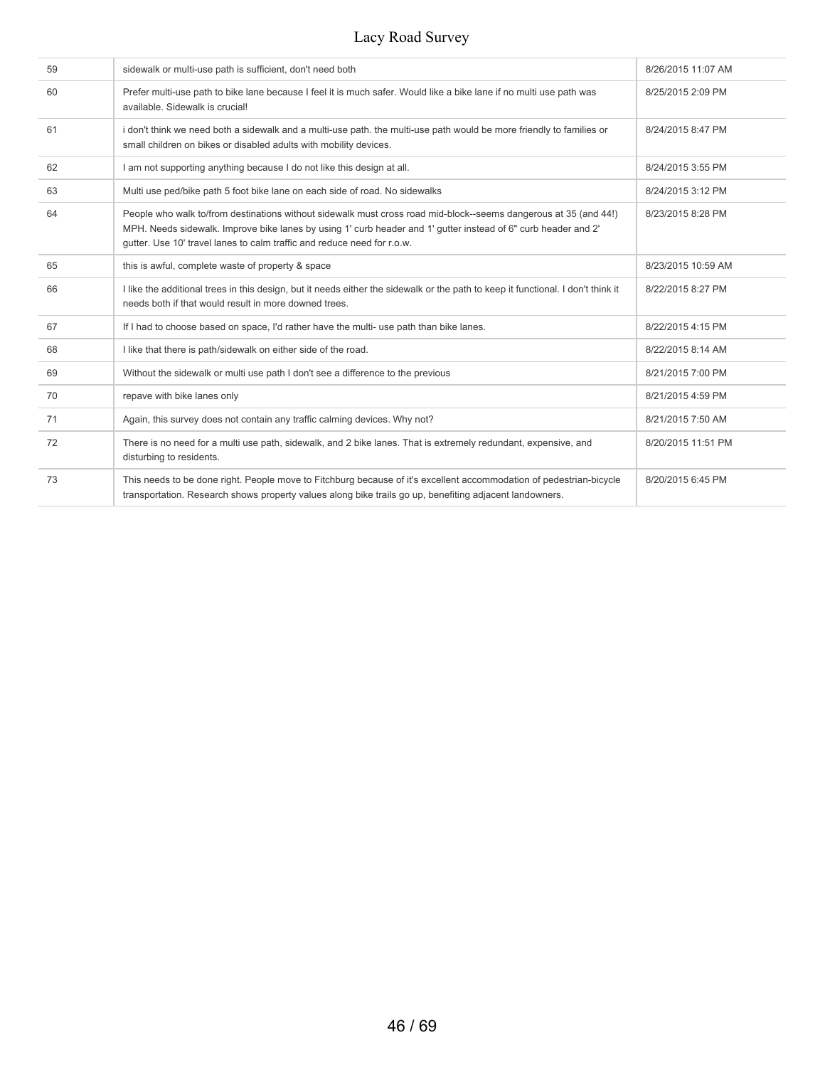| 59 | sidewalk or multi-use path is sufficient, don't need both                                                                                                                                                                                                                                                     | 8/26/2015 11:07 AM |
|----|---------------------------------------------------------------------------------------------------------------------------------------------------------------------------------------------------------------------------------------------------------------------------------------------------------------|--------------------|
| 60 | Prefer multi-use path to bike lane because I feel it is much safer. Would like a bike lane if no multi use path was<br>available. Sidewalk is crucial!                                                                                                                                                        | 8/25/2015 2:09 PM  |
| 61 | i don't think we need both a sidewalk and a multi-use path. the multi-use path would be more friendly to families or<br>small children on bikes or disabled adults with mobility devices.                                                                                                                     | 8/24/2015 8:47 PM  |
| 62 | I am not supporting anything because I do not like this design at all.                                                                                                                                                                                                                                        | 8/24/2015 3:55 PM  |
| 63 | Multi use ped/bike path 5 foot bike lane on each side of road. No sidewalks                                                                                                                                                                                                                                   | 8/24/2015 3:12 PM  |
| 64 | People who walk to/from destinations without sidewalk must cross road mid-block--seems dangerous at 35 (and 44!)<br>MPH. Needs sidewalk. Improve bike lanes by using 1' curb header and 1' gutter instead of 6" curb header and 2'<br>gutter. Use 10' travel lanes to calm traffic and reduce need for r.o.w. | 8/23/2015 8:28 PM  |
| 65 | this is awful, complete waste of property & space                                                                                                                                                                                                                                                             | 8/23/2015 10:59 AM |
| 66 | I like the additional trees in this design, but it needs either the sidewalk or the path to keep it functional. I don't think it<br>needs both if that would result in more downed trees.                                                                                                                     | 8/22/2015 8:27 PM  |
| 67 | If I had to choose based on space, I'd rather have the multi- use path than bike lanes.                                                                                                                                                                                                                       | 8/22/2015 4:15 PM  |
| 68 | I like that there is path/sidewalk on either side of the road.                                                                                                                                                                                                                                                | 8/22/2015 8:14 AM  |
| 69 | Without the sidewalk or multi use path I don't see a difference to the previous                                                                                                                                                                                                                               | 8/21/2015 7:00 PM  |
| 70 | repave with bike lanes only                                                                                                                                                                                                                                                                                   | 8/21/2015 4:59 PM  |
| 71 | Again, this survey does not contain any traffic calming devices. Why not?                                                                                                                                                                                                                                     | 8/21/2015 7:50 AM  |
| 72 | There is no need for a multi use path, sidewalk, and 2 bike lanes. That is extremely redundant, expensive, and<br>disturbing to residents.                                                                                                                                                                    | 8/20/2015 11:51 PM |
| 73 | This needs to be done right. People move to Fitchburg because of it's excellent accommodation of pedestrian-bicycle<br>transportation. Research shows property values along bike trails go up, benefiting adjacent landowners.                                                                                | 8/20/2015 6:45 PM  |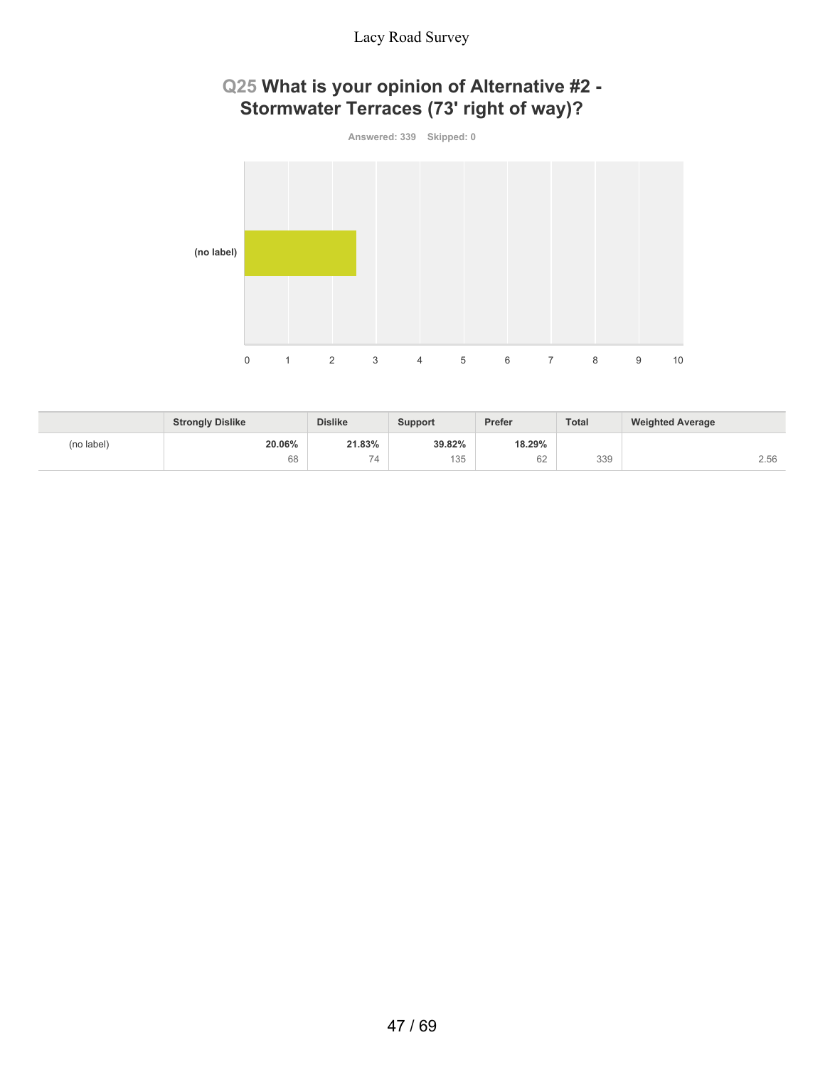# **Q25 What is your opinion of Alternative #2 - Stormwater Terraces (73' right of way)?**

**Answered: 339 Skipped: 0**



|            | <b>Strongly Dislike</b> | <b>Dislike</b> | <b>Support</b> | Prefer | <b>Total</b> | <b>Weighted Average</b> |
|------------|-------------------------|----------------|----------------|--------|--------------|-------------------------|
| (no label) | 20.06%                  | 21.83%         | 39.82%         | 18.29% |              |                         |
|            | 68                      | 74             | 135            | 62     | 339          | 2.56                    |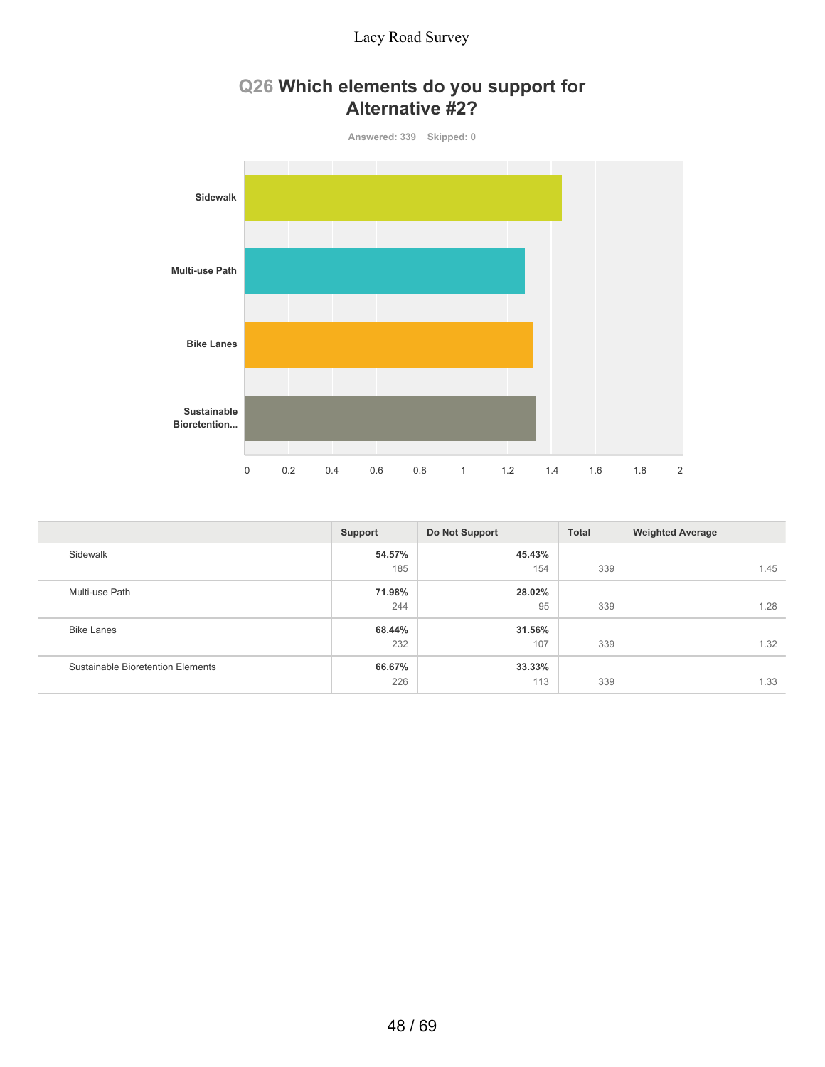

# **Q26 Which elements do you support for Alternative #2?**

|                                          | Support | Do Not Support | Total | <b>Weighted Average</b> |
|------------------------------------------|---------|----------------|-------|-------------------------|
| Sidewalk                                 | 54.57%  | 45.43%         |       |                         |
|                                          | 185     | 154            | 339   | 1.45                    |
| Multi-use Path                           | 71.98%  | 28.02%         |       |                         |
|                                          | 244     | 95             | 339   | 1.28                    |
| <b>Bike Lanes</b>                        | 68.44%  | 31.56%         |       |                         |
|                                          | 232     | 107            | 339   | 1.32                    |
| <b>Sustainable Bioretention Elements</b> | 66.67%  | 33.33%         |       |                         |
|                                          | 226     | 113            | 339   | 1.33                    |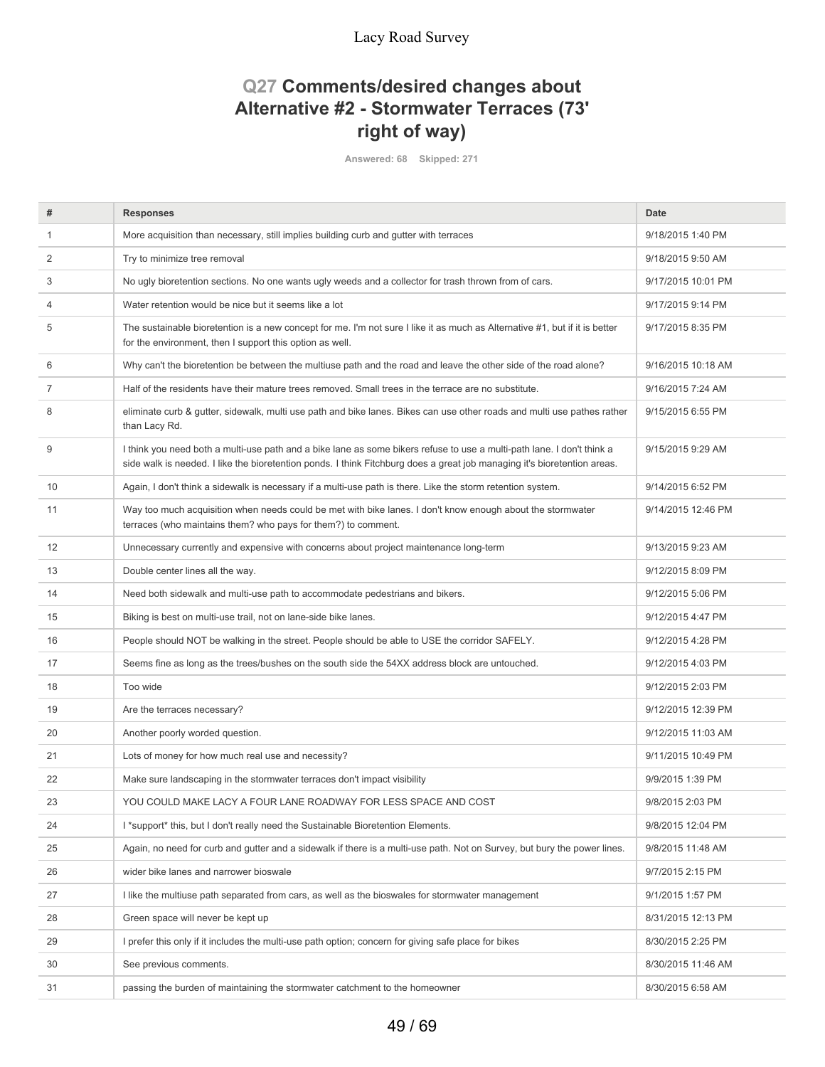# **Q27 Comments/desired changes about Alternative #2 - Stormwater Terraces (73' right of way)**

**Answered: 68 Skipped: 271**

| #            | <b>Responses</b>                                                                                                                                                                                                                                   | <b>Date</b>        |
|--------------|----------------------------------------------------------------------------------------------------------------------------------------------------------------------------------------------------------------------------------------------------|--------------------|
| $\mathbf{1}$ | More acquisition than necessary, still implies building curb and gutter with terraces                                                                                                                                                              | 9/18/2015 1:40 PM  |
| 2            | Try to minimize tree removal                                                                                                                                                                                                                       | 9/18/2015 9:50 AM  |
| 3            | No ugly bioretention sections. No one wants ugly weeds and a collector for trash thrown from of cars.                                                                                                                                              | 9/17/2015 10:01 PM |
| 4            | Water retention would be nice but it seems like a lot                                                                                                                                                                                              | 9/17/2015 9:14 PM  |
| 5            | The sustainable bioretention is a new concept for me. I'm not sure I like it as much as Alternative #1, but if it is better<br>for the environment, then I support this option as well.                                                            | 9/17/2015 8:35 PM  |
| 6            | Why can't the bioretention be between the multiuse path and the road and leave the other side of the road alone?                                                                                                                                   | 9/16/2015 10:18 AM |
| 7            | Half of the residents have their mature trees removed. Small trees in the terrace are no substitute.                                                                                                                                               | 9/16/2015 7:24 AM  |
| 8            | eliminate curb & gutter, sidewalk, multi use path and bike lanes. Bikes can use other roads and multi use pathes rather<br>than Lacy Rd.                                                                                                           | 9/15/2015 6:55 PM  |
| 9            | I think you need both a multi-use path and a bike lane as some bikers refuse to use a multi-path lane. I don't think a<br>side walk is needed. I like the bioretention ponds. I think Fitchburg does a great job managing it's bioretention areas. | 9/15/2015 9:29 AM  |
| 10           | Again, I don't think a sidewalk is necessary if a multi-use path is there. Like the storm retention system.                                                                                                                                        | 9/14/2015 6:52 PM  |
| 11           | Way too much acquisition when needs could be met with bike lanes. I don't know enough about the stormwater<br>terraces (who maintains them? who pays for them?) to comment.                                                                        | 9/14/2015 12:46 PM |
| 12           | Unnecessary currently and expensive with concerns about project maintenance long-term                                                                                                                                                              | 9/13/2015 9:23 AM  |
| 13           | Double center lines all the way.                                                                                                                                                                                                                   | 9/12/2015 8:09 PM  |
| 14           | Need both sidewalk and multi-use path to accommodate pedestrians and bikers.                                                                                                                                                                       | 9/12/2015 5:06 PM  |
| 15           | Biking is best on multi-use trail, not on lane-side bike lanes.                                                                                                                                                                                    | 9/12/2015 4:47 PM  |
| 16           | People should NOT be walking in the street. People should be able to USE the corridor SAFELY.                                                                                                                                                      | 9/12/2015 4:28 PM  |
| 17           | Seems fine as long as the trees/bushes on the south side the 54XX address block are untouched.                                                                                                                                                     | 9/12/2015 4:03 PM  |
| 18           | Too wide                                                                                                                                                                                                                                           | 9/12/2015 2:03 PM  |
| 19           | Are the terraces necessary?                                                                                                                                                                                                                        | 9/12/2015 12:39 PM |
| 20           | Another poorly worded question.                                                                                                                                                                                                                    | 9/12/2015 11:03 AM |
| 21           | Lots of money for how much real use and necessity?                                                                                                                                                                                                 | 9/11/2015 10:49 PM |
| 22           | Make sure landscaping in the stormwater terraces don't impact visibility                                                                                                                                                                           | 9/9/2015 1:39 PM   |
| 23           | YOU COULD MAKE LACY A FOUR LANE ROADWAY FOR LESS SPACE AND COST                                                                                                                                                                                    | 9/8/2015 2:03 PM   |
| 24           | I *support* this, but I don't really need the Sustainable Bioretention Elements.                                                                                                                                                                   | 9/8/2015 12:04 PM  |
| 25           | Again, no need for curb and gutter and a sidewalk if there is a multi-use path. Not on Survey, but bury the power lines.                                                                                                                           | 9/8/2015 11:48 AM  |
| 26           | wider bike lanes and narrower bioswale                                                                                                                                                                                                             | 9/7/2015 2:15 PM   |
| 27           | I like the multiuse path separated from cars, as well as the bioswales for stormwater management                                                                                                                                                   | 9/1/2015 1:57 PM   |
| 28           | Green space will never be kept up                                                                                                                                                                                                                  | 8/31/2015 12:13 PM |
| 29           | I prefer this only if it includes the multi-use path option; concern for giving safe place for bikes                                                                                                                                               | 8/30/2015 2:25 PM  |
| 30           | See previous comments.                                                                                                                                                                                                                             | 8/30/2015 11:46 AM |
| 31           | passing the burden of maintaining the stormwater catchment to the homeowner                                                                                                                                                                        | 8/30/2015 6:58 AM  |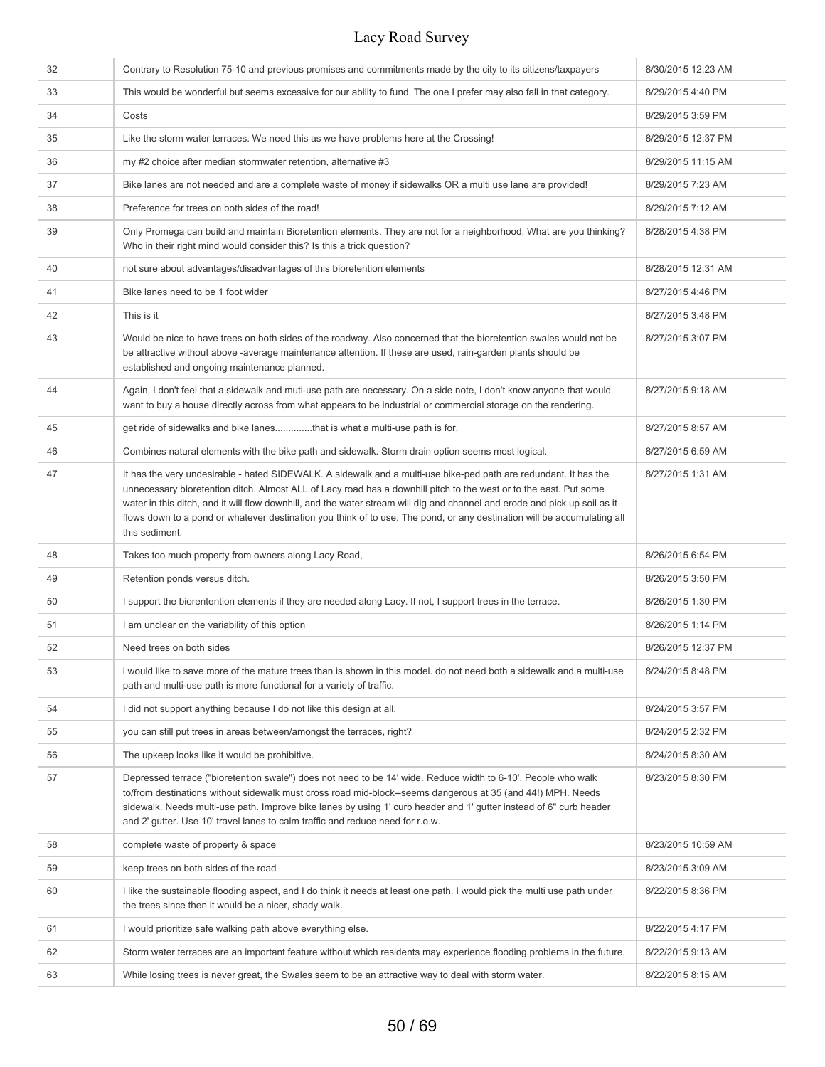| 32 | Contrary to Resolution 75-10 and previous promises and commitments made by the city to its citizens/taxpayers                                                                                                                                                                                                                                                                                                                                                                                                    | 8/30/2015 12:23 AM |
|----|------------------------------------------------------------------------------------------------------------------------------------------------------------------------------------------------------------------------------------------------------------------------------------------------------------------------------------------------------------------------------------------------------------------------------------------------------------------------------------------------------------------|--------------------|
| 33 | This would be wonderful but seems excessive for our ability to fund. The one I prefer may also fall in that category.                                                                                                                                                                                                                                                                                                                                                                                            | 8/29/2015 4:40 PM  |
| 34 | Costs                                                                                                                                                                                                                                                                                                                                                                                                                                                                                                            | 8/29/2015 3:59 PM  |
| 35 | Like the storm water terraces. We need this as we have problems here at the Crossing!                                                                                                                                                                                                                                                                                                                                                                                                                            | 8/29/2015 12:37 PM |
| 36 | my #2 choice after median stormwater retention, alternative #3                                                                                                                                                                                                                                                                                                                                                                                                                                                   | 8/29/2015 11:15 AM |
| 37 | Bike lanes are not needed and are a complete waste of money if sidewalks OR a multi use lane are provided!                                                                                                                                                                                                                                                                                                                                                                                                       | 8/29/2015 7:23 AM  |
| 38 | Preference for trees on both sides of the road!                                                                                                                                                                                                                                                                                                                                                                                                                                                                  | 8/29/2015 7:12 AM  |
| 39 | Only Promega can build and maintain Bioretention elements. They are not for a neighborhood. What are you thinking?<br>Who in their right mind would consider this? Is this a trick question?                                                                                                                                                                                                                                                                                                                     | 8/28/2015 4:38 PM  |
| 40 | not sure about advantages/disadvantages of this bioretention elements                                                                                                                                                                                                                                                                                                                                                                                                                                            | 8/28/2015 12:31 AM |
| 41 | Bike lanes need to be 1 foot wider                                                                                                                                                                                                                                                                                                                                                                                                                                                                               | 8/27/2015 4:46 PM  |
| 42 | This is it                                                                                                                                                                                                                                                                                                                                                                                                                                                                                                       | 8/27/2015 3:48 PM  |
| 43 | Would be nice to have trees on both sides of the roadway. Also concerned that the bioretention swales would not be<br>be attractive without above -average maintenance attention. If these are used, rain-garden plants should be<br>established and ongoing maintenance planned.                                                                                                                                                                                                                                | 8/27/2015 3:07 PM  |
| 44 | Again, I don't feel that a sidewalk and muti-use path are necessary. On a side note, I don't know anyone that would<br>want to buy a house directly across from what appears to be industrial or commercial storage on the rendering.                                                                                                                                                                                                                                                                            | 8/27/2015 9:18 AM  |
| 45 | get ride of sidewalks and bike lanesthat is what a multi-use path is for.                                                                                                                                                                                                                                                                                                                                                                                                                                        | 8/27/2015 8:57 AM  |
| 46 | Combines natural elements with the bike path and sidewalk. Storm drain option seems most logical.                                                                                                                                                                                                                                                                                                                                                                                                                | 8/27/2015 6:59 AM  |
| 47 | It has the very undesirable - hated SIDEWALK. A sidewalk and a multi-use bike-ped path are redundant. It has the<br>unnecessary bioretention ditch. Almost ALL of Lacy road has a downhill pitch to the west or to the east. Put some<br>water in this ditch, and it will flow downhill, and the water stream will dig and channel and erode and pick up soil as it<br>flows down to a pond or whatever destination you think of to use. The pond, or any destination will be accumulating all<br>this sediment. | 8/27/2015 1:31 AM  |
| 48 | Takes too much property from owners along Lacy Road,                                                                                                                                                                                                                                                                                                                                                                                                                                                             | 8/26/2015 6:54 PM  |
| 49 | Retention ponds versus ditch.                                                                                                                                                                                                                                                                                                                                                                                                                                                                                    | 8/26/2015 3:50 PM  |
| 50 | I support the biorentention elements if they are needed along Lacy. If not, I support trees in the terrace.                                                                                                                                                                                                                                                                                                                                                                                                      | 8/26/2015 1:30 PM  |
| 51 | I am unclear on the variability of this option                                                                                                                                                                                                                                                                                                                                                                                                                                                                   | 8/26/2015 1:14 PM  |
| 52 | Need trees on both sides                                                                                                                                                                                                                                                                                                                                                                                                                                                                                         | 8/26/2015 12:37 PM |
| 53 | i would like to save more of the mature trees than is shown in this model, do not need both a sidewalk and a multi-use<br>path and multi-use path is more functional for a variety of traffic.                                                                                                                                                                                                                                                                                                                   | 8/24/2015 8:48 PM  |
| 54 | I did not support anything because I do not like this design at all.                                                                                                                                                                                                                                                                                                                                                                                                                                             | 8/24/2015 3:57 PM  |
| 55 | you can still put trees in areas between/amongst the terraces, right?                                                                                                                                                                                                                                                                                                                                                                                                                                            | 8/24/2015 2:32 PM  |
| 56 | The upkeep looks like it would be prohibitive.                                                                                                                                                                                                                                                                                                                                                                                                                                                                   | 8/24/2015 8:30 AM  |
| 57 | Depressed terrace ("bioretention swale") does not need to be 14' wide. Reduce width to 6-10'. People who walk<br>to/from destinations without sidewalk must cross road mid-block--seems dangerous at 35 (and 44!) MPH. Needs<br>sidewalk. Needs multi-use path. Improve bike lanes by using 1' curb header and 1' gutter instead of 6" curb header<br>and 2' gutter. Use 10' travel lanes to calm traffic and reduce need for r.o.w.                                                                             | 8/23/2015 8:30 PM  |
| 58 | complete waste of property & space                                                                                                                                                                                                                                                                                                                                                                                                                                                                               | 8/23/2015 10:59 AM |
| 59 | keep trees on both sides of the road                                                                                                                                                                                                                                                                                                                                                                                                                                                                             | 8/23/2015 3:09 AM  |
| 60 | I like the sustainable flooding aspect, and I do think it needs at least one path. I would pick the multi use path under<br>the trees since then it would be a nicer, shady walk.                                                                                                                                                                                                                                                                                                                                | 8/22/2015 8:36 PM  |
| 61 | I would prioritize safe walking path above everything else.                                                                                                                                                                                                                                                                                                                                                                                                                                                      | 8/22/2015 4:17 PM  |
| 62 | Storm water terraces are an important feature without which residents may experience flooding problems in the future.                                                                                                                                                                                                                                                                                                                                                                                            | 8/22/2015 9:13 AM  |
| 63 | While losing trees is never great, the Swales seem to be an attractive way to deal with storm water.                                                                                                                                                                                                                                                                                                                                                                                                             | 8/22/2015 8:15 AM  |
|    |                                                                                                                                                                                                                                                                                                                                                                                                                                                                                                                  |                    |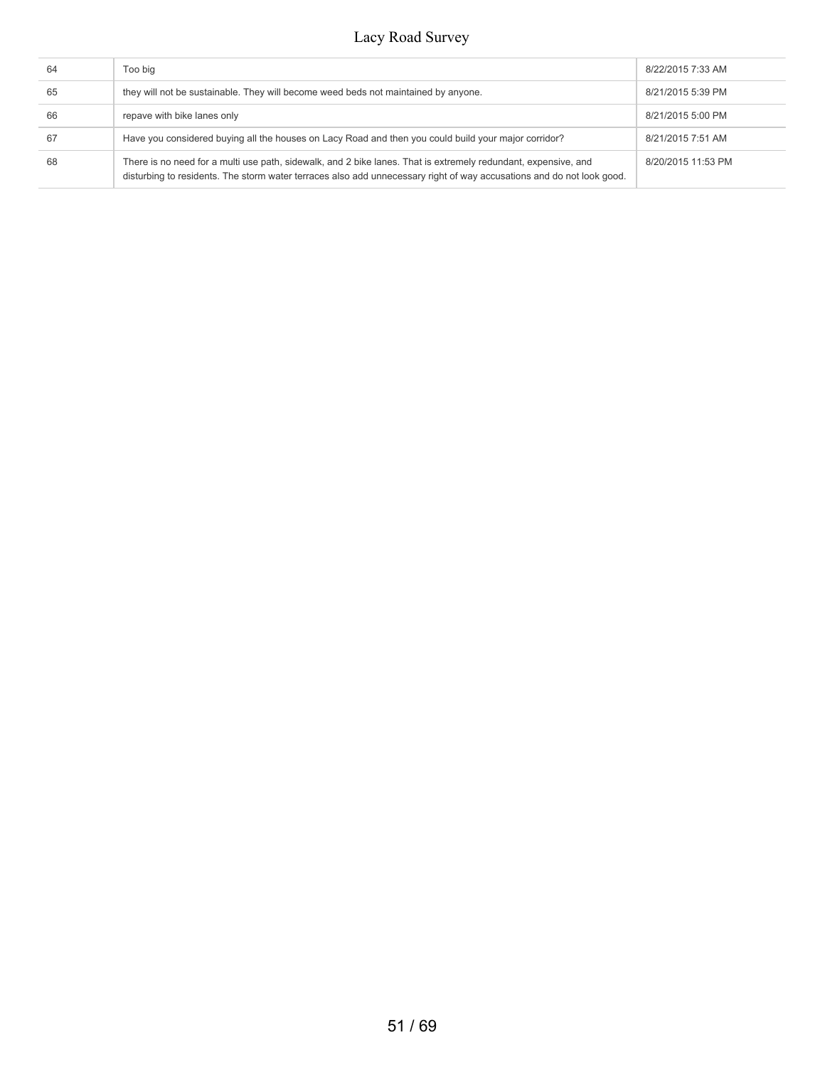| 64 | Too big                                                                                                                                                                                                                                 | 8/22/2015 7:33 AM  |
|----|-----------------------------------------------------------------------------------------------------------------------------------------------------------------------------------------------------------------------------------------|--------------------|
| 65 | they will not be sustainable. They will become weed beds not maintained by anyone.                                                                                                                                                      | 8/21/2015 5:39 PM  |
| 66 | repave with bike lanes only                                                                                                                                                                                                             | 8/21/2015 5:00 PM  |
| 67 | Have you considered buying all the houses on Lacy Road and then you could build your major corridor?                                                                                                                                    | 8/21/2015 7:51 AM  |
| 68 | There is no need for a multi use path, sidewalk, and 2 bike lanes. That is extremely redundant, expensive, and<br>disturbing to residents. The storm water terraces also add unnecessary right of way accusations and do not look good. | 8/20/2015 11:53 PM |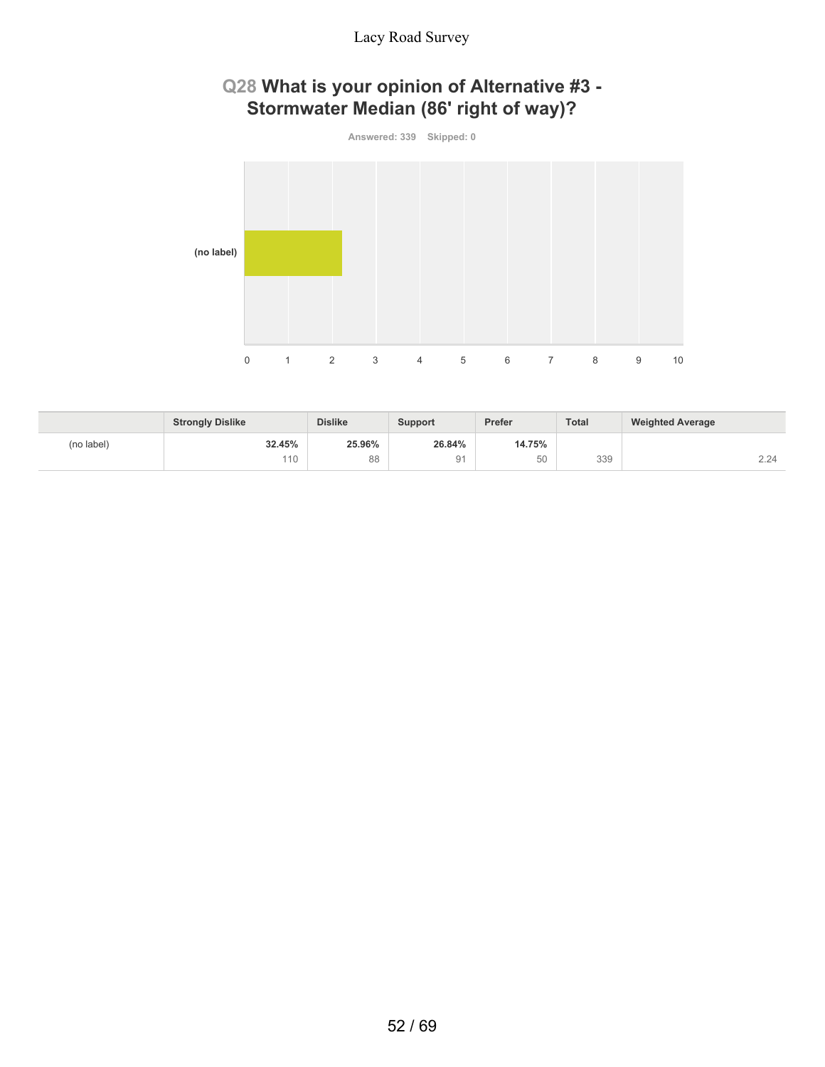# **Q28 What is your opinion of Alternative #3 - Stormwater Median (86' right of way)?**



|            | <b>Strongly Dislike</b> | <b>Dislike</b> | <b>Support</b> | Prefer | <b>Total</b> | <b>Weighted Average</b> |
|------------|-------------------------|----------------|----------------|--------|--------------|-------------------------|
| (no label) | 32.45%                  | 25.96%         | 26.84%         | 14.75% |              |                         |
|            | 110                     | 88             | 91             | 50     | 339          | 2.24                    |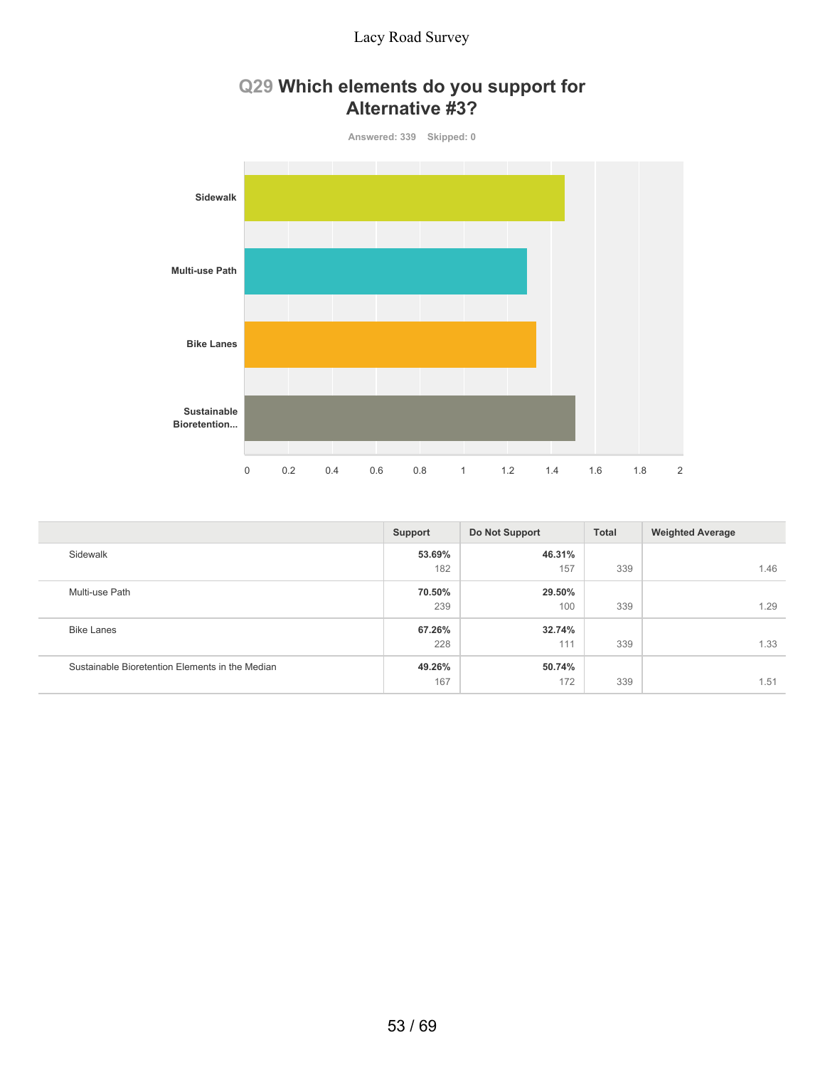

# **Q29 Which elements do you support for Alternative #3?**

|                                                 | Support       | Do Not Support | <b>Total</b> | <b>Weighted Average</b> |
|-------------------------------------------------|---------------|----------------|--------------|-------------------------|
| Sidewalk                                        | 53.69%<br>182 | 46.31%<br>157  | 339          | 1.46                    |
| Multi-use Path                                  | 70.50%<br>239 | 29.50%<br>100  | 339          | 1.29                    |
| <b>Bike Lanes</b>                               | 67.26%<br>228 | 32.74%<br>111  | 339          | 1.33                    |
| Sustainable Bioretention Elements in the Median | 49.26%<br>167 | 50.74%<br>172  | 339          | 1.51                    |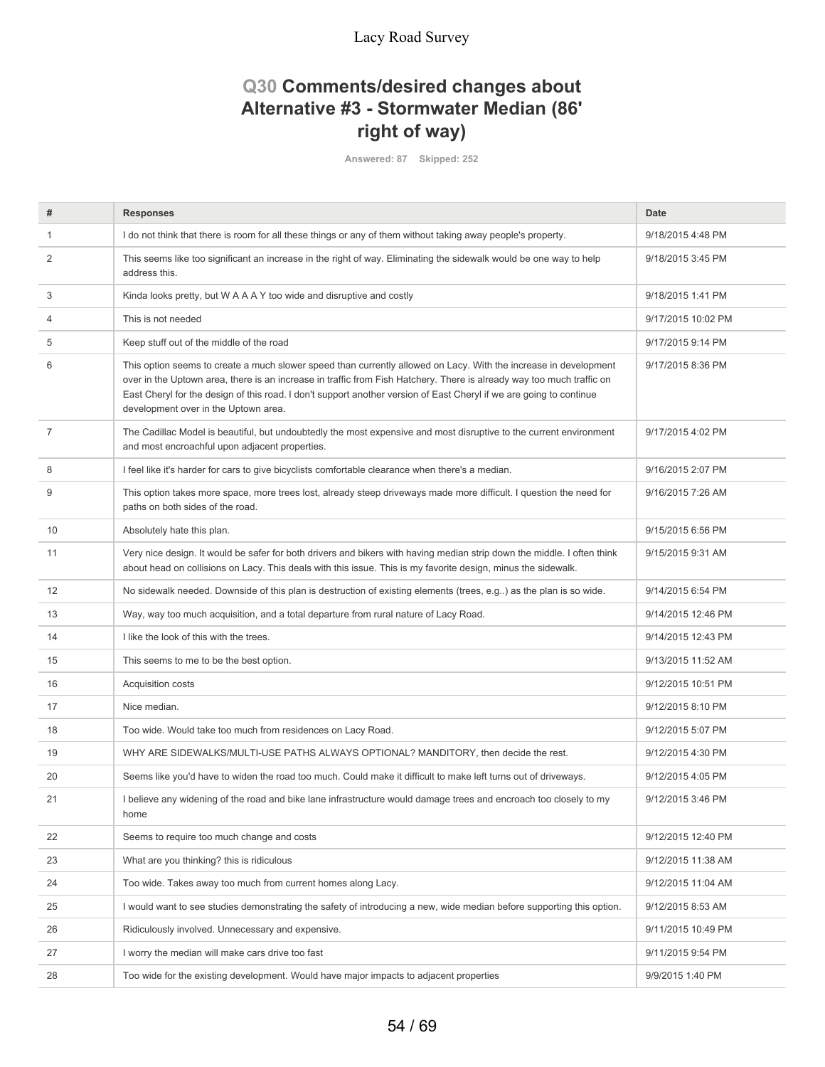# **Q30 Comments/desired changes about Alternative #3 - Stormwater Median (86' right of way)**

**Answered: 87 Skipped: 252**

| #  | <b>Responses</b>                                                                                                                                                                                                                                                                                                                                                                                         | <b>Date</b>        |
|----|----------------------------------------------------------------------------------------------------------------------------------------------------------------------------------------------------------------------------------------------------------------------------------------------------------------------------------------------------------------------------------------------------------|--------------------|
| 1  | I do not think that there is room for all these things or any of them without taking away people's property.                                                                                                                                                                                                                                                                                             | 9/18/2015 4:48 PM  |
| 2  | This seems like too significant an increase in the right of way. Eliminating the sidewalk would be one way to help<br>address this.                                                                                                                                                                                                                                                                      | 9/18/2015 3:45 PM  |
| 3  | Kinda looks pretty, but W A A A Y too wide and disruptive and costly                                                                                                                                                                                                                                                                                                                                     | 9/18/2015 1:41 PM  |
| 4  | This is not needed                                                                                                                                                                                                                                                                                                                                                                                       | 9/17/2015 10:02 PM |
| 5  | Keep stuff out of the middle of the road                                                                                                                                                                                                                                                                                                                                                                 | 9/17/2015 9:14 PM  |
| 6  | This option seems to create a much slower speed than currently allowed on Lacy. With the increase in development<br>over in the Uptown area, there is an increase in traffic from Fish Hatchery. There is already way too much traffic on<br>East Cheryl for the design of this road. I don't support another version of East Cheryl if we are going to continue<br>development over in the Uptown area. | 9/17/2015 8:36 PM  |
| 7  | The Cadillac Model is beautiful, but undoubtedly the most expensive and most disruptive to the current environment<br>and most encroachful upon adjacent properties.                                                                                                                                                                                                                                     | 9/17/2015 4:02 PM  |
| 8  | I feel like it's harder for cars to give bicyclists comfortable clearance when there's a median.                                                                                                                                                                                                                                                                                                         | 9/16/2015 2:07 PM  |
| 9  | This option takes more space, more trees lost, already steep driveways made more difficult. I question the need for<br>paths on both sides of the road.                                                                                                                                                                                                                                                  | 9/16/2015 7:26 AM  |
| 10 | Absolutely hate this plan.                                                                                                                                                                                                                                                                                                                                                                               | 9/15/2015 6:56 PM  |
| 11 | Very nice design. It would be safer for both drivers and bikers with having median strip down the middle. I often think<br>about head on collisions on Lacy. This deals with this issue. This is my favorite design, minus the sidewalk.                                                                                                                                                                 | 9/15/2015 9:31 AM  |
| 12 | No sidewalk needed. Downside of this plan is destruction of existing elements (trees, e.g) as the plan is so wide.                                                                                                                                                                                                                                                                                       | 9/14/2015 6:54 PM  |
| 13 | Way, way too much acquisition, and a total departure from rural nature of Lacy Road.                                                                                                                                                                                                                                                                                                                     | 9/14/2015 12:46 PM |
| 14 | I like the look of this with the trees.                                                                                                                                                                                                                                                                                                                                                                  | 9/14/2015 12:43 PM |
| 15 | This seems to me to be the best option.                                                                                                                                                                                                                                                                                                                                                                  | 9/13/2015 11:52 AM |
| 16 | Acquisition costs                                                                                                                                                                                                                                                                                                                                                                                        | 9/12/2015 10:51 PM |
| 17 | Nice median.                                                                                                                                                                                                                                                                                                                                                                                             | 9/12/2015 8:10 PM  |
| 18 | Too wide. Would take too much from residences on Lacy Road.                                                                                                                                                                                                                                                                                                                                              | 9/12/2015 5:07 PM  |
| 19 | WHY ARE SIDEWALKS/MULTI-USE PATHS ALWAYS OPTIONAL? MANDITORY, then decide the rest.                                                                                                                                                                                                                                                                                                                      | 9/12/2015 4:30 PM  |
| 20 | Seems like you'd have to widen the road too much. Could make it difficult to make left turns out of driveways.                                                                                                                                                                                                                                                                                           | 9/12/2015 4:05 PM  |
| 21 | I believe any widening of the road and bike lane infrastructure would damage trees and encroach too closely to my<br>home                                                                                                                                                                                                                                                                                | 9/12/2015 3:46 PM  |
| 22 | Seems to require too much change and costs                                                                                                                                                                                                                                                                                                                                                               | 9/12/2015 12:40 PM |
| 23 | What are you thinking? this is ridiculous                                                                                                                                                                                                                                                                                                                                                                | 9/12/2015 11:38 AM |
| 24 | Too wide. Takes away too much from current homes along Lacy.                                                                                                                                                                                                                                                                                                                                             | 9/12/2015 11:04 AM |
| 25 | I would want to see studies demonstrating the safety of introducing a new, wide median before supporting this option.                                                                                                                                                                                                                                                                                    | 9/12/2015 8:53 AM  |
| 26 | Ridiculously involved. Unnecessary and expensive.                                                                                                                                                                                                                                                                                                                                                        | 9/11/2015 10:49 PM |
| 27 | I worry the median will make cars drive too fast                                                                                                                                                                                                                                                                                                                                                         | 9/11/2015 9:54 PM  |
| 28 | Too wide for the existing development. Would have major impacts to adjacent properties                                                                                                                                                                                                                                                                                                                   | 9/9/2015 1:40 PM   |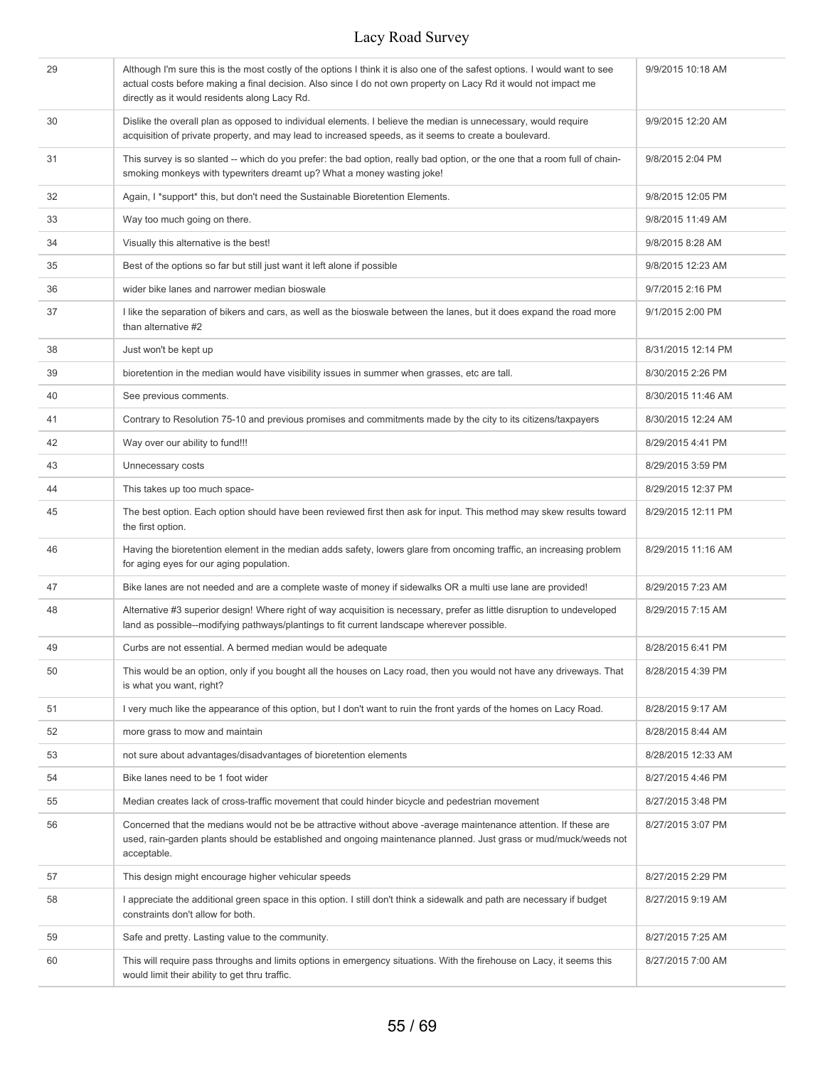| 29 | Although I'm sure this is the most costly of the options I think it is also one of the safest options. I would want to see<br>actual costs before making a final decision. Also since I do not own property on Lacy Rd it would not impact me<br>directly as it would residents along Lacy Rd. | 9/9/2015 10:18 AM  |
|----|------------------------------------------------------------------------------------------------------------------------------------------------------------------------------------------------------------------------------------------------------------------------------------------------|--------------------|
| 30 | Dislike the overall plan as opposed to individual elements. I believe the median is unnecessary, would require<br>acquisition of private property, and may lead to increased speeds, as it seems to create a boulevard.                                                                        | 9/9/2015 12:20 AM  |
| 31 | This survey is so slanted -- which do you prefer: the bad option, really bad option, or the one that a room full of chain-<br>smoking monkeys with typewriters dreamt up? What a money wasting joke!                                                                                           | 9/8/2015 2:04 PM   |
| 32 | Again, I *support* this, but don't need the Sustainable Bioretention Elements.                                                                                                                                                                                                                 | 9/8/2015 12:05 PM  |
| 33 | Way too much going on there.                                                                                                                                                                                                                                                                   | 9/8/2015 11:49 AM  |
| 34 | Visually this alternative is the best!                                                                                                                                                                                                                                                         | 9/8/2015 8:28 AM   |
| 35 | Best of the options so far but still just want it left alone if possible                                                                                                                                                                                                                       | 9/8/2015 12:23 AM  |
| 36 | wider bike lanes and narrower median bioswale                                                                                                                                                                                                                                                  | 9/7/2015 2:16 PM   |
| 37 | I like the separation of bikers and cars, as well as the bioswale between the lanes, but it does expand the road more<br>than alternative #2                                                                                                                                                   | 9/1/2015 2:00 PM   |
| 38 | Just won't be kept up                                                                                                                                                                                                                                                                          | 8/31/2015 12:14 PM |
| 39 | bioretention in the median would have visibility issues in summer when grasses, etc are tall.                                                                                                                                                                                                  | 8/30/2015 2:26 PM  |
| 40 | See previous comments.                                                                                                                                                                                                                                                                         | 8/30/2015 11:46 AM |
| 41 | Contrary to Resolution 75-10 and previous promises and commitments made by the city to its citizens/taxpayers                                                                                                                                                                                  | 8/30/2015 12:24 AM |
| 42 | Way over our ability to fund!!!                                                                                                                                                                                                                                                                | 8/29/2015 4:41 PM  |
| 43 | Unnecessary costs                                                                                                                                                                                                                                                                              | 8/29/2015 3:59 PM  |
| 44 | This takes up too much space-                                                                                                                                                                                                                                                                  | 8/29/2015 12:37 PM |
| 45 | The best option. Each option should have been reviewed first then ask for input. This method may skew results toward<br>the first option.                                                                                                                                                      | 8/29/2015 12:11 PM |
| 46 | Having the bioretention element in the median adds safety, lowers glare from oncoming traffic, an increasing problem<br>for aging eyes for our aging population.                                                                                                                               | 8/29/2015 11:16 AM |
| 47 | Bike lanes are not needed and are a complete waste of money if sidewalks OR a multi use lane are provided!                                                                                                                                                                                     | 8/29/2015 7:23 AM  |
| 48 | Alternative #3 superior design! Where right of way acquisition is necessary, prefer as little disruption to undeveloped<br>land as possible--modifying pathways/plantings to fit current landscape wherever possible.                                                                          | 8/29/2015 7:15 AM  |
| 49 | Curbs are not essential. A bermed median would be adequate                                                                                                                                                                                                                                     | 8/28/2015 6:41 PM  |
| 50 | This would be an option, only if you bought all the houses on Lacy road, then you would not have any driveways. That<br>is what you want, right?                                                                                                                                               | 8/28/2015 4:39 PM  |
| 51 | I very much like the appearance of this option, but I don't want to ruin the front yards of the homes on Lacy Road.                                                                                                                                                                            | 8/28/2015 9:17 AM  |
| 52 | more grass to mow and maintain                                                                                                                                                                                                                                                                 | 8/28/2015 8:44 AM  |
| 53 | not sure about advantages/disadvantages of bioretention elements                                                                                                                                                                                                                               | 8/28/2015 12:33 AM |
| 54 | Bike lanes need to be 1 foot wider                                                                                                                                                                                                                                                             | 8/27/2015 4:46 PM  |
| 55 | Median creates lack of cross-traffic movement that could hinder bicycle and pedestrian movement                                                                                                                                                                                                | 8/27/2015 3:48 PM  |
| 56 | Concerned that the medians would not be be attractive without above -average maintenance attention. If these are<br>used, rain-garden plants should be established and ongoing maintenance planned. Just grass or mud/muck/weeds not<br>acceptable.                                            | 8/27/2015 3:07 PM  |
| 57 | This design might encourage higher vehicular speeds                                                                                                                                                                                                                                            | 8/27/2015 2:29 PM  |
| 58 | I appreciate the additional green space in this option. I still don't think a sidewalk and path are necessary if budget<br>constraints don't allow for both.                                                                                                                                   | 8/27/2015 9:19 AM  |
| 59 | Safe and pretty. Lasting value to the community.                                                                                                                                                                                                                                               | 8/27/2015 7:25 AM  |
| 60 | This will require pass throughs and limits options in emergency situations. With the firehouse on Lacy, it seems this<br>would limit their ability to get thru traffic.                                                                                                                        | 8/27/2015 7:00 AM  |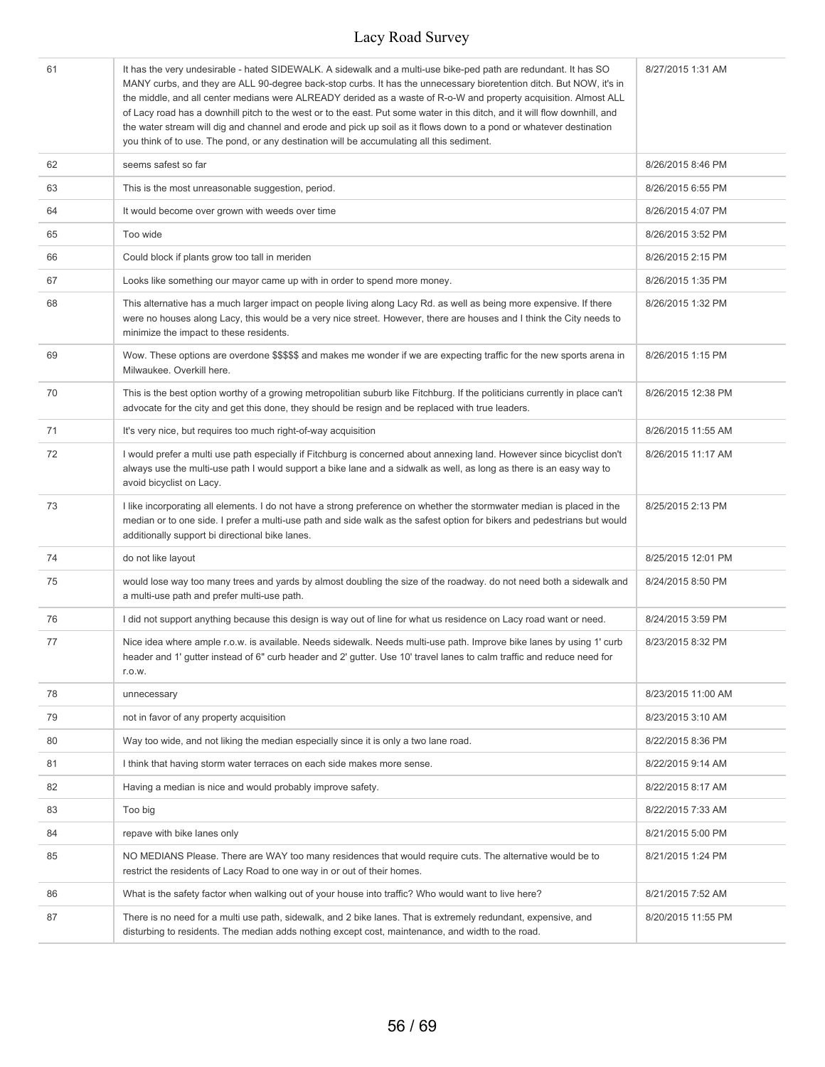| 61 | It has the very undesirable - hated SIDEWALK. A sidewalk and a multi-use bike-ped path are redundant. It has SO<br>MANY curbs, and they are ALL 90-degree back-stop curbs. It has the unnecessary bioretention ditch. But NOW, it's in<br>the middle, and all center medians were ALREADY derided as a waste of R-o-W and property acquisition. Almost ALL<br>of Lacy road has a downhill pitch to the west or to the east. Put some water in this ditch, and it will flow downhill, and<br>the water stream will dig and channel and erode and pick up soil as it flows down to a pond or whatever destination<br>you think of to use. The pond, or any destination will be accumulating all this sediment. | 8/27/2015 1:31 AM  |
|----|--------------------------------------------------------------------------------------------------------------------------------------------------------------------------------------------------------------------------------------------------------------------------------------------------------------------------------------------------------------------------------------------------------------------------------------------------------------------------------------------------------------------------------------------------------------------------------------------------------------------------------------------------------------------------------------------------------------|--------------------|
| 62 | seems safest so far                                                                                                                                                                                                                                                                                                                                                                                                                                                                                                                                                                                                                                                                                          | 8/26/2015 8:46 PM  |
| 63 | This is the most unreasonable suggestion, period.                                                                                                                                                                                                                                                                                                                                                                                                                                                                                                                                                                                                                                                            | 8/26/2015 6:55 PM  |
| 64 | It would become over grown with weeds over time                                                                                                                                                                                                                                                                                                                                                                                                                                                                                                                                                                                                                                                              | 8/26/2015 4:07 PM  |
| 65 | Too wide                                                                                                                                                                                                                                                                                                                                                                                                                                                                                                                                                                                                                                                                                                     | 8/26/2015 3:52 PM  |
| 66 | Could block if plants grow too tall in meriden                                                                                                                                                                                                                                                                                                                                                                                                                                                                                                                                                                                                                                                               | 8/26/2015 2:15 PM  |
| 67 | Looks like something our mayor came up with in order to spend more money.                                                                                                                                                                                                                                                                                                                                                                                                                                                                                                                                                                                                                                    | 8/26/2015 1:35 PM  |
| 68 | This alternative has a much larger impact on people living along Lacy Rd. as well as being more expensive. If there<br>were no houses along Lacy, this would be a very nice street. However, there are houses and I think the City needs to<br>minimize the impact to these residents.                                                                                                                                                                                                                                                                                                                                                                                                                       | 8/26/2015 1:32 PM  |
| 69 | Wow. These options are overdone \$\$\$\$\$ and makes me wonder if we are expecting traffic for the new sports arena in<br>Milwaukee. Overkill here.                                                                                                                                                                                                                                                                                                                                                                                                                                                                                                                                                          | 8/26/2015 1:15 PM  |
| 70 | This is the best option worthy of a growing metropolitian suburb like Fitchburg. If the politicians currently in place can't<br>advocate for the city and get this done, they should be resign and be replaced with true leaders.                                                                                                                                                                                                                                                                                                                                                                                                                                                                            | 8/26/2015 12:38 PM |
| 71 | It's very nice, but requires too much right-of-way acquisition                                                                                                                                                                                                                                                                                                                                                                                                                                                                                                                                                                                                                                               | 8/26/2015 11:55 AM |
| 72 | I would prefer a multi use path especially if Fitchburg is concerned about annexing land. However since bicyclist don't<br>always use the multi-use path I would support a bike lane and a sidwalk as well, as long as there is an easy way to<br>avoid bicyclist on Lacy.                                                                                                                                                                                                                                                                                                                                                                                                                                   | 8/26/2015 11:17 AM |
| 73 | I like incorporating all elements. I do not have a strong preference on whether the stormwater median is placed in the<br>median or to one side. I prefer a multi-use path and side walk as the safest option for bikers and pedestrians but would<br>additionally support bi directional bike lanes.                                                                                                                                                                                                                                                                                                                                                                                                        | 8/25/2015 2:13 PM  |
| 74 | do not like layout                                                                                                                                                                                                                                                                                                                                                                                                                                                                                                                                                                                                                                                                                           | 8/25/2015 12:01 PM |
| 75 | would lose way too many trees and yards by almost doubling the size of the roadway. do not need both a sidewalk and<br>a multi-use path and prefer multi-use path.                                                                                                                                                                                                                                                                                                                                                                                                                                                                                                                                           | 8/24/2015 8:50 PM  |
| 76 | I did not support anything because this design is way out of line for what us residence on Lacy road want or need.                                                                                                                                                                                                                                                                                                                                                                                                                                                                                                                                                                                           | 8/24/2015 3:59 PM  |
| 77 | Nice idea where ample r.o.w. is available. Needs sidewalk. Needs multi-use path. Improve bike lanes by using 1' curb<br>header and 1' gutter instead of 6" curb header and 2' gutter. Use 10' travel lanes to calm traffic and reduce need for<br>r.o.w.                                                                                                                                                                                                                                                                                                                                                                                                                                                     | 8/23/2015 8:32 PM  |
| 78 | unnecessary                                                                                                                                                                                                                                                                                                                                                                                                                                                                                                                                                                                                                                                                                                  | 8/23/2015 11:00 AM |
| 79 | not in favor of any property acquisition                                                                                                                                                                                                                                                                                                                                                                                                                                                                                                                                                                                                                                                                     | 8/23/2015 3:10 AM  |
| 80 | Way too wide, and not liking the median especially since it is only a two lane road.                                                                                                                                                                                                                                                                                                                                                                                                                                                                                                                                                                                                                         | 8/22/2015 8:36 PM  |
| 81 | I think that having storm water terraces on each side makes more sense.                                                                                                                                                                                                                                                                                                                                                                                                                                                                                                                                                                                                                                      | 8/22/2015 9:14 AM  |
| 82 | Having a median is nice and would probably improve safety.                                                                                                                                                                                                                                                                                                                                                                                                                                                                                                                                                                                                                                                   | 8/22/2015 8:17 AM  |
| 83 | Too big                                                                                                                                                                                                                                                                                                                                                                                                                                                                                                                                                                                                                                                                                                      | 8/22/2015 7:33 AM  |
| 84 | repave with bike lanes only                                                                                                                                                                                                                                                                                                                                                                                                                                                                                                                                                                                                                                                                                  | 8/21/2015 5:00 PM  |
| 85 | NO MEDIANS Please. There are WAY too many residences that would require cuts. The alternative would be to<br>restrict the residents of Lacy Road to one way in or out of their homes.                                                                                                                                                                                                                                                                                                                                                                                                                                                                                                                        | 8/21/2015 1:24 PM  |
| 86 | What is the safety factor when walking out of your house into traffic? Who would want to live here?                                                                                                                                                                                                                                                                                                                                                                                                                                                                                                                                                                                                          | 8/21/2015 7:52 AM  |
| 87 | There is no need for a multi use path, sidewalk, and 2 bike lanes. That is extremely redundant, expensive, and<br>disturbing to residents. The median adds nothing except cost, maintenance, and width to the road.                                                                                                                                                                                                                                                                                                                                                                                                                                                                                          | 8/20/2015 11:55 PM |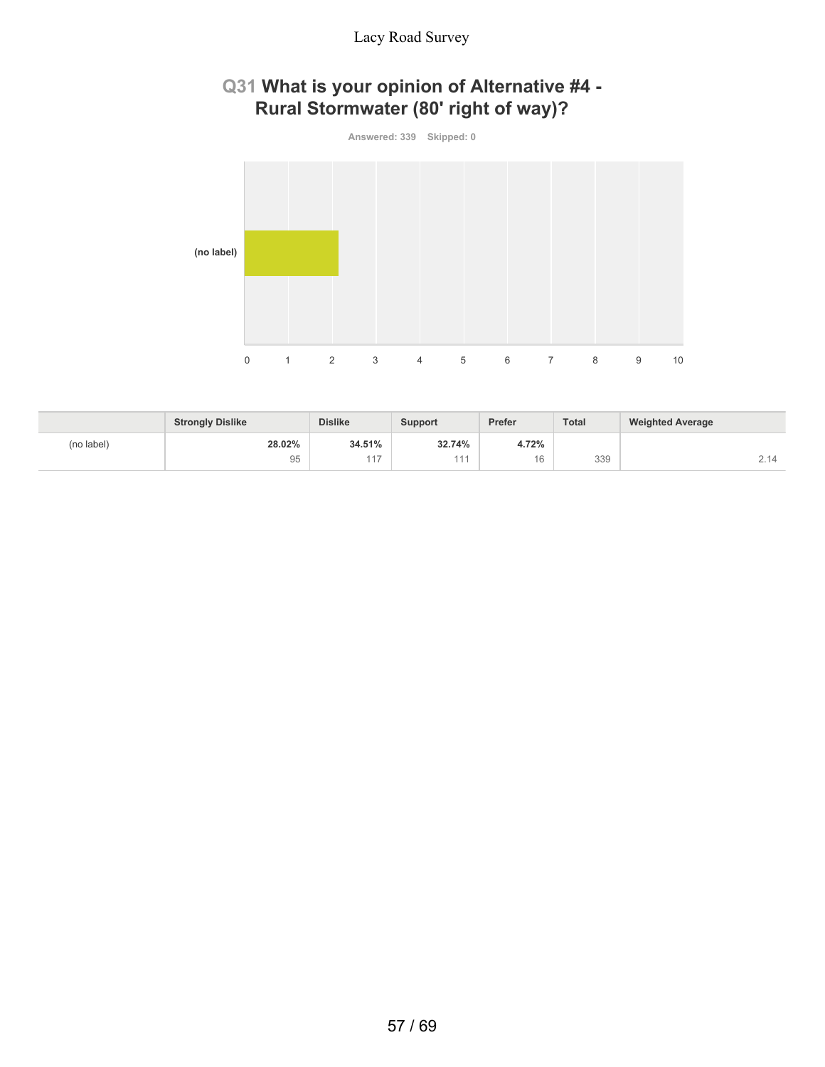# **Q31 What is your opinion of Alternative #4 - Rural Stormwater (80' right of way)?**



|            | <b>Strongly Dislike</b> | <b>Dislike</b> | <b>Support</b> | Prefer | <b>Total</b> | <b>Weighted Average</b> |
|------------|-------------------------|----------------|----------------|--------|--------------|-------------------------|
| (no label) | 28.02%                  | 34.51%         | 32.74%         | 4.72%  |              |                         |
|            | 95                      | 117            | 44/            | 16     | 339          | $\sim$                  |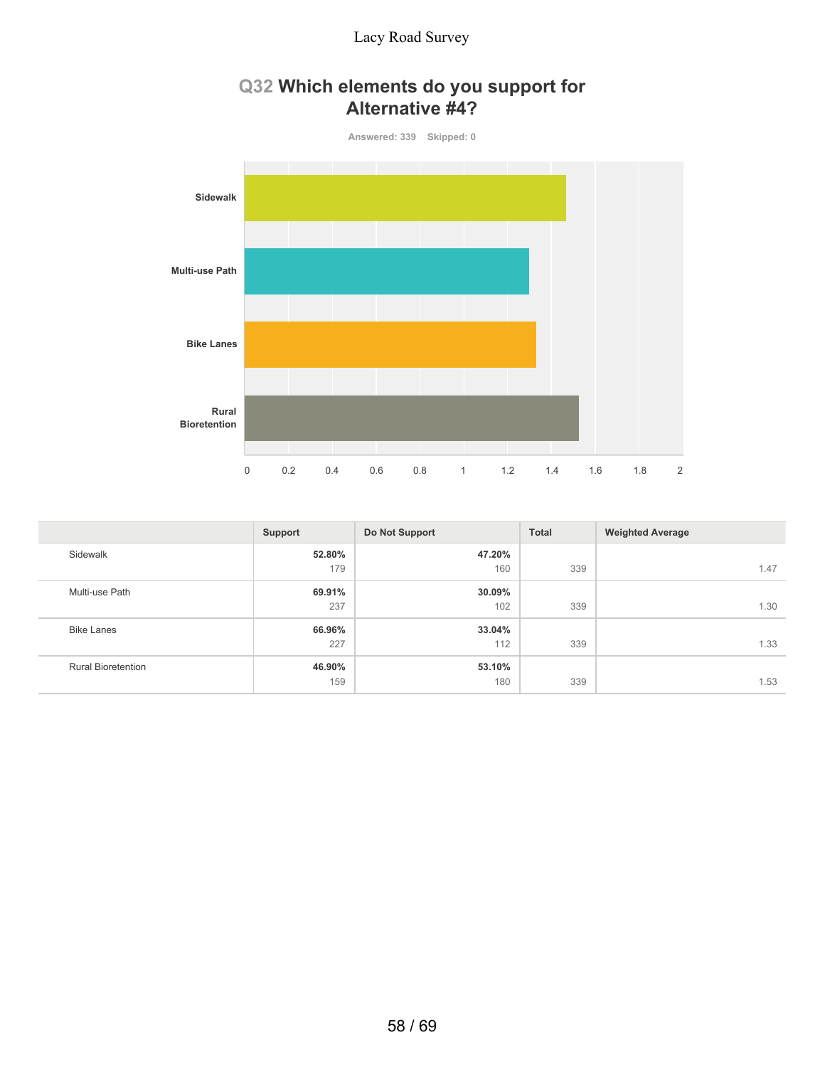

# **Q32 Which elements do you support for Alternative #4?**

|                           | Support | Do Not Support | Total | <b>Weighted Average</b> |
|---------------------------|---------|----------------|-------|-------------------------|
| Sidewalk                  | 52.80%  | 47.20%         |       |                         |
|                           | 179     | 160            | 339   | 1.47                    |
| Multi-use Path            | 69.91%  | 30.09%         |       |                         |
|                           | 237     | 102            | 339   | 1.30                    |
| <b>Bike Lanes</b>         | 66.96%  | 33.04%         |       |                         |
|                           | 227     | 112            | 339   | 1.33                    |
| <b>Rural Bioretention</b> | 46.90%  | 53.10%         |       |                         |
|                           | 159     | 180            | 339   | 1.53                    |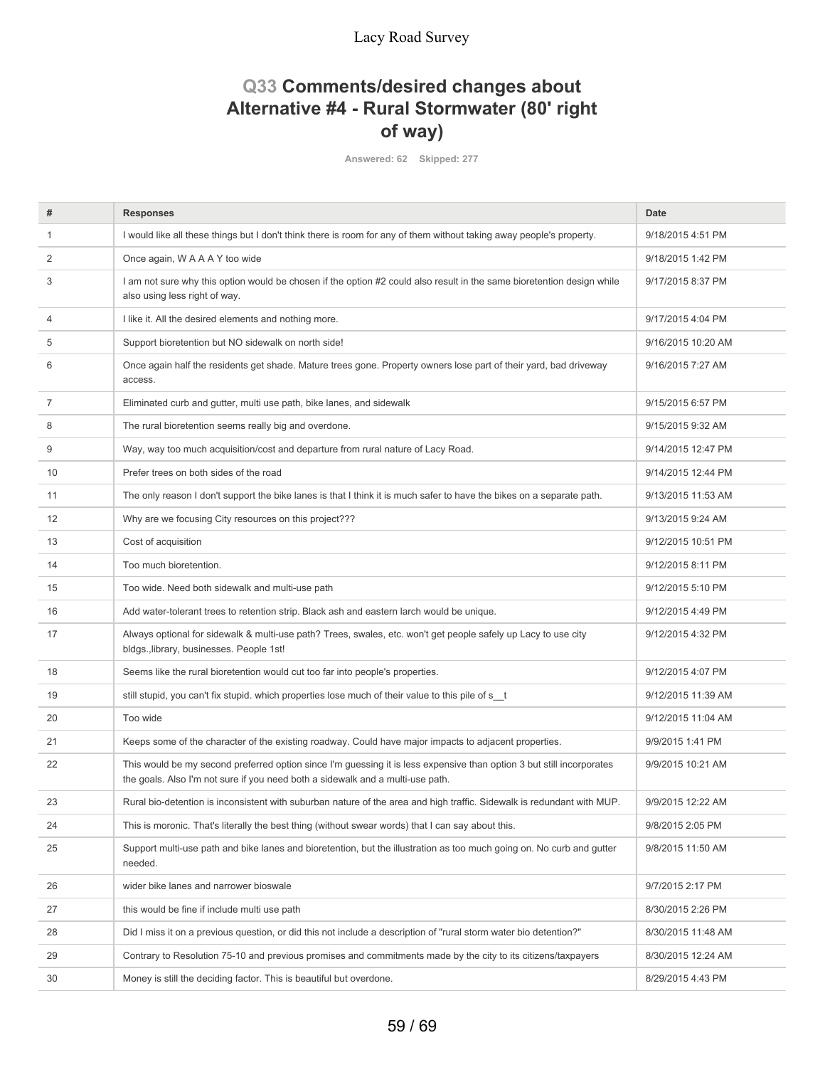# **Q33 Comments/desired changes about Alternative #4 - Rural Stormwater (80' right of way)**

**Answered: 62 Skipped: 277**

| $\mathbf{1}$<br>I would like all these things but I don't think there is room for any of them without taking away people's property.<br>9/18/2015 4:51 PM<br>2<br>Once again, W A A A Y too wide<br>9/18/2015 1:42 PM<br>3<br>I am not sure why this option would be chosen if the option #2 could also result in the same bioretention design while<br>9/17/2015 8:37 PM<br>also using less right of way.<br>9/17/2015 4:04 PM<br>$\overline{4}$<br>I like it. All the desired elements and nothing more.<br>5<br>Support bioretention but NO sidewalk on north side!<br>9/16/2015 10:20 AM<br>6<br>Once again half the residents get shade. Mature trees gone. Property owners lose part of their yard, bad driveway<br>9/16/2015 7:27 AM<br>access.<br>7<br>Eliminated curb and gutter, multi use path, bike lanes, and sidewalk<br>9/15/2015 6:57 PM<br>8<br>The rural bioretention seems really big and overdone.<br>9/15/2015 9:32 AM<br>Way, way too much acquisition/cost and departure from rural nature of Lacy Road.<br>9<br>9/14/2015 12:47 PM<br>Prefer trees on both sides of the road<br>10<br>9/14/2015 12:44 PM<br>11<br>The only reason I don't support the bike lanes is that I think it is much safer to have the bikes on a separate path.<br>9/13/2015 11:53 AM<br>Why are we focusing City resources on this project???<br>12<br>9/13/2015 9:24 AM<br>13<br>Cost of acquisition<br>9/12/2015 10:51 PM<br>Too much bioretention.<br>14<br>9/12/2015 8:11 PM<br>15<br>Too wide. Need both sidewalk and multi-use path<br>9/12/2015 5:10 PM<br>16<br>Add water-tolerant trees to retention strip. Black ash and eastern larch would be unique.<br>9/12/2015 4:49 PM<br>17<br>Always optional for sidewalk & multi-use path? Trees, swales, etc. won't get people safely up Lacy to use city<br>9/12/2015 4:32 PM<br>bldgs., library, businesses. People 1st!<br>18<br>Seems like the rural bioretention would cut too far into people's properties.<br>9/12/2015 4:07 PM<br>still stupid, you can't fix stupid. which properties lose much of their value to this pile of s_t<br>19<br>9/12/2015 11:39 AM<br>Too wide<br>20<br>9/12/2015 11:04 AM<br>Keeps some of the character of the existing roadway. Could have major impacts to adjacent properties.<br>21<br>9/9/2015 1:41 PM<br>This would be my second preferred option since I'm guessing it is less expensive than option 3 but still incorporates<br>22<br>9/9/2015 10:21 AM<br>the goals. Also I'm not sure if you need both a sidewalk and a multi-use path.<br>9/9/2015 12:22 AM<br>23<br>Rural bio-detention is inconsistent with suburban nature of the area and high traffic. Sidewalk is redundant with MUP<br>24<br>This is moronic. That's literally the best thing (without swear words) that I can say about this.<br>9/8/2015 2:05 PM<br>25<br>Support multi-use path and bike lanes and bioretention, but the illustration as too much going on. No curb and gutter<br>9/8/2015 11:50 AM<br>needed.<br>wider bike lanes and narrower bioswale<br>26<br>9/7/2015 2:17 PM<br>27<br>this would be fine if include multi use path<br>8/30/2015 2:26 PM<br>Did I miss it on a previous question, or did this not include a description of "rural storm water bio detention?"<br>28<br>8/30/2015 11:48 AM<br>29<br>Contrary to Resolution 75-10 and previous promises and commitments made by the city to its citizens/taxpayers<br>8/30/2015 12:24 AM<br>30<br>Money is still the deciding factor. This is beautiful but overdone.<br>8/29/2015 4:43 PM | # | <b>Responses</b> | Date |
|-------------------------------------------------------------------------------------------------------------------------------------------------------------------------------------------------------------------------------------------------------------------------------------------------------------------------------------------------------------------------------------------------------------------------------------------------------------------------------------------------------------------------------------------------------------------------------------------------------------------------------------------------------------------------------------------------------------------------------------------------------------------------------------------------------------------------------------------------------------------------------------------------------------------------------------------------------------------------------------------------------------------------------------------------------------------------------------------------------------------------------------------------------------------------------------------------------------------------------------------------------------------------------------------------------------------------------------------------------------------------------------------------------------------------------------------------------------------------------------------------------------------------------------------------------------------------------------------------------------------------------------------------------------------------------------------------------------------------------------------------------------------------------------------------------------------------------------------------------------------------------------------------------------------------------------------------------------------------------------------------------------------------------------------------------------------------------------------------------------------------------------------------------------------------------------------------------------------------------------------------------------------------------------------------------------------------------------------------------------------------------------------------------------------------------------------------------------------------------------------------------------------------------------------------------------------------------------------------------------------------------------------------------------------------------------------------------------------------------------------------------------------------------------------------------------------------------------------------------------------------------------------------------------------------------------------------------------------------------------------------------------------------------------------------------------------------------------------------------------------------------------------------------------------------------------------------------------------------------------------------------------------------------------------------------------------------------------------------------------------------------------------------------------------------------------------------------------------------------------------------------------------------------------------------|---|------------------|------|
|                                                                                                                                                                                                                                                                                                                                                                                                                                                                                                                                                                                                                                                                                                                                                                                                                                                                                                                                                                                                                                                                                                                                                                                                                                                                                                                                                                                                                                                                                                                                                                                                                                                                                                                                                                                                                                                                                                                                                                                                                                                                                                                                                                                                                                                                                                                                                                                                                                                                                                                                                                                                                                                                                                                                                                                                                                                                                                                                                                                                                                                                                                                                                                                                                                                                                                                                                                                                                                                                                                                                                 |   |                  |      |
|                                                                                                                                                                                                                                                                                                                                                                                                                                                                                                                                                                                                                                                                                                                                                                                                                                                                                                                                                                                                                                                                                                                                                                                                                                                                                                                                                                                                                                                                                                                                                                                                                                                                                                                                                                                                                                                                                                                                                                                                                                                                                                                                                                                                                                                                                                                                                                                                                                                                                                                                                                                                                                                                                                                                                                                                                                                                                                                                                                                                                                                                                                                                                                                                                                                                                                                                                                                                                                                                                                                                                 |   |                  |      |
|                                                                                                                                                                                                                                                                                                                                                                                                                                                                                                                                                                                                                                                                                                                                                                                                                                                                                                                                                                                                                                                                                                                                                                                                                                                                                                                                                                                                                                                                                                                                                                                                                                                                                                                                                                                                                                                                                                                                                                                                                                                                                                                                                                                                                                                                                                                                                                                                                                                                                                                                                                                                                                                                                                                                                                                                                                                                                                                                                                                                                                                                                                                                                                                                                                                                                                                                                                                                                                                                                                                                                 |   |                  |      |
|                                                                                                                                                                                                                                                                                                                                                                                                                                                                                                                                                                                                                                                                                                                                                                                                                                                                                                                                                                                                                                                                                                                                                                                                                                                                                                                                                                                                                                                                                                                                                                                                                                                                                                                                                                                                                                                                                                                                                                                                                                                                                                                                                                                                                                                                                                                                                                                                                                                                                                                                                                                                                                                                                                                                                                                                                                                                                                                                                                                                                                                                                                                                                                                                                                                                                                                                                                                                                                                                                                                                                 |   |                  |      |
|                                                                                                                                                                                                                                                                                                                                                                                                                                                                                                                                                                                                                                                                                                                                                                                                                                                                                                                                                                                                                                                                                                                                                                                                                                                                                                                                                                                                                                                                                                                                                                                                                                                                                                                                                                                                                                                                                                                                                                                                                                                                                                                                                                                                                                                                                                                                                                                                                                                                                                                                                                                                                                                                                                                                                                                                                                                                                                                                                                                                                                                                                                                                                                                                                                                                                                                                                                                                                                                                                                                                                 |   |                  |      |
|                                                                                                                                                                                                                                                                                                                                                                                                                                                                                                                                                                                                                                                                                                                                                                                                                                                                                                                                                                                                                                                                                                                                                                                                                                                                                                                                                                                                                                                                                                                                                                                                                                                                                                                                                                                                                                                                                                                                                                                                                                                                                                                                                                                                                                                                                                                                                                                                                                                                                                                                                                                                                                                                                                                                                                                                                                                                                                                                                                                                                                                                                                                                                                                                                                                                                                                                                                                                                                                                                                                                                 |   |                  |      |
|                                                                                                                                                                                                                                                                                                                                                                                                                                                                                                                                                                                                                                                                                                                                                                                                                                                                                                                                                                                                                                                                                                                                                                                                                                                                                                                                                                                                                                                                                                                                                                                                                                                                                                                                                                                                                                                                                                                                                                                                                                                                                                                                                                                                                                                                                                                                                                                                                                                                                                                                                                                                                                                                                                                                                                                                                                                                                                                                                                                                                                                                                                                                                                                                                                                                                                                                                                                                                                                                                                                                                 |   |                  |      |
|                                                                                                                                                                                                                                                                                                                                                                                                                                                                                                                                                                                                                                                                                                                                                                                                                                                                                                                                                                                                                                                                                                                                                                                                                                                                                                                                                                                                                                                                                                                                                                                                                                                                                                                                                                                                                                                                                                                                                                                                                                                                                                                                                                                                                                                                                                                                                                                                                                                                                                                                                                                                                                                                                                                                                                                                                                                                                                                                                                                                                                                                                                                                                                                                                                                                                                                                                                                                                                                                                                                                                 |   |                  |      |
|                                                                                                                                                                                                                                                                                                                                                                                                                                                                                                                                                                                                                                                                                                                                                                                                                                                                                                                                                                                                                                                                                                                                                                                                                                                                                                                                                                                                                                                                                                                                                                                                                                                                                                                                                                                                                                                                                                                                                                                                                                                                                                                                                                                                                                                                                                                                                                                                                                                                                                                                                                                                                                                                                                                                                                                                                                                                                                                                                                                                                                                                                                                                                                                                                                                                                                                                                                                                                                                                                                                                                 |   |                  |      |
|                                                                                                                                                                                                                                                                                                                                                                                                                                                                                                                                                                                                                                                                                                                                                                                                                                                                                                                                                                                                                                                                                                                                                                                                                                                                                                                                                                                                                                                                                                                                                                                                                                                                                                                                                                                                                                                                                                                                                                                                                                                                                                                                                                                                                                                                                                                                                                                                                                                                                                                                                                                                                                                                                                                                                                                                                                                                                                                                                                                                                                                                                                                                                                                                                                                                                                                                                                                                                                                                                                                                                 |   |                  |      |
|                                                                                                                                                                                                                                                                                                                                                                                                                                                                                                                                                                                                                                                                                                                                                                                                                                                                                                                                                                                                                                                                                                                                                                                                                                                                                                                                                                                                                                                                                                                                                                                                                                                                                                                                                                                                                                                                                                                                                                                                                                                                                                                                                                                                                                                                                                                                                                                                                                                                                                                                                                                                                                                                                                                                                                                                                                                                                                                                                                                                                                                                                                                                                                                                                                                                                                                                                                                                                                                                                                                                                 |   |                  |      |
|                                                                                                                                                                                                                                                                                                                                                                                                                                                                                                                                                                                                                                                                                                                                                                                                                                                                                                                                                                                                                                                                                                                                                                                                                                                                                                                                                                                                                                                                                                                                                                                                                                                                                                                                                                                                                                                                                                                                                                                                                                                                                                                                                                                                                                                                                                                                                                                                                                                                                                                                                                                                                                                                                                                                                                                                                                                                                                                                                                                                                                                                                                                                                                                                                                                                                                                                                                                                                                                                                                                                                 |   |                  |      |
|                                                                                                                                                                                                                                                                                                                                                                                                                                                                                                                                                                                                                                                                                                                                                                                                                                                                                                                                                                                                                                                                                                                                                                                                                                                                                                                                                                                                                                                                                                                                                                                                                                                                                                                                                                                                                                                                                                                                                                                                                                                                                                                                                                                                                                                                                                                                                                                                                                                                                                                                                                                                                                                                                                                                                                                                                                                                                                                                                                                                                                                                                                                                                                                                                                                                                                                                                                                                                                                                                                                                                 |   |                  |      |
|                                                                                                                                                                                                                                                                                                                                                                                                                                                                                                                                                                                                                                                                                                                                                                                                                                                                                                                                                                                                                                                                                                                                                                                                                                                                                                                                                                                                                                                                                                                                                                                                                                                                                                                                                                                                                                                                                                                                                                                                                                                                                                                                                                                                                                                                                                                                                                                                                                                                                                                                                                                                                                                                                                                                                                                                                                                                                                                                                                                                                                                                                                                                                                                                                                                                                                                                                                                                                                                                                                                                                 |   |                  |      |
|                                                                                                                                                                                                                                                                                                                                                                                                                                                                                                                                                                                                                                                                                                                                                                                                                                                                                                                                                                                                                                                                                                                                                                                                                                                                                                                                                                                                                                                                                                                                                                                                                                                                                                                                                                                                                                                                                                                                                                                                                                                                                                                                                                                                                                                                                                                                                                                                                                                                                                                                                                                                                                                                                                                                                                                                                                                                                                                                                                                                                                                                                                                                                                                                                                                                                                                                                                                                                                                                                                                                                 |   |                  |      |
|                                                                                                                                                                                                                                                                                                                                                                                                                                                                                                                                                                                                                                                                                                                                                                                                                                                                                                                                                                                                                                                                                                                                                                                                                                                                                                                                                                                                                                                                                                                                                                                                                                                                                                                                                                                                                                                                                                                                                                                                                                                                                                                                                                                                                                                                                                                                                                                                                                                                                                                                                                                                                                                                                                                                                                                                                                                                                                                                                                                                                                                                                                                                                                                                                                                                                                                                                                                                                                                                                                                                                 |   |                  |      |
|                                                                                                                                                                                                                                                                                                                                                                                                                                                                                                                                                                                                                                                                                                                                                                                                                                                                                                                                                                                                                                                                                                                                                                                                                                                                                                                                                                                                                                                                                                                                                                                                                                                                                                                                                                                                                                                                                                                                                                                                                                                                                                                                                                                                                                                                                                                                                                                                                                                                                                                                                                                                                                                                                                                                                                                                                                                                                                                                                                                                                                                                                                                                                                                                                                                                                                                                                                                                                                                                                                                                                 |   |                  |      |
|                                                                                                                                                                                                                                                                                                                                                                                                                                                                                                                                                                                                                                                                                                                                                                                                                                                                                                                                                                                                                                                                                                                                                                                                                                                                                                                                                                                                                                                                                                                                                                                                                                                                                                                                                                                                                                                                                                                                                                                                                                                                                                                                                                                                                                                                                                                                                                                                                                                                                                                                                                                                                                                                                                                                                                                                                                                                                                                                                                                                                                                                                                                                                                                                                                                                                                                                                                                                                                                                                                                                                 |   |                  |      |
|                                                                                                                                                                                                                                                                                                                                                                                                                                                                                                                                                                                                                                                                                                                                                                                                                                                                                                                                                                                                                                                                                                                                                                                                                                                                                                                                                                                                                                                                                                                                                                                                                                                                                                                                                                                                                                                                                                                                                                                                                                                                                                                                                                                                                                                                                                                                                                                                                                                                                                                                                                                                                                                                                                                                                                                                                                                                                                                                                                                                                                                                                                                                                                                                                                                                                                                                                                                                                                                                                                                                                 |   |                  |      |
|                                                                                                                                                                                                                                                                                                                                                                                                                                                                                                                                                                                                                                                                                                                                                                                                                                                                                                                                                                                                                                                                                                                                                                                                                                                                                                                                                                                                                                                                                                                                                                                                                                                                                                                                                                                                                                                                                                                                                                                                                                                                                                                                                                                                                                                                                                                                                                                                                                                                                                                                                                                                                                                                                                                                                                                                                                                                                                                                                                                                                                                                                                                                                                                                                                                                                                                                                                                                                                                                                                                                                 |   |                  |      |
|                                                                                                                                                                                                                                                                                                                                                                                                                                                                                                                                                                                                                                                                                                                                                                                                                                                                                                                                                                                                                                                                                                                                                                                                                                                                                                                                                                                                                                                                                                                                                                                                                                                                                                                                                                                                                                                                                                                                                                                                                                                                                                                                                                                                                                                                                                                                                                                                                                                                                                                                                                                                                                                                                                                                                                                                                                                                                                                                                                                                                                                                                                                                                                                                                                                                                                                                                                                                                                                                                                                                                 |   |                  |      |
|                                                                                                                                                                                                                                                                                                                                                                                                                                                                                                                                                                                                                                                                                                                                                                                                                                                                                                                                                                                                                                                                                                                                                                                                                                                                                                                                                                                                                                                                                                                                                                                                                                                                                                                                                                                                                                                                                                                                                                                                                                                                                                                                                                                                                                                                                                                                                                                                                                                                                                                                                                                                                                                                                                                                                                                                                                                                                                                                                                                                                                                                                                                                                                                                                                                                                                                                                                                                                                                                                                                                                 |   |                  |      |
|                                                                                                                                                                                                                                                                                                                                                                                                                                                                                                                                                                                                                                                                                                                                                                                                                                                                                                                                                                                                                                                                                                                                                                                                                                                                                                                                                                                                                                                                                                                                                                                                                                                                                                                                                                                                                                                                                                                                                                                                                                                                                                                                                                                                                                                                                                                                                                                                                                                                                                                                                                                                                                                                                                                                                                                                                                                                                                                                                                                                                                                                                                                                                                                                                                                                                                                                                                                                                                                                                                                                                 |   |                  |      |
|                                                                                                                                                                                                                                                                                                                                                                                                                                                                                                                                                                                                                                                                                                                                                                                                                                                                                                                                                                                                                                                                                                                                                                                                                                                                                                                                                                                                                                                                                                                                                                                                                                                                                                                                                                                                                                                                                                                                                                                                                                                                                                                                                                                                                                                                                                                                                                                                                                                                                                                                                                                                                                                                                                                                                                                                                                                                                                                                                                                                                                                                                                                                                                                                                                                                                                                                                                                                                                                                                                                                                 |   |                  |      |
|                                                                                                                                                                                                                                                                                                                                                                                                                                                                                                                                                                                                                                                                                                                                                                                                                                                                                                                                                                                                                                                                                                                                                                                                                                                                                                                                                                                                                                                                                                                                                                                                                                                                                                                                                                                                                                                                                                                                                                                                                                                                                                                                                                                                                                                                                                                                                                                                                                                                                                                                                                                                                                                                                                                                                                                                                                                                                                                                                                                                                                                                                                                                                                                                                                                                                                                                                                                                                                                                                                                                                 |   |                  |      |
|                                                                                                                                                                                                                                                                                                                                                                                                                                                                                                                                                                                                                                                                                                                                                                                                                                                                                                                                                                                                                                                                                                                                                                                                                                                                                                                                                                                                                                                                                                                                                                                                                                                                                                                                                                                                                                                                                                                                                                                                                                                                                                                                                                                                                                                                                                                                                                                                                                                                                                                                                                                                                                                                                                                                                                                                                                                                                                                                                                                                                                                                                                                                                                                                                                                                                                                                                                                                                                                                                                                                                 |   |                  |      |
|                                                                                                                                                                                                                                                                                                                                                                                                                                                                                                                                                                                                                                                                                                                                                                                                                                                                                                                                                                                                                                                                                                                                                                                                                                                                                                                                                                                                                                                                                                                                                                                                                                                                                                                                                                                                                                                                                                                                                                                                                                                                                                                                                                                                                                                                                                                                                                                                                                                                                                                                                                                                                                                                                                                                                                                                                                                                                                                                                                                                                                                                                                                                                                                                                                                                                                                                                                                                                                                                                                                                                 |   |                  |      |
|                                                                                                                                                                                                                                                                                                                                                                                                                                                                                                                                                                                                                                                                                                                                                                                                                                                                                                                                                                                                                                                                                                                                                                                                                                                                                                                                                                                                                                                                                                                                                                                                                                                                                                                                                                                                                                                                                                                                                                                                                                                                                                                                                                                                                                                                                                                                                                                                                                                                                                                                                                                                                                                                                                                                                                                                                                                                                                                                                                                                                                                                                                                                                                                                                                                                                                                                                                                                                                                                                                                                                 |   |                  |      |
|                                                                                                                                                                                                                                                                                                                                                                                                                                                                                                                                                                                                                                                                                                                                                                                                                                                                                                                                                                                                                                                                                                                                                                                                                                                                                                                                                                                                                                                                                                                                                                                                                                                                                                                                                                                                                                                                                                                                                                                                                                                                                                                                                                                                                                                                                                                                                                                                                                                                                                                                                                                                                                                                                                                                                                                                                                                                                                                                                                                                                                                                                                                                                                                                                                                                                                                                                                                                                                                                                                                                                 |   |                  |      |
|                                                                                                                                                                                                                                                                                                                                                                                                                                                                                                                                                                                                                                                                                                                                                                                                                                                                                                                                                                                                                                                                                                                                                                                                                                                                                                                                                                                                                                                                                                                                                                                                                                                                                                                                                                                                                                                                                                                                                                                                                                                                                                                                                                                                                                                                                                                                                                                                                                                                                                                                                                                                                                                                                                                                                                                                                                                                                                                                                                                                                                                                                                                                                                                                                                                                                                                                                                                                                                                                                                                                                 |   |                  |      |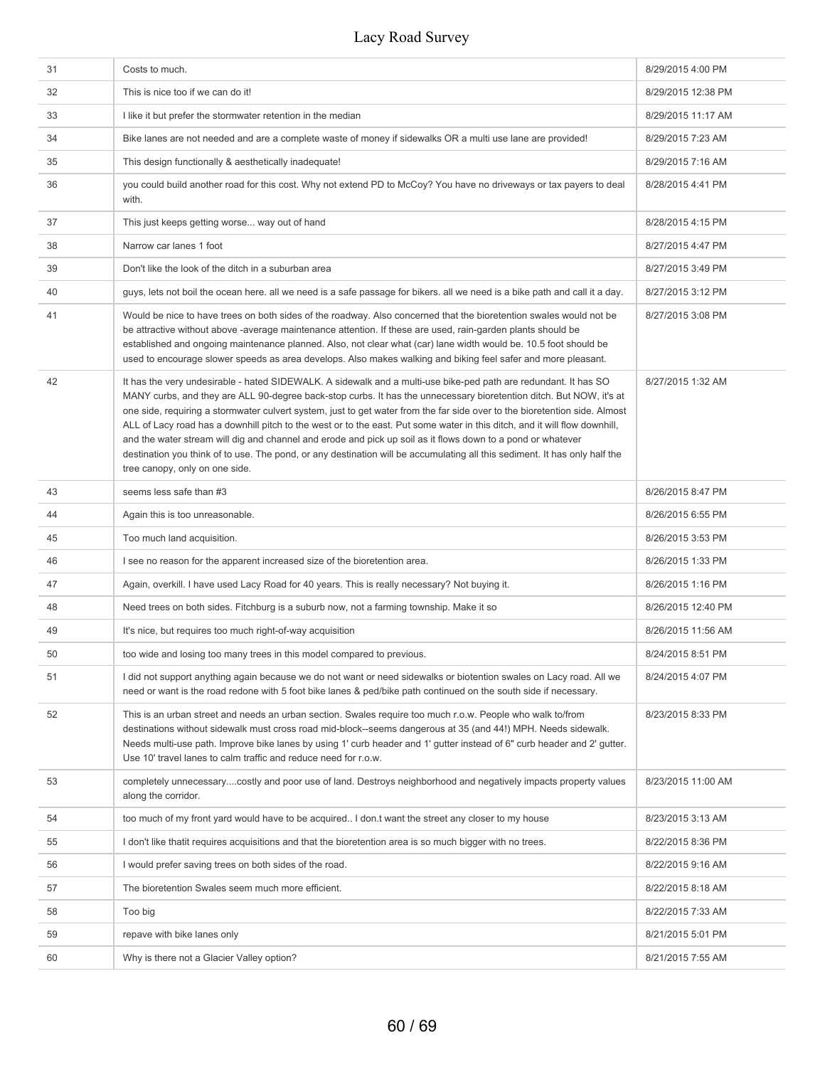Lacy Road Survey

| 31 | Costs to much.                                                                                                                                                                                                                                                                                                                                                                                                                                                                                                                                                                                                                                                                                                                                                                    | 8/29/2015 4:00 PM  |
|----|-----------------------------------------------------------------------------------------------------------------------------------------------------------------------------------------------------------------------------------------------------------------------------------------------------------------------------------------------------------------------------------------------------------------------------------------------------------------------------------------------------------------------------------------------------------------------------------------------------------------------------------------------------------------------------------------------------------------------------------------------------------------------------------|--------------------|
| 32 | This is nice too if we can do it!                                                                                                                                                                                                                                                                                                                                                                                                                                                                                                                                                                                                                                                                                                                                                 | 8/29/2015 12:38 PM |
| 33 | I like it but prefer the stormwater retention in the median                                                                                                                                                                                                                                                                                                                                                                                                                                                                                                                                                                                                                                                                                                                       | 8/29/2015 11:17 AM |
| 34 | Bike lanes are not needed and are a complete waste of money if sidewalks OR a multi use lane are provided!                                                                                                                                                                                                                                                                                                                                                                                                                                                                                                                                                                                                                                                                        | 8/29/2015 7:23 AM  |
| 35 | This design functionally & aesthetically inadequate!                                                                                                                                                                                                                                                                                                                                                                                                                                                                                                                                                                                                                                                                                                                              | 8/29/2015 7:16 AM  |
| 36 | you could build another road for this cost. Why not extend PD to McCoy? You have no driveways or tax payers to deal<br>with.                                                                                                                                                                                                                                                                                                                                                                                                                                                                                                                                                                                                                                                      | 8/28/2015 4:41 PM  |
| 37 | This just keeps getting worse way out of hand                                                                                                                                                                                                                                                                                                                                                                                                                                                                                                                                                                                                                                                                                                                                     | 8/28/2015 4:15 PM  |
| 38 | Narrow car lanes 1 foot                                                                                                                                                                                                                                                                                                                                                                                                                                                                                                                                                                                                                                                                                                                                                           | 8/27/2015 4:47 PM  |
| 39 | Don't like the look of the ditch in a suburban area                                                                                                                                                                                                                                                                                                                                                                                                                                                                                                                                                                                                                                                                                                                               | 8/27/2015 3:49 PM  |
| 40 | guys, lets not boil the ocean here. all we need is a safe passage for bikers. all we need is a bike path and call it a day.                                                                                                                                                                                                                                                                                                                                                                                                                                                                                                                                                                                                                                                       | 8/27/2015 3:12 PM  |
| 41 | Would be nice to have trees on both sides of the roadway. Also concerned that the bioretention swales would not be<br>be attractive without above -average maintenance attention. If these are used, rain-garden plants should be<br>established and ongoing maintenance planned. Also, not clear what (car) lane width would be. 10.5 foot should be<br>used to encourage slower speeds as area develops. Also makes walking and biking feel safer and more pleasant.                                                                                                                                                                                                                                                                                                            | 8/27/2015 3:08 PM  |
| 42 | It has the very undesirable - hated SIDEWALK. A sidewalk and a multi-use bike-ped path are redundant. It has SO<br>MANY curbs, and they are ALL 90-degree back-stop curbs. It has the unnecessary bioretention ditch. But NOW, it's at<br>one side, requiring a stormwater culvert system, just to get water from the far side over to the bioretention side. Almost<br>ALL of Lacy road has a downhill pitch to the west or to the east. Put some water in this ditch, and it will flow downhill,<br>and the water stream will dig and channel and erode and pick up soil as it flows down to a pond or whatever<br>destination you think of to use. The pond, or any destination will be accumulating all this sediment. It has only half the<br>tree canopy, only on one side. | 8/27/2015 1:32 AM  |
| 43 | seems less safe than #3                                                                                                                                                                                                                                                                                                                                                                                                                                                                                                                                                                                                                                                                                                                                                           | 8/26/2015 8:47 PM  |
| 44 | Again this is too unreasonable.                                                                                                                                                                                                                                                                                                                                                                                                                                                                                                                                                                                                                                                                                                                                                   | 8/26/2015 6:55 PM  |
| 45 | Too much land acquisition.                                                                                                                                                                                                                                                                                                                                                                                                                                                                                                                                                                                                                                                                                                                                                        | 8/26/2015 3:53 PM  |
| 46 | I see no reason for the apparent increased size of the bioretention area.                                                                                                                                                                                                                                                                                                                                                                                                                                                                                                                                                                                                                                                                                                         | 8/26/2015 1:33 PM  |
| 47 | Again, overkill. I have used Lacy Road for 40 years. This is really necessary? Not buying it.                                                                                                                                                                                                                                                                                                                                                                                                                                                                                                                                                                                                                                                                                     | 8/26/2015 1:16 PM  |
| 48 | Need trees on both sides. Fitchburg is a suburb now, not a farming township. Make it so                                                                                                                                                                                                                                                                                                                                                                                                                                                                                                                                                                                                                                                                                           | 8/26/2015 12:40 PM |
| 49 | It's nice, but requires too much right-of-way acquisition                                                                                                                                                                                                                                                                                                                                                                                                                                                                                                                                                                                                                                                                                                                         | 8/26/2015 11:56 AM |
| 50 | too wide and losing too many trees in this model compared to previous.                                                                                                                                                                                                                                                                                                                                                                                                                                                                                                                                                                                                                                                                                                            | 8/24/2015 8:51 PM  |
| 51 | I did not support anything again because we do not want or need sidewalks or biotention swales on Lacy road. All we<br>need or want is the road redone with 5 foot bike lanes & ped/bike path continued on the south side if necessary.                                                                                                                                                                                                                                                                                                                                                                                                                                                                                                                                           | 8/24/2015 4:07 PM  |
| 52 | This is an urban street and needs an urban section. Swales require too much r.o.w. People who walk to/from<br>destinations without sidewalk must cross road mid-block--seems dangerous at 35 (and 44!) MPH. Needs sidewalk.<br>Needs multi-use path. Improve bike lanes by using 1' curb header and 1' gutter instead of 6" curb header and 2' gutter.<br>Use 10' travel lanes to calm traffic and reduce need for r.o.w.                                                                                                                                                                                                                                                                                                                                                         | 8/23/2015 8:33 PM  |
| 53 | completely unnecessarycostly and poor use of land. Destroys neighborhood and negatively impacts property values<br>along the corridor.                                                                                                                                                                                                                                                                                                                                                                                                                                                                                                                                                                                                                                            | 8/23/2015 11:00 AM |
| 54 | too much of my front yard would have to be acquired I don.t want the street any closer to my house                                                                                                                                                                                                                                                                                                                                                                                                                                                                                                                                                                                                                                                                                | 8/23/2015 3:13 AM  |
| 55 | I don't like that it requires acquisitions and that the bioretention area is so much bigger with no trees.                                                                                                                                                                                                                                                                                                                                                                                                                                                                                                                                                                                                                                                                        | 8/22/2015 8:36 PM  |
| 56 | I would prefer saving trees on both sides of the road.                                                                                                                                                                                                                                                                                                                                                                                                                                                                                                                                                                                                                                                                                                                            | 8/22/2015 9:16 AM  |
| 57 | The bioretention Swales seem much more efficient.                                                                                                                                                                                                                                                                                                                                                                                                                                                                                                                                                                                                                                                                                                                                 | 8/22/2015 8:18 AM  |
| 58 | Too big                                                                                                                                                                                                                                                                                                                                                                                                                                                                                                                                                                                                                                                                                                                                                                           | 8/22/2015 7:33 AM  |
| 59 | repave with bike lanes only                                                                                                                                                                                                                                                                                                                                                                                                                                                                                                                                                                                                                                                                                                                                                       | 8/21/2015 5:01 PM  |
| 60 | Why is there not a Glacier Valley option?                                                                                                                                                                                                                                                                                                                                                                                                                                                                                                                                                                                                                                                                                                                                         | 8/21/2015 7:55 AM  |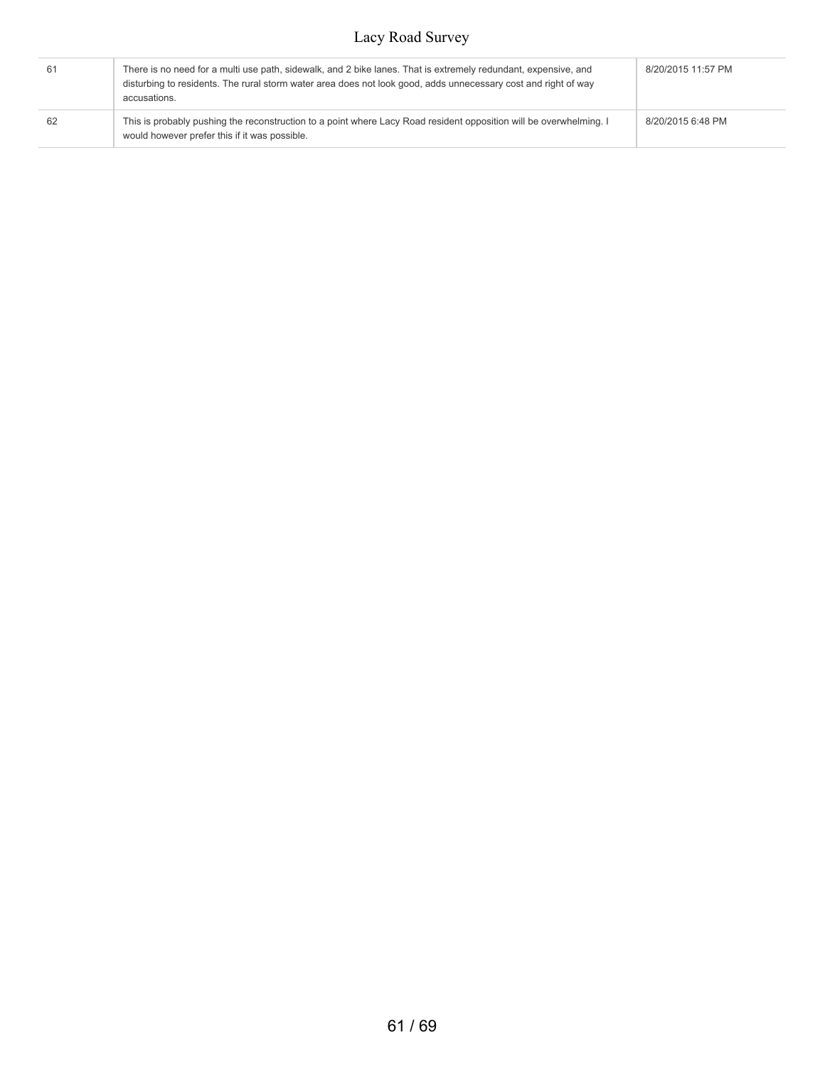| 61 | There is no need for a multi use path, sidewalk, and 2 bike lanes. That is extremely redundant, expensive, and<br>disturbing to residents. The rural storm water area does not look good, adds unnecessary cost and right of way<br>accusations. | 8/20/2015 11:57 PM |
|----|--------------------------------------------------------------------------------------------------------------------------------------------------------------------------------------------------------------------------------------------------|--------------------|
| 62 | This is probably pushing the reconstruction to a point where Lacy Road resident opposition will be overwhelming. I<br>would however prefer this if it was possible.                                                                              | 8/20/2015 6:48 PM  |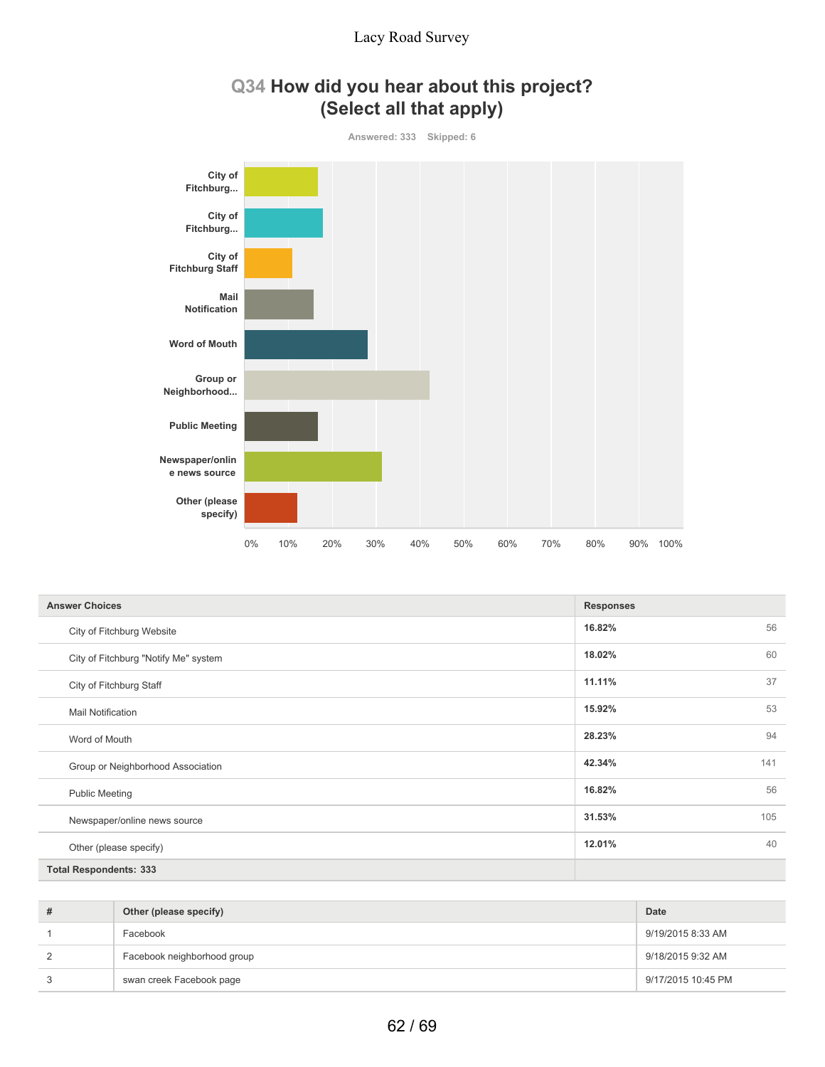

# **Q34 How did you hear about this project? (Select all that apply)**

| <b>Answer Choices</b>                | <b>Responses</b> |
|--------------------------------------|------------------|
| City of Fitchburg Website            | 56<br>16.82%     |
| City of Fitchburg "Notify Me" system | 60<br>18.02%     |
| City of Fitchburg Staff              | 37<br>11.11%     |
| <b>Mail Notification</b>             | 53<br>15.92%     |
| Word of Mouth                        | 94<br>28.23%     |
| Group or Neighborhood Association    | 42.34%<br>141    |
| <b>Public Meeting</b>                | 56<br>16.82%     |
| Newspaper/online news source         | 31.53%<br>105    |
| Other (please specify)               | 40<br>12.01%     |
| <b>Total Respondents: 333</b>        |                  |

| # | Other (please specify)      | Date               |
|---|-----------------------------|--------------------|
|   | Facebook                    | 9/19/2015 8:33 AM  |
| 2 | Facebook neighborhood group | 9/18/2015 9:32 AM  |
| 3 | swan creek Facebook page    | 9/17/2015 10:45 PM |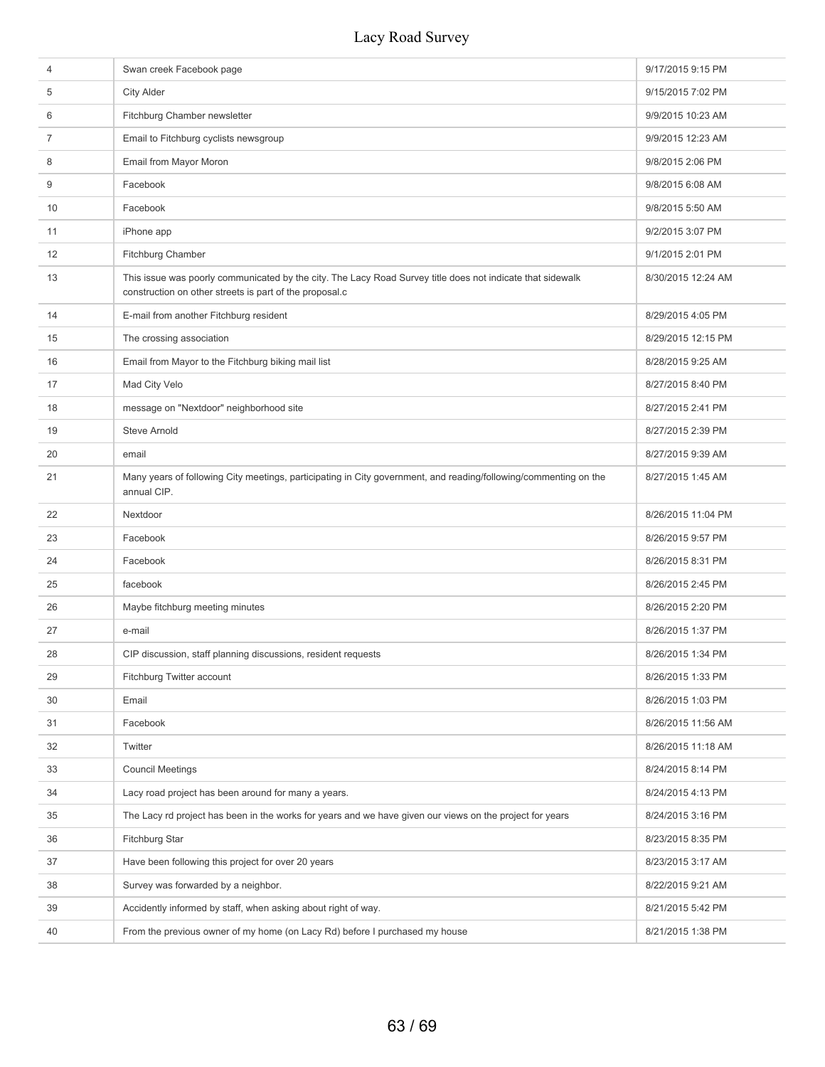| 4  | Swan creek Facebook page                                                                                                                                              | 9/17/2015 9:15 PM  |
|----|-----------------------------------------------------------------------------------------------------------------------------------------------------------------------|--------------------|
| 5  | <b>City Alder</b>                                                                                                                                                     | 9/15/2015 7:02 PM  |
| 6  | Fitchburg Chamber newsletter                                                                                                                                          | 9/9/2015 10:23 AM  |
| 7  | Email to Fitchburg cyclists newsgroup                                                                                                                                 | 9/9/2015 12:23 AM  |
| 8  | Email from Mayor Moron                                                                                                                                                | 9/8/2015 2:06 PM   |
| 9  | Facebook                                                                                                                                                              | 9/8/2015 6:08 AM   |
| 10 | Facebook                                                                                                                                                              | 9/8/2015 5:50 AM   |
| 11 | iPhone app                                                                                                                                                            | 9/2/2015 3:07 PM   |
| 12 | Fitchburg Chamber                                                                                                                                                     | 9/1/2015 2:01 PM   |
| 13 | This issue was poorly communicated by the city. The Lacy Road Survey title does not indicate that sidewalk<br>construction on other streets is part of the proposal.c | 8/30/2015 12:24 AM |
| 14 | E-mail from another Fitchburg resident                                                                                                                                | 8/29/2015 4:05 PM  |
| 15 | The crossing association                                                                                                                                              | 8/29/2015 12:15 PM |
| 16 | Email from Mayor to the Fitchburg biking mail list                                                                                                                    | 8/28/2015 9:25 AM  |
| 17 | Mad City Velo                                                                                                                                                         | 8/27/2015 8:40 PM  |
| 18 | message on "Nextdoor" neighborhood site                                                                                                                               | 8/27/2015 2:41 PM  |
| 19 | <b>Steve Arnold</b>                                                                                                                                                   | 8/27/2015 2:39 PM  |
| 20 | email                                                                                                                                                                 | 8/27/2015 9:39 AM  |
| 21 | Many years of following City meetings, participating in City government, and reading/following/commenting on the<br>annual CIP.                                       | 8/27/2015 1:45 AM  |
| 22 | Nextdoor                                                                                                                                                              | 8/26/2015 11:04 PM |
| 23 | Facebook                                                                                                                                                              | 8/26/2015 9:57 PM  |
| 24 | Facebook                                                                                                                                                              | 8/26/2015 8:31 PM  |
| 25 | facebook                                                                                                                                                              | 8/26/2015 2:45 PM  |
| 26 | Maybe fitchburg meeting minutes                                                                                                                                       | 8/26/2015 2:20 PM  |
| 27 | e-mail                                                                                                                                                                | 8/26/2015 1:37 PM  |
| 28 | CIP discussion, staff planning discussions, resident requests                                                                                                         | 8/26/2015 1:34 PM  |
| 29 | Fitchburg Twitter account                                                                                                                                             | 8/26/2015 1:33 PM  |
| 30 | Email                                                                                                                                                                 | 8/26/2015 1:03 PM  |
| 31 | Facebook                                                                                                                                                              | 8/26/2015 11:56 AM |
| 32 | Twitter                                                                                                                                                               | 8/26/2015 11:18 AM |
| 33 | <b>Council Meetings</b>                                                                                                                                               | 8/24/2015 8:14 PM  |
| 34 | Lacy road project has been around for many a years.                                                                                                                   | 8/24/2015 4:13 PM  |
| 35 | The Lacy rd project has been in the works for years and we have given our views on the project for years                                                              | 8/24/2015 3:16 PM  |
| 36 | Fitchburg Star                                                                                                                                                        | 8/23/2015 8:35 PM  |
| 37 | Have been following this project for over 20 years                                                                                                                    | 8/23/2015 3:17 AM  |
| 38 | Survey was forwarded by a neighbor.                                                                                                                                   | 8/22/2015 9:21 AM  |
| 39 | Accidently informed by staff, when asking about right of way.                                                                                                         | 8/21/2015 5:42 PM  |
| 40 | From the previous owner of my home (on Lacy Rd) before I purchased my house                                                                                           | 8/21/2015 1:38 PM  |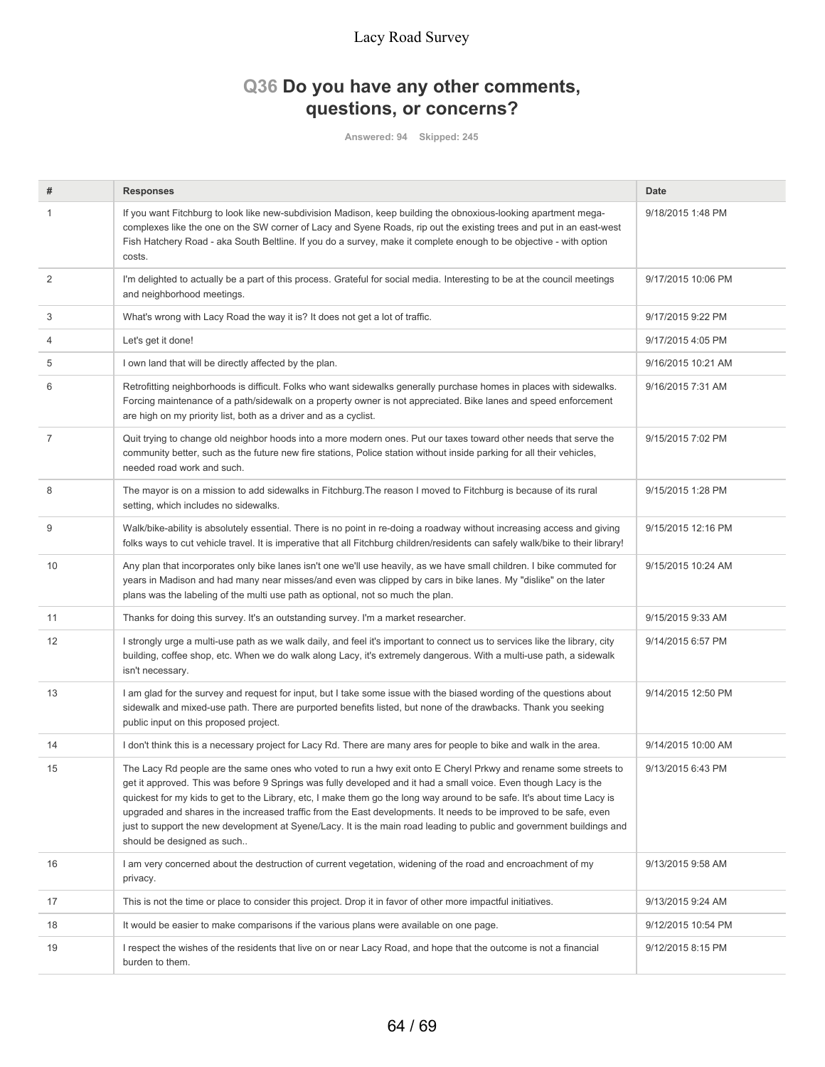# **Q36 Do you have any other comments, questions, or concerns?**

**Answered: 94 Skipped: 245**

| #              | <b>Responses</b>                                                                                                                                                                                                                                                                                                                                                                                                                                                                                                                                                                                                                           | <b>Date</b>        |
|----------------|--------------------------------------------------------------------------------------------------------------------------------------------------------------------------------------------------------------------------------------------------------------------------------------------------------------------------------------------------------------------------------------------------------------------------------------------------------------------------------------------------------------------------------------------------------------------------------------------------------------------------------------------|--------------------|
|                | If you want Fitchburg to look like new-subdivision Madison, keep building the obnoxious-looking apartment mega-<br>complexes like the one on the SW corner of Lacy and Syene Roads, rip out the existing trees and put in an east-west<br>Fish Hatchery Road - aka South Beltline. If you do a survey, make it complete enough to be objective - with option<br>costs.                                                                                                                                                                                                                                                                     | 9/18/2015 1:48 PM  |
| 2              | I'm delighted to actually be a part of this process. Grateful for social media. Interesting to be at the council meetings<br>and neighborhood meetings.                                                                                                                                                                                                                                                                                                                                                                                                                                                                                    | 9/17/2015 10:06 PM |
| 3              | What's wrong with Lacy Road the way it is? It does not get a lot of traffic.                                                                                                                                                                                                                                                                                                                                                                                                                                                                                                                                                               | 9/17/2015 9:22 PM  |
| 4              | Let's get it done!                                                                                                                                                                                                                                                                                                                                                                                                                                                                                                                                                                                                                         | 9/17/2015 4:05 PM  |
| 5              | I own land that will be directly affected by the plan.                                                                                                                                                                                                                                                                                                                                                                                                                                                                                                                                                                                     | 9/16/2015 10:21 AM |
| 6              | Retrofitting neighborhoods is difficult. Folks who want sidewalks generally purchase homes in places with sidewalks.<br>Forcing maintenance of a path/sidewalk on a property owner is not appreciated. Bike lanes and speed enforcement<br>are high on my priority list, both as a driver and as a cyclist.                                                                                                                                                                                                                                                                                                                                | 9/16/2015 7:31 AM  |
| $\overline{7}$ | Quit trying to change old neighbor hoods into a more modern ones. Put our taxes toward other needs that serve the<br>community better, such as the future new fire stations, Police station without inside parking for all their vehicles,<br>needed road work and such.                                                                                                                                                                                                                                                                                                                                                                   | 9/15/2015 7:02 PM  |
| 8              | The mayor is on a mission to add sidewalks in Fitchburg. The reason I moved to Fitchburg is because of its rural<br>setting, which includes no sidewalks.                                                                                                                                                                                                                                                                                                                                                                                                                                                                                  | 9/15/2015 1:28 PM  |
| 9              | Walk/bike-ability is absolutely essential. There is no point in re-doing a roadway without increasing access and giving<br>folks ways to cut vehicle travel. It is imperative that all Fitchburg children/residents can safely walk/bike to their library!                                                                                                                                                                                                                                                                                                                                                                                 | 9/15/2015 12:16 PM |
| 10             | Any plan that incorporates only bike lanes isn't one we'll use heavily, as we have small children. I bike commuted for<br>years in Madison and had many near misses/and even was clipped by cars in bike lanes. My "dislike" on the later<br>plans was the labeling of the multi use path as optional, not so much the plan.                                                                                                                                                                                                                                                                                                               | 9/15/2015 10:24 AM |
| 11             | Thanks for doing this survey. It's an outstanding survey. I'm a market researcher.                                                                                                                                                                                                                                                                                                                                                                                                                                                                                                                                                         | 9/15/2015 9:33 AM  |
| 12             | I strongly urge a multi-use path as we walk daily, and feel it's important to connect us to services like the library, city<br>building, coffee shop, etc. When we do walk along Lacy, it's extremely dangerous. With a multi-use path, a sidewalk<br>isn't necessary.                                                                                                                                                                                                                                                                                                                                                                     | 9/14/2015 6:57 PM  |
| 13             | I am glad for the survey and request for input, but I take some issue with the biased wording of the questions about<br>sidewalk and mixed-use path. There are purported benefits listed, but none of the drawbacks. Thank you seeking<br>public input on this proposed project.                                                                                                                                                                                                                                                                                                                                                           | 9/14/2015 12:50 PM |
| 14             | I don't think this is a necessary project for Lacy Rd. There are many ares for people to bike and walk in the area.                                                                                                                                                                                                                                                                                                                                                                                                                                                                                                                        | 9/14/2015 10:00 AM |
| 15             | The Lacy Rd people are the same ones who voted to run a hwy exit onto E Cheryl Prkwy and rename some streets to<br>get it approved. This was before 9 Springs was fully developed and it had a small voice. Even though Lacy is the<br>quickest for my kids to get to the Library, etc, I make them go the long way around to be safe. It's about time Lacy is<br>upgraded and shares in the increased traffic from the East developments. It needs to be improved to be safe, even<br>just to support the new development at Syene/Lacy. It is the main road leading to public and government buildings and<br>should be designed as such | 9/13/2015 6:43 PM  |
| 16             | I am very concerned about the destruction of current vegetation, widening of the road and encroachment of my<br>privacy.                                                                                                                                                                                                                                                                                                                                                                                                                                                                                                                   | 9/13/2015 9:58 AM  |
| 17             | This is not the time or place to consider this project. Drop it in favor of other more impactful initiatives.                                                                                                                                                                                                                                                                                                                                                                                                                                                                                                                              | 9/13/2015 9:24 AM  |
| 18             | It would be easier to make comparisons if the various plans were available on one page.                                                                                                                                                                                                                                                                                                                                                                                                                                                                                                                                                    | 9/12/2015 10:54 PM |
| 19             | I respect the wishes of the residents that live on or near Lacy Road, and hope that the outcome is not a financial<br>burden to them.                                                                                                                                                                                                                                                                                                                                                                                                                                                                                                      | 9/12/2015 8:15 PM  |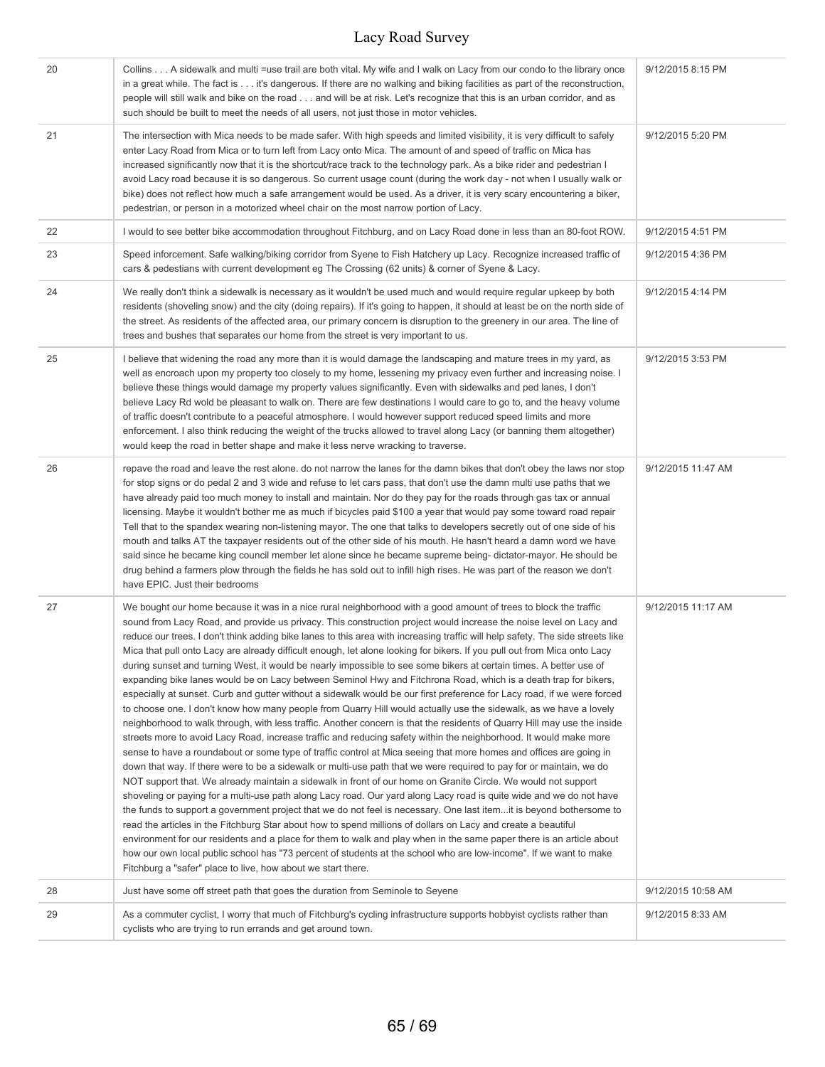| 20 | Collins A sidewalk and multi =use trail are both vital. My wife and I walk on Lacy from our condo to the library once<br>in a great while. The fact is it's dangerous. If there are no walking and biking facilities as part of the reconstruction,<br>people will still walk and bike on the road and will be at risk. Let's recognize that this is an urban corridor, and as<br>such should be built to meet the needs of all users, not just those in motor vehicles.                                                                                                                                                                                                                                                                                                                                                                                                                                                                                                                                                                                                                                                                                                                                                                                                                                                                                                                                                                                                                                                                                                                                                                                                                                                                                                                                                                                                                                                                                                                                                                                                                                                                                                                                                                                                                | 9/12/2015 8:15 PM  |
|----|-----------------------------------------------------------------------------------------------------------------------------------------------------------------------------------------------------------------------------------------------------------------------------------------------------------------------------------------------------------------------------------------------------------------------------------------------------------------------------------------------------------------------------------------------------------------------------------------------------------------------------------------------------------------------------------------------------------------------------------------------------------------------------------------------------------------------------------------------------------------------------------------------------------------------------------------------------------------------------------------------------------------------------------------------------------------------------------------------------------------------------------------------------------------------------------------------------------------------------------------------------------------------------------------------------------------------------------------------------------------------------------------------------------------------------------------------------------------------------------------------------------------------------------------------------------------------------------------------------------------------------------------------------------------------------------------------------------------------------------------------------------------------------------------------------------------------------------------------------------------------------------------------------------------------------------------------------------------------------------------------------------------------------------------------------------------------------------------------------------------------------------------------------------------------------------------------------------------------------------------------------------------------------------------|--------------------|
| 21 | The intersection with Mica needs to be made safer. With high speeds and limited visibility, it is very difficult to safely<br>enter Lacy Road from Mica or to turn left from Lacy onto Mica. The amount of and speed of traffic on Mica has<br>increased significantly now that it is the shortcut/race track to the technology park. As a bike rider and pedestrian I<br>avoid Lacy road because it is so dangerous. So current usage count (during the work day - not when I usually walk or<br>bike) does not reflect how much a safe arrangement would be used. As a driver, it is very scary encountering a biker,<br>pedestrian, or person in a motorized wheel chair on the most narrow portion of Lacy.                                                                                                                                                                                                                                                                                                                                                                                                                                                                                                                                                                                                                                                                                                                                                                                                                                                                                                                                                                                                                                                                                                                                                                                                                                                                                                                                                                                                                                                                                                                                                                         | 9/12/2015 5:20 PM  |
| 22 | I would to see better bike accommodation throughout Fitchburg, and on Lacy Road done in less than an 80-foot ROW.                                                                                                                                                                                                                                                                                                                                                                                                                                                                                                                                                                                                                                                                                                                                                                                                                                                                                                                                                                                                                                                                                                                                                                                                                                                                                                                                                                                                                                                                                                                                                                                                                                                                                                                                                                                                                                                                                                                                                                                                                                                                                                                                                                       | 9/12/2015 4:51 PM  |
| 23 | Speed inforcement. Safe walking/biking corridor from Syene to Fish Hatchery up Lacy. Recognize increased traffic of<br>cars & pedestians with current development eg The Crossing (62 units) & corner of Syene & Lacy.                                                                                                                                                                                                                                                                                                                                                                                                                                                                                                                                                                                                                                                                                                                                                                                                                                                                                                                                                                                                                                                                                                                                                                                                                                                                                                                                                                                                                                                                                                                                                                                                                                                                                                                                                                                                                                                                                                                                                                                                                                                                  | 9/12/2015 4:36 PM  |
| 24 | We really don't think a sidewalk is necessary as it wouldn't be used much and would require regular upkeep by both<br>residents (shoveling snow) and the city (doing repairs). If it's going to happen, it should at least be on the north side of<br>the street. As residents of the affected area, our primary concern is disruption to the greenery in our area. The line of<br>trees and bushes that separates our home from the street is very important to us.                                                                                                                                                                                                                                                                                                                                                                                                                                                                                                                                                                                                                                                                                                                                                                                                                                                                                                                                                                                                                                                                                                                                                                                                                                                                                                                                                                                                                                                                                                                                                                                                                                                                                                                                                                                                                    | 9/12/2015 4:14 PM  |
| 25 | I believe that widening the road any more than it is would damage the landscaping and mature trees in my yard, as<br>well as encroach upon my property too closely to my home, lessening my privacy even further and increasing noise. I<br>believe these things would damage my property values significantly. Even with sidewalks and ped lanes, I don't<br>believe Lacy Rd wold be pleasant to walk on. There are few destinations I would care to go to, and the heavy volume<br>of traffic doesn't contribute to a peaceful atmosphere. I would however support reduced speed limits and more<br>enforcement. I also think reducing the weight of the trucks allowed to travel along Lacy (or banning them altogether)<br>would keep the road in better shape and make it less nerve wracking to traverse.                                                                                                                                                                                                                                                                                                                                                                                                                                                                                                                                                                                                                                                                                                                                                                                                                                                                                                                                                                                                                                                                                                                                                                                                                                                                                                                                                                                                                                                                         | 9/12/2015 3:53 PM  |
| 26 | repave the road and leave the rest alone. do not narrow the lanes for the damn bikes that don't obey the laws nor stop<br>for stop signs or do pedal 2 and 3 wide and refuse to let cars pass, that don't use the damn multi use paths that we<br>have already paid too much money to install and maintain. Nor do they pay for the roads through gas tax or annual<br>licensing. Maybe it wouldn't bother me as much if bicycles paid \$100 a year that would pay some toward road repair<br>Tell that to the spandex wearing non-listening mayor. The one that talks to developers secretly out of one side of his<br>mouth and talks AT the taxpayer residents out of the other side of his mouth. He hasn't heard a damn word we have<br>said since he became king council member let alone since he became supreme being- dictator-mayor. He should be<br>drug behind a farmers plow through the fields he has sold out to infill high rises. He was part of the reason we don't<br>have EPIC. Just their bedrooms                                                                                                                                                                                                                                                                                                                                                                                                                                                                                                                                                                                                                                                                                                                                                                                                                                                                                                                                                                                                                                                                                                                                                                                                                                                                 | 9/12/2015 11:47 AM |
| 27 | We bought our home because it was in a nice rural neighborhood with a good amount of trees to block the traffic<br>sound from Lacy Road, and provide us privacy. This construction project would increase the noise level on Lacy and<br>reduce our trees. I don't think adding bike lanes to this area with increasing traffic will help safety. The side streets like<br>Mica that pull onto Lacy are already difficult enough, let alone looking for bikers. If you pull out from Mica onto Lacy<br>during sunset and turning West, it would be nearly impossible to see some bikers at certain times. A better use of<br>expanding bike lanes would be on Lacy between Seminol Hwy and Fitchrona Road, which is a death trap for bikers,<br>especially at sunset. Curb and gutter without a sidewalk would be our first preference for Lacy road, if we were forced<br>to choose one. I don't know how many people from Quarry Hill would actually use the sidewalk, as we have a lovely<br>neighborhood to walk through, with less traffic. Another concern is that the residents of Quarry Hill may use the inside<br>streets more to avoid Lacy Road, increase traffic and reducing safety within the neighborhood. It would make more<br>sense to have a roundabout or some type of traffic control at Mica seeing that more homes and offices are going in<br>down that way. If there were to be a sidewalk or multi-use path that we were required to pay for or maintain, we do<br>NOT support that. We already maintain a sidewalk in front of our home on Granite Circle. We would not support<br>shoveling or paying for a multi-use path along Lacy road. Our yard along Lacy road is quite wide and we do not have<br>the funds to support a government project that we do not feel is necessary. One last itemit is beyond bothersome to<br>read the articles in the Fitchburg Star about how to spend millions of dollars on Lacy and create a beautiful<br>environment for our residents and a place for them to walk and play when in the same paper there is an article about<br>how our own local public school has "73 percent of students at the school who are low-income". If we want to make<br>Fitchburg a "safer" place to live, how about we start there. | 9/12/2015 11:17 AM |
| 28 | Just have some off street path that goes the duration from Seminole to Seyene                                                                                                                                                                                                                                                                                                                                                                                                                                                                                                                                                                                                                                                                                                                                                                                                                                                                                                                                                                                                                                                                                                                                                                                                                                                                                                                                                                                                                                                                                                                                                                                                                                                                                                                                                                                                                                                                                                                                                                                                                                                                                                                                                                                                           | 9/12/2015 10:58 AM |
| 29 | As a commuter cyclist, I worry that much of Fitchburg's cycling infrastructure supports hobbyist cyclists rather than<br>cyclists who are trying to run errands and get around town.                                                                                                                                                                                                                                                                                                                                                                                                                                                                                                                                                                                                                                                                                                                                                                                                                                                                                                                                                                                                                                                                                                                                                                                                                                                                                                                                                                                                                                                                                                                                                                                                                                                                                                                                                                                                                                                                                                                                                                                                                                                                                                    | 9/12/2015 8:33 AM  |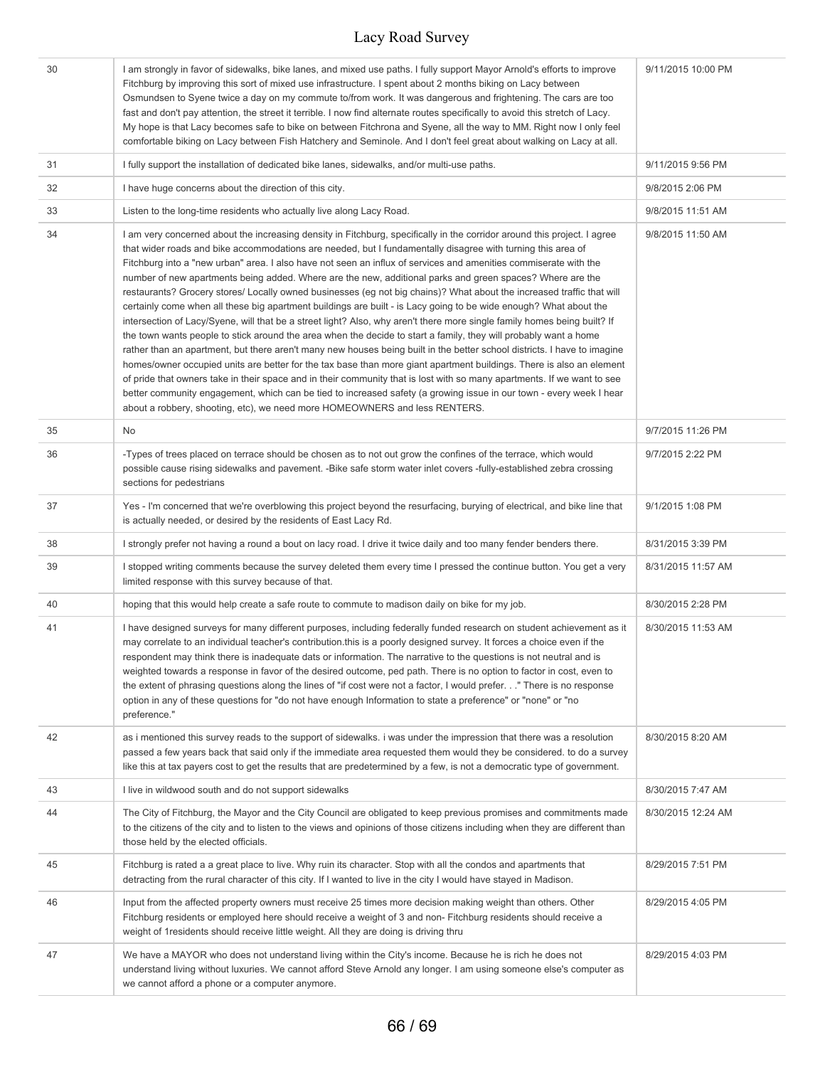| 30 | I am strongly in favor of sidewalks, bike lanes, and mixed use paths. I fully support Mayor Arnold's efforts to improve<br>Fitchburg by improving this sort of mixed use infrastructure. I spent about 2 months biking on Lacy between<br>Osmundsen to Syene twice a day on my commute to/from work. It was dangerous and frightening. The cars are too<br>fast and don't pay attention, the street it terrible. I now find alternate routes specifically to avoid this stretch of Lacy.<br>My hope is that Lacy becomes safe to bike on between Fitchrona and Syene, all the way to MM. Right now I only feel<br>comfortable biking on Lacy between Fish Hatchery and Seminole. And I don't feel great about walking on Lacy at all.                                                                                                                                                                                                                                                                                                                                                                                                                                                                                                                                                                                                                                                                                                                                                                                                                      | 9/11/2015 10:00 PM |
|----|------------------------------------------------------------------------------------------------------------------------------------------------------------------------------------------------------------------------------------------------------------------------------------------------------------------------------------------------------------------------------------------------------------------------------------------------------------------------------------------------------------------------------------------------------------------------------------------------------------------------------------------------------------------------------------------------------------------------------------------------------------------------------------------------------------------------------------------------------------------------------------------------------------------------------------------------------------------------------------------------------------------------------------------------------------------------------------------------------------------------------------------------------------------------------------------------------------------------------------------------------------------------------------------------------------------------------------------------------------------------------------------------------------------------------------------------------------------------------------------------------------------------------------------------------------|--------------------|
| 31 | I fully support the installation of dedicated bike lanes, sidewalks, and/or multi-use paths.                                                                                                                                                                                                                                                                                                                                                                                                                                                                                                                                                                                                                                                                                                                                                                                                                                                                                                                                                                                                                                                                                                                                                                                                                                                                                                                                                                                                                                                               | 9/11/2015 9:56 PM  |
| 32 | I have huge concerns about the direction of this city.                                                                                                                                                                                                                                                                                                                                                                                                                                                                                                                                                                                                                                                                                                                                                                                                                                                                                                                                                                                                                                                                                                                                                                                                                                                                                                                                                                                                                                                                                                     | 9/8/2015 2:06 PM   |
| 33 | Listen to the long-time residents who actually live along Lacy Road.                                                                                                                                                                                                                                                                                                                                                                                                                                                                                                                                                                                                                                                                                                                                                                                                                                                                                                                                                                                                                                                                                                                                                                                                                                                                                                                                                                                                                                                                                       | 9/8/2015 11:51 AM  |
| 34 | I am very concerned about the increasing density in Fitchburg, specifically in the corridor around this project. I agree<br>that wider roads and bike accommodations are needed, but I fundamentally disagree with turning this area of<br>Fitchburg into a "new urban" area. I also have not seen an influx of services and amenities commiserate with the<br>number of new apartments being added. Where are the new, additional parks and green spaces? Where are the<br>restaurants? Grocery stores/ Locally owned businesses (eg not big chains)? What about the increased traffic that will<br>certainly come when all these big apartment buildings are built - is Lacy going to be wide enough? What about the<br>intersection of Lacy/Syene, will that be a street light? Also, why aren't there more single family homes being built? If<br>the town wants people to stick around the area when the decide to start a family, they will probably want a home<br>rather than an apartment, but there aren't many new houses being built in the better school districts. I have to imagine<br>homes/owner occupied units are better for the tax base than more giant apartment buildings. There is also an element<br>of pride that owners take in their space and in their community that is lost with so many apartments. If we want to see<br>better community engagement, which can be tied to increased safety (a growing issue in our town - every week I hear<br>about a robbery, shooting, etc), we need more HOMEOWNERS and less RENTERS. | 9/8/2015 11:50 AM  |
| 35 | No                                                                                                                                                                                                                                                                                                                                                                                                                                                                                                                                                                                                                                                                                                                                                                                                                                                                                                                                                                                                                                                                                                                                                                                                                                                                                                                                                                                                                                                                                                                                                         | 9/7/2015 11:26 PM  |
| 36 | -Types of trees placed on terrace should be chosen as to not out grow the confines of the terrace, which would<br>possible cause rising sidewalks and pavement. -Bike safe storm water inlet covers -fully-established zebra crossing<br>sections for pedestrians                                                                                                                                                                                                                                                                                                                                                                                                                                                                                                                                                                                                                                                                                                                                                                                                                                                                                                                                                                                                                                                                                                                                                                                                                                                                                          | 9/7/2015 2:22 PM   |
| 37 | Yes - I'm concerned that we're overblowing this project beyond the resurfacing, burying of electrical, and bike line that<br>is actually needed, or desired by the residents of East Lacy Rd.                                                                                                                                                                                                                                                                                                                                                                                                                                                                                                                                                                                                                                                                                                                                                                                                                                                                                                                                                                                                                                                                                                                                                                                                                                                                                                                                                              | 9/1/2015 1:08 PM   |
| 38 | I strongly prefer not having a round a bout on lacy road. I drive it twice daily and too many fender benders there.                                                                                                                                                                                                                                                                                                                                                                                                                                                                                                                                                                                                                                                                                                                                                                                                                                                                                                                                                                                                                                                                                                                                                                                                                                                                                                                                                                                                                                        | 8/31/2015 3:39 PM  |
| 39 | I stopped writing comments because the survey deleted them every time I pressed the continue button. You get a very<br>limited response with this survey because of that.                                                                                                                                                                                                                                                                                                                                                                                                                                                                                                                                                                                                                                                                                                                                                                                                                                                                                                                                                                                                                                                                                                                                                                                                                                                                                                                                                                                  | 8/31/2015 11:57 AM |
| 40 | hoping that this would help create a safe route to commute to madison daily on bike for my job.                                                                                                                                                                                                                                                                                                                                                                                                                                                                                                                                                                                                                                                                                                                                                                                                                                                                                                                                                                                                                                                                                                                                                                                                                                                                                                                                                                                                                                                            | 8/30/2015 2:28 PM  |
| 41 | I have designed surveys for many different purposes, including federally funded research on student achievement as it<br>may correlate to an individual teacher's contribution this is a poorly designed survey. It forces a choice even if the<br>respondent may think there is inadequate dats or information. The narrative to the questions is not neutral and is<br>weighted towards a response in favor of the desired outcome, ped path. There is no option to factor in cost, even to<br>the extent of phrasing questions along the lines of "if cost were not a factor, I would prefer" There is no response<br>option in any of these questions for "do not have enough Information to state a preference" or "none" or "no<br>preference."                                                                                                                                                                                                                                                                                                                                                                                                                                                                                                                                                                                                                                                                                                                                                                                                      | 8/30/2015 11:53 AM |
| 42 | as i mentioned this survey reads to the support of sidewalks. i was under the impression that there was a resolution<br>passed a few years back that said only if the immediate area requested them would they be considered. to do a survey<br>like this at tax payers cost to get the results that are predetermined by a few, is not a democratic type of government.                                                                                                                                                                                                                                                                                                                                                                                                                                                                                                                                                                                                                                                                                                                                                                                                                                                                                                                                                                                                                                                                                                                                                                                   | 8/30/2015 8:20 AM  |
| 43 | I live in wildwood south and do not support sidewalks                                                                                                                                                                                                                                                                                                                                                                                                                                                                                                                                                                                                                                                                                                                                                                                                                                                                                                                                                                                                                                                                                                                                                                                                                                                                                                                                                                                                                                                                                                      | 8/30/2015 7:47 AM  |
| 44 | The City of Fitchburg, the Mayor and the City Council are obligated to keep previous promises and commitments made<br>to the citizens of the city and to listen to the views and opinions of those citizens including when they are different than<br>those held by the elected officials.                                                                                                                                                                                                                                                                                                                                                                                                                                                                                                                                                                                                                                                                                                                                                                                                                                                                                                                                                                                                                                                                                                                                                                                                                                                                 | 8/30/2015 12:24 AM |
| 45 | Fitchburg is rated a a great place to live. Why ruin its character. Stop with all the condos and apartments that<br>detracting from the rural character of this city. If I wanted to live in the city I would have stayed in Madison.                                                                                                                                                                                                                                                                                                                                                                                                                                                                                                                                                                                                                                                                                                                                                                                                                                                                                                                                                                                                                                                                                                                                                                                                                                                                                                                      | 8/29/2015 7:51 PM  |
| 46 | Input from the affected property owners must receive 25 times more decision making weight than others. Other<br>Fitchburg residents or employed here should receive a weight of 3 and non- Fitchburg residents should receive a<br>weight of 1 residents should receive little weight. All they are doing is driving thru                                                                                                                                                                                                                                                                                                                                                                                                                                                                                                                                                                                                                                                                                                                                                                                                                                                                                                                                                                                                                                                                                                                                                                                                                                  | 8/29/2015 4:05 PM  |
| 47 | We have a MAYOR who does not understand living within the City's income. Because he is rich he does not<br>understand living without luxuries. We cannot afford Steve Arnold any longer. I am using someone else's computer as<br>we cannot afford a phone or a computer anymore.                                                                                                                                                                                                                                                                                                                                                                                                                                                                                                                                                                                                                                                                                                                                                                                                                                                                                                                                                                                                                                                                                                                                                                                                                                                                          | 8/29/2015 4:03 PM  |
|    |                                                                                                                                                                                                                                                                                                                                                                                                                                                                                                                                                                                                                                                                                                                                                                                                                                                                                                                                                                                                                                                                                                                                                                                                                                                                                                                                                                                                                                                                                                                                                            |                    |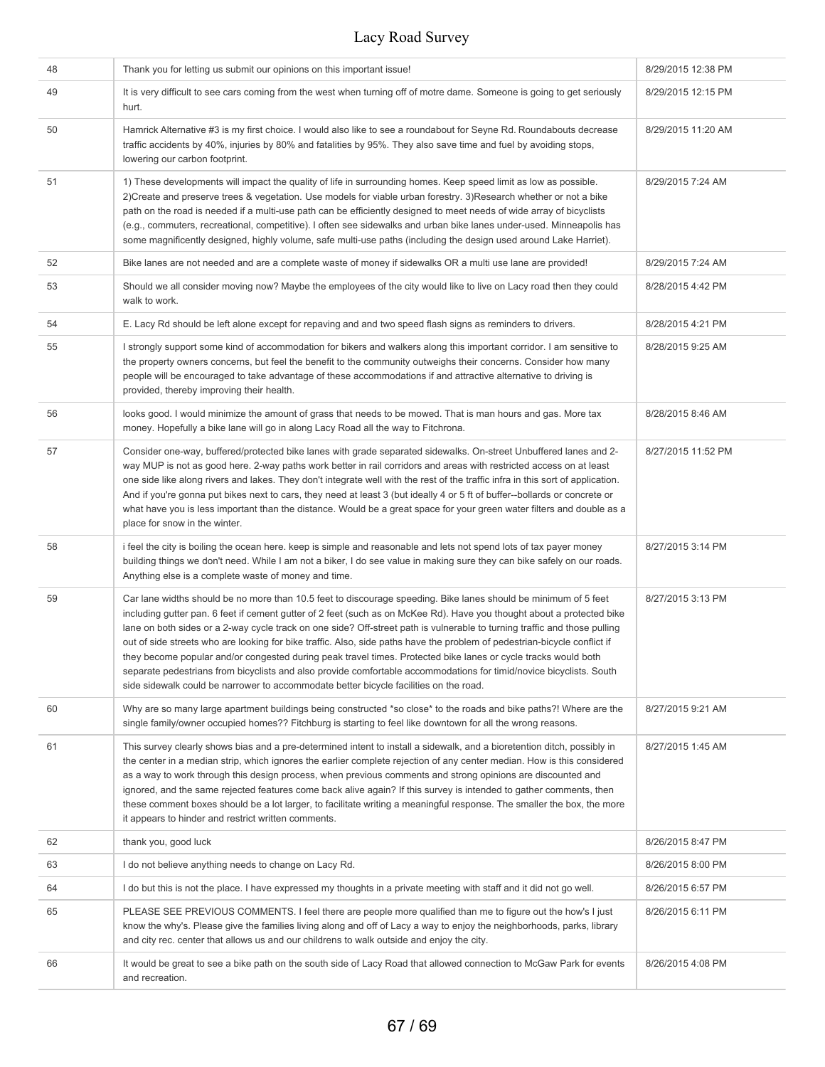| 48 | Thank you for letting us submit our opinions on this important issue!                                                                                                                                                                                                                                                                                                                                                                                                                                                                                                                                                                                                                                                                                                                                                                 | 8/29/2015 12:38 PM |
|----|---------------------------------------------------------------------------------------------------------------------------------------------------------------------------------------------------------------------------------------------------------------------------------------------------------------------------------------------------------------------------------------------------------------------------------------------------------------------------------------------------------------------------------------------------------------------------------------------------------------------------------------------------------------------------------------------------------------------------------------------------------------------------------------------------------------------------------------|--------------------|
| 49 | It is very difficult to see cars coming from the west when turning off of motre dame. Someone is going to get seriously<br>hurt.                                                                                                                                                                                                                                                                                                                                                                                                                                                                                                                                                                                                                                                                                                      | 8/29/2015 12:15 PM |
| 50 | Hamrick Alternative #3 is my first choice. I would also like to see a roundabout for Seyne Rd. Roundabouts decrease<br>traffic accidents by 40%, injuries by 80% and fatalities by 95%. They also save time and fuel by avoiding stops,<br>lowering our carbon footprint.                                                                                                                                                                                                                                                                                                                                                                                                                                                                                                                                                             | 8/29/2015 11:20 AM |
| 51 | 1) These developments will impact the quality of life in surrounding homes. Keep speed limit as low as possible.<br>2) Create and preserve trees & vegetation. Use models for viable urban forestry. 3) Research whether or not a bike<br>path on the road is needed if a multi-use path can be efficiently designed to meet needs of wide array of bicyclists<br>(e.g., commuters, recreational, competitive). I often see sidewalks and urban bike lanes under-used. Minneapolis has<br>some magnificently designed, highly volume, safe multi-use paths (including the design used around Lake Harriet).                                                                                                                                                                                                                           | 8/29/2015 7:24 AM  |
| 52 | Bike lanes are not needed and are a complete waste of money if sidewalks OR a multi use lane are provided!                                                                                                                                                                                                                                                                                                                                                                                                                                                                                                                                                                                                                                                                                                                            | 8/29/2015 7:24 AM  |
| 53 | Should we all consider moving now? Maybe the employees of the city would like to live on Lacy road then they could<br>walk to work.                                                                                                                                                                                                                                                                                                                                                                                                                                                                                                                                                                                                                                                                                                   | 8/28/2015 4:42 PM  |
| 54 | E. Lacy Rd should be left alone except for repaving and and two speed flash signs as reminders to drivers.                                                                                                                                                                                                                                                                                                                                                                                                                                                                                                                                                                                                                                                                                                                            | 8/28/2015 4:21 PM  |
| 55 | I strongly support some kind of accommodation for bikers and walkers along this important corridor. I am sensitive to<br>the property owners concerns, but feel the benefit to the community outweighs their concerns. Consider how many<br>people will be encouraged to take advantage of these accommodations if and attractive alternative to driving is<br>provided, thereby improving their health.                                                                                                                                                                                                                                                                                                                                                                                                                              | 8/28/2015 9:25 AM  |
| 56 | looks good. I would minimize the amount of grass that needs to be mowed. That is man hours and gas. More tax<br>money. Hopefully a bike lane will go in along Lacy Road all the way to Fitchrona.                                                                                                                                                                                                                                                                                                                                                                                                                                                                                                                                                                                                                                     | 8/28/2015 8:46 AM  |
| 57 | Consider one-way, buffered/protected bike lanes with grade separated sidewalks. On-street Unbuffered lanes and 2-<br>way MUP is not as good here. 2-way paths work better in rail corridors and areas with restricted access on at least<br>one side like along rivers and lakes. They don't integrate well with the rest of the traffic infra in this sort of application.<br>And if you're gonna put bikes next to cars, they need at least 3 (but ideally 4 or 5 ft of buffer--bollards or concrete or<br>what have you is less important than the distance. Would be a great space for your green water filters and double as a<br>place for snow in the winter.                                                                                                                                                                  | 8/27/2015 11:52 PM |
| 58 | i feel the city is boiling the ocean here. keep is simple and reasonable and lets not spend lots of tax payer money<br>building things we don't need. While I am not a biker, I do see value in making sure they can bike safely on our roads.<br>Anything else is a complete waste of money and time.                                                                                                                                                                                                                                                                                                                                                                                                                                                                                                                                | 8/27/2015 3:14 PM  |
| 59 | Car lane widths should be no more than 10.5 feet to discourage speeding. Bike lanes should be minimum of 5 feet<br>including gutter pan. 6 feet if cement gutter of 2 feet (such as on McKee Rd). Have you thought about a protected bike<br>lane on both sides or a 2-way cycle track on one side? Off-street path is vulnerable to turning traffic and those pulling<br>out of side streets who are looking for bike traffic. Also, side paths have the problem of pedestrian-bicycle conflict if<br>they become popular and/or congested during peak travel times. Protected bike lanes or cycle tracks would both<br>separate pedestrians from bicyclists and also provide comfortable accommodations for timid/novice bicyclists. South<br>side sidewalk could be narrower to accommodate better bicycle facilities on the road. | 8/27/2015 3:13 PM  |
| 60 | Why are so many large apartment buildings being constructed *so close* to the roads and bike paths?! Where are the<br>single family/owner occupied homes?? Fitchburg is starting to feel like downtown for all the wrong reasons.                                                                                                                                                                                                                                                                                                                                                                                                                                                                                                                                                                                                     | 8/27/2015 9:21 AM  |
| 61 | This survey clearly shows bias and a pre-determined intent to install a sidewalk, and a bioretention ditch, possibly in<br>the center in a median strip, which ignores the earlier complete rejection of any center median. How is this considered<br>as a way to work through this design process, when previous comments and strong opinions are discounted and<br>ignored, and the same rejected features come back alive again? If this survey is intended to gather comments, then<br>these comment boxes should be a lot larger, to facilitate writing a meaningful response. The smaller the box, the more<br>it appears to hinder and restrict written comments.                                                                                                                                                              | 8/27/2015 1:45 AM  |
| 62 | thank you, good luck                                                                                                                                                                                                                                                                                                                                                                                                                                                                                                                                                                                                                                                                                                                                                                                                                  | 8/26/2015 8:47 PM  |
| 63 | I do not believe anything needs to change on Lacy Rd.                                                                                                                                                                                                                                                                                                                                                                                                                                                                                                                                                                                                                                                                                                                                                                                 | 8/26/2015 8:00 PM  |
| 64 | I do but this is not the place. I have expressed my thoughts in a private meeting with staff and it did not go well.                                                                                                                                                                                                                                                                                                                                                                                                                                                                                                                                                                                                                                                                                                                  | 8/26/2015 6:57 PM  |
| 65 | PLEASE SEE PREVIOUS COMMENTS. I feel there are people more qualified than me to figure out the how's I just<br>know the why's. Please give the families living along and off of Lacy a way to enjoy the neighborhoods, parks, library<br>and city rec. center that allows us and our childrens to walk outside and enjoy the city.                                                                                                                                                                                                                                                                                                                                                                                                                                                                                                    | 8/26/2015 6:11 PM  |
| 66 | It would be great to see a bike path on the south side of Lacy Road that allowed connection to McGaw Park for events<br>and recreation.                                                                                                                                                                                                                                                                                                                                                                                                                                                                                                                                                                                                                                                                                               | 8/26/2015 4:08 PM  |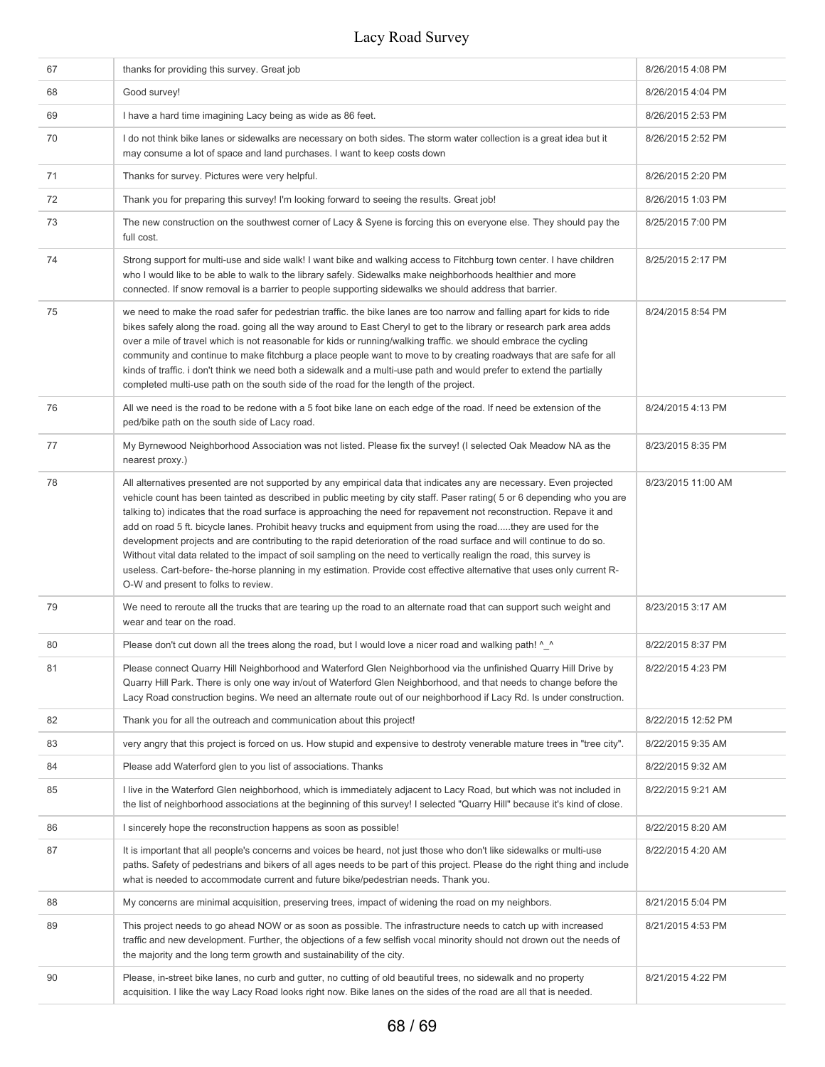| 67 | thanks for providing this survey. Great job                                                                                                                                                                                                                                                                                                                                                                                                                                                                                                                                                                                                                                                                                                                                                                                                                                                              | 8/26/2015 4:08 PM  |
|----|----------------------------------------------------------------------------------------------------------------------------------------------------------------------------------------------------------------------------------------------------------------------------------------------------------------------------------------------------------------------------------------------------------------------------------------------------------------------------------------------------------------------------------------------------------------------------------------------------------------------------------------------------------------------------------------------------------------------------------------------------------------------------------------------------------------------------------------------------------------------------------------------------------|--------------------|
| 68 | Good survey!                                                                                                                                                                                                                                                                                                                                                                                                                                                                                                                                                                                                                                                                                                                                                                                                                                                                                             | 8/26/2015 4:04 PM  |
| 69 | I have a hard time imagining Lacy being as wide as 86 feet.                                                                                                                                                                                                                                                                                                                                                                                                                                                                                                                                                                                                                                                                                                                                                                                                                                              | 8/26/2015 2:53 PM  |
| 70 | I do not think bike lanes or sidewalks are necessary on both sides. The storm water collection is a great idea but it<br>may consume a lot of space and land purchases. I want to keep costs down                                                                                                                                                                                                                                                                                                                                                                                                                                                                                                                                                                                                                                                                                                        | 8/26/2015 2:52 PM  |
| 71 | Thanks for survey. Pictures were very helpful.                                                                                                                                                                                                                                                                                                                                                                                                                                                                                                                                                                                                                                                                                                                                                                                                                                                           | 8/26/2015 2:20 PM  |
| 72 | Thank you for preparing this survey! I'm looking forward to seeing the results. Great job!                                                                                                                                                                                                                                                                                                                                                                                                                                                                                                                                                                                                                                                                                                                                                                                                               | 8/26/2015 1:03 PM  |
| 73 | The new construction on the southwest corner of Lacy & Syene is forcing this on everyone else. They should pay the<br>full cost.                                                                                                                                                                                                                                                                                                                                                                                                                                                                                                                                                                                                                                                                                                                                                                         | 8/25/2015 7:00 PM  |
| 74 | Strong support for multi-use and side walk! I want bike and walking access to Fitchburg town center. I have children<br>who I would like to be able to walk to the library safely. Sidewalks make neighborhoods healthier and more<br>connected. If snow removal is a barrier to people supporting sidewalks we should address that barrier.                                                                                                                                                                                                                                                                                                                                                                                                                                                                                                                                                             | 8/25/2015 2:17 PM  |
| 75 | we need to make the road safer for pedestrian traffic. the bike lanes are too narrow and falling apart for kids to ride<br>bikes safely along the road. going all the way around to East Cheryl to get to the library or research park area adds<br>over a mile of travel which is not reasonable for kids or running/walking traffic. we should embrace the cycling<br>community and continue to make fitchburg a place people want to move to by creating roadways that are safe for all<br>kinds of traffic. i don't think we need both a sidewalk and a multi-use path and would prefer to extend the partially<br>completed multi-use path on the south side of the road for the length of the project.                                                                                                                                                                                             | 8/24/2015 8:54 PM  |
| 76 | All we need is the road to be redone with a 5 foot bike lane on each edge of the road. If need be extension of the<br>ped/bike path on the south side of Lacy road.                                                                                                                                                                                                                                                                                                                                                                                                                                                                                                                                                                                                                                                                                                                                      | 8/24/2015 4:13 PM  |
| 77 | My Byrnewood Neighborhood Association was not listed. Please fix the survey! (I selected Oak Meadow NA as the<br>nearest proxy.)                                                                                                                                                                                                                                                                                                                                                                                                                                                                                                                                                                                                                                                                                                                                                                         | 8/23/2015 8:35 PM  |
| 78 | All alternatives presented are not supported by any empirical data that indicates any are necessary. Even projected<br>vehicle count has been tainted as described in public meeting by city staff. Paser rating(5 or 6 depending who you are<br>talking to) indicates that the road surface is approaching the need for repavement not reconstruction. Repave it and<br>add on road 5 ft. bicycle lanes. Prohibit heavy trucks and equipment from using the roadthey are used for the<br>development projects and are contributing to the rapid deterioration of the road surface and will continue to do so.<br>Without vital data related to the impact of soil sampling on the need to vertically realign the road, this survey is<br>useless. Cart-before- the-horse planning in my estimation. Provide cost effective alternative that uses only current R-<br>O-W and present to folks to review. | 8/23/2015 11:00 AM |
| 79 | We need to reroute all the trucks that are tearing up the road to an alternate road that can support such weight and<br>wear and tear on the road.                                                                                                                                                                                                                                                                                                                                                                                                                                                                                                                                                                                                                                                                                                                                                       | 8/23/2015 3:17 AM  |
| 80 | Please don't cut down all the trees along the road, but I would love a nicer road and walking path! ^ ^                                                                                                                                                                                                                                                                                                                                                                                                                                                                                                                                                                                                                                                                                                                                                                                                  | 8/22/2015 8:37 PM  |
| 81 | Please connect Quarry Hill Neighborhood and Waterford Glen Neighborhood via the unfinished Quarry Hill Drive by<br>Quarry Hill Park. There is only one way in/out of Waterford Glen Neighborhood, and that needs to change before the<br>Lacy Road construction begins. We need an alternate route out of our neighborhood if Lacy Rd. Is under construction.                                                                                                                                                                                                                                                                                                                                                                                                                                                                                                                                            | 8/22/2015 4:23 PM  |
| 82 | Thank you for all the outreach and communication about this project!                                                                                                                                                                                                                                                                                                                                                                                                                                                                                                                                                                                                                                                                                                                                                                                                                                     | 8/22/2015 12:52 PM |
| 83 | very angry that this project is forced on us. How stupid and expensive to destroty venerable mature trees in "tree city".                                                                                                                                                                                                                                                                                                                                                                                                                                                                                                                                                                                                                                                                                                                                                                                | 8/22/2015 9:35 AM  |
| 84 | Please add Waterford glen to you list of associations. Thanks                                                                                                                                                                                                                                                                                                                                                                                                                                                                                                                                                                                                                                                                                                                                                                                                                                            | 8/22/2015 9:32 AM  |
| 85 | I live in the Waterford Glen neighborhood, which is immediately adjacent to Lacy Road, but which was not included in<br>the list of neighborhood associations at the beginning of this survey! I selected "Quarry Hill" because it's kind of close.                                                                                                                                                                                                                                                                                                                                                                                                                                                                                                                                                                                                                                                      | 8/22/2015 9:21 AM  |
| 86 | I sincerely hope the reconstruction happens as soon as possible!                                                                                                                                                                                                                                                                                                                                                                                                                                                                                                                                                                                                                                                                                                                                                                                                                                         | 8/22/2015 8:20 AM  |
| 87 | It is important that all people's concerns and voices be heard, not just those who don't like sidewalks or multi-use<br>paths. Safety of pedestrians and bikers of all ages needs to be part of this project. Please do the right thing and include<br>what is needed to accommodate current and future bike/pedestrian needs. Thank you.                                                                                                                                                                                                                                                                                                                                                                                                                                                                                                                                                                | 8/22/2015 4:20 AM  |
| 88 | My concerns are minimal acquisition, preserving trees, impact of widening the road on my neighbors.                                                                                                                                                                                                                                                                                                                                                                                                                                                                                                                                                                                                                                                                                                                                                                                                      | 8/21/2015 5:04 PM  |
| 89 | This project needs to go ahead NOW or as soon as possible. The infrastructure needs to catch up with increased<br>traffic and new development. Further, the objections of a few selfish vocal minority should not drown out the needs of<br>the majority and the long term growth and sustainability of the city.                                                                                                                                                                                                                                                                                                                                                                                                                                                                                                                                                                                        | 8/21/2015 4:53 PM  |
| 90 | Please, in-street bike lanes, no curb and gutter, no cutting of old beautiful trees, no sidewalk and no property<br>acquisition. I like the way Lacy Road looks right now. Bike lanes on the sides of the road are all that is needed.                                                                                                                                                                                                                                                                                                                                                                                                                                                                                                                                                                                                                                                                   | 8/21/2015 4:22 PM  |